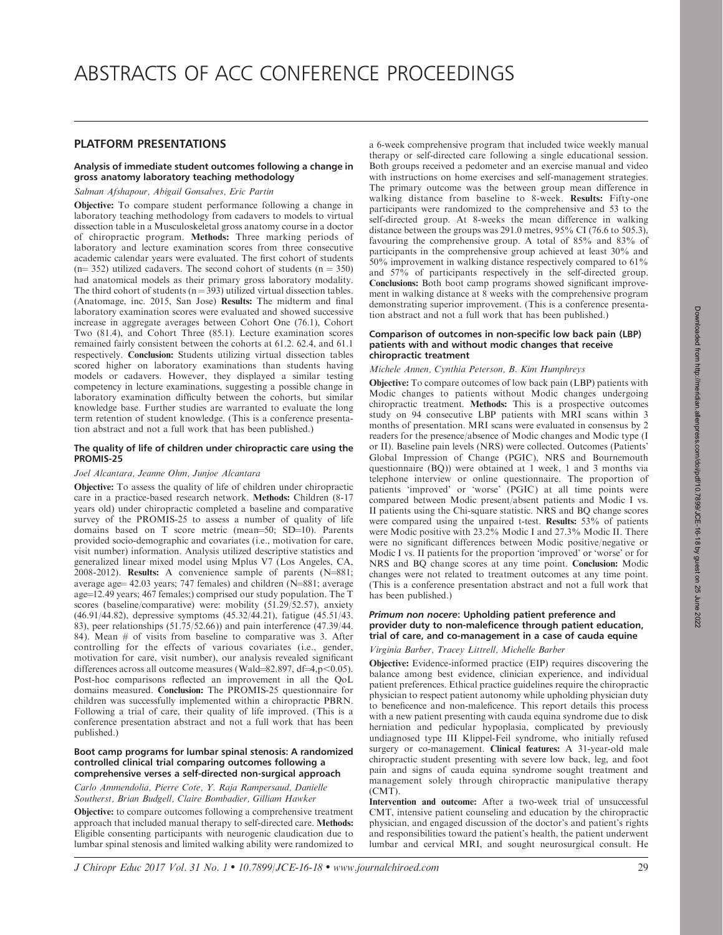# PLATFORM PRESENTATIONS

# Analysis of immediate student outcomes following a change in gross anatomy laboratory teaching methodology

Salman Afshapour, Abigail Gonsalves, Eric Partin

Objective: To compare student performance following a change in laboratory teaching methodology from cadavers to models to virtual dissection table in a Musculoskeletal gross anatomy course in a doctor of chiropractic program. Methods: Three marking periods of laboratory and lecture examination scores from three consecutive academic calendar years were evaluated. The first cohort of students  $(n= 352)$  utilized cadavers. The second cohort of students  $(n = 350)$ had anatomical models as their primary gross laboratory modality. The third cohort of students ( $n = 393$ ) utilized virtual dissection tables. (Anatomage, inc. 2015, San Jose) Results: The midterm and final laboratory examination scores were evaluated and showed successive increase in aggregate averages between Cohort One (76.1), Cohort Two (81.4), and Cohort Three (85.1). Lecture examination scores remained fairly consistent between the cohorts at 61.2. 62.4, and 61.1 respectively. Conclusion: Students utilizing virtual dissection tables scored higher on laboratory examinations than students having models or cadavers. However, they displayed a similar testing competency in lecture examinations, suggesting a possible change in laboratory examination difficulty between the cohorts, but similar knowledge base. Further studies are warranted to evaluate the long term retention of student knowledge. (This is a conference presentation abstract and not a full work that has been published.)

# The quality of life of children under chiropractic care using the PROMIS-25

# Joel Alcantara, Jeanne Ohm, Junjoe Alcantara

Objective: To assess the quality of life of children under chiropractic care in a practice-based research network. Methods: Children (8-17 years old) under chiropractic completed a baseline and comparative survey of the PROMIS-25 to assess a number of quality of life domains based on T score metric (mean=50; SD=10). Parents provided socio-demographic and covariates (i.e., motivation for care, visit number) information. Analysis utilized descriptive statistics and generalized linear mixed model using Mplus V7 (Los Angeles, CA, 2008-2012). Results: A convenience sample of parents  $(N=881;$ average age  $42.03$  years; 747 females) and children (N=881; average age $=$ 12.49 years; 467 females;) comprised our study population. The T scores (baseline/comparative) were: mobility (51.29/52.57), anxiety (46.91/44.82), depressive symptoms (45.32/44.21), fatigue (45.51/43. 83), peer relationships (51.75/52.66)) and pain interference (47.39/44. 84). Mean # of visits from baseline to comparative was 3. After controlling for the effects of various covariates (i.e., gender, motivation for care, visit number), our analysis revealed significant differences across all outcome measures (Wald=82.897, df=4,p<0.05). Post-hoc comparisons reflected an improvement in all the QoL domains measured. Conclusion: The PROMIS-25 questionnaire for children was successfully implemented within a chiropractic PBRN. Following a trial of care, their quality of life improved. (This is a conference presentation abstract and not a full work that has been published.)

## Boot camp programs for lumbar spinal stenosis: A randomized controlled clinical trial comparing outcomes following a comprehensive verses a self-directed non-surgical approach

Carlo Ammendolia, Pierre Cote, Y. Raja Rampersaud, Danielle Southerst, Brian Budgell, Claire Bombadier, Gilliam Hawker

Objective: to compare outcomes following a comprehensive treatment approach that included manual therapy to self-directed care. Methods: Eligible consenting participants with neurogenic claudication due to lumbar spinal stenosis and limited walking ability were randomized to a 6-week comprehensive program that included twice weekly manual therapy or self-directed care following a single educational session. Both groups received a pedometer and an exercise manual and video with instructions on home exercises and self-management strategies. The primary outcome was the between group mean difference in walking distance from baseline to 8-week. Results: Fifty-one participants were randomized to the comprehensive and 53 to the self-directed group. At 8-weeks the mean difference in walking distance between the groups was 291.0 metres, 95% CI (76.6 to 505.3), favouring the comprehensive group. A total of 85% and 83% of participants in the comprehensive group achieved at least 30% and 50% improvement in walking distance respectively compared to 61% and 57% of participants respectively in the self-directed group. Conclusions: Both boot camp programs showed significant improvement in walking distance at 8 weeks with the comprehensive program demonstrating superior improvement. (This is a conference presentation abstract and not a full work that has been published.)

# Comparison of outcomes in non-specific low back pain (LBP) patients with and without modic changes that receive chiropractic treatment

# Michele Annen, Cynthia Peterson, B. Kim Humphreys

Objective: To compare outcomes of low back pain (LBP) patients with Modic changes to patients without Modic changes undergoing chiropractic treatment. Methods: This is a prospective outcomes study on 94 consecutive LBP patients with MRI scans within 3 months of presentation. MRI scans were evaluated in consensus by 2 readers for the presence/absence of Modic changes and Modic type (I or II). Baseline pain levels (NRS) were collected. Outcomes (Patients' Global Impression of Change (PGIC), NRS and Bournemouth questionnaire (BQ)) were obtained at 1 week, 1 and 3 months via telephone interview or online questionnaire. The proportion of patients 'improved' or 'worse' (PGIC) at all time points were compared between Modic present/absent patients and Modic I vs. II patients using the Chi-square statistic. NRS and BQ change scores were compared using the unpaired t-test. Results: 53% of patients were Modic positive with 23.2% Modic I and 27.3% Modic II. There were no significant differences between Modic positive/negative or Modic I vs. II patients for the proportion 'improved' or 'worse' or for NRS and BQ change scores at any time point. Conclusion: Modic changes were not related to treatment outcomes at any time point. (This is a conference presentation abstract and not a full work that has been published.)

## Primum non nocere: Upholding patient preference and provider duty to non-maleficence through patient education, trial of care, and co-management in a case of cauda equine

# Virginia Barber, Tracey Littrell, Michelle Barber

Objective: Evidence-informed practice (EIP) requires discovering the balance among best evidence, clinician experience, and individual patient preferences. Ethical practice guidelines require the chiropractic physician to respect patient autonomy while upholding physician duty to beneficence and non-maleficence. This report details this process with a new patient presenting with cauda equina syndrome due to disk herniation and pedicular hypoplasia, complicated by previously undiagnosed type III Klippel-Feil syndrome, who initially refused surgery or co-management. Clinical features: A 31-year-old male chiropractic student presenting with severe low back, leg, and foot pain and signs of cauda equina syndrome sought treatment and management solely through chiropractic manipulative therapy (CMT).

Intervention and outcome: After a two-week trial of unsuccessful CMT, intensive patient counseling and education by the chiropractic physician, and engaged discussion of the doctor's and patient's rights and responsibilities toward the patient's health, the patient underwent lumbar and cervical MRI, and sought neurosurgical consult. He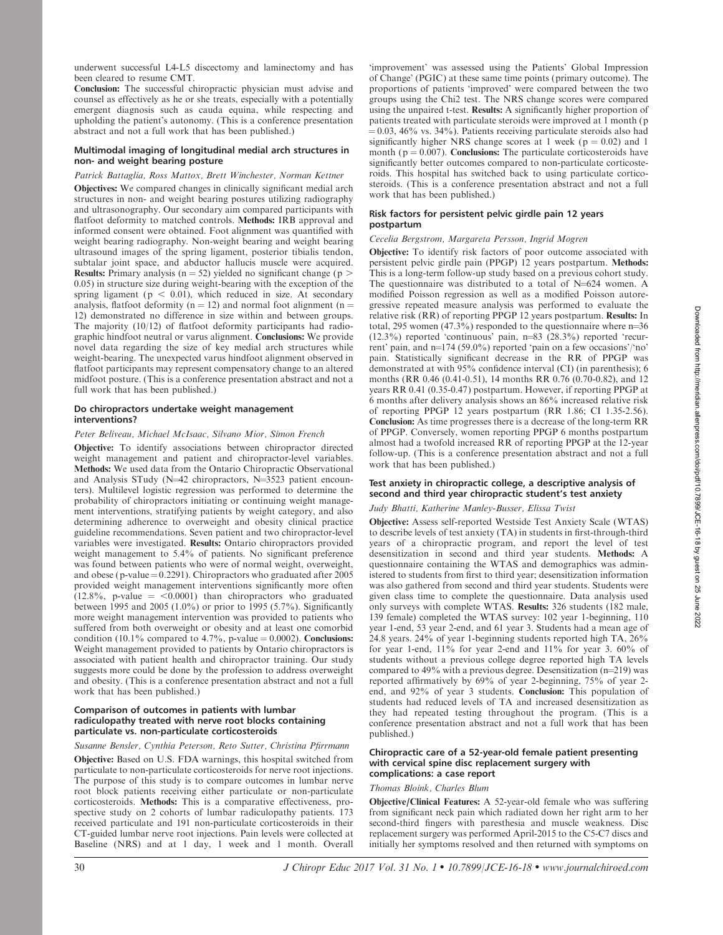Conclusion: The successful chiropractic physician must advise and counsel as effectively as he or she treats, especially with a potentially emergent diagnosis such as cauda equina, while respecting and upholding the patient's autonomy. (This is a conference presentation abstract and not a full work that has been published.)

## Multimodal imaging of longitudinal medial arch structures in non- and weight bearing posture

# Patrick Battaglia, Ross Mattox, Brett Winchester, Norman Kettner

Objectives: We compared changes in clinically significant medial arch structures in non- and weight bearing postures utilizing radiography and ultrasonography. Our secondary aim compared participants with flatfoot deformity to matched controls. Methods: IRB approval and informed consent were obtained. Foot alignment was quantified with weight bearing radiography. Non-weight bearing and weight bearing ultrasound images of the spring ligament, posterior tibialis tendon, subtalar joint space, and abductor hallucis muscle were acquired. **Results:** Primary analysis ( $n = 52$ ) yielded no significant change ( $p >$ 0.05) in structure size during weight-bearing with the exception of the spring ligament ( $p < 0.01$ ), which reduced in size. At secondary analysis, flatfoot deformity ( $n = 12$ ) and normal foot alignment ( $n =$ 12) demonstrated no difference in size within and between groups. The majority (10/12) of flatfoot deformity participants had radiographic hindfoot neutral or varus alignment. Conclusions: We provide novel data regarding the size of key medial arch structures while weight-bearing. The unexpected varus hindfoot alignment observed in flatfoot participants may represent compensatory change to an altered midfoot posture. (This is a conference presentation abstract and not a full work that has been published.)

## Do chiropractors undertake weight management interventions?

# Peter Beliveau, Michael McIsaac, Silvano Mior, Simon French

Objective: To identify associations between chiropractor directed weight management and patient and chiropractor-level variables. Methods: We used data from the Ontario Chiropractic Observational and Analysis STudy ( $N=42$  chiropractors,  $N=3523$  patient encounters). Multilevel logistic regression was performed to determine the probability of chiropractors initiating or continuing weight management interventions, stratifying patients by weight category, and also determining adherence to overweight and obesity clinical practice guideline recommendations. Seven patient and two chiropractor-level variables were investigated. Results: Ontario chiropractors provided weight management to 5.4% of patients. No significant preference was found between patients who were of normal weight, overweight, and obese (p-value =  $0.2291$ ). Chiropractors who graduated after 2005 provided weight management interventions significantly more often  $(12.8\%, p-value = <0.0001)$  than chiropractors who graduated between 1995 and 2005 (1.0%) or prior to 1995 (5.7%). Significantly more weight management intervention was provided to patients who suffered from both overweight or obesity and at least one comorbid condition (10.1% compared to 4.7%, p-value  $= 0.0002$ ). Conclusions: Weight management provided to patients by Ontario chiropractors is associated with patient health and chiropractor training. Our study suggests more could be done by the profession to address overweight and obesity. (This is a conference presentation abstract and not a full work that has been published.)

## Comparison of outcomes in patients with lumbar radiculopathy treated with nerve root blocks containing particulate vs. non-particulate corticosteroids

# Susanne Bensler, Cynthia Peterson, Reto Sutter, Christina Pfirrmann

Objective: Based on U.S. FDA warnings, this hospital switched from particulate to non-particulate corticosteroids for nerve root injections. The purpose of this study is to compare outcomes in lumbar nerve root block patients receiving either particulate or non-particulate corticosteroids. Methods: This is a comparative effectiveness, prospective study on 2 cohorts of lumbar radiculopathy patients. 173 received particulate and 191 non-particulate corticosteroids in their CT-guided lumbar nerve root injections. Pain levels were collected at Baseline (NRS) and at 1 day, 1 week and 1 month. Overall 'improvement' was assessed using the Patients' Global Impression of Change' (PGIC) at these same time points (primary outcome). The proportions of patients 'improved' were compared between the two groups using the Chi2 test. The NRS change scores were compared using the unpaired t-test. Results: A significantly higher proportion of patients treated with particulate steroids were improved at 1 month (p  $\approx$  0.03, 46% vs. 34%). Patients receiving particulate steroids also had significantly higher NRS change scores at 1 week ( $p = 0.02$ ) and 1 month ( $p = 0.007$ ). Conclusions: The particulate corticosteroids have significantly better outcomes compared to non-particulate corticosteroids. This hospital has switched back to using particulate corticosteroids. (This is a conference presentation abstract and not a full work that has been published.)

## Risk factors for persistent pelvic girdle pain 12 years postpartum

# Cecelia Bergstrom, Margareta Persson, Ingrid Mogren

Objective: To identify risk factors of poor outcome associated with persistent pelvic girdle pain (PPGP) 12 years postpartum. Methods: This is a long-term follow-up study based on a previous cohort study. The questionnaire was distributed to a total of  $N=624$  women. A modified Poisson regression as well as a modified Poisson autoregressive repeated measure analysis was performed to evaluate the relative risk (RR) of reporting PPGP 12 years postpartum. Results: In total, 295 women (47.3%) responded to the questionnaire where  $n=36$  $(12.3\%)$  reported 'continuous' pain, n=83  $(28.3\%)$  reported 'recurrent' pain, and  $n=174$  (59.0%) reported 'pain on a few occasions'/'no' pain. Statistically significant decrease in the RR of PPGP was demonstrated at with 95% confidence interval (CI) (in parenthesis); 6 months (RR 0.46 (0.41-0.51), 14 months RR 0.76 (0.70-0.82), and 12 years RR 0.41 (0.35-0.47) postpartum. However, if reporting PPGP at 6 months after delivery analysis shows an 86% increased relative risk of reporting PPGP 12 years postpartum (RR 1.86; CI 1.35-2.56). Conclusion: As time progresses there is a decrease of the long-term RR of PPGP. Conversely, women reporting PPGP 6 months postpartum almost had a twofold increased RR of reporting PPGP at the 12-year follow-up. (This is a conference presentation abstract and not a full work that has been published.)

# Test anxiety in chiropractic college, a descriptive analysis of second and third year chiropractic student's test anxiety

# Judy Bhatti, Katherine Manley-Busser, Elissa Twist

Objective: Assess self-reported Westside Test Anxiety Scale (WTAS) to describe levels of test anxiety (TA) in students in first-through-third years of a chiropractic program, and report the level of test desensitization in second and third year students. Methods: A questionnaire containing the WTAS and demographics was administered to students from first to third year; desensitization information was also gathered from second and third year students. Students were given class time to complete the questionnaire. Data analysis used only surveys with complete WTAS. Results: 326 students (182 male, 139 female) completed the WTAS survey: 102 year 1-beginning, 110 year 1-end, 53 year 2-end, and 61 year 3. Students had a mean age of 24.8 years. 24% of year 1-beginning students reported high TA, 26% for year 1-end, 11% for year 2-end and 11% for year 3. 60% of students without a previous college degree reported high TA levels compared to 49% with a previous degree. Desensitization  $(n=219)$  was reported affirmatively by 69% of year 2-beginning, 75% of year 2 end, and 92% of year 3 students. Conclusion: This population of students had reduced levels of TA and increased desensitization as they had repeated testing throughout the program. (This is a conference presentation abstract and not a full work that has been published.)

## Chiropractic care of a 52-year-old female patient presenting with cervical spine disc replacement surgery with complications: a case report

## Thomas Bloink, Charles Blum

Objective/Clinical Features: A 52-year-old female who was suffering from significant neck pain which radiated down her right arm to her second-third fingers with paresthesia and muscle weakness. Disc replacement surgery was performed April-2015 to the C5-C7 discs and initially her symptoms resolved and then returned with symptoms on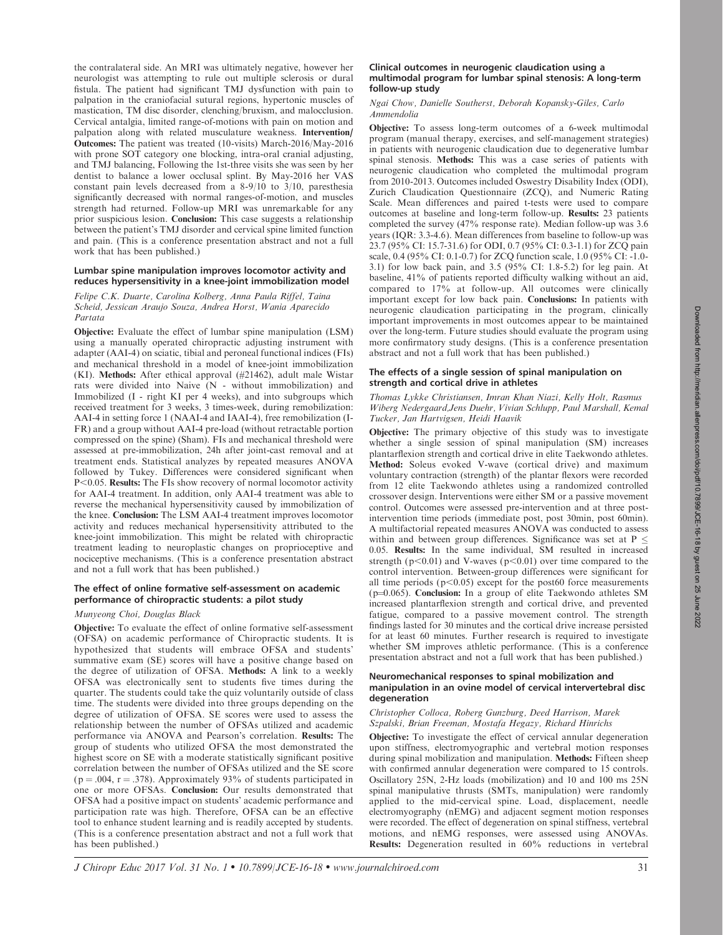the contralateral side. An MRI was ultimately negative, however her neurologist was attempting to rule out multiple sclerosis or dural fistula. The patient had significant TMJ dysfunction with pain to palpation in the craniofacial sutural regions, hypertonic muscles of mastication, TM disc disorder, clenching/bruxism, and malocclusion. Cervical antalgia, limited range-of-motions with pain on motion and palpation along with related musculature weakness. Intervention/ Outcomes: The patient was treated (10-visits) March-2016/May-2016 with prone SOT category one blocking, intra-oral cranial adjusting, and TMJ balancing, Following the 1st-three visits she was seen by her dentist to balance a lower occlusal splint. By May-2016 her VAS constant pain levels decreased from a 8-9/10 to 3/10, paresthesia significantly decreased with normal ranges-of-motion, and muscles strength had returned. Follow-up MRI was unremarkable for any prior suspicious lesion. Conclusion: This case suggests a relationship between the patient's TMJ disorder and cervical spine limited function and pain. (This is a conference presentation abstract and not a full work that has been published.)

## Lumbar spine manipulation improves locomotor activity and reduces hypersensitivity in a knee-joint immobilization model

Felipe C.K. Duarte, Carolina Kolberg, Anna Paula Riffel, Taina Scheid, Jessican Araujo Souza, Andrea Horst, Wania Aparecido Partata

Objective: Evaluate the effect of lumbar spine manipulation (LSM) using a manually operated chiropractic adjusting instrument with adapter (AAI-4) on sciatic, tibial and peroneal functional indices (FIs) and mechanical threshold in a model of knee-joint immobilization (KI). Methods: After ethical approval (#21462), adult male Wistar rats were divided into Naive (N - without immobilization) and Immobilized (I - right KI per 4 weeks), and into subgroups which received treatment for 3 weeks, 3 times-week, during remobilization: AAI-4 in setting force 1 (NAAI-4 and IAAI-4), free remobilization (I-FR) and a group without AAI-4 pre-load (without retractable portion compressed on the spine) (Sham). FIs and mechanical threshold were assessed at pre-immobilization, 24h after joint-cast removal and at treatment ends. Statistical analyzes by repeated measures ANOVA followed by Tukey. Differences were considered significant when P<0.05. Results: The FIs show recovery of normal locomotor activity for AAI-4 treatment. In addition, only AAI-4 treatment was able to reverse the mechanical hypersensitivity caused by immobilization of the knee. Conclusion: The LSM AAI-4 treatment improves locomotor activity and reduces mechanical hypersensitivity attributed to the knee-joint immobilization. This might be related with chiropractic treatment leading to neuroplastic changes on proprioceptive and nociceptive mechanisms. (This is a conference presentation abstract and not a full work that has been published.)

# The effect of online formative self-assessment on academic performance of chiropractic students: a pilot study

#### Munyeong Choi, Douglas Black

Objective: To evaluate the effect of online formative self-assessment (OFSA) on academic performance of Chiropractic students. It is hypothesized that students will embrace OFSA and students' summative exam (SE) scores will have a positive change based on the degree of utilization of OFSA. Methods: A link to a weekly OFSA was electronically sent to students five times during the quarter. The students could take the quiz voluntarily outside of class time. The students were divided into three groups depending on the degree of utilization of OFSA. SE scores were used to assess the relationship between the number of OFSAs utilized and academic performance via ANOVA and Pearson's correlation. Results: The group of students who utilized OFSA the most demonstrated the highest score on SE with a moderate statistically significant positive correlation between the number of OFSAs utilized and the SE score ( $p = .004$ ,  $r = .378$ ). Approximately 93% of students participated in one or more OFSAs. Conclusion: Our results demonstrated that OFSA had a positive impact on students' academic performance and participation rate was high. Therefore, OFSA can be an effective tool to enhance student learning and is readily accepted by students. (This is a conference presentation abstract and not a full work that has been published.)

## Clinical outcomes in neurogenic claudication using a multimodal program for lumbar spinal stenosis: A long-term follow-up study

Ngai Chow, Danielle Southerst, Deborah Kopansky-Giles, Carlo Ammendolia

Objective: To assess long-term outcomes of a 6-week multimodal program (manual therapy, exercises, and self-management strategies) in patients with neurogenic claudication due to degenerative lumbar spinal stenosis. Methods: This was a case series of patients with neurogenic claudication who completed the multimodal program from 2010-2013. Outcomes included Oswestry Disability Index (ODI), Zurich Claudication Questionnaire (ZCQ), and Numeric Rating Scale. Mean differences and paired t-tests were used to compare outcomes at baseline and long-term follow-up. Results: 23 patients completed the survey (47% response rate). Median follow-up was 3.6 years (IQR: 3.3-4.6). Mean differences from baseline to follow-up was 23.7 (95% CI: 15.7-31.6) for ODI, 0.7 (95% CI: 0.3-1.1) for ZCQ pain scale, 0.4 (95% CI: 0.1-0.7) for ZCQ function scale, 1.0 (95% CI: -1.0- 3.1) for low back pain, and 3.5 (95% CI: 1.8-5.2) for leg pain. At baseline, 41% of patients reported difficulty walking without an aid, compared to 17% at follow-up. All outcomes were clinically important except for low back pain. Conclusions: In patients with neurogenic claudication participating in the program, clinically important improvements in most outcomes appear to be maintained over the long-term. Future studies should evaluate the program using more confirmatory study designs. (This is a conference presentation abstract and not a full work that has been published.)

## The effects of a single session of spinal manipulation on strength and cortical drive in athletes

Thomas Lykke Christiansen, Imran Khan Niazi, Kelly Holt, Rasmus Wiberg Nedergaard,Jens Duehr, Vivian Schlupp, Paul Marshall, Kemal Tucker, Jan Hartvigsen, Heidi Haavik

Objective: The primary objective of this study was to investigate whether a single session of spinal manipulation (SM) increases plantarflexion strength and cortical drive in elite Taekwondo athletes. Method: Soleus evoked V-wave (cortical drive) and maximum voluntary contraction (strength) of the plantar flexors were recorded from 12 elite Taekwondo athletes using a randomized controlled crossover design. Interventions were either SM or a passive movement control. Outcomes were assessed pre-intervention and at three postintervention time periods (immediate post, post 30min, post 60min). A multifactorial repeated measures ANOVA was conducted to assess within and between group differences. Significance was set at  $P \leq$ 0.05. Results: In the same individual, SM resulted in increased strength ( $p<0.01$ ) and V-waves ( $p<0.01$ ) over time compared to the control intervention. Between-group differences were significant for all time periods ( $p<0.05$ ) except for the post60 force measurements (p=0.065). Conclusion: In a group of elite Taekwondo athletes SM increased plantarflexion strength and cortical drive, and prevented fatigue, compared to a passive movement control. The strength findings lasted for 30 minutes and the cortical drive increase persisted for at least 60 minutes. Further research is required to investigate whether SM improves athletic performance. (This is a conference presentation abstract and not a full work that has been published.)

## Neuromechanical responses to spinal mobilization and manipulation in an ovine model of cervical intervertebral disc degeneration

## Christopher Colloca, Roberg Gunzburg, Deed Harrison, Marek Szpalski, Brian Freeman, Mostafa Hegazy, Richard Hinrichs

Objective: To investigate the effect of cervical annular degeneration upon stiffness, electromyographic and vertebral motion responses during spinal mobilization and manipulation. Methods: Fifteen sheep with confirmed annular degeneration were compared to 15 controls. Oscillatory 25N, 2-Hz loads (mobilization) and 10 and 100 ms 25N spinal manipulative thrusts (SMTs, manipulation) were randomly applied to the mid-cervical spine. Load, displacement, needle electromyography (nEMG) and adjacent segment motion responses were recorded. The effect of degeneration on spinal stiffness, vertebral motions, and nEMG responses, were assessed using ANOVAs. Results: Degeneration resulted in 60% reductions in vertebral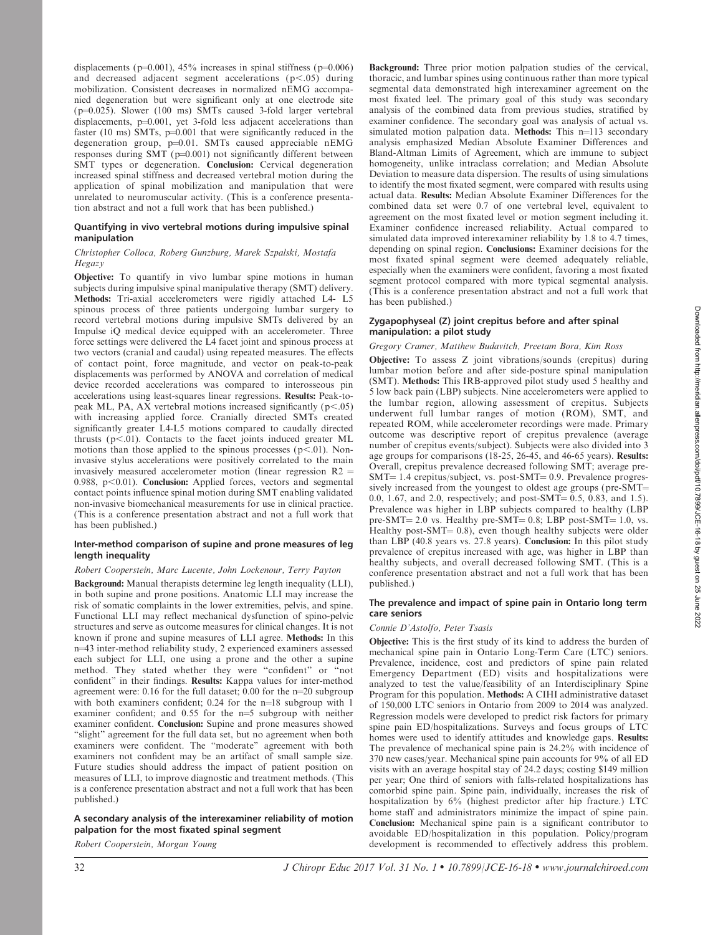displacements ( $p=0.001$ ), 45% increases in spinal stiffness ( $p=0.006$ ) and decreased adjacent segment accelerations  $(p<.05)$  during mobilization. Consistent decreases in normalized nEMG accompanied degeneration but were significant only at one electrode site  $(p=0.025)$ . Slower (100 ms) SMTs caused 3-fold larger vertebral displacements,  $p=0.001$ , yet 3-fold less adjacent accelerations than faster (10 ms) SMTs,  $p=0.001$  that were significantly reduced in the degeneration group,  $p=0.01$ . SMTs caused appreciable nEMG responses during  $SMT(p=0.001)$  not significantly different between SMT types or degeneration. Conclusion: Cervical degeneration increased spinal stiffness and decreased vertebral motion during the application of spinal mobilization and manipulation that were unrelated to neuromuscular activity. (This is a conference presentation abstract and not a full work that has been published.)

## Quantifying in vivo vertebral motions during impulsive spinal manipulation

# Christopher Colloca, Roberg Gunzburg, Marek Szpalski, Mostafa Hegazy

Objective: To quantify in vivo lumbar spine motions in human subjects during impulsive spinal manipulative therapy (SMT) delivery. Methods: Tri-axial accelerometers were rigidly attached L4- L5 spinous process of three patients undergoing lumbar surgery to record vertebral motions during impulsive SMTs delivered by an Impulse iQ medical device equipped with an accelerometer. Three force settings were delivered the L4 facet joint and spinous process at two vectors (cranial and caudal) using repeated measures. The effects of contact point, force magnitude, and vector on peak-to-peak displacements was performed by ANOVA and correlation of medical device recorded accelerations was compared to interosseous pin accelerations using least-squares linear regressions. Results: Peak-topeak ML, PA, AX vertebral motions increased significantly  $(p<.05)$ with increasing applied force. Cranially directed SMTs created significantly greater L4-L5 motions compared to caudally directed thrusts ( $p<.01$ ). Contacts to the facet joints induced greater ML motions than those applied to the spinous processes ( $p<.01$ ). Noninvasive stylus accelerations were positively correlated to the main invasively measured accelerometer motion (linear regression  $R2 =$ 0.988,  $p<0.01$ ). Conclusion: Applied forces, vectors and segmental contact points influence spinal motion during SMT enabling validated non-invasive biomechanical measurements for use in clinical practice. (This is a conference presentation abstract and not a full work that has been published.)

# Inter-method comparison of supine and prone measures of leg length inequality

## Robert Cooperstein, Marc Lucente, John Lockenour, Terry Payton

Background: Manual therapists determine leg length inequality (LLI), in both supine and prone positions. Anatomic LLI may increase the risk of somatic complaints in the lower extremities, pelvis, and spine. Functional LLI may reflect mechanical dysfunction of spino-pelvic structures and serve as outcome measures for clinical changes. It is not known if prone and supine measures of LLI agree. Methods: In this n=43 inter-method reliability study, 2 experienced examiners assessed each subject for LLI, one using a prone and the other a supine method. They stated whether they were ''confident'' or ''not confident'' in their findings. Results: Kappa values for inter-method agreement were:  $0.16$  for the full dataset;  $0.00$  for the  $n=20$  subgroup with both examiners confident;  $0.24$  for the  $n=18$  subgroup with 1 examiner confident; and  $0.55$  for the  $n=5$  subgroup with neither examiner confident. Conclusion: Supine and prone measures showed "slight" agreement for the full data set, but no agreement when both examiners were confident. The ''moderate'' agreement with both examiners not confident may be an artifact of small sample size. Future studies should address the impact of patient position on measures of LLI, to improve diagnostic and treatment methods. (This is a conference presentation abstract and not a full work that has been published.)

# A secondary analysis of the interexaminer reliability of motion palpation for the most fixated spinal segment

Robert Cooperstein, Morgan Young

Background: Three prior motion palpation studies of the cervical, thoracic, and lumbar spines using continuous rather than more typical segmental data demonstrated high interexaminer agreement on the most fixated leel. The primary goal of this study was secondary analysis of the combined data from previous studies, stratified by examiner confidence. The secondary goal was analysis of actual vs. simulated motion palpation data. Methods: This  $n=113$  secondary analysis emphasized Median Absolute Examiner Differences and Bland-Altman Limits of Agreement, which are immune to subject homogeneity, unlike intraclass correlation; and Median Absolute Deviation to measure data dispersion. The results of using simulations to identify the most fixated segment, were compared with results using actual data. Results: Median Absolute Examiner Differences for the combined data set were 0.7 of one vertebral level, equivalent to agreement on the most fixated level or motion segment including it. Examiner confidence increased reliability. Actual compared to simulated data improved interexaminer reliability by 1.8 to 4.7 times, depending on spinal region. Conclusions: Examiner decisions for the most fixated spinal segment were deemed adequately reliable, especially when the examiners were confident, favoring a most fixated segment protocol compared with more typical segmental analysis. (This is a conference presentation abstract and not a full work that has been published.)

# Zygapophyseal (Z) joint crepitus before and after spinal manipulation: a pilot study

# Gregory Cramer, Matthew Budavitch, Preetam Bora, Kim Ross

Objective: To assess Z joint vibrations/sounds (crepitus) during lumbar motion before and after side-posture spinal manipulation (SMT). Methods: This IRB-approved pilot study used 5 healthy and 5 low back pain (LBP) subjects. Nine accelerometers were applied to the lumbar region, allowing assessment of crepitus. Subjects underwent full lumbar ranges of motion (ROM), SMT, and repeated ROM, while accelerometer recordings were made. Primary outcome was descriptive report of crepitus prevalence (average number of crepitus events/subject). Subjects were also divided into 3 age groups for comparisons (18-25, 26-45, and 46-65 years). Results: Overall, crepitus prevalence decreased following SMT; average pre- $SMT = 1.4$  crepitus/subject, vs. post- $SMT = 0.9$ . Prevalence progressively increased from the youngest to oldest age groups (pre- $SMT=$ 0.0, 1.67, and 2.0, respectively; and post-SMT= 0.5, 0.83, and 1.5). Prevalence was higher in LBP subjects compared to healthy (LBP pre-SMT=  $2.0$  vs. Healthy pre-SMT=  $0.8$ ; LBP post-SMT=  $1.0$ , vs. Healthy post-SMT= 0.8), even though healthy subjects were older than LBP (40.8 years vs. 27.8 years). Conclusion: In this pilot study prevalence of crepitus increased with age, was higher in LBP than healthy subjects, and overall decreased following SMT. (This is a conference presentation abstract and not a full work that has been published.)

## The prevalence and impact of spine pain in Ontario long term care seniors

# Connie D'Astolfo, Peter Tsasis

Objective: This is the first study of its kind to address the burden of mechanical spine pain in Ontario Long-Term Care (LTC) seniors. Prevalence, incidence, cost and predictors of spine pain related Emergency Department (ED) visits and hospitalizations were analyzed to test the value/feasibility of an Interdisciplinary Spine Program for this population. Methods: A CIHI administrative dataset of 150,000 LTC seniors in Ontario from 2009 to 2014 was analyzed. Regression models were developed to predict risk factors for primary spine pain ED/hospitalizations. Surveys and focus groups of LTC homes were used to identify attitudes and knowledge gaps. Results: The prevalence of mechanical spine pain is 24.2% with incidence of 370 new cases/year. Mechanical spine pain accounts for 9% of all ED visits with an average hospital stay of 24.2 days; costing \$149 million per year; One third of seniors with falls-related hospitalizations has comorbid spine pain. Spine pain, individually, increases the risk of hospitalization by 6% (highest predictor after hip fracture.) LTC home staff and administrators minimize the impact of spine pain. Conclusion: Mechanical spine pain is a significant contributor to avoidable ED/hospitalization in this population. Policy/program development is recommended to effectively address this problem.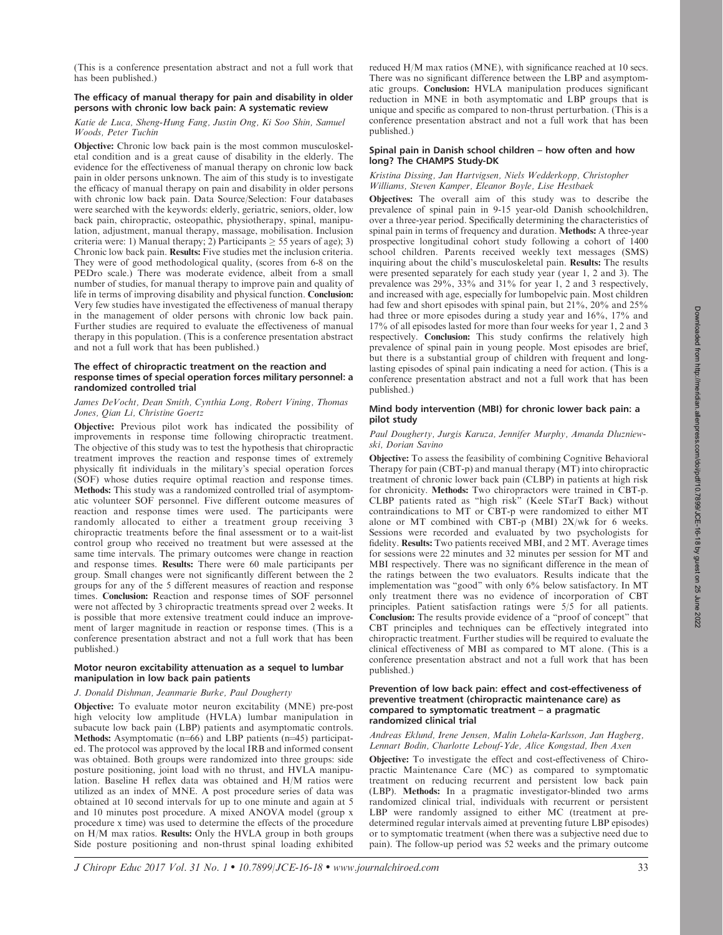(This is a conference presentation abstract and not a full work that has been published.)

# The efficacy of manual therapy for pain and disability in older persons with chronic low back pain: A systematic review

## Katie de Luca, Sheng-Hung Fang, Justin Ong, Ki Soo Shin, Samuel Woods, Peter Tuchin

Objective: Chronic low back pain is the most common musculoskeletal condition and is a great cause of disability in the elderly. The evidence for the effectiveness of manual therapy on chronic low back pain in older persons unknown. The aim of this study is to investigate the efficacy of manual therapy on pain and disability in older persons with chronic low back pain. Data Source/Selection: Four databases were searched with the keywords: elderly, geriatric, seniors, older, low back pain, chiropractic, osteopathic, physiotherapy, spinal, manipulation, adjustment, manual therapy, massage, mobilisation. Inclusion criteria were: 1) Manual therapy; 2) Participants  $\geq$  55 years of age); 3) Chronic low back pain. Results: Five studies met the inclusion criteria. They were of good methodological quality, (scores from 6-8 on the PEDro scale.) There was moderate evidence, albeit from a small number of studies, for manual therapy to improve pain and quality of life in terms of improving disability and physical function. Conclusion: Very few studies have investigated the effectiveness of manual therapy in the management of older persons with chronic low back pain. Further studies are required to evaluate the effectiveness of manual therapy in this population. (This is a conference presentation abstract and not a full work that has been published.)

## The effect of chiropractic treatment on the reaction and response times of special operation forces military personnel: a randomized controlled trial

## James DeVocht, Dean Smith, Cynthia Long, Robert Vining, Thomas Jones, Qian Li, Christine Goertz

Objective: Previous pilot work has indicated the possibility of improvements in response time following chiropractic treatment. The objective of this study was to test the hypothesis that chiropractic treatment improves the reaction and response times of extremely physically fit individuals in the military's special operation forces (SOF) whose duties require optimal reaction and response times. Methods: This study was a randomized controlled trial of asymptomatic volunteer SOF personnel. Five different outcome measures of reaction and response times were used. The participants were randomly allocated to either a treatment group receiving 3 chiropractic treatments before the final assessment or to a wait-list control group who received no treatment but were assessed at the same time intervals. The primary outcomes were change in reaction and response times. Results: There were 60 male participants per group. Small changes were not significantly different between the 2 groups for any of the 5 different measures of reaction and response times. Conclusion: Reaction and response times of SOF personnel were not affected by 3 chiropractic treatments spread over 2 weeks. It is possible that more extensive treatment could induce an improvement of larger magnitude in reaction or response times. (This is a conference presentation abstract and not a full work that has been published.)

# Motor neuron excitability attenuation as a sequel to lumbar manipulation in low back pain patients

# J. Donald Dishman, Jeanmarie Burke, Paul Dougherty

Objective: To evaluate motor neuron excitability (MNE) pre-post high velocity low amplitude (HVLA) lumbar manipulation in subacute low back pain (LBP) patients and asymptomatic controls. Methods: Asymptomatic  $(n=66)$  and LBP patients  $(n=45)$  participated. The protocol was approved by the local IRB and informed consent was obtained. Both groups were randomized into three groups: side posture positioning, joint load with no thrust, and HVLA manipulation. Baseline H reflex data was obtained and H/M ratios were utilized as an index of MNE. A post procedure series of data was obtained at 10 second intervals for up to one minute and again at 5 and 10 minutes post procedure. A mixed ANOVA model (group x procedure x time) was used to determine the effects of the procedure on H/M max ratios. Results: Only the HVLA group in both groups Side posture positioning and non-thrust spinal loading exhibited reduced H/M max ratios (MNE), with significance reached at 10 secs. There was no significant difference between the LBP and asymptomatic groups. Conclusion: HVLA manipulation produces significant reduction in MNE in both asymptomatic and LBP groups that is unique and specific as compared to non-thrust perturbation. (This is a conference presentation abstract and not a full work that has been published.)

## Spinal pain in Danish school children – how often and how long? The CHAMPS Study-DK

## Kristina Dissing, Jan Hartvigsen, Niels Wedderkopp, Christopher Williams, Steven Kamper, Eleanor Boyle, Lise Hestbaek

Objectives: The overall aim of this study was to describe the prevalence of spinal pain in 9-15 year-old Danish schoolchildren, over a three-year period. Specifically determining the characteristics of spinal pain in terms of frequency and duration. Methods: A three-year prospective longitudinal cohort study following a cohort of 1400 school children. Parents received weekly text messages (SMS) inquiring about the child's musculoskeletal pain. Results: The results were presented separately for each study year (year 1, 2 and 3). The prevalence was  $29\%$ ,  $33\%$  and  $31\%$  for year 1, 2 and 3 respectively, and increased with age, especially for lumbopelvic pain. Most children had few and short episodes with spinal pain, but  $21\%$ ,  $20\%$  and  $25\%$ had three or more episodes during a study year and  $16\%$ , 17% and 17% of all episodes lasted for more than four weeks for year 1, 2 and 3 respectively. Conclusion: This study confirms the relatively high prevalence of spinal pain in young people. Most episodes are brief, but there is a substantial group of children with frequent and longlasting episodes of spinal pain indicating a need for action. (This is a conference presentation abstract and not a full work that has been published.)

## Mind body intervention (MBI) for chronic lower back pain: a pilot study

## Paul Dougherty, Jurgis Karuza, Jennifer Murphy, Amanda Dluzniewski, Dorian Savino

Objective: To assess the feasibility of combining Cognitive Behavioral Therapy for pain (CBT-p) and manual therapy (MT) into chiropractic treatment of chronic lower back pain (CLBP) in patients at high risk for chronicity. Methods: Two chiropractors were trained in CBT-p. CLBP patients rated as ''high risk'' (Keele STarT Back) without contraindications to MT or CBT-p were randomized to either MT alone or MT combined with CBT-p (MBI) 2X/wk for 6 weeks. Sessions were recorded and evaluated by two psychologists for fidelity. Results: Two patients received MBI, and 2 MT. Average times for sessions were 22 minutes and 32 minutes per session for MT and MBI respectively. There was no significant difference in the mean of the ratings between the two evaluators. Results indicate that the implementation was ''good'' with only 6% below satisfactory. In MT only treatment there was no evidence of incorporation of CBT principles. Patient satisfaction ratings were 5/5 for all patients. Conclusion: The results provide evidence of a ''proof of concept'' that CBT principles and techniques can be effectively integrated into chiropractic treatment. Further studies will be required to evaluate the clinical effectiveness of MBI as compared to MT alone. (This is a conference presentation abstract and not a full work that has been published.)

#### Prevention of low back pain: effect and cost-effectiveness of preventive treatment (chiropractic maintenance care) as compared to symptomatic treatment – a pragmatic randomized clinical trial

## Andreas Eklund, Irene Jensen, Malin Lohela-Karlsson, Jan Hagberg, Lennart Bodin, Charlotte Lebouf-Yde, Alice Kongstad, Iben Axen

Objective: To investigate the effect and cost-effectiveness of Chiropractic Maintenance Care (MC) as compared to symptomatic treatment on reducing recurrent and persistent low back pain (LBP). Methods: In a pragmatic investigator-blinded two arms randomized clinical trial, individuals with recurrent or persistent LBP were randomly assigned to either MC (treatment at predetermined regular intervals aimed at preventing future LBP episodes) or to symptomatic treatment (when there was a subjective need due to pain). The follow-up period was 52 weeks and the primary outcome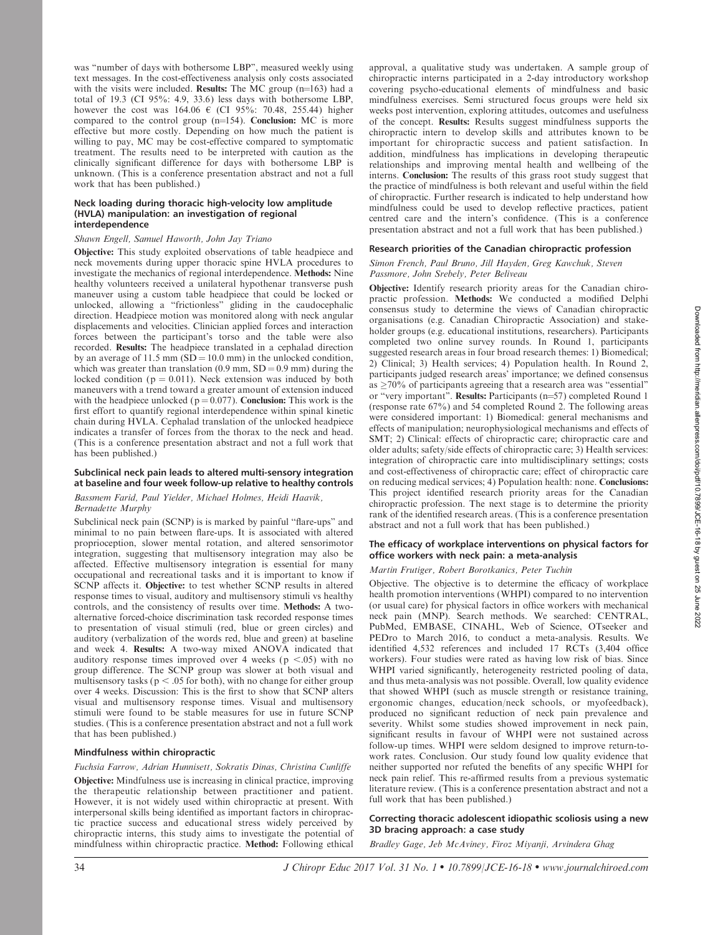was ''number of days with bothersome LBP'', measured weekly using text messages. In the cost-effectiveness analysis only costs associated with the visits were included. **Results:** The MC group  $(n=163)$  had a total of 19.3 (CI 95%: 4.9, 33.6) less days with bothersome LBP, however the cost was  $164.06 \text{ } \infty$  (CI 95%: 70.48, 255.44) higher compared to the control group  $(n=154)$ . Conclusion: MC is more effective but more costly. Depending on how much the patient is willing to pay, MC may be cost-effective compared to symptomatic treatment. The results need to be interpreted with caution as the clinically significant difference for days with bothersome LBP is unknown. (This is a conference presentation abstract and not a full work that has been published.)

# Neck loading during thoracic high-velocity low amplitude (HVLA) manipulation: an investigation of regional interdependence

# Shawn Engell, Samuel Haworth, John Jay Triano

Objective: This study exploited observations of table headpiece and neck movements during upper thoracic spine HVLA procedures to investigate the mechanics of regional interdependence. Methods: Nine healthy volunteers received a unilateral hypothenar transverse push maneuver using a custom table headpiece that could be locked or unlocked, allowing a ''frictionless'' gliding in the caudocephalic direction. Headpiece motion was monitored along with neck angular displacements and velocities. Clinician applied forces and interaction forces between the participant's torso and the table were also recorded. Results: The headpiece translated in a cephalad direction by an average of 11.5 mm  $(SD = 10.0 \text{ mm})$  in the unlocked condition, which was greater than translation  $(0.9 \text{ mm}, SD = 0.9 \text{ mm})$  during the locked condition ( $p = 0.011$ ). Neck extension was induced by both maneuvers with a trend toward a greater amount of extension induced with the headpiece unlocked ( $p = 0.077$ ). Conclusion: This work is the first effort to quantify regional interdependence within spinal kinetic chain during HVLA. Cephalad translation of the unlocked headpiece indicates a transfer of forces from the thorax to the neck and head. (This is a conference presentation abstract and not a full work that has been published.)

#### Subclinical neck pain leads to altered multi-sensory integration at baseline and four week follow-up relative to healthy controls

#### Bassmem Farid, Paul Yielder, Michael Holmes, Heidi Haavik, Bernadette Murphy

Subclinical neck pain (SCNP) is is marked by painful ''flare-ups'' and minimal to no pain between flare-ups. It is associated with altered proprioception, slower mental rotation, and altered sensorimotor integration, suggesting that multisensory integration may also be affected. Effective multisensory integration is essential for many occupational and recreational tasks and it is important to know if SCNP affects it. Objective: to test whether SCNP results in altered response times to visual, auditory and multisensory stimuli vs healthy controls, and the consistency of results over time. Methods: A twoalternative forced-choice discrimination task recorded response times to presentation of visual stimuli (red, blue or green circles) and auditory (verbalization of the words red, blue and green) at baseline and week 4. Results: A two-way mixed ANOVA indicated that auditory response times improved over 4 weeks ( $p < .05$ ) with no group difference. The SCNP group was slower at both visual and multisensory tasks ( $p < .05$  for both), with no change for either group over 4 weeks. Discussion: This is the first to show that SCNP alters visual and multisensory response times. Visual and multisensory stimuli were found to be stable measures for use in future SCNP studies. (This is a conference presentation abstract and not a full work that has been published.)

## Mindfulness within chiropractic

## Fuchsia Farrow, Adrian Hunnisett, Sokratis Dinas, Christina Cunliffe

Objective: Mindfulness use is increasing in clinical practice, improving the therapeutic relationship between practitioner and patient. However, it is not widely used within chiropractic at present. With interpersonal skills being identified as important factors in chiropractic practice success and educational stress widely perceived by chiropractic interns, this study aims to investigate the potential of mindfulness within chiropractic practice. Method: Following ethical approval, a qualitative study was undertaken. A sample group of chiropractic interns participated in a 2-day introductory workshop covering psycho-educational elements of mindfulness and basic mindfulness exercises. Semi structured focus groups were held six weeks post intervention, exploring attitudes, outcomes and usefulness of the concept. Results: Results suggest mindfulness supports the chiropractic intern to develop skills and attributes known to be important for chiropractic success and patient satisfaction. In addition, mindfulness has implications in developing therapeutic relationships and improving mental health and wellbeing of the interns. Conclusion: The results of this grass root study suggest that the practice of mindfulness is both relevant and useful within the field of chiropractic. Further research is indicated to help understand how mindfulness could be used to develop reflective practices, patient centred care and the intern's confidence. (This is a conference presentation abstract and not a full work that has been published.)

## Research priorities of the Canadian chiropractic profession

## Simon French, Paul Bruno, Jill Hayden, Greg Kawchuk, Steven Passmore, John Srebely, Peter Beliveau

Objective: Identify research priority areas for the Canadian chiropractic profession. Methods: We conducted a modified Delphi consensus study to determine the views of Canadian chiropractic organisations (e.g. Canadian Chiropractic Association) and stakeholder groups (e.g. educational institutions, researchers). Participants completed two online survey rounds. In Round 1, participants suggested research areas in four broad research themes: 1) Biomedical; 2) Clinical; 3) Health services; 4) Population health. In Round 2, participants judged research areas' importance; we defined consensus as  $\geq$ 70% of participants agreeing that a research area was "essential" or "very important". Results: Participants (n=57) completed Round 1 (response rate 67%) and 54 completed Round 2. The following areas were considered important: 1) Biomedical: general mechanisms and effects of manipulation; neurophysiological mechanisms and effects of SMT; 2) Clinical: effects of chiropractic care; chiropractic care and older adults; safety/side effects of chiropractic care; 3) Health services: integration of chiropractic care into multidisciplinary settings; costs and cost-effectiveness of chiropractic care; effect of chiropractic care on reducing medical services; 4) Population health: none. Conclusions: This project identified research priority areas for the Canadian chiropractic profession. The next stage is to determine the priority rank of the identified research areas. (This is a conference presentation abstract and not a full work that has been published.)

## The efficacy of workplace interventions on physical factors for office workers with neck pain: a meta-analysis

## Martin Frutiger, Robert Borotkanics, Peter Tuchin

Objective. The objective is to determine the efficacy of workplace health promotion interventions (WHPI) compared to no intervention (or usual care) for physical factors in office workers with mechanical neck pain (MNP). Search methods. We searched: CENTRAL, PubMed, EMBASE, CINAHL, Web of Science, OTseeker and PEDro to March 2016, to conduct a meta-analysis. Results. We identified 4,532 references and included 17 RCTs (3,404 office workers). Four studies were rated as having low risk of bias. Since WHPI varied significantly, heterogeneity restricted pooling of data, and thus meta-analysis was not possible. Overall, low quality evidence that showed WHPI (such as muscle strength or resistance training, ergonomic changes, education/neck schools, or myofeedback), produced no significant reduction of neck pain prevalence and severity. Whilst some studies showed improvement in neck pain, significant results in favour of WHPI were not sustained across follow-up times. WHPI were seldom designed to improve return-towork rates. Conclusion. Our study found low quality evidence that neither supported nor refuted the benefits of any specific WHPI for neck pain relief. This re-affirmed results from a previous systematic literature review. (This is a conference presentation abstract and not a full work that has been published.)

# Correcting thoracic adolescent idiopathic scoliosis using a new 3D bracing approach: a case study

Bradley Gage, Jeb McAviney, Firoz Miyanji, Arvindera Ghag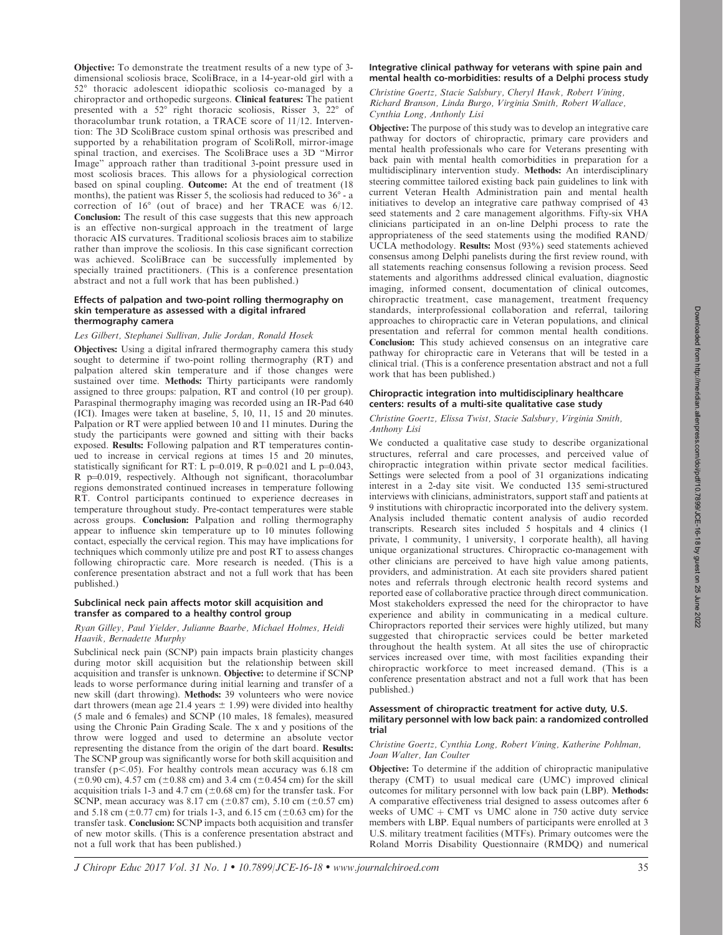Objective: To demonstrate the treatment results of a new type of 3 dimensional scoliosis brace, ScoliBrace, in a 14-year-old girl with a 52° thoracic adolescent idiopathic scoliosis co-managed by a chiropractor and orthopedic surgeons. Clinical features: The patient presented with a  $52^\circ$  right thoracic scoliosis, Risser 3,  $22^\circ$  of thoracolumbar trunk rotation, a TRACE score of 11/12. Intervention: The 3D ScoliBrace custom spinal orthosis was prescribed and supported by a rehabilitation program of ScoliRoll, mirror-image spinal traction, and exercises. The ScoliBrace uses a 3D ''Mirror Image'' approach rather than traditional 3-point pressure used in most scoliosis braces. This allows for a physiological correction based on spinal coupling. Outcome: At the end of treatment (18 months), the patient was Risser 5, the scoliosis had reduced to  $36^\circ$  - a correction of 16° (out of brace) and her TRACE was 6/12. Conclusion: The result of this case suggests that this new approach is an effective non-surgical approach in the treatment of large thoracic AIS curvatures. Traditional scoliosis braces aim to stabilize rather than improve the scoliosis. In this case significant correction was achieved. ScoliBrace can be successfully implemented by specially trained practitioners. (This is a conference presentation abstract and not a full work that has been published.)

## Effects of palpation and two-point rolling thermography on skin temperature as assessed with a digital infrared thermography camera

# Les Gilbert, Stephanei Sullivan, Julie Jordan, Ronald Hosek

Objectives: Using a digital infrared thermography camera this study sought to determine if two-point rolling thermography (RT) and palpation altered skin temperature and if those changes were sustained over time. Methods: Thirty participants were randomly assigned to three groups: palpation, RT and control (10 per group). Paraspinal thermography imaging was recorded using an IR-Pad 640 (ICI). Images were taken at baseline, 5, 10, 11, 15 and 20 minutes. Palpation or RT were applied between 10 and 11 minutes. During the study the participants were gowned and sitting with their backs exposed. Results: Following palpation and RT temperatures continued to increase in cervical regions at times 15 and 20 minutes, statistically significant for RT: L p=0.019, R p=0.021 and L p=0.043,  $R$  p=0.019, respectively. Although not significant, thoracolumbar regions demonstrated continued increases in temperature following RT. Control participants continued to experience decreases in temperature throughout study. Pre-contact temperatures were stable across groups. Conclusion: Palpation and rolling thermography appear to influence skin temperature up to 10 minutes following contact, especially the cervical region. This may have implications for techniques which commonly utilize pre and post RT to assess changes following chiropractic care. More research is needed. (This is a conference presentation abstract and not a full work that has been published.)

## Subclinical neck pain affects motor skill acquisition and transfer as compared to a healthy control group

## Ryan Gilley, Paul Yielder, Julianne Baarbe, Michael Holmes, Heidi Haavik, Bernadette Murphy

Subclinical neck pain (SCNP) pain impacts brain plasticity changes during motor skill acquisition but the relationship between skill acquisition and transfer is unknown. Objective: to determine if SCNP leads to worse performance during initial learning and transfer of a new skill (dart throwing). Methods: 39 volunteers who were novice dart throwers (mean age 21.4 years  $\pm$  1.99) were divided into healthy (5 male and 6 females) and SCNP (10 males, 18 females), measured using the Chronic Pain Grading Scale. The x and y positions of the throw were logged and used to determine an absolute vector representing the distance from the origin of the dart board. Results: The SCNP group was significantly worse for both skill acquisition and transfer ( $p<.05$ ). For healthy controls mean accuracy was 6.18 cm  $(\pm 0.90 \text{ cm})$ , 4.57 cm  $(\pm 0.88 \text{ cm})$  and 3.4 cm  $(\pm 0.454 \text{ cm})$  for the skill acquisition trials 1-3 and 4.7 cm ( $\pm$ 0.68 cm) for the transfer task. For SCNP, mean accuracy was 8.17 cm ( $\pm 0.87$  cm), 5.10 cm ( $\pm 0.57$  cm) and 5.18 cm ( $\pm$ 0.77 cm) for trials 1-3, and 6.15 cm ( $\pm$ 0.63 cm) for the transfer task. Conclusion: SCNP impacts both acquisition and transfer of new motor skills. (This is a conference presentation abstract and not a full work that has been published.)

## Integrative clinical pathway for veterans with spine pain and mental health co-morbidities: results of a Delphi process study

Christine Goertz, Stacie Salsbury, Cheryl Hawk, Robert Vining, Richard Branson, Linda Burgo, Virginia Smith, Robert Wallace, Cynthia Long, Anthonly Lisi

Objective: The purpose of this study was to develop an integrative care pathway for doctors of chiropractic, primary care providers and mental health professionals who care for Veterans presenting with back pain with mental health comorbidities in preparation for a multidisciplinary intervention study. Methods: An interdisciplinary steering committee tailored existing back pain guidelines to link with current Veteran Health Administration pain and mental health initiatives to develop an integrative care pathway comprised of 43 seed statements and 2 care management algorithms. Fifty-six VHA clinicians participated in an on-line Delphi process to rate the appropriateness of the seed statements using the modified RAND/ UCLA methodology. Results: Most (93%) seed statements achieved consensus among Delphi panelists during the first review round, with all statements reaching consensus following a revision process. Seed statements and algorithms addressed clinical evaluation, diagnostic imaging, informed consent, documentation of clinical outcomes, chiropractic treatment, case management, treatment frequency standards, interprofessional collaboration and referral, tailoring approaches to chiropractic care in Veteran populations, and clinical presentation and referral for common mental health conditions. Conclusion: This study achieved consensus on an integrative care pathway for chiropractic care in Veterans that will be tested in a clinical trial. (This is a conference presentation abstract and not a full work that has been published.)

## Chiropractic integration into multidisciplinary healthcare centers: results of a multi-site qualitative case study

## Christine Goertz, Elissa Twist, Stacie Salsbury, Virginia Smith, Anthony Lisi

We conducted a qualitative case study to describe organizational structures, referral and care processes, and perceived value of chiropractic integration within private sector medical facilities. Settings were selected from a pool of 31 organizations indicating interest in a 2-day site visit. We conducted 135 semi-structured interviews with clinicians, administrators, support staff and patients at 9 institutions with chiropractic incorporated into the delivery system. Analysis included thematic content analysis of audio recorded transcripts. Research sites included 5 hospitals and 4 clinics (1 private, 1 community, 1 university, 1 corporate health), all having unique organizational structures. Chiropractic co-management with other clinicians are perceived to have high value among patients, providers, and administration. At each site providers shared patient notes and referrals through electronic health record systems and reported ease of collaborative practice through direct communication. Most stakeholders expressed the need for the chiropractor to have experience and ability in communicating in a medical culture. Chiropractors reported their services were highly utilized, but many suggested that chiropractic services could be better marketed throughout the health system. At all sites the use of chiropractic services increased over time, with most facilities expanding their chiropractic workforce to meet increased demand. (This is a conference presentation abstract and not a full work that has been published.)

## Assessment of chiropractic treatment for active duty, U.S. military personnel with low back pain: a randomized controlled trial

## Christine Goertz, Cynthia Long, Robert Vining, Katherine Pohlman, Joan Walter, Ian Coulter

Objective: To determine if the addition of chiropractic manipulative therapy (CMT) to usual medical care (UMC) improved clinical outcomes for military personnel with low back pain (LBP). Methods: A comparative effectiveness trial designed to assess outcomes after 6 weeks of UMC  $+$  CMT vs UMC alone in 750 active duty service members with LBP. Equal numbers of participants were enrolled at 3 U.S. military treatment facilities (MTFs). Primary outcomes were the Roland Morris Disability Questionnaire (RMDQ) and numerical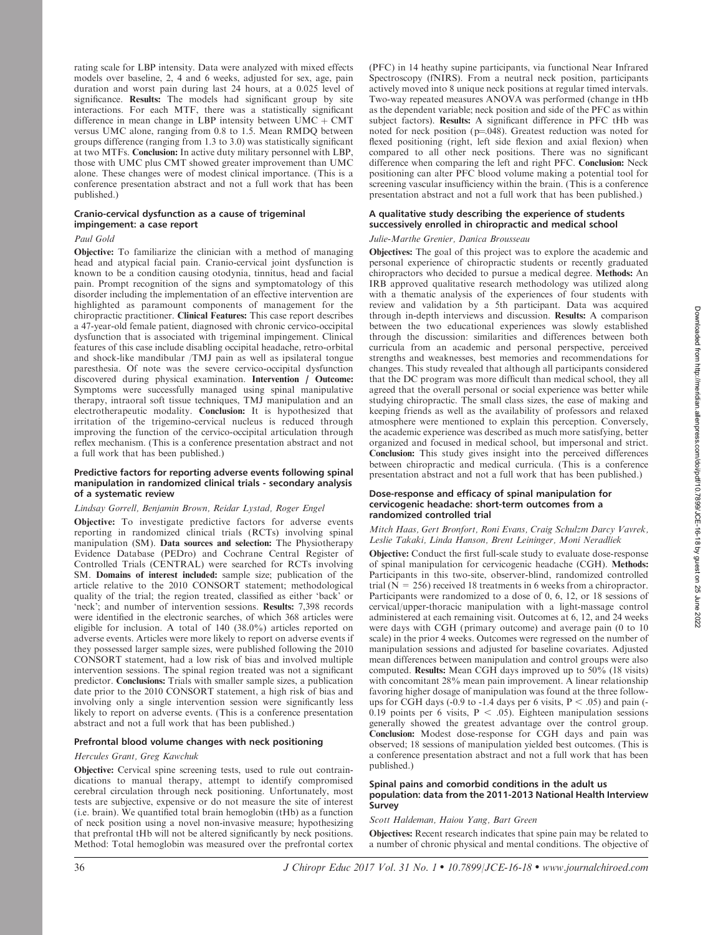rating scale for LBP intensity. Data were analyzed with mixed effects models over baseline, 2, 4 and 6 weeks, adjusted for sex, age, pain duration and worst pain during last 24 hours, at a 0.025 level of significance. Results: The models had significant group by site interactions. For each MTF, there was a statistically significant difference in mean change in LBP intensity between  $UMC + CMT$ versus UMC alone, ranging from 0.8 to 1.5. Mean RMDQ between groups difference (ranging from 1.3 to 3.0) was statistically significant at two MTFs. Conclusion: In active duty military personnel with LBP, those with UMC plus CMT showed greater improvement than UMC alone. These changes were of modest clinical importance. (This is a conference presentation abstract and not a full work that has been published.)

# Cranio-cervical dysfunction as a cause of trigeminal impingement: a case report

# Paul Gold

Objective: To familiarize the clinician with a method of managing head and atypical facial pain. Cranio-cervical joint dysfunction is known to be a condition causing otodynia, tinnitus, head and facial pain. Prompt recognition of the signs and symptomatology of this disorder including the implementation of an effective intervention are highlighted as paramount components of management for the chiropractic practitioner. Clinical Features: This case report describes a 47-year-old female patient, diagnosed with chronic cervico-occipital dysfunction that is associated with trigeminal impingement. Clinical features of this case include disabling occipital headache, retro-orbital and shock-like mandibular /TMJ pain as well as ipsilateral tongue paresthesia. Of note was the severe cervico-occipital dysfunction discovered during physical examination. Intervention / Outcome: Symptoms were successfully managed using spinal manipulative therapy, intraoral soft tissue techniques, TMJ manipulation and an electrotherapeutic modality. Conclusion: It is hypothesized that irritation of the trigemino-cervical nucleus is reduced through improving the function of the cervico-occipital articulation through reflex mechanism. (This is a conference presentation abstract and not a full work that has been published.)

## Predictive factors for reporting adverse events following spinal manipulation in randomized clinical trials - secondary analysis of a systematic review

# Lindsay Gorrell, Benjamin Brown, Reidar Lystad, Roger Engel

Objective: To investigate predictive factors for adverse events reporting in randomized clinical trials (RCTs) involving spinal manipulation (SM). Data sources and selection: The Physiotherapy Evidence Database (PEDro) and Cochrane Central Register of Controlled Trials (CENTRAL) were searched for RCTs involving SM. Domains of interest included: sample size; publication of the article relative to the 2010 CONSORT statement; methodological quality of the trial; the region treated, classified as either 'back' or 'neck'; and number of intervention sessions. Results: 7,398 records were identified in the electronic searches, of which 368 articles were eligible for inclusion. A total of 140 (38.0%) articles reported on adverse events. Articles were more likely to report on adverse events if they possessed larger sample sizes, were published following the 2010 CONSORT statement, had a low risk of bias and involved multiple intervention sessions. The spinal region treated was not a significant predictor. Conclusions: Trials with smaller sample sizes, a publication date prior to the 2010 CONSORT statement, a high risk of bias and involving only a single intervention session were significantly less likely to report on adverse events. (This is a conference presentation abstract and not a full work that has been published.)

## Prefrontal blood volume changes with neck positioning

## Hercules Grant, Greg Kawchuk

Objective: Cervical spine screening tests, used to rule out contraindications to manual therapy, attempt to identify compromised cerebral circulation through neck positioning. Unfortunately, most tests are subjective, expensive or do not measure the site of interest (i.e. brain). We quantified total brain hemoglobin (tHb) as a function of neck position using a novel non-invasive measure; hypothesizing that prefrontal tHb will not be altered significantly by neck positions. Method: Total hemoglobin was measured over the prefrontal cortex (PFC) in 14 heathy supine participants, via functional Near Infrared Spectroscopy (fNIRS). From a neutral neck position, participants actively moved into 8 unique neck positions at regular timed intervals. Two-way repeated measures ANOVA was performed (change in tHb as the dependent variable; neck position and side of the PFC as within subject factors). Results: A significant difference in PFC tHb was noted for neck position ( $p=048$ ). Greatest reduction was noted for flexed positioning (right, left side flexion and axial flexion) when compared to all other neck positions. There was no significant difference when comparing the left and right PFC. Conclusion: Neck positioning can alter PFC blood volume making a potential tool for screening vascular insufficiency within the brain. (This is a conference presentation abstract and not a full work that has been published.)

# A qualitative study describing the experience of students successively enrolled in chiropractic and medical school

# Julie-Marthe Grenier, Danica Brousseau

Objectives: The goal of this project was to explore the academic and personal experience of chiropractic students or recently graduated chiropractors who decided to pursue a medical degree. Methods: An IRB approved qualitative research methodology was utilized along with a thematic analysis of the experiences of four students with review and validation by a 5th participant. Data was acquired through in-depth interviews and discussion. Results: A comparison between the two educational experiences was slowly established through the discussion: similarities and differences between both curricula from an academic and personal perspective, perceived strengths and weaknesses, best memories and recommendations for changes. This study revealed that although all participants considered that the DC program was more difficult than medical school, they all agreed that the overall personal or social experience was better while studying chiropractic. The small class sizes, the ease of making and keeping friends as well as the availability of professors and relaxed atmosphere were mentioned to explain this perception. Conversely, the academic experience was described as much more satisfying, better organized and focused in medical school, but impersonal and strict. Conclusion: This study gives insight into the perceived differences between chiropractic and medical curricula. (This is a conference presentation abstract and not a full work that has been published.)

## Dose-response and efficacy of spinal manipulation for cervicogenic headache: short-term outcomes from a randomized controlled trial

## Mitch Haas, Gert Bronfort, Roni Evans, Craig Schulzm Darcy Vavrek, Leslie Takaki, Linda Hanson, Brent Leininger, Moni Neradliek

Objective: Conduct the first full-scale study to evaluate dose-response of spinal manipulation for cervicogenic headache (CGH). Methods: Participants in this two-site, observer-blind, randomized controlled trial ( $N = 256$ ) received 18 treatments in 6 weeks from a chiropractor. Participants were randomized to a dose of 0, 6, 12, or 18 sessions of cervical/upper-thoracic manipulation with a light-massage control administered at each remaining visit. Outcomes at 6, 12, and 24 weeks were days with CGH (primary outcome) and average pain (0 to 10 scale) in the prior 4 weeks. Outcomes were regressed on the number of manipulation sessions and adjusted for baseline covariates. Adjusted mean differences between manipulation and control groups were also computed. **Results:** Mean CGH days improved up to  $50\%$  (18 visits) with concomitant 28% mean pain improvement. A linear relationship favoring higher dosage of manipulation was found at the three followups for CGH days (-0.9 to -1.4 days per 6 visits,  $P < .05$ ) and pain (-0.19 points per 6 visits,  $P < .05$ ). Eighteen manipulation sessions generally showed the greatest advantage over the control group. Conclusion: Modest dose-response for CGH days and pain was observed; 18 sessions of manipulation yielded best outcomes. (This is a conference presentation abstract and not a full work that has been published.)

# Spinal pains and comorbid conditions in the adult us population: data from the 2011-2013 National Health Interview Survey

# Scott Haldeman, Haiou Yang, Bart Green

Objectives: Recent research indicates that spine pain may be related to a number of chronic physical and mental conditions. The objective of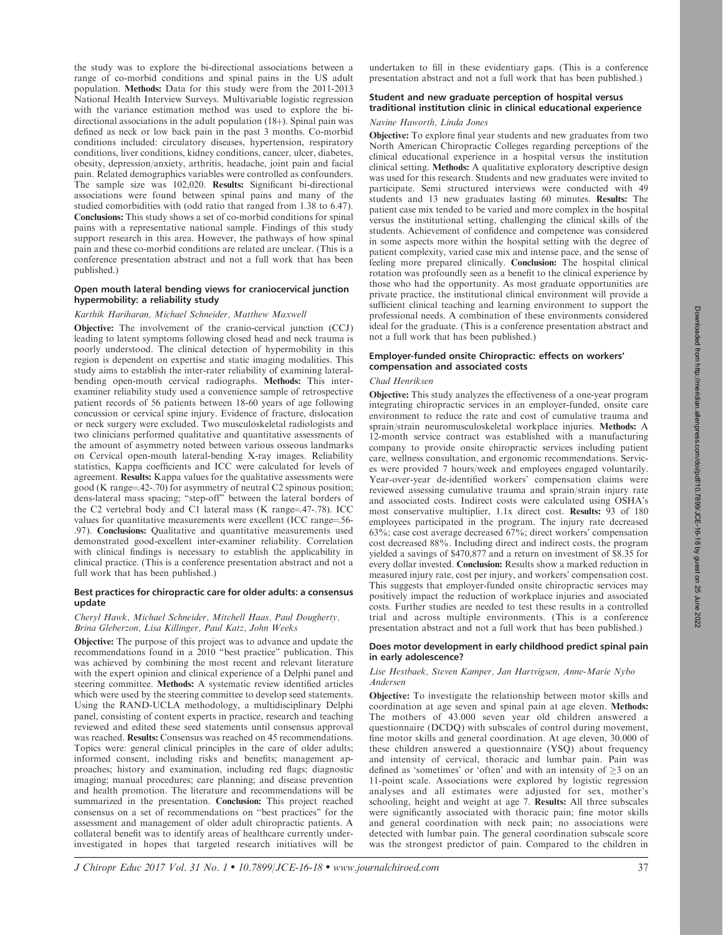the study was to explore the bi-directional associations between a range of co-morbid conditions and spinal pains in the US adult population. Methods: Data for this study were from the 2011-2013 National Health Interview Surveys. Multivariable logistic regression with the variance estimation method was used to explore the bidirectional associations in the adult population  $(18+)$ . Spinal pain was defined as neck or low back pain in the past 3 months. Co-morbid conditions included: circulatory diseases, hypertension, respiratory conditions, liver conditions, kidney conditions, cancer, ulcer, diabetes, obesity, depression/anxiety, arthritis, headache, joint pain and facial pain. Related demographics variables were controlled as confounders. The sample size was 102,020. Results: Significant bi-directional associations were found between spinal pains and many of the studied comorbidities with (odd ratio that ranged from 1.38 to 6.47). Conclusions: This study shows a set of co-morbid conditions for spinal pains with a representative national sample. Findings of this study support research in this area. However, the pathways of how spinal pain and these co-morbid conditions are related are unclear. (This is a conference presentation abstract and not a full work that has been published.)

## Open mouth lateral bending views for craniocervical junction hypermobility: a reliability study

# Karthik Hariharan, Michael Schneider, Matthew Maxwell

**Objective:** The involvement of the cranio-cervical junction (CCJ) leading to latent symptoms following closed head and neck trauma is poorly understood. The clinical detection of hypermobility in this region is dependent on expertise and static imaging modalities. This study aims to establish the inter-rater reliability of examining lateralbending open-mouth cervical radiographs. Methods: This interexaminer reliability study used a convenience sample of retrospective patient records of 56 patients between 18-60 years of age following concussion or cervical spine injury. Evidence of fracture, dislocation or neck surgery were excluded. Two musculoskeletal radiologists and two clinicians performed qualitative and quantitative assessments of the amount of asymmetry noted between various osseous landmarks on Cervical open-mouth lateral-bending X-ray images. Reliability statistics, Kappa coefficients and ICC were calculated for levels of agreement. Results: Kappa values for the qualitative assessments were good (K range= $.42-.70$ ) for asymmetry of neutral C2 spinous position; dens-lateral mass spacing; ''step-off'' between the lateral borders of the C2 vertebral body and C1 lateral mass  $(K \text{ range} = .47-.78)$ . ICC values for quantitative measurements were excellent (ICC range=.56-.97). Conclusions: Qualitative and quantitative measurements used demonstrated good-excellent inter-examiner reliability. Correlation with clinical findings is necessary to establish the applicability in clinical practice. (This is a conference presentation abstract and not a full work that has been published.)

## Best practices for chiropractic care for older adults: a consensus update

## Cheryl Hawk, Michael Schneider, Mitchell Haas, Paul Dougherty, Brina Gleberzon, Lisa Killinger, Paul Katz, John Weeks

Objective: The purpose of this project was to advance and update the recommendations found in a 2010 ''best practice'' publication. This was achieved by combining the most recent and relevant literature with the expert opinion and clinical experience of a Delphi panel and steering committee. Methods: A systematic review identified articles which were used by the steering committee to develop seed statements. Using the RAND-UCLA methodology, a multidisciplinary Delphi panel, consisting of content experts in practice, research and teaching reviewed and edited these seed statements until consensus approval was reached. Results: Consensus was reached on 45 recommendations. Topics were: general clinical principles in the care of older adults; informed consent, including risks and benefits; management approaches; history and examination, including red flags; diagnostic imaging; manual procedures; care planning; and disease prevention and health promotion. The literature and recommendations will be summarized in the presentation. Conclusion: This project reached consensus on a set of recommendations on ''best practices'' for the assessment and management of older adult chiropractic patients. A collateral benefit was to identify areas of healthcare currently underinvestigated in hopes that targeted research initiatives will be undertaken to fill in these evidentiary gaps. (This is a conference presentation abstract and not a full work that has been published.)

# Student and new graduate perception of hospital versus traditional institution clinic in clinical educational experience

# Navine Haworth, Linda Jones

Objective: To explore final year students and new graduates from two North American Chiropractic Colleges regarding perceptions of the clinical educational experience in a hospital versus the institution clinical setting. Methods: A qualitative exploratory descriptive design was used for this research. Students and new graduates were invited to participate. Semi structured interviews were conducted with 49 students and 13 new graduates lasting 60 minutes. Results: The patient case mix tended to be varied and more complex in the hospital versus the institutional setting, challenging the clinical skills of the students. Achievement of confidence and competence was considered in some aspects more within the hospital setting with the degree of patient complexity, varied case mix and intense pace, and the sense of feeling more prepared clinically. Conclusion: The hospital clinical rotation was profoundly seen as a benefit to the clinical experience by those who had the opportunity. As most graduate opportunities are private practice, the institutional clinical environment will provide a sufficient clinical teaching and learning environment to support the professional needs. A combination of these environments considered ideal for the graduate. (This is a conference presentation abstract and not a full work that has been published.)

# Employer-funded onsite Chiropractic: effects on workers' compensation and associated costs

# Chad Henriksen

Objective: This study analyzes the effectiveness of a one-year program integrating chiropractic services in an employer-funded, onsite care environment to reduce the rate and cost of cumulative trauma and sprain/strain neuromusculoskeletal workplace injuries. Methods: A 12-month service contract was established with a manufacturing company to provide onsite chiropractic services including patient care, wellness consultation, and ergonomic recommendations. Services were provided 7 hours/week and employees engaged voluntarily. Year-over-year de-identified workers' compensation claims were reviewed assessing cumulative trauma and sprain/strain injury rate and associated costs. Indirect costs were calculated using OSHA's most conservative multiplier, 1.1x direct cost. Results: 93 of 180 employees participated in the program. The injury rate decreased 63%; case cost average decreased 67%; direct workers' compensation cost decreased 88%. Including direct and indirect costs, the program yielded a savings of \$470,877 and a return on investment of \$8.35 for every dollar invested. Conclusion: Results show a marked reduction in measured injury rate, cost per injury, and workers' compensation cost. This suggests that employer-funded onsite chiropractic services may positively impact the reduction of workplace injuries and associated costs. Further studies are needed to test these results in a controlled trial and across multiple environments. (This is a conference presentation abstract and not a full work that has been published.)

#### Does motor development in early childhood predict spinal pain in early adolescence?

## Lise Hestbaek, Steven Kamper, Jan Hartvigsen, Anne-Marie Nybo Andersen

Objective: To investigate the relationship between motor skills and coordination at age seven and spinal pain at age eleven. Methods: The mothers of 43.000 seven year old children answered a questionnaire (DCDQ) with subscales of control during movement, fine motor skills and general coordination. At age eleven, 30.000 of these children answered a questionnaire  $(YSQ)$  about frequency and intensity of cervical, thoracic and lumbar pain. Pain was defined as 'sometimes' or 'often' and with an intensity of  $>3$  on an 11-point scale. Associations were explored by logistic regression analyses and all estimates were adjusted for sex, mother's schooling, height and weight at age 7. Results: All three subscales were significantly associated with thoracic pain; fine motor skills and general coordination with neck pain; no associations were detected with lumbar pain. The general coordination subscale score was the strongest predictor of pain. Compared to the children in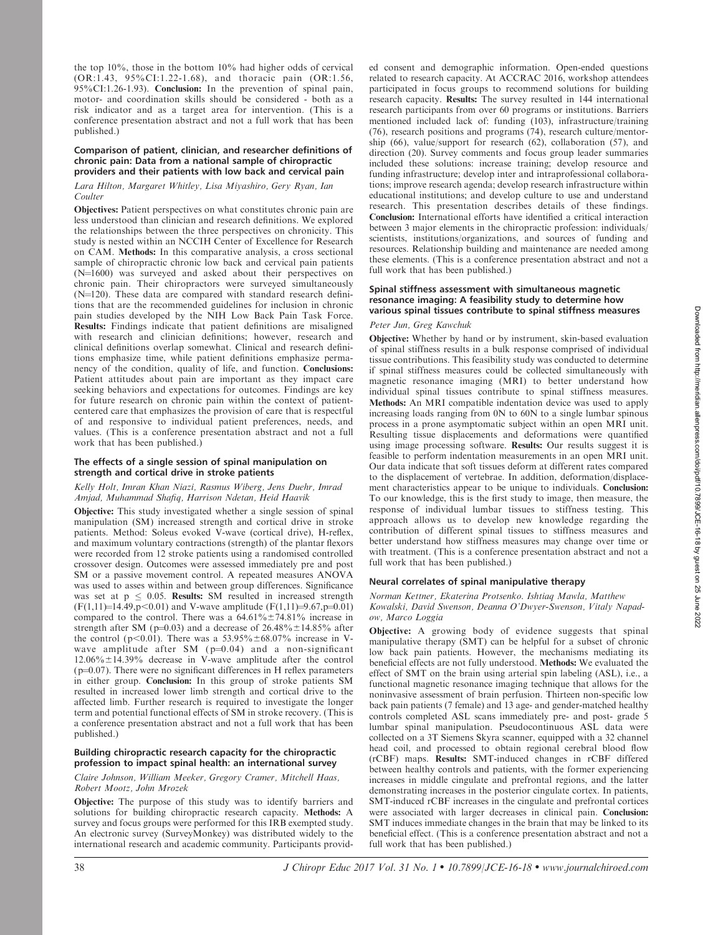the top 10%, those in the bottom 10% had higher odds of cervical (OR:1.43, 95%CI:1.22-1.68), and thoracic pain (OR:1.56, 95%CI:1.26-1.93). Conclusion: In the prevention of spinal pain, motor- and coordination skills should be considered - both as a risk indicator and as a target area for intervention. (This is a conference presentation abstract and not a full work that has been published.)

#### Comparison of patient, clinician, and researcher definitions of chronic pain: Data from a national sample of chiropractic providers and their patients with low back and cervical pain

# Lara Hilton, Margaret Whitley, Lisa Miyashiro, Gery Ryan, Ian Coulter

Objectives: Patient perspectives on what constitutes chronic pain are less understood than clinician and research definitions. We explored the relationships between the three perspectives on chronicity. This study is nested within an NCCIH Center of Excellence for Research on CAM. Methods: In this comparative analysis, a cross sectional sample of chiropractic chronic low back and cervical pain patients  $(N=1600)$  was surveyed and asked about their perspectives on chronic pain. Their chiropractors were surveyed simultaneously  $(N=120)$ . These data are compared with standard research definitions that are the recommended guidelines for inclusion in chronic pain studies developed by the NIH Low Back Pain Task Force. Results: Findings indicate that patient definitions are misaligned with research and clinician definitions; however, research and clinical definitions overlap somewhat. Clinical and research definitions emphasize time, while patient definitions emphasize permanency of the condition, quality of life, and function. Conclusions: Patient attitudes about pain are important as they impact care seeking behaviors and expectations for outcomes. Findings are key for future research on chronic pain within the context of patientcentered care that emphasizes the provision of care that is respectful of and responsive to individual patient preferences, needs, and values. (This is a conference presentation abstract and not a full work that has been published.)

## The effects of a single session of spinal manipulation on strength and cortical drive in stroke patients

# Kelly Holt, Imran Khan Niazi, Rasmus Wiberg, Jens Duehr, Imrad Amjad, Muhammad Shafiq, Harrison Ndetan, Heid Haavik

Objective: This study investigated whether a single session of spinal manipulation (SM) increased strength and cortical drive in stroke patients. Method: Soleus evoked V-wave (cortical drive), H-reflex, and maximum voluntary contractions (strength) of the plantar flexors were recorded from 12 stroke patients using a randomised controlled crossover design. Outcomes were assessed immediately pre and post SM or a passive movement control. A repeated measures ANOVA was used to asses within and between group differences. Significance was set at  $p \leq 0.05$ . Results: SM resulted in increased strength  $(F(1,11)=14.49, p<0.01)$  and V-wave amplitude  $(F(1,11)=9.67, p=0.01)$ compared to the control. There was a  $64.61\% \pm 74.81\%$  increase in strength after SM ( $p=0.03$ ) and a decrease of 26.48% ±14.85% after the control (p<0.01). There was a  $53.95\% \pm 68.07\%$  increase in Vwave amplitude after SM  $(p=0.04)$  and a non-significant  $12.06\% \pm 14.39\%$  decrease in V-wave amplitude after the control  $(p=0.07)$ . There were no significant differences in H reflex parameters in either group. Conclusion: In this group of stroke patients SM resulted in increased lower limb strength and cortical drive to the affected limb. Further research is required to investigate the longer term and potential functional effects of SM in stroke recovery. (This is a conference presentation abstract and not a full work that has been published.)

# Building chiropractic research capacity for the chiropractic profession to impact spinal health: an international survey

Claire Johnson, William Meeker, Gregory Cramer, Mitchell Haas, Robert Mootz, John Mrozek

Objective: The purpose of this study was to identify barriers and solutions for building chiropractic research capacity. Methods: A survey and focus groups were performed for this IRB exempted study. An electronic survey (SurveyMonkey) was distributed widely to the international research and academic community. Participants provided consent and demographic information. Open-ended questions related to research capacity. At ACCRAC 2016, workshop attendees participated in focus groups to recommend solutions for building research capacity. Results: The survey resulted in 144 international research participants from over 60 programs or institutions. Barriers mentioned included lack of: funding (103), infrastructure/training (76), research positions and programs (74), research culture/mentorship (66), value/support for research (62), collaboration (57), and direction (20). Survey comments and focus group leader summaries included these solutions: increase training; develop resource and funding infrastructure; develop inter and intraprofessional collaborations; improve research agenda; develop research infrastructure within educational institutions; and develop culture to use and understand research. This presentation describes details of these findings. Conclusion: International efforts have identified a critical interaction between 3 major elements in the chiropractic profession: individuals/ scientists, institutions/organizations, and sources of funding and resources. Relationship building and maintenance are needed among these elements. (This is a conference presentation abstract and not a full work that has been published.)

## Spinal stiffness assessment with simultaneous magnetic resonance imaging: A feasibility study to determine how various spinal tissues contribute to spinal stiffness measures

# Peter Jun, Greg Kawchuk

Objective: Whether by hand or by instrument, skin-based evaluation of spinal stiffness results in a bulk response comprised of individual tissue contributions. This feasibility study was conducted to determine if spinal stiffness measures could be collected simultaneously with magnetic resonance imaging (MRI) to better understand how individual spinal tissues contribute to spinal stiffness measures. Methods: An MRI compatible indentation device was used to apply increasing loads ranging from 0N to 60N to a single lumbar spinous process in a prone asymptomatic subject within an open MRI unit. Resulting tissue displacements and deformations were quantified using image processing software. Results: Our results suggest it is feasible to perform indentation measurements in an open MRI unit. Our data indicate that soft tissues deform at different rates compared to the displacement of vertebrae. In addition, deformation/displacement characteristics appear to be unique to individuals. Conclusion: To our knowledge, this is the first study to image, then measure, the response of individual lumbar tissues to stiffness testing. This approach allows us to develop new knowledge regarding the contribution of different spinal tissues to stiffness measures and better understand how stiffness measures may change over time or with treatment. (This is a conference presentation abstract and not a full work that has been published.)

# Neural correlates of spinal manipulative therapy

## Norman Kettner, Ekaterina Protsenko. Ishtiaq Mawla, Matthew Kowalski, David Swenson, Deanna O'Dwyer-Swenson, Vitaly Napadow, Marco Loggia

Objective: A growing body of evidence suggests that spinal manipulative therapy (SMT) can be helpful for a subset of chronic low back pain patients. However, the mechanisms mediating its beneficial effects are not fully understood. Methods: We evaluated the effect of SMT on the brain using arterial spin labeling (ASL), i.e., a functional magnetic resonance imaging technique that allows for the noninvasive assessment of brain perfusion. Thirteen non-specific low back pain patients (7 female) and 13 age- and gender-matched healthy controls completed ASL scans immediately pre- and post- grade 5 lumbar spinal manipulation. Pseudocontinuous ASL data were collected on a 3T Siemens Skyra scanner, equipped with a 32 channel head coil, and processed to obtain regional cerebral blood flow (rCBF) maps. Results: SMT-induced changes in rCBF differed between healthy controls and patients, with the former experiencing increases in middle cingulate and prefrontal regions, and the latter demonstrating increases in the posterior cingulate cortex. In patients, SMT-induced rCBF increases in the cingulate and prefrontal cortices were associated with larger decreases in clinical pain. Conclusion: SMT induces immediate changes in the brain that may be linked to its beneficial effect. (This is a conference presentation abstract and not a full work that has been published.)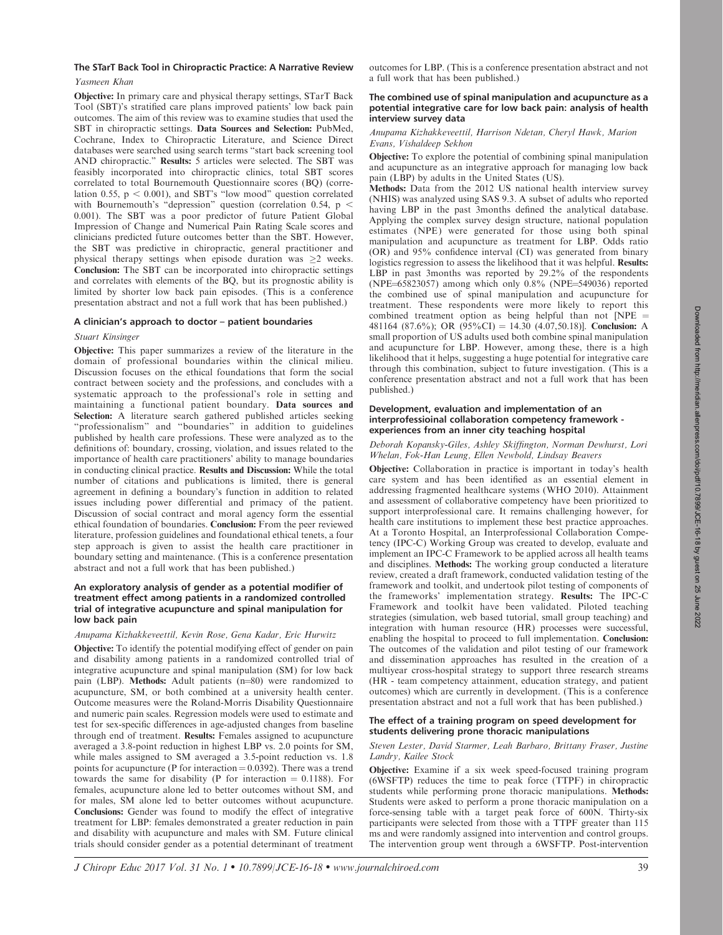# The STarT Back Tool in Chiropractic Practice: A Narrative Review

# Yasmeen Khan

Objective: In primary care and physical therapy settings, STarT Back Tool (SBT)'s stratified care plans improved patients' low back pain outcomes. The aim of this review was to examine studies that used the SBT in chiropractic settings. Data Sources and Selection: PubMed, Cochrane, Index to Chiropractic Literature, and Science Direct databases were searched using search terms ''start back screening tool AND chiropractic.'' Results: 5 articles were selected. The SBT was feasibly incorporated into chiropractic clinics, total SBT scores correlated to total Bournemouth Questionnaire scores (BQ) (correlation 0.55,  $p < 0.001$ ), and SBT's "low mood" question correlated with Bournemouth's "depression" question (correlation 0.54,  $p <$ 0.001). The SBT was a poor predictor of future Patient Global Impression of Change and Numerical Pain Rating Scale scores and clinicians predicted future outcomes better than the SBT. However, the SBT was predictive in chiropractic, general practitioner and physical therapy settings when episode duration was 2 weeks. Conclusion: The SBT can be incorporated into chiropractic settings and correlates with elements of the BQ, but its prognostic ability is limited by shorter low back pain episodes. (This is a conference presentation abstract and not a full work that has been published.)

# A clinician's approach to doctor – patient boundaries

# Stuart Kinsinger

Objective: This paper summarizes a review of the literature in the domain of professional boundaries within the clinical milieu. Discussion focuses on the ethical foundations that form the social contract between society and the professions, and concludes with a systematic approach to the professional's role in setting and maintaining a functional patient boundary. Data sources and Selection: A literature search gathered published articles seeking "professionalism" and "boundaries" in addition to guidelines published by health care professions. These were analyzed as to the definitions of: boundary, crossing, violation, and issues related to the importance of health care practitioners' ability to manage boundaries in conducting clinical practice. Results and Discussion: While the total number of citations and publications is limited, there is general agreement in defining a boundary's function in addition to related issues including power differential and primacy of the patient. Discussion of social contract and moral agency form the essential ethical foundation of boundaries. Conclusion: From the peer reviewed literature, profession guidelines and foundational ethical tenets, a four step approach is given to assist the health care practitioner in boundary setting and maintenance. (This is a conference presentation abstract and not a full work that has been published.)

# An exploratory analysis of gender as a potential modifier of treatment effect among patients in a randomized controlled trial of integrative acupuncture and spinal manipulation for low back pain

# Anupama Kizhakkeveettil, Kevin Rose, Gena Kadar, Eric Hurwitz

Objective: To identify the potential modifying effect of gender on pain and disability among patients in a randomized controlled trial of integrative acupuncture and spinal manipulation (SM) for low back pain (LBP). Methods: Adult patients (n=80) were randomized to acupuncture, SM, or both combined at a university health center. Outcome measures were the Roland-Morris Disability Questionnaire and numeric pain scales. Regression models were used to estimate and test for sex-specific differences in age-adjusted changes from baseline through end of treatment. Results: Females assigned to acupuncture averaged a 3.8-point reduction in highest LBP vs. 2.0 points for SM, while males assigned to SM averaged a 3.5-point reduction vs. 1.8 points for acupuncture (P for interaction  $= 0.0392$ ). There was a trend towards the same for disability (P for interaction  $= 0.1188$ ). For females, acupuncture alone led to better outcomes without SM, and for males, SM alone led to better outcomes without acupuncture. Conclusions: Gender was found to modify the effect of integrative treatment for LBP: females demonstrated a greater reduction in pain and disability with acupuncture and males with SM. Future clinical trials should consider gender as a potential determinant of treatment outcomes for LBP. (This is a conference presentation abstract and not a full work that has been published.)

## The combined use of spinal manipulation and acupuncture as a potential integrative care for low back pain: analysis of health interview survey data

# Anupama Kizhakkeveettil, Harrison Ndetan, Cheryl Hawk, Marion Evans, Vishaldeep Sekhon

Objective: To explore the potential of combining spinal manipulation and acupuncture as an integrative approach for managing low back pain (LBP) by adults in the United States (US).

Methods: Data from the 2012 US national health interview survey (NHIS) was analyzed using SAS 9.3. A subset of adults who reported having LBP in the past 3months defined the analytical database. Applying the complex survey design structure, national population estimates (NPE) were generated for those using both spinal manipulation and acupuncture as treatment for LBP. Odds ratio (OR) and 95% confidence interval (CI) was generated from binary logistics regression to assess the likelihood that it was helpful. Results: LBP in past 3months was reported by 29.2% of the respondents (NPE $=65823057$ ) among which only 0.8% (NPE $=549036$ ) reported the combined use of spinal manipulation and acupuncture for treatment. These respondents were more likely to report this combined treatment option as being helpful than not  $NPE =$ 481164 (87.6%); OR (95%CI) = 14.30 (4.07,50.18)]. Conclusion: A small proportion of US adults used both combine spinal manipulation and acupuncture for LBP. However, among these, there is a high likelihood that it helps, suggesting a huge potential for integrative care through this combination, subject to future investigation. (This is a conference presentation abstract and not a full work that has been published.)

# Development, evaluation and implementation of an interprofessioinal collaboration competency framework experiences from an inner city teaching hospital

Deborah Kopansky-Giles, Ashley Skiffington, Norman Dewhurst, Lori Whelan, Fok-Han Leung, Ellen Newbold, Lindsay Beavers

Objective: Collaboration in practice is important in today's health care system and has been identified as an essential element in addressing fragmented healthcare systems (WHO 2010). Attainment and assessment of collaborative competency have been prioritized to support interprofessional care. It remains challenging however, for health care institutions to implement these best practice approaches. At a Toronto Hospital, an Interprofessional Collaboration Competency (IPC-C) Working Group was created to develop, evaluate and implement an IPC-C Framework to be applied across all health teams and disciplines. Methods: The working group conducted a literature review, created a draft framework, conducted validation testing of the framework and toolkit, and undertook pilot testing of components of the frameworks' implementation strategy. Results: The IPC-C Framework and toolkit have been validated. Piloted teaching strategies (simulation, web based tutorial, small group teaching) and integration with human resource (HR) processes were successful, enabling the hospital to proceed to full implementation. Conclusion: The outcomes of the validation and pilot testing of our framework and dissemination approaches has resulted in the creation of a multiyear cross-hospital strategy to support three research streams (HR - team competency attainment, education strategy, and patient outcomes) which are currently in development. (This is a conference presentation abstract and not a full work that has been published.)

# The effect of a training program on speed development for students delivering prone thoracic manipulations

# Steven Lester, David Starmer, Leah Barbaro, Brittany Fraser, Justine Landry, Kailee Stock

Objective: Examine if a six week speed-focused training program (6WSFTP) reduces the time to peak force (TTPF) in chiropractic students while performing prone thoracic manipulations. Methods: Students were asked to perform a prone thoracic manipulation on a force-sensing table with a target peak force of 600N. Thirty-six participants were selected from those with a TTPF greater than 115 ms and were randomly assigned into intervention and control groups. The intervention group went through a 6WSFTP. Post-intervention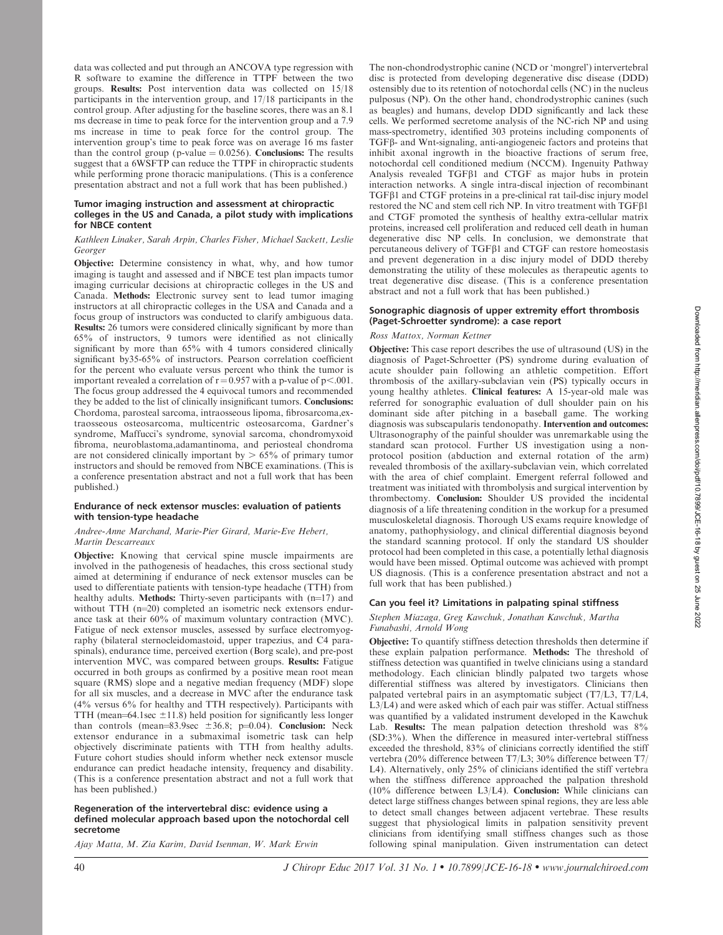data was collected and put through an ANCOVA type regression with R software to examine the difference in TTPF between the two groups. Results: Post intervention data was collected on 15/18 participants in the intervention group, and 17/18 participants in the control group. After adjusting for the baseline scores, there was an 8.1 ms decrease in time to peak force for the intervention group and a 7.9 ms increase in time to peak force for the control group. The intervention group's time to peak force was on average 16 ms faster than the control group (p-value  $= 0.0256$ ). Conclusions: The results suggest that a 6WSFTP can reduce the TTPF in chiropractic students while performing prone thoracic manipulations. (This is a conference presentation abstract and not a full work that has been published.)

## Tumor imaging instruction and assessment at chiropractic colleges in the US and Canada, a pilot study with implications for NBCE content

## Kathleen Linaker, Sarah Arpin, Charles Fisher, Michael Sackett, Leslie Georger

Objective: Determine consistency in what, why, and how tumor imaging is taught and assessed and if NBCE test plan impacts tumor imaging curricular decisions at chiropractic colleges in the US and Canada. Methods: Electronic survey sent to lead tumor imaging instructors at all chiropractic colleges in the USA and Canada and a focus group of instructors was conducted to clarify ambiguous data. Results: 26 tumors were considered clinically significant by more than 65% of instructors, 9 tumors were identified as not clinically significant by more than 65% with 4 tumors considered clinically significant by35-65% of instructors. Pearson correlation coefficient for the percent who evaluate versus percent who think the tumor is important revealed a correlation of  $r = 0.957$  with a p-value of p<.001. The focus group addressed the 4 equivocal tumors and recommended they be added to the list of clinically insignificant tumors. Conclusions: Chordoma, parosteal sarcoma, intraosseous lipoma, fibrosarcoma,extraosseous osteosarcoma, multicentric osteosarcoma, Gardner's syndrome, Maffucci's syndrome, synovial sarcoma, chondromyxoid fibroma, neuroblastoma,adamantinoma, and periosteal chondroma are not considered clinically important by  $> 65\%$  of primary tumor instructors and should be removed from NBCE examinations. (This is a conference presentation abstract and not a full work that has been published.)

# Endurance of neck extensor muscles: evaluation of patients with tension-type headache

## Andree-Anne Marchand, Marie-Pier Girard, Marie-Eve Hebert, Martin Descarreaux

Objective: Knowing that cervical spine muscle impairments are involved in the pathogenesis of headaches, this cross sectional study aimed at determining if endurance of neck extensor muscles can be used to differentiate patients with tension-type headache (TTH) from healthy adults. Methods: Thirty-seven participants with  $(n=17)$  and without TTH  $(n=20)$  completed an isometric neck extensors endurance task at their 60% of maximum voluntary contraction (MVC). Fatigue of neck extensor muscles, assessed by surface electromyography (bilateral sternocleidomastoid, upper trapezius, and C4 paraspinals), endurance time, perceived exertion (Borg scale), and pre-post intervention MVC, was compared between groups. Results: Fatigue occurred in both groups as confirmed by a positive mean root mean square (RMS) slope and a negative median frequency (MDF) slope for all six muscles, and a decrease in MVC after the endurance task (4% versus 6% for healthy and TTH respectively). Participants with TTH (mean=64.1sec  $\pm$ 11.8) held position for significantly less longer than controls (mean=83.9sec  $\pm 36.8$ ; p=0.04). Conclusion: Neck extensor endurance in a submaximal isometric task can help objectively discriminate patients with TTH from healthy adults. Future cohort studies should inform whether neck extensor muscle endurance can predict headache intensity, frequency and disability. (This is a conference presentation abstract and not a full work that has been published.)

## Regeneration of the intervertebral disc: evidence using a defined molecular approach based upon the notochordal cell secretome

Ajay Matta, M. Zia Karim, David Isenman, W. Mark Erwin

The non-chondrodystrophic canine (NCD or 'mongrel') intervertebral disc is protected from developing degenerative disc disease (DDD) ostensibly due to its retention of notochordal cells (NC) in the nucleus pulposus (NP). On the other hand, chondrodystrophic canines (such as beagles) and humans, develop DDD significantly and lack these cells. We performed secretome analysis of the NC-rich NP and using mass-spectrometry, identified 303 proteins including components of TGFb- and Wnt-signaling, anti-angiogeneic factors and proteins that inhibit axonal ingrowth in the bioactive fractions of serum free, notochordal cell conditioned medium (NCCM). Ingenuity Pathway Analysis revealed TGF<sub>B1</sub> and CTGF as major hubs in protein interaction networks. A single intra-discal injection of recombinant TGFβ1 and CTGF proteins in a pre-clinical rat tail-disc injury model restored the NC and stem cell rich NP. In vitro treatment with TGFb1 and CTGF promoted the synthesis of healthy extra-cellular matrix proteins, increased cell proliferation and reduced cell death in human degenerative disc NP cells. In conclusion, we demonstrate that percutaneous delivery of TGFb1 and CTGF can restore homeostasis and prevent degeneration in a disc injury model of DDD thereby demonstrating the utility of these molecules as therapeutic agents to treat degenerative disc disease. (This is a conference presentation abstract and not a full work that has been published.)

## Sonographic diagnosis of upper extremity effort thrombosis (Paget-Schroetter syndrome): a case report

## Ross Mattox, Norman Kettner

Objective: This case report describes the use of ultrasound (US) in the diagnosis of Paget-Schroetter (PS) syndrome during evaluation of acute shoulder pain following an athletic competition. Effort thrombosis of the axillary-subclavian vein (PS) typically occurs in young healthy athletes. Clinical features: A 15-year-old male was referred for sonographic evaluation of dull shoulder pain on his dominant side after pitching in a baseball game. The working diagnosis was subscapularis tendonopathy. Intervention and outcomes: Ultrasonography of the painful shoulder was unremarkable using the standard scan protocol. Further US investigation using a nonprotocol position (abduction and external rotation of the arm) revealed thrombosis of the axillary-subclavian vein, which correlated with the area of chief complaint. Emergent referral followed and treatment was initiated with thrombolysis and surgical intervention by thrombectomy. Conclusion: Shoulder US provided the incidental diagnosis of a life threatening condition in the workup for a presumed musculoskeletal diagnosis. Thorough US exams require knowledge of anatomy, pathophysiology, and clinical differential diagnosis beyond the standard scanning protocol. If only the standard US shoulder protocol had been completed in this case, a potentially lethal diagnosis would have been missed. Optimal outcome was achieved with prompt US diagnosis. (This is a conference presentation abstract and not a full work that has been published.)

# Can you feel it? Limitations in palpating spinal stiffness

## Stephen Miazaga, Greg Kawchuk, Jonathan Kawchuk, Martha Funabashi, Arnold Wong

Objective: To quantify stiffness detection thresholds then determine if these explain palpation performance. Methods: The threshold of stiffness detection was quantified in twelve clinicians using a standard methodology. Each clinician blindly palpated two targets whose differential stiffness was altered by investigators. Clinicians then palpated vertebral pairs in an asymptomatic subject (T7/L3, T7/L4, L3/L4) and were asked which of each pair was stiffer. Actual stiffness was quantified by a validated instrument developed in the Kawchuk Lab. Results: The mean palpation detection threshold was 8% (SD:3%). When the difference in measured inter-vertebral stiffness exceeded the threshold, 83% of clinicians correctly identified the stiff vertebra (20% difference between T7/L3; 30% difference between T7/ L4). Alternatively, only 25% of clinicians identified the stiff vertebra when the stiffness difference approached the palpation threshold (10% difference between L3/L4). Conclusion: While clinicians can detect large stiffness changes between spinal regions, they are less able to detect small changes between adjacent vertebrae. These results suggest that physiological limits in palpation sensitivity prevent clinicians from identifying small stiffness changes such as those following spinal manipulation. Given instrumentation can detect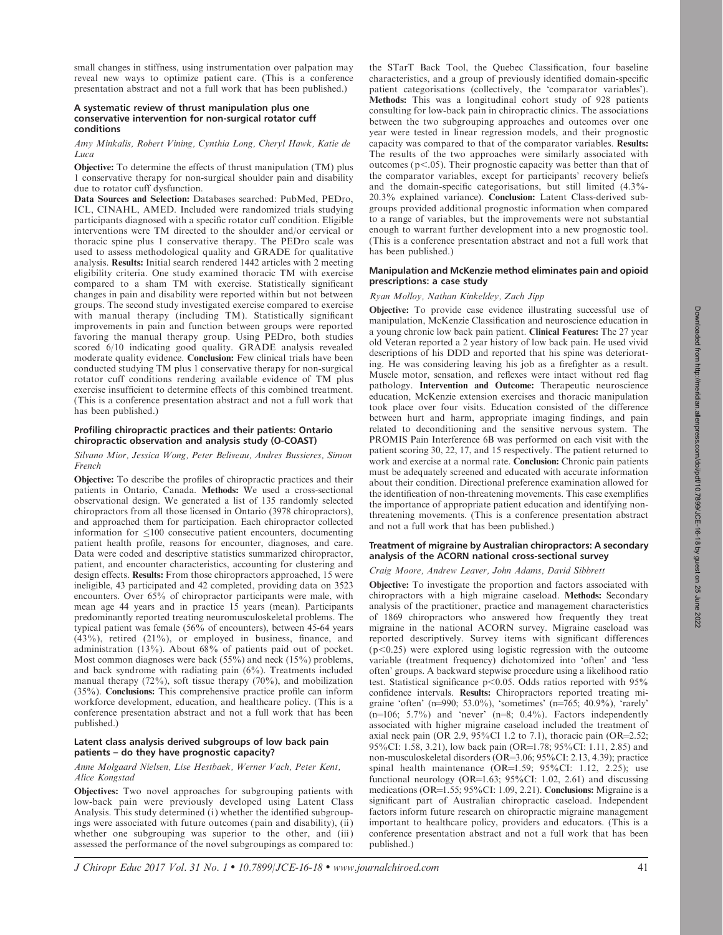small changes in stiffness, using instrumentation over palpation may reveal new ways to optimize patient care. (This is a conference presentation abstract and not a full work that has been published.)

## A systematic review of thrust manipulation plus one conservative intervention for non-surgical rotator cuff conditions

Amy Minkalis, Robert Vining, Cynthia Long, Cheryl Hawk, Katie de Luca

Objective: To determine the effects of thrust manipulation (TM) plus 1 conservative therapy for non-surgical shoulder pain and disability due to rotator cuff dysfunction.

Data Sources and Selection: Databases searched: PubMed, PEDro, ICL, CINAHL, AMED. Included were randomized trials studying participants diagnosed with a specific rotator cuff condition. Eligible interventions were TM directed to the shoulder and/or cervical or thoracic spine plus 1 conservative therapy. The PEDro scale was used to assess methodological quality and GRADE for qualitative analysis. Results: Initial search rendered 1442 articles with 2 meeting eligibility criteria. One study examined thoracic TM with exercise compared to a sham TM with exercise. Statistically significant changes in pain and disability were reported within but not between groups. The second study investigated exercise compared to exercise with manual therapy (including TM). Statistically significant improvements in pain and function between groups were reported favoring the manual therapy group. Using PEDro, both studies scored 6/10 indicating good quality. GRADE analysis revealed moderate quality evidence. Conclusion: Few clinical trials have been conducted studying TM plus 1 conservative therapy for non-surgical rotator cuff conditions rendering available evidence of TM plus exercise insufficient to determine effects of this combined treatment. (This is a conference presentation abstract and not a full work that has been published.)

## Profiling chiropractic practices and their patients: Ontario chiropractic observation and analysis study (O-COAST)

## Silvano Mior, Jessica Wong, Peter Beliveau, Andres Bussieres, Simon French

Objective: To describe the profiles of chiropractic practices and their patients in Ontario, Canada. Methods: We used a cross-sectional observational design. We generated a list of 135 randomly selected chiropractors from all those licensed in Ontario (3978 chiropractors), and approached them for participation. Each chiropractor collected information for  $\leq 100$  consecutive patient encounters, documenting patient health profile, reasons for encounter, diagnoses, and care. Data were coded and descriptive statistics summarized chiropractor, patient, and encounter characteristics, accounting for clustering and design effects. Results: From those chiropractors approached, 15 were ineligible, 43 participated and 42 completed, providing data on 3523 encounters. Over 65% of chiropractor participants were male, with mean age 44 years and in practice 15 years (mean). Participants predominantly reported treating neuromusculoskeletal problems. The typical patient was female (56% of encounters), between 45-64 years (43%), retired (21%), or employed in business, finance, and administration (13%). About 68% of patients paid out of pocket. Most common diagnoses were back (55%) and neck (15%) problems, and back syndrome with radiating pain (6%). Treatments included manual therapy (72%), soft tissue therapy (70%), and mobilization (35%). Conclusions: This comprehensive practice profile can inform workforce development, education, and healthcare policy. (This is a conference presentation abstract and not a full work that has been published.)

## Latent class analysis derived subgroups of low back pain patients – do they have prognostic capacity?

## Anne Molgaard Nielsen, Lise Hestbaek, Werner Vach, Peter Kent, Alice Kongstad

Objectives: Two novel approaches for subgrouping patients with low-back pain were previously developed using Latent Class Analysis. This study determined (i) whether the identified subgroupings were associated with future outcomes (pain and disability), (ii ) whether one subgrouping was superior to the other, and (iii) assessed the performance of the novel subgroupings as compared to: the STarT Back Tool, the Quebec Classification, four baseline characteristics, and a group of previously identified domain-specific patient categorisations (collectively, the 'comparator variables'). Methods: This was a longitudinal cohort study of 928 patients consulting for low-back pain in chiropractic clinics. The associations between the two subgrouping approaches and outcomes over one year were tested in linear regression models, and their prognostic capacity was compared to that of the comparator variables. Results: The results of the two approaches were similarly associated with outcomes ( $p<.05$ ). Their prognostic capacity was better than that of the comparator variables, except for participants' recovery beliefs and the domain-specific categorisations, but still limited (4.3%- 20.3% explained variance). Conclusion: Latent Class-derived subgroups provided additional prognostic information when compared to a range of variables, but the improvements were not substantial enough to warrant further development into a new prognostic tool. (This is a conference presentation abstract and not a full work that has been published.)

## Manipulation and McKenzie method eliminates pain and opioid prescriptions: a case study

# Ryan Molloy, Nathan Kinkeldey, Zach Jipp

Objective: To provide case evidence illustrating successful use of manipulation, McKenzie Classification and neuroscience education in a young chronic low back pain patient. Clinical Features: The 27 year old Veteran reported a 2 year history of low back pain. He used vivid descriptions of his DDD and reported that his spine was deteriorating. He was considering leaving his job as a firefighter as a result. Muscle motor, sensation, and reflexes were intact without red flag pathology. Intervention and Outcome: Therapeutic neuroscience education, McKenzie extension exercises and thoracic manipulation took place over four visits. Education consisted of the difference between hurt and harm, appropriate imaging findings, and pain related to deconditioning and the sensitive nervous system. The PROMIS Pain Interference 6B was performed on each visit with the patient scoring 30, 22, 17, and 15 respectively. The patient returned to work and exercise at a normal rate. Conclusion: Chronic pain patients must be adequately screened and educated with accurate information about their condition. Directional preference examination allowed for the identification of non-threatening movements. This case exemplifies the importance of appropriate patient education and identifying nonthreatening movements. (This is a conference presentation abstract and not a full work that has been published.)

## Treatment of migraine by Australian chiropractors: A secondary analysis of the ACORN national cross-sectional survey

## Craig Moore, Andrew Leaver, John Adams, David Sibbrett

Objective: To investigate the proportion and factors associated with chiropractors with a high migraine caseload. Methods: Secondary analysis of the practitioner, practice and management characteristics of 1869 chiropractors who answered how frequently they treat migraine in the national ACORN survey. Migraine caseload was reported descriptively. Survey items with significant differences  $(p<0.25)$  were explored using logistic regression with the outcome variable (treatment frequency) dichotomized into 'often' and 'less often' groups. A backward stepwise procedure using a likelihood ratio test. Statistical significance  $p<0.05$ . Odds ratios reported with 95% confidence intervals. Results: Chiropractors reported treating migraine 'often' (n=990; 53.0%), 'sometimes' (n=765; 40.9%), 'rarely'  $(n=106; 5.7\%)$  and 'never'  $(n=8; 0.4\%)$ . Factors independently associated with higher migraine caseload included the treatment of axial neck pain (OR 2.9,  $95\%$ CI 1.2 to 7.1), thoracic pain (OR=2.52; 95%CI: 1.58, 3.21), low back pain (OR=1.78; 95%CI: 1.11, 2.85) and non-musculoskeletal disorders  $(OR=3.06; 95\% CI: 2.13, 4.39)$ ; practice spinal health maintenance (OR=1.59;  $95\%$ CI: 1.12, 2.25); use functional neurology (OR=1.63;  $95\%$ CI: 1.02, 2.61) and discussing medications (OR=1.55; 95%CI: 1.09, 2.21). Conclusions: Migraine is a significant part of Australian chiropractic caseload. Independent factors inform future research on chiropractic migraine management important to healthcare policy, providers and educators. (This is a conference presentation abstract and not a full work that has been published.)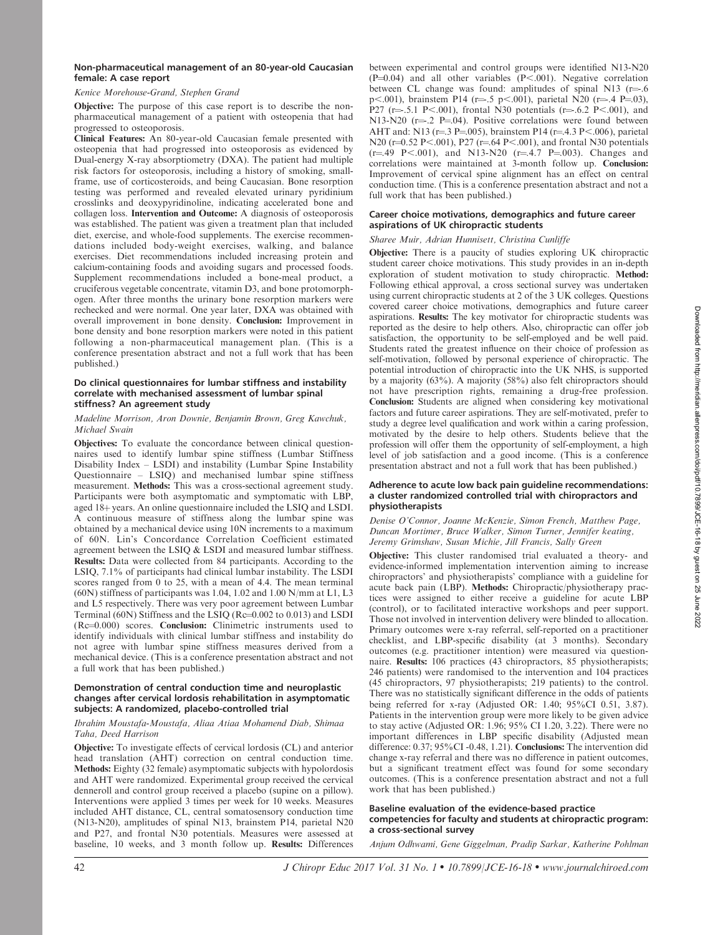## Kenice Morehouse-Grand, Stephen Grand

Objective: The purpose of this case report is to describe the nonpharmaceutical management of a patient with osteopenia that had progressed to osteoporosis.

Clinical Features: An 80-year-old Caucasian female presented with osteopenia that had progressed into osteoporosis as evidenced by Dual-energy X-ray absorptiometry (DXA). The patient had multiple risk factors for osteoporosis, including a history of smoking, smallframe, use of corticosteroids, and being Caucasian. Bone resorption testing was performed and revealed elevated urinary pyridinium crosslinks and deoxypyridinoline, indicating accelerated bone and collagen loss. Intervention and Outcome: A diagnosis of osteoporosis was established. The patient was given a treatment plan that included diet, exercise, and whole-food supplements. The exercise recommendations included body-weight exercises, walking, and balance exercises. Diet recommendations included increasing protein and calcium-containing foods and avoiding sugars and processed foods. Supplement recommendations included a bone-meal product, a cruciferous vegetable concentrate, vitamin D3, and bone protomorphogen. After three months the urinary bone resorption markers were rechecked and were normal. One year later, DXA was obtained with overall improvement in bone density. Conclusion: Improvement in bone density and bone resorption markers were noted in this patient following a non-pharmaceutical management plan. (This is a conference presentation abstract and not a full work that has been published.)

## Do clinical questionnaires for lumbar stiffness and instability correlate with mechanised assessment of lumbar spinal stiffness? An agreement study

## Madeline Morrison, Aron Downie, Benjamin Brown, Greg Kawchuk, Michael Swain

Objectives: To evaluate the concordance between clinical questionnaires used to identify lumbar spine stiffness (Lumbar Stiffness Disability Index – LSDI) and instability (Lumbar Spine Instability Questionnaire – LSIQ) and mechanised lumbar spine stiffness measurement. Methods: This was a cross-sectional agreement study. Participants were both asymptomatic and symptomatic with LBP, aged 18+ years. An online questionnaire included the LSIQ and LSDI. A continuous measure of stiffness along the lumbar spine was obtained by a mechanical device using 10N increments to a maximum of 60N. Lin's Concordance Correlation Coefficient estimated agreement between the LSIQ & LSDI and measured lumbar stiffness. Results: Data were collected from 84 participants. According to the LSIQ, 7.1% of participants had clinical lumbar instability. The LSDI scores ranged from 0 to 25, with a mean of 4.4. The mean terminal (60N) stiffness of participants was 1.04, 1.02 and 1.00 N/mm at L1, L3 and L5 respectively. There was very poor agreement between Lumbar Terminal (60N) Stiffness and the LSIQ (Rc= $0.002$  to  $0.013$ ) and LSDI  $(Re=0.000)$  scores. **Conclusion:** Clinimetric instruments used to identify individuals with clinical lumbar stiffness and instability do not agree with lumbar spine stiffness measures derived from a mechanical device. (This is a conference presentation abstract and not a full work that has been published.)

## Demonstration of central conduction time and neuroplastic changes after cervical lordosis rehabilitation in asymptomatic subjects: A randomized, placebo-controlled trial

## Ibrahim Moustafa-Moustafa, Aliaa Atiaa Mohamend Diab, Shimaa Taha, Deed Harrison

Objective: To investigate effects of cervical lordosis (CL) and anterior head translation (AHT) correction on central conduction time. Methods: Eighty (32 female) asymptomatic subjects with hypolordosis and AHT were randomized. Experimental group received the cervical denneroll and control group received a placebo (supine on a pillow). Interventions were applied 3 times per week for 10 weeks. Measures included AHT distance, CL, central somatosensory conduction time (N13-N20), amplitudes of spinal N13, brainstem P14, parietal N20 and P27, and frontal N30 potentials. Measures were assessed at baseline, 10 weeks, and 3 month follow up. Results: Differences between experimental and control groups were identified N13-N20  $(P=0.04)$  and all other variables  $(P<-0.01)$ . Negative correlation between CL change was found: amplitudes of spinal N13 ( $r = .6$ p $\lt$ .001), brainstem P14 (r=.5 p $\lt$ .001), parietal N20 (r=.4 P=.03), P27 (r= .5.1 P<.001), frontal N30 potentials (r= .6.2 P<.001), and N13-N20 ( $r = .2$  P $= 04$ ). Positive correlations were found between AHT and: N13 (r=.3 P=.005), brainstem P14 (r=.4.3 P<.006), parietal N20 (r=0.52 P<.001), P27 (r=.64 P<.001), and frontal N30 potentials  $(r=49 \text{ P} < 001)$ , and N13-N20  $(r=4.7 \text{ P} = 003)$ . Changes and correlations were maintained at 3-month follow up. Conclusion: Improvement of cervical spine alignment has an effect on central conduction time. (This is a conference presentation abstract and not a full work that has been published.)

## Career choice motivations, demographics and future career aspirations of UK chiropractic students

# Sharee Muir, Adrian Hunnisett, Christina Cunliffe

Objective: There is a paucity of studies exploring UK chiropractic student career choice motivations. This study provides in an in-depth exploration of student motivation to study chiropractic. Method: Following ethical approval, a cross sectional survey was undertaken using current chiropractic students at 2 of the 3 UK colleges. Questions covered career choice motivations, demographics and future career aspirations. Results: The key motivator for chiropractic students was reported as the desire to help others. Also, chiropractic can offer job satisfaction, the opportunity to be self-employed and be well paid. Students rated the greatest influence on their choice of profession as self-motivation, followed by personal experience of chiropractic. The potential introduction of chiropractic into the UK NHS, is supported by a majority (63%). A majority (58%) also felt chiropractors should not have prescription rights, remaining a drug-free profession. Conclusion: Students are aligned when considering key motivational factors and future career aspirations. They are self-motivated, prefer to study a degree level qualification and work within a caring profession, motivated by the desire to help others. Students believe that the profession will offer them the opportunity of self-employment, a high level of job satisfaction and a good income. (This is a conference presentation abstract and not a full work that has been published.)

## Adherence to acute low back pain guideline recommendations: a cluster randomized controlled trial with chiropractors and physiotherapists

## Denise O'Connor, Joanne McKenzie, Simon French, Matthew Page, Duncan Mortimer, Bruce Walker, Simon Turner, Jennifer keating, Jeremy Grimshaw, Susan Michie, Jill Francis, Sally Green

Objective: This cluster randomised trial evaluated a theory- and evidence-informed implementation intervention aiming to increase chiropractors' and physiotherapists' compliance with a guideline for acute back pain (LBP). Methods: Chiropractic/physiotherapy practices were assigned to either receive a guideline for acute LBP (control), or to facilitated interactive workshops and peer support. Those not involved in intervention delivery were blinded to allocation. Primary outcomes were x-ray referral, self-reported on a practitioner checklist, and LBP-specific disability (at 3 months). Secondary outcomes (e.g. practitioner intention) were measured via questionnaire. Results: 106 practices (43 chiropractors, 85 physiotherapists; 246 patients) were randomised to the intervention and 104 practices (45 chiropractors, 97 physiotherapists; 219 patients) to the control. There was no statistically significant difference in the odds of patients being referred for x-ray (Adjusted OR: 1.40; 95%CI 0.51, 3.87). Patients in the intervention group were more likely to be given advice to stay active (Adjusted OR: 1.96; 95% CI 1.20, 3.22). There were no important differences in LBP specific disability (Adjusted mean difference: 0.37; 95%CI -0.48, 1.21). Conclusions: The intervention did change x-ray referral and there was no difference in patient outcomes, but a significant treatment effect was found for some secondary outcomes. (This is a conference presentation abstract and not a full work that has been published.)

## Baseline evaluation of the evidence-based practice competencies for faculty and students at chiropractic program: a cross-sectional survey

Anjum Odhwami, Gene Giggelman, Pradip Sarkar, Katherine Pohlman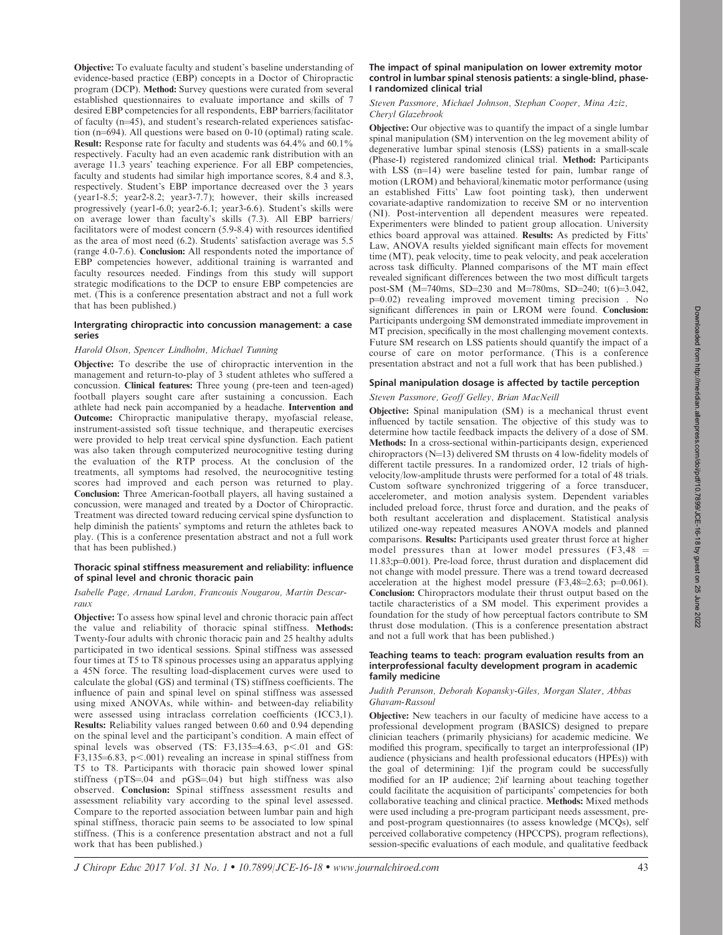Objective: To evaluate faculty and student's baseline understanding of evidence-based practice (EBP) concepts in a Doctor of Chiropractic program (DCP). Method: Survey questions were curated from several established questionnaires to evaluate importance and skills of 7 desired EBP competencies for all respondents, EBP barriers/facilitator of faculty  $(n=45)$ , and student's research-related experiences satisfaction ( $n=694$ ). All questions were based on 0-10 (optimal) rating scale. Result: Response rate for faculty and students was 64.4% and 60.1% respectively. Faculty had an even academic rank distribution with an average 11.3 years' teaching experience. For all EBP competencies, faculty and students had similar high importance scores, 8.4 and 8.3, respectively. Student's EBP importance decreased over the 3 years (year1-8.5; year2-8.2; year3-7.7); however, their skills increased progressively (year1-6.0; year2-6.1; year3-6.6). Student's skills were on average lower than faculty's skills (7.3). All EBP barriers/ facilitators were of modest concern (5.9-8.4) with resources identified as the area of most need (6.2). Students' satisfaction average was 5.5 (range 4.0-7.6). Conclusion: All respondents noted the importance of EBP competencies however, additional training is warranted and faculty resources needed. Findings from this study will support strategic modifications to the DCP to ensure EBP competencies are met. (This is a conference presentation abstract and not a full work that has been published.)

## Intergrating chiropractic into concussion management: a case series

## Harold Olson, Spencer Lindholm, Michael Tunning

Objective: To describe the use of chiropractic intervention in the management and return-to-play of 3 student athletes who suffered a concussion. Clinical features: Three young (pre-teen and teen-aged) football players sought care after sustaining a concussion. Each athlete had neck pain accompanied by a headache. Intervention and Outcome: Chiropractic manipulative therapy, myofascial release, instrument-assisted soft tissue technique, and therapeutic exercises were provided to help treat cervical spine dysfunction. Each patient was also taken through computerized neurocognitive testing during the evaluation of the RTP process. At the conclusion of the treatments, all symptoms had resolved, the neurocognitive testing scores had improved and each person was returned to play. Conclusion: Three American-football players, all having sustained a concussion, were managed and treated by a Doctor of Chiropractic. Treatment was directed toward reducing cervical spine dysfunction to help diminish the patients' symptoms and return the athletes back to play. (This is a conference presentation abstract and not a full work that has been published.)

## Thoracic spinal stiffness measurement and reliability: influence of spinal level and chronic thoracic pain

#### Isabelle Page, Arnaud Lardon, Francouis Nougarou, Martin Descarraux

Objective: To assess how spinal level and chronic thoracic pain affect the value and reliability of thoracic spinal stiffness. Methods: Twenty-four adults with chronic thoracic pain and 25 healthy adults participated in two identical sessions. Spinal stiffness was assessed four times at T5 to T8 spinous processes using an apparatus applying a 45N force. The resulting load-displacement curves were used to calculate the global (GS) and terminal (TS) stiffness coefficients. The influence of pain and spinal level on spinal stiffness was assessed using mixed ANOVAs, while within- and between-day reliability were assessed using intraclass correlation coefficients (ICC3,1). Results: Reliability values ranged between 0.60 and 0.94 depending on the spinal level and the participant's condition. A main effect of spinal levels was observed (TS:  $F3,135=4.63$ ,  $p<.01$  and GS: F3,135 $=$ 6.83, p $<$ .001) revealing an increase in spinal stiffness from T5 to T8. Participants with thoracic pain showed lower spinal stiffness ( $pTS = 04$  and  $pGS = 04$ ) but high stiffness was also observed. Conclusion: Spinal stiffness assessment results and assessment reliability vary according to the spinal level assessed. Compare to the reported association between lumbar pain and high spinal stiffness, thoracic pain seems to be associated to low spinal stiffness. (This is a conference presentation abstract and not a full work that has been published.)

#### The impact of spinal manipulation on lower extremity motor control in lumbar spinal stenosis patients: a single-blind, phase-I randomized clinical trial

## Steven Passmore, Michael Johnson, Stephan Cooper, Mina Aziz, Cheryl Glazebrook

Objective: Our objective was to quantify the impact of a single lumbar spinal manipulation (SM) intervention on the leg movement ability of degenerative lumbar spinal stenosis (LSS) patients in a small-scale (Phase-I) registered randomized clinical trial. Method: Participants with LSS  $(n=14)$  were baseline tested for pain, lumbar range of motion (LROM) and behavioral/kinematic motor performance (using an established Fitts' Law foot pointing task), then underwent covariate-adaptive randomization to receive SM or no intervention (NI). Post-intervention all dependent measures were repeated. Experimenters were blinded to patient group allocation. University ethics board approval was attained. Results: As predicted by Fitts' Law, ANOVA results yielded significant main effects for movement time (MT), peak velocity, time to peak velocity, and peak acceleration across task difficulty. Planned comparisons of the MT main effect revealed significant differences between the two most difficult targets post-SM (M=740ms, SD=230 and M=780ms, SD=240; t(6)=3.042,  $p=0.02$ ) revealing improved movement timing precision. No significant differences in pain or LROM were found. Conclusion: Participants undergoing SM demonstrated immediate improvement in MT precision, specifically in the most challenging movement contexts. Future SM research on LSS patients should quantify the impact of a course of care on motor performance. (This is a conference presentation abstract and not a full work that has been published.)

## Spinal manipulation dosage is affected by tactile perception

# Steven Passmore, Geoff Gelley, Brian MacNeill

Objective: Spinal manipulation (SM) is a mechanical thrust event influenced by tactile sensation. The objective of this study was to determine how tactile feedback impacts the delivery of a dose of SM. Methods: In a cross-sectional within-participants design, experienced chiropractors ( $N=13$ ) delivered SM thrusts on 4 low-fidelity models of different tactile pressures. In a randomized order, 12 trials of highvelocity/low-amplitude thrusts were performed for a total of 48 trials. Custom software synchronized triggering of a force transducer, accelerometer, and motion analysis system. Dependent variables included preload force, thrust force and duration, and the peaks of both resultant acceleration and displacement. Statistical analysis utilized one-way repeated measures ANOVA models and planned comparisons. Results: Participants used greater thrust force at higher model pressures than at lower model pressures  $(F3, 48)$  =  $11.83$ ; $p=0.001$ ). Pre-load force, thrust duration and displacement did not change with model pressure. There was a trend toward decreased acceleration at the highest model pressure  $(F3,48=2.63; p=0.061)$ . Conclusion: Chiropractors modulate their thrust output based on the tactile characteristics of a SM model. This experiment provides a foundation for the study of how perceptual factors contribute to SM thrust dose modulation. (This is a conference presentation abstract and not a full work that has been published.)

## Teaching teams to teach: program evaluation results from an interprofessional faculty development program in academic family medicine

#### Judith Peranson, Deborah Kopansky-Giles, Morgan Slater, Abbas Ghavam-Rassoul

Objective: New teachers in our faculty of medicine have access to a professional development program (BASICS) designed to prepare clinician teachers (primarily physicians) for academic medicine. We modified this program, specifically to target an interprofessional (IP) audience (physicians and health professional educators (HPEs)) with the goal of determining: 1)if the program could be successfully modified for an IP audience; 2)if learning about teaching together could facilitate the acquisition of participants' competencies for both collaborative teaching and clinical practice. Methods: Mixed methods were used including a pre-program participant needs assessment, preand post-program questionnaires (to assess knowledge (MCQs), self perceived collaborative competency (HPCCPS), program reflections), session-specific evaluations of each module, and qualitative feedback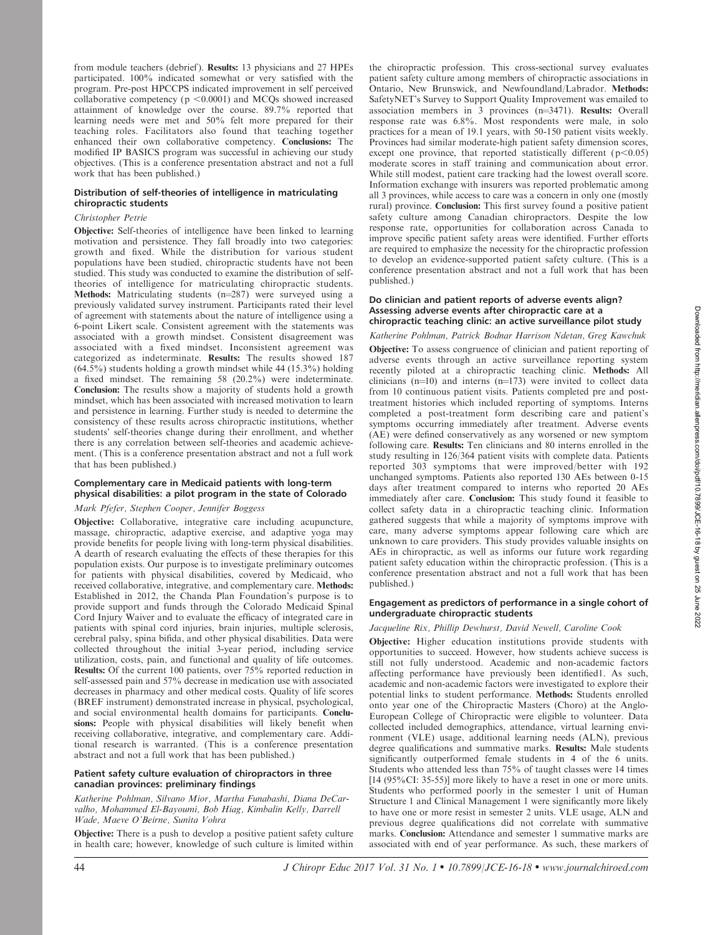from module teachers (debrief). Results: 13 physicians and 27 HPEs participated. 100% indicated somewhat or very satisfied with the program. Pre-post HPCCPS indicated improvement in self perceived collaborative competency ( $p \le 0.0001$ ) and MCQs showed increased attainment of knowledge over the course. 89.7% reported that learning needs were met and 50% felt more prepared for their teaching roles. Facilitators also found that teaching together enhanced their own collaborative competency. Conclusions: The modified IP BASICS program was successful in achieving our study objectives. (This is a conference presentation abstract and not a full work that has been published.)

# Distribution of self-theories of intelligence in matriculating chiropractic students

## Christopher Petrie

Objective: Self-theories of intelligence have been linked to learning motivation and persistence. They fall broadly into two categories: growth and fixed. While the distribution for various student populations have been studied, chiropractic students have not been studied. This study was conducted to examine the distribution of selftheories of intelligence for matriculating chiropractic students. Methods: Matriculating students  $(n=287)$  were surveyed using a previously validated survey instrument. Participants rated their level of agreement with statements about the nature of intelligence using a 6-point Likert scale. Consistent agreement with the statements was associated with a growth mindset. Consistent disagreement was associated with a fixed mindset. Inconsistent agreement was categorized as indeterminate. Results: The results showed 187  $(64.5\%)$  students holding a growth mindset while 44 (15.3%) holding a fixed mindset. The remaining 58 (20.2%) were indeterminate. Conclusion: The results show a majority of students hold a growth mindset, which has been associated with increased motivation to learn and persistence in learning. Further study is needed to determine the consistency of these results across chiropractic institutions, whether students' self-theories change during their enrollment, and whether there is any correlation between self-theories and academic achievement. (This is a conference presentation abstract and not a full work that has been published.)

## Complementary care in Medicaid patients with long-term physical disabilities: a pilot program in the state of Colorado

# Mark Pfefer, Stephen Cooper, Jennifer Boggess

Objective: Collaborative, integrative care including acupuncture, massage, chiropractic, adaptive exercise, and adaptive yoga may provide benefits for people living with long-term physical disabilities. A dearth of research evaluating the effects of these therapies for this population exists. Our purpose is to investigate preliminary outcomes for patients with physical disabilities, covered by Medicaid, who received collaborative, integrative, and complementary care. Methods: Established in 2012, the Chanda Plan Foundation's purpose is to provide support and funds through the Colorado Medicaid Spinal Cord Injury Waiver and to evaluate the efficacy of integrated care in patients with spinal cord injuries, brain injuries, multiple sclerosis, cerebral palsy, spina bifida, and other physical disabilities. Data were collected throughout the initial 3-year period, including service utilization, costs, pain, and functional and quality of life outcomes. Results: Of the current 100 patients, over 75% reported reduction in self-assessed pain and 57% decrease in medication use with associated decreases in pharmacy and other medical costs. Quality of life scores (BREF instrument) demonstrated increase in physical, psychological, and social environmental health domains for participants. Conclusions: People with physical disabilities will likely benefit when receiving collaborative, integrative, and complementary care. Additional research is warranted. (This is a conference presentation abstract and not a full work that has been published.)

## Patient safety culture evaluation of chiropractors in three canadian provinces: preliminary findings

## Katherine Pohlman, Silvano Mior, Martha Funabashi, Diana DeCarvalho, Mohammed El-Bayoumi, Bob Hiag, Kimbalin Kelly, Darrell Wade, Maeve O'Beirne, Sunita Vohra

Objective: There is a push to develop a positive patient safety culture in health care; however, knowledge of such culture is limited within the chiropractic profession. This cross-sectional survey evaluates patient safety culture among members of chiropractic associations in Ontario, New Brunswick, and Newfoundland/Labrador. Methods: SafetyNET's Survey to Support Quality Improvement was emailed to association members in  $\bar{3}$  provinces (n=3471). Results: Overall response rate was 6.8%. Most respondents were male, in solo practices for a mean of 19.1 years, with 50-150 patient visits weekly. Provinces had similar moderate-high patient safety dimension scores, except one province, that reported statistically different  $(p<0.05)$ moderate scores in staff training and communication about error. While still modest, patient care tracking had the lowest overall score. Information exchange with insurers was reported problematic among all 3 provinces, while access to care was a concern in only one (mostly rural) province. Conclusion: This first survey found a positive patient safety culture among Canadian chiropractors. Despite the low response rate, opportunities for collaboration across Canada to improve specific patient safety areas were identified. Further efforts are required to emphasize the necessity for the chiropractic profession to develop an evidence-supported patient safety culture. (This is a conference presentation abstract and not a full work that has been published.)

## Do clinician and patient reports of adverse events align? Assessing adverse events after chiropractic care at a chiropractic teaching clinic: an active surveillance pilot study

Katherine Pohlman, Patrick Bodnar Harrison Ndetan, Greg Kawchuk Objective: To assess congruence of clinician and patient reporting of adverse events through an active surveillance reporting system recently piloted at a chiropractic teaching clinic. Methods: All clinicians  $(n=10)$  and interns  $(n=173)$  were invited to collect data from 10 continuous patient visits. Patients completed pre and posttreatment histories which included reporting of symptoms. Interns completed a post-treatment form describing care and patient's symptoms occurring immediately after treatment. Adverse events (AE) were defined conservatively as any worsened or new symptom following care. Results: Ten clinicians and 80 interns enrolled in the study resulting in 126/364 patient visits with complete data. Patients reported 303 symptoms that were improved/better with 192 unchanged symptoms. Patients also reported 130 AEs between 0-15 days after treatment compared to interns who reported 20 AEs immediately after care. Conclusion: This study found it feasible to collect safety data in a chiropractic teaching clinic. Information gathered suggests that while a majority of symptoms improve with care, many adverse symptoms appear following care which are unknown to care providers. This study provides valuable insights on AEs in chiropractic, as well as informs our future work regarding patient safety education within the chiropractic profession. (This is a conference presentation abstract and not a full work that has been published.)

## Engagement as predictors of performance in a single cohort of undergraduate chiropractic students

## Jacqueline Rix, Phillip Dewhurst, David Newell, Caroline Cook

Objective: Higher education institutions provide students with opportunities to succeed. However, how students achieve success is still not fully understood. Academic and non-academic factors affecting performance have previously been identified1. As such, academic and non-academic factors were investigated to explore their potential links to student performance. Methods: Students enrolled onto year one of the Chiropractic Masters (Choro) at the Anglo-European College of Chiropractic were eligible to volunteer. Data collected included demographics, attendance, virtual learning environment (VLE) usage, additional learning needs (ALN), previous degree qualifications and summative marks. Results: Male students significantly outperformed female students in 4 of the 6 units. Students who attended less than 75% of taught classes were 14 times [14 (95%CI: 35-55)] more likely to have a reset in one or more units. Students who performed poorly in the semester 1 unit of Human Structure 1 and Clinical Management 1 were significantly more likely to have one or more resist in semester 2 units. VLE usage, ALN and previous degree qualifications did not correlate with summative marks. Conclusion: Attendance and semester 1 summative marks are associated with end of year performance. As such, these markers of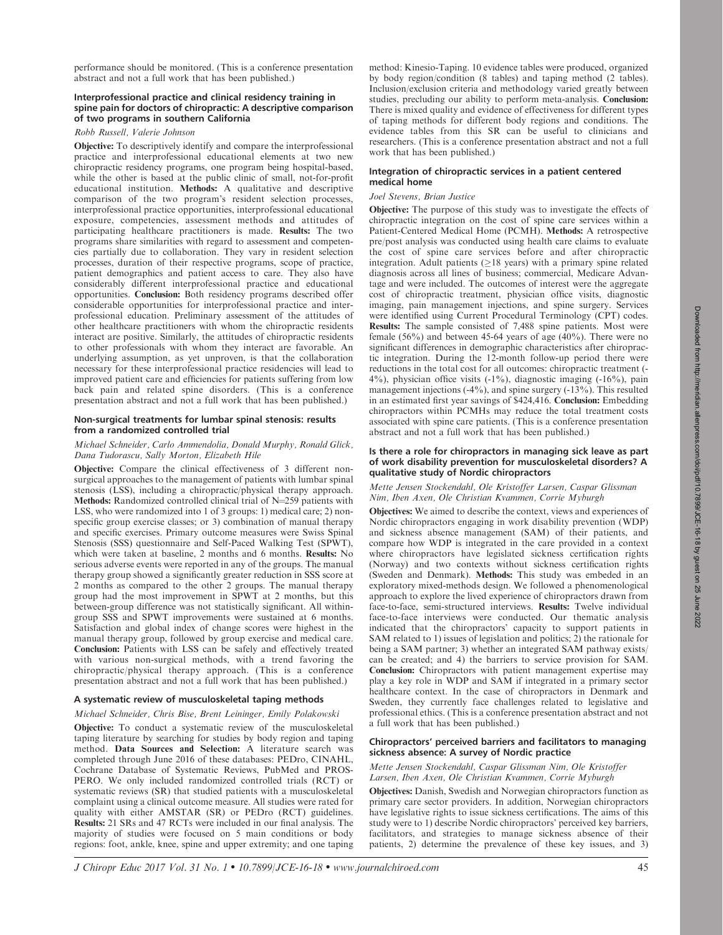performance should be monitored. (This is a conference presentation abstract and not a full work that has been published.)

# Interprofessional practice and clinical residency training in spine pain for doctors of chiropractic: A descriptive comparison of two programs in southern California

Robb Russell, Valerie Johnson

Objective: To descriptively identify and compare the interprofessional practice and interprofessional educational elements at two new chiropractic residency programs, one program being hospital-based, while the other is based at the public clinic of small, not-for-profit educational institution. Methods: A qualitative and descriptive comparison of the two program's resident selection processes, interprofessional practice opportunities, interprofessional educational exposure, competencies, assessment methods and attitudes of participating healthcare practitioners is made. Results: The two programs share similarities with regard to assessment and competencies partially due to collaboration. They vary in resident selection processes, duration of their respective programs, scope of practice, patient demographics and patient access to care. They also have considerably different interprofessional practice and educational opportunities. Conclusion: Both residency programs described offer considerable opportunities for interprofessional practice and interprofessional education. Preliminary assessment of the attitudes of other healthcare practitioners with whom the chiropractic residents interact are positive. Similarly, the attitudes of chiropractic residents to other professionals with whom they interact are favorable. An underlying assumption, as yet unproven, is that the collaboration necessary for these interprofessional practice residencies will lead to improved patient care and efficiencies for patients suffering from low back pain and related spine disorders. (This is a conference presentation abstract and not a full work that has been published.)

# Non-surgical treatments for lumbar spinal stenosis: results from a randomized controlled trial

## Michael Schneider, Carlo Ammendolia, Donald Murphy, Ronald Glick, Dana Tudorascu, Sally Morton, Elizabeth Hile

Objective: Compare the clinical effectiveness of 3 different nonsurgical approaches to the management of patients with lumbar spinal stenosis (LSS), including a chiropractic/physical therapy approach. Methods: Randomized controlled clinical trial of  $N=259$  patients with LSS, who were randomized into 1 of 3 groups: 1) medical care; 2) nonspecific group exercise classes; or 3) combination of manual therapy and specific exercises. Primary outcome measures were Swiss Spinal Stenosis (SSS) questionnaire and Self-Paced Walking Test (SPWT), which were taken at baseline, 2 months and 6 months. Results: No serious adverse events were reported in any of the groups. The manual therapy group showed a significantly greater reduction in SSS score at 2 months as compared to the other 2 groups. The manual therapy group had the most improvement in SPWT at 2 months, but this between-group difference was not statistically significant. All withingroup SSS and SPWT improvements were sustained at 6 months. Satisfaction and global index of change scores were highest in the manual therapy group, followed by group exercise and medical care. Conclusion: Patients with LSS can be safely and effectively treated with various non-surgical methods, with a trend favoring the chiropractic/physical therapy approach. (This is a conference presentation abstract and not a full work that has been published.)

## A systematic review of musculoskeletal taping methods

#### Michael Schneider, Chris Bise, Brent Leininger, Emily Polakowski

Objective: To conduct a systematic review of the musculoskeletal taping literature by searching for studies by body region and taping method. Data Sources and Selection: A literature search was completed through June 2016 of these databases: PEDro, CINAHL, Cochrane Database of Systematic Reviews, PubMed and PROS-PERO. We only included randomized controlled trials (RCT) or systematic reviews (SR) that studied patients with a musculoskeletal complaint using a clinical outcome measure. All studies were rated for quality with either AMSTAR (SR) or PEDro (RCT) guidelines. Results: 21 SRs and 47 RCTs were included in our final analysis. The majority of studies were focused on 5 main conditions or body regions: foot, ankle, knee, spine and upper extremity; and one taping method: Kinesio-Taping. 10 evidence tables were produced, organized by body region/condition (8 tables) and taping method (2 tables). Inclusion/exclusion criteria and methodology varied greatly between studies, precluding our ability to perform meta-analysis. Conclusion: There is mixed quality and evidence of effectiveness for different types of taping methods for different body regions and conditions. The evidence tables from this SR can be useful to clinicians and researchers. (This is a conference presentation abstract and not a full work that has been published.)

## Integration of chiropractic services in a patient centered medical home

## Joel Stevens, Brian Justice

Objective: The purpose of this study was to investigate the effects of chiropractic integration on the cost of spine care services within a Patient-Centered Medical Home (PCMH). Methods: A retrospective pre/post analysis was conducted using health care claims to evaluate the cost of spine care services before and after chiropractic integration. Adult patients  $(≥18 \text{ years})$  with a primary spine related diagnosis across all lines of business; commercial, Medicare Advantage and were included. The outcomes of interest were the aggregate cost of chiropractic treatment, physician office visits, diagnostic imaging, pain management injections, and spine surgery. Services were identified using Current Procedural Terminology (CPT) codes. Results: The sample consisted of 7,488 spine patients. Most were female (56%) and between 45-64 years of age ( $40\%$ ). There were no significant differences in demographic characteristics after chiropractic integration. During the 12-month follow-up period there were reductions in the total cost for all outcomes: chiropractic treatment (-  $4\%$ ), physician office visits  $(-1\%)$ , diagnostic imaging  $(-16\%)$ , pain management injections (-4%), and spine surgery (-13%). This resulted in an estimated first year savings of \$424,416. Conclusion: Embedding chiropractors within PCMHs may reduce the total treatment costs associated with spine care patients. (This is a conference presentation abstract and not a full work that has been published.)

## Is there a role for chiropractors in managing sick leave as part of work disability prevention for musculoskeletal disorders? A qualitative study of Nordic chiropractors

# Mette Jensen Stockendahl, Ole Kristoffer Larsen, Caspar Glissman Nim, Iben Axen, Ole Christian Kvammen, Corrie Myburgh

Objectives: We aimed to describe the context, views and experiences of Nordic chiropractors engaging in work disability prevention (WDP) and sickness absence management (SAM) of their patients, and compare how WDP is integrated in the care provided in a context where chiropractors have legislated sickness certification rights (Norway) and two contexts without sickness certification rights (Sweden and Denmark). Methods: This study was embeded in an exploratory mixed-methods design. We followed a phenomenological approach to explore the lived experience of chiropractors drawn from face-to-face, semi-structured interviews. Results: Twelve individual face-to-face interviews were conducted. Our thematic analysis indicated that the chiropractors' capacity to support patients in SAM related to 1) issues of legislation and politics; 2) the rationale for being a SAM partner; 3) whether an integrated SAM pathway exists/ can be created; and 4) the barriers to service provision for SAM. Conclusion: Chiropractors with patient management expertise may play a key role in WDP and SAM if integrated in a primary sector healthcare context. In the case of chiropractors in Denmark and Sweden, they currently face challenges related to legislative and professional ethics. (This is a conference presentation abstract and not a full work that has been published.)

## Chiropractors' perceived barriers and facilitators to managing sickness absence: A survey of Nordic practice

## Mette Jensen Stockendahl, Caspar Glissman Nim, Ole Kristoffer Larsen, Iben Axen, Ole Christian Kvammen, Corrie Myburgh

Objectives: Danish, Swedish and Norwegian chiropractors function as primary care sector providers. In addition, Norwegian chiropractors have legislative rights to issue sickness certifications. The aims of this study were to 1) describe Nordic chiropractors' perceived key barriers, facilitators, and strategies to manage sickness absence of their patients, 2) determine the prevalence of these key issues, and 3)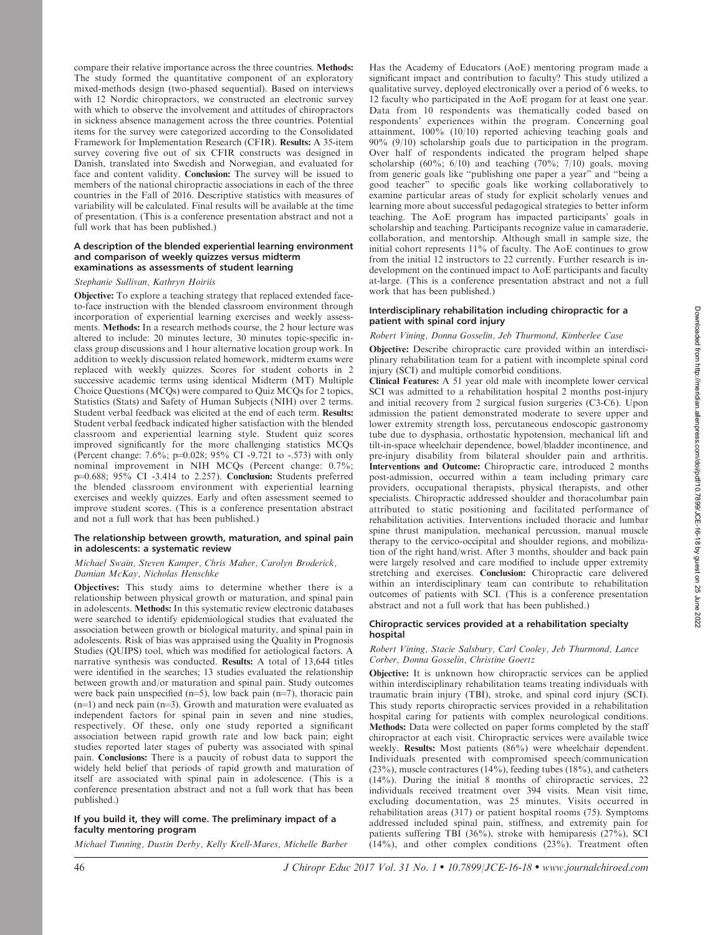compare their relative importance across the three countries. Methods: The study formed the quantitative component of an exploratory mixed-methods design (two-phased sequential). Based on interviews with 12 Nordic chiropractors, we constructed an electronic survey with which to observe the involvement and attitudes of chiropractors in sickness absence management across the three countries. Potential items for the survey were categorized according to the Consolidated Framework for Implementation Research (CFIR). Results: A 35-item survey covering five out of six CFIR constructs was designed in Danish, translated into Swedish and Norwegian, and evaluated for face and content validity. Conclusion: The survey will be issued to members of the national chiropractic associations in each of the three countries in the Fall of 2016. Descriptive statistics with measures of variability will be calculated. Final results will be available at the time of presentation. (This is a conference presentation abstract and not a full work that has been published.)

## A description of the blended experiential learning environment and comparison of weekly quizzes versus midterm examinations as assessments of student learning

#### Stephanie Sullivan, Kathryn Hoiriis

Objective: To explore a teaching strategy that replaced extended faceto-face instruction with the blended classroom environment through incorporation of experiential learning exercises and weekly assessments. Methods: In a research methods course, the 2 hour lecture was altered to include: 20 minutes lecture, 30 minutes topic-specific inclass group discussions and 1 hour alternative location group work. In addition to weekly discussion related homework, midterm exams were replaced with weekly quizzes. Scores for student cohorts in 2 successive academic terms using identical Midterm (MT) Multiple Choice Questions (MCQs) were compared to Quiz MCQs for 2 topics, Statistics (Stats) and Safety of Human Subjects (NIH) over 2 terms. Student verbal feedback was elicited at the end of each term. Results: Student verbal feedback indicated higher satisfaction with the blended classroom and experiential learning style. Student quiz scores improved significantly for the more challenging statistics MCQs (Percent change: 7.6%; p=0.028; 95% CI -9.721 to -.573) with only nominal improvement in NIH MCQs (Percent change: 0.7%; p=0.688; 95% CI -3.414 to 2.257). Conclusion: Students preferred the blended classroom environment with experiential learning exercises and weekly quizzes. Early and often assessment seemed to improve student scores. (This is a conference presentation abstract and not a full work that has been published.)

## The relationship between growth, maturation, and spinal pain in adolescents: a systematic review

## Michael Swain, Steven Kamper, Chris Maher, Carolyn Broderick, Damian McKay, Nicholas Henschke

Objectives: This study aims to determine whether there is a relationship between physical growth or maturation, and spinal pain in adolescents. Methods: In this systematic review electronic databases were searched to identify epidemiological studies that evaluated the association between growth or biological maturity, and spinal pain in adolescents. Risk of bias was appraised using the Quality in Prognosis Studies (QUIPS) tool, which was modified for aetiological factors. A narrative synthesis was conducted. Results: A total of 13,644 titles were identified in the searches; 13 studies evaluated the relationship between growth and/or maturation and spinal pain. Study outcomes were back pain unspecified ( $n=5$ ), low back pain ( $n=7$ ), thoracic pain  $(n=1)$  and neck pain ( $n=3$ ). Growth and maturation were evaluated as independent factors for spinal pain in seven and nine studies, respectively. Of these, only one study reported a significant association between rapid growth rate and low back pain; eight studies reported later stages of puberty was associated with spinal pain. Conclusions: There is a paucity of robust data to support the widely held belief that periods of rapid growth and maturation of itself are associated with spinal pain in adolescence. (This is a conference presentation abstract and not a full work that has been published.)

# If you build it, they will come. The preliminary impact of a faculty mentoring program

Michael Tunning, Dustin Derby, Kelly Krell-Mares, Michelle Barber

Has the Academy of Educators (AoE) mentoring program made a significant impact and contribution to faculty? This study utilized a qualitative survey, deployed electronically over a period of 6 weeks, to 12 faculty who participated in the AoE progam for at least one year. Data from 10 respondents was thematically coded based on respondents' experiences within the program. Concerning goal attainment, 100% (10/10) reported achieving teaching goals and 90% (9/10) scholarship goals due to participation in the program. Over half of respondents indicated the program helped shape scholarship (60%; 6/10) and teaching (70%; 7/10) goals, moving from generic goals like ''publishing one paper a year'' and ''being a good teacher'' to specific goals like working collaboratively to examine particular areas of study for explicit scholarly venues and learning more about successful pedagogical strategies to better inform teaching. The AoE program has impacted participants' goals in scholarship and teaching. Participants recognize value in camaraderie, collaboration, and mentorship. Although small in sample size, the initial cohort represents 11% of faculty. The AoE continues to grow from the initial 12 instructors to 22 currently. Further research is indevelopment on the continued impact to AoE participants and faculty at-large. (This is a conference presentation abstract and not a full work that has been published.)

## Interdisciplinary rehabilitation including chiropractic for a patient with spinal cord injury

# Robert Vining, Donna Gosselin, Jeb Thurmond, Kimberlee Case Objective: Describe chiropractic care provided within an interdisciplinary rehabilitation team for a patient with incomplete spinal cord injury (SCI) and multiple comorbid conditions.

Clinical Features: A 51 year old male with incomplete lower cervical SCI was admitted to a rehabilitation hospital 2 months post-injury and initial recovery from 2 surgical fusion surgeries (C3-C6). Upon admission the patient demonstrated moderate to severe upper and lower extremity strength loss, percutaneous endoscopic gastronomy tube due to dysphasia, orthostatic hypotension, mechanical lift and tilt-in-space wheelchair dependence, bowel/bladder incontinence, and pre-injury disability from bilateral shoulder pain and arthritis. Interventions and Outcome: Chiropractic care, introduced 2 months post-admission, occurred within a team including primary care providers, occupational therapists, physical therapists, and other specialists. Chiropractic addressed shoulder and thoracolumbar pain attributed to static positioning and facilitated performance of rehabilitation activities. Interventions included thoracic and lumbar spine thrust manipulation, mechanical percussion, manual muscle therapy to the cervico-occipital and shoulder regions, and mobilization of the right hand/wrist. After 3 months, shoulder and back pain were largely resolved and care modified to include upper extremity stretching and exercises. Conclusion: Chiropractic care delivered within an interdisciplinary team can contribute to rehabilitation outcomes of patients with SCI. (This is a conference presentation abstract and not a full work that has been published.)

## Chiropractic services provided at a rehabilitation specialty hospital

## Robert Vining, Stacie Salsbury, Carl Cooley, Jeb Thurmond, Lance Corber, Donna Gosselin, Christine Goertz

Objective: It is unknown how chiropractic services can be applied within interdisciplinary rehabilitation teams treating individuals with traumatic brain injury (TBI), stroke, and spinal cord injury (SCI). This study reports chiropractic services provided in a rehabilitation hospital caring for patients with complex neurological conditions. Methods: Data were collected on paper forms completed by the staff chiropractor at each visit. Chiropractic services were available twice weekly. Results: Most patients (86%) were wheelchair dependent. Individuals presented with compromised speech/communication (23%), muscle contractures (14%), feeding tubes (18%), and catheters (14%). During the initial 8 months of chiropractic services, 22 individuals received treatment over 394 visits. Mean visit time, excluding documentation, was 25 minutes. Visits occurred in rehabilitation areas (317) or patient hospital rooms (75). Symptoms addressed included spinal pain, stiffness, and extremity pain for patients suffering TBI (36%), stroke with hemiparesis (27%), SCI  $(14%)$ , and other complex conditions  $(23%)$ . Treatment often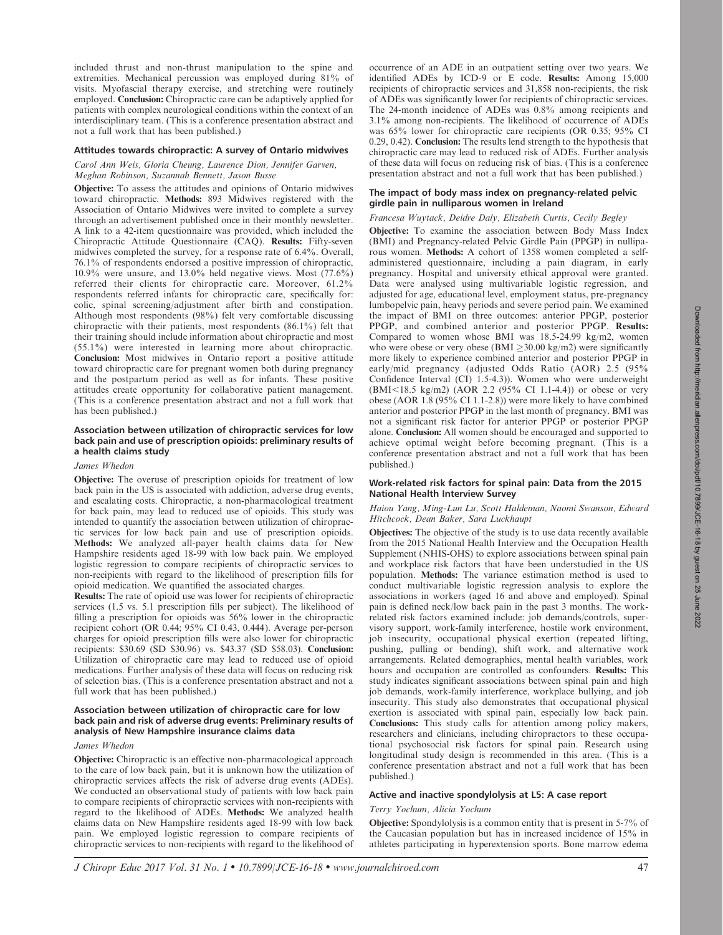included thrust and non-thrust manipulation to the spine and extremities. Mechanical percussion was employed during 81% of visits. Myofascial therapy exercise, and stretching were routinely employed. Conclusion: Chiropractic care can be adaptively applied for patients with complex neurological conditions within the context of an interdisciplinary team. (This is a conference presentation abstract and not a full work that has been published.)

## Attitudes towards chiropractic: A survey of Ontario midwives

Carol Ann Weis, Gloria Cheung, Laurence Dion, Jennifer Garven, Meghan Robinson, Suzannah Bennett, Jason Busse

Objective: To assess the attitudes and opinions of Ontario midwives toward chiropractic. Methods: 893 Midwives registered with the Association of Ontario Midwives were invited to complete a survey through an advertisement published once in their monthly newsletter. A link to a 42-item questionnaire was provided, which included the Chiropractic Attitude Questionnaire (CAQ). Results: Fifty-seven midwives completed the survey, for a response rate of 6.4%. Overall, 76.1% of respondents endorsed a positive impression of chiropractic, 10.9% were unsure, and 13.0% held negative views. Most (77.6%) referred their clients for chiropractic care. Moreover, 61.2% respondents referred infants for chiropractic care, specifically for: colic, spinal screening/adjustment after birth and constipation. Although most respondents (98%) felt very comfortable discussing chiropractic with their patients, most respondents (86.1%) felt that their training should include information about chiropractic and most (55.1%) were interested in learning more about chiropractic. Conclusion: Most midwives in Ontario report a positive attitude toward chiropractic care for pregnant women both during pregnancy and the postpartum period as well as for infants. These positive attitudes create opportunity for collaborative patient management. (This is a conference presentation abstract and not a full work that has been published.)

## Association between utilization of chiropractic services for low back pain and use of prescription opioids: preliminary results of a health claims study

## James Whedon

Objective: The overuse of prescription opioids for treatment of low back pain in the US is associated with addiction, adverse drug events, and escalating costs. Chiropractic, a non-pharmacological treatment for back pain, may lead to reduced use of opioids. This study was intended to quantify the association between utilization of chiropractic services for low back pain and use of prescription opioids. Methods: We analyzed all-payer health claims data for New Hampshire residents aged 18-99 with low back pain. We employed logistic regression to compare recipients of chiropractic services to non-recipients with regard to the likelihood of prescription fills for opioid medication. We quantified the associated charges.

Results: The rate of opioid use was lower for recipients of chiropractic services (1.5 vs. 5.1 prescription fills per subject). The likelihood of filling a prescription for opioids was 56% lower in the chiropractic recipient cohort (OR 0.44; 95% CI 0.43, 0.444). Average per-person charges for opioid prescription fills were also lower for chiropractic recipients: \$30.69 (SD \$30.96) vs. \$43.37 (SD \$58.03). Conclusion: Utilization of chiropractic care may lead to reduced use of opioid medications. Further analysis of these data will focus on reducing risk of selection bias. (This is a conference presentation abstract and not a full work that has been published.)

## Association between utilization of chiropractic care for low back pain and risk of adverse drug events: Preliminary results of analysis of New Hampshire insurance claims data

# James Whedon

Objective: Chiropractic is an effective non-pharmacological approach to the care of low back pain, but it is unknown how the utilization of chiropractic services affects the risk of adverse drug events (ADEs). We conducted an observational study of patients with low back pain to compare recipients of chiropractic services with non-recipients with regard to the likelihood of ADEs. Methods: We analyzed health claims data on New Hampshire residents aged 18-99 with low back pain. We employed logistic regression to compare recipients of chiropractic services to non-recipients with regard to the likelihood of occurrence of an ADE in an outpatient setting over two years. We identified ADEs by ICD-9 or E code. Results: Among 15,000 recipients of chiropractic services and 31,858 non-recipients, the risk of ADEs was significantly lower for recipients of chiropractic services. The 24-month incidence of ADEs was 0.8% among recipients and 3.1% among non-recipients. The likelihood of occurrence of ADEs was 65% lower for chiropractic care recipients (OR 0.35; 95% CI 0.29, 0.42). Conclusion: The results lend strength to the hypothesis that chiropractic care may lead to reduced risk of ADEs. Further analysis of these data will focus on reducing risk of bias. (This is a conference presentation abstract and not a full work that has been published.)

#### The impact of body mass index on pregnancy-related pelvic girdle pain in nulliparous women in Ireland

## Francesa Wuytack, Deidre Daly, Elizabeth Curtis, Cecily Begley

Objective: To examine the association between Body Mass Index (BMI) and Pregnancy-related Pelvic Girdle Pain (PPGP) in nulliparous women. Methods: A cohort of 1358 women completed a selfadministered questionnaire, including a pain diagram, in early pregnancy. Hospital and university ethical approval were granted. Data were analysed using multivariable logistic regression, and adjusted for age, educational level, employment status, pre-pregnancy lumbopelvic pain, heavy periods and severe period pain. We examined the impact of BMI on three outcomes: anterior PPGP, posterior PPGP, and combined anterior and posterior PPGP. Results: Compared to women whose BMI was 18.5-24.99 kg/m2, women who were obese or very obese (BMI  $\geq$ 30.00 kg/m2) were significantly more likely to experience combined anterior and posterior PPGP in early/mid pregnancy (adjusted Odds Ratio (AOR) 2.5 (95% Confidence Interval (CI) 1.5-4.3)). Women who were underweight  $(BMI<18.5 \text{ kg/m2})$   $(AOR 2.2 (95\% \text{ CI } 1.1-4.4))$  or obese or very obese (AOR 1.8 (95% CI 1.1-2.8)) were more likely to have combined anterior and posterior PPGP in the last month of pregnancy. BMI was not a significant risk factor for anterior PPGP or posterior PPGP alone. Conclusion: All women should be encouraged and supported to achieve optimal weight before becoming pregnant. (This is a conference presentation abstract and not a full work that has been published.)

## Work-related risk factors for spinal pain: Data from the 2015 National Health Interview Survey

#### Haiou Yang, Ming-Lun Lu, Scott Haldeman, Naomi Swanson, Edward Hitchcock, Dean Baker, Sara Luckhaupt

Objectives: The objective of the study is to use data recently available from the 2015 National Health Interview and the Occupation Health Supplement (NHIS-OHS) to explore associations between spinal pain and workplace risk factors that have been understudied in the US population. Methods: The variance estimation method is used to conduct multivariable logistic regression analysis to explore the associations in workers (aged 16 and above and employed). Spinal pain is defined neck/low back pain in the past 3 months. The workrelated risk factors examined include: job demands/controls, supervisory support, work-family interference, hostile work environment, job insecurity, occupational physical exertion (repeated lifting, pushing, pulling or bending), shift work, and alternative work arrangements. Related demographics, mental health variables, work hours and occupation are controlled as confounders. Results: This study indicates significant associations between spinal pain and high job demands, work-family interference, workplace bullying, and job insecurity. This study also demonstrates that occupational physical exertion is associated with spinal pain, especially low back pain. Conclusions: This study calls for attention among policy makers, researchers and clinicians, including chiropractors to these occupational psychosocial risk factors for spinal pain. Research using longitudinal study design is recommended in this area. (This is a conference presentation abstract and not a full work that has been published.)

#### Active and inactive spondylolysis at L5: A case report

# Terry Yochum, Alicia Yochum

Objective: Spondylolysis is a common entity that is present in 5-7% of the Caucasian population but has in increased incidence of 15% in athletes participating in hyperextension sports. Bone marrow edema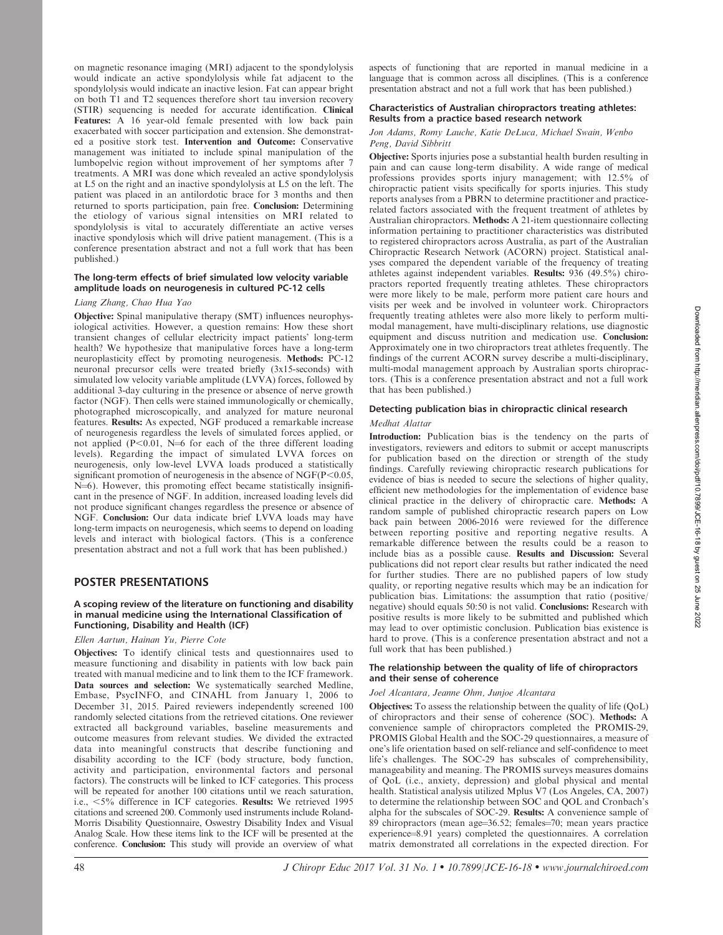on magnetic resonance imaging (MRI) adjacent to the spondylolysis would indicate an active spondylolysis while fat adjacent to the spondylolysis would indicate an inactive lesion. Fat can appear bright on both T1 and T2 sequences therefore short tau inversion recovery (STIR) sequencing is needed for accurate identification. Clinical Features: A 16 year-old female presented with low back pain exacerbated with soccer participation and extension. She demonstrated a positive stork test. Intervention and Outcome: Conservative management was initiated to include spinal manipulation of the lumbopelvic region without improvement of her symptoms after 7 treatments. A MRI was done which revealed an active spondylolysis at L5 on the right and an inactive spondylolysis at L5 on the left. The patient was placed in an antilordotic brace for 3 months and then returned to sports participation, pain free. Conclusion: Determining the etiology of various signal intensities on MRI related to spondylolysis is vital to accurately differentiate an active verses inactive spondylosis which will drive patient management. (This is a conference presentation abstract and not a full work that has been published.)

# The long-term effects of brief simulated low velocity variable amplitude loads on neurogenesis in cultured PC-12 cells

#### Liang Zhang, Chao Hua Yao

Objective: Spinal manipulative therapy (SMT) influences neurophysiological activities. However, a question remains: How these short transient changes of cellular electricity impact patients' long-term health? We hypothesize that manipulative forces have a long-term neuroplasticity effect by promoting neurogenesis. Methods: PC-12 neuronal precursor cells were treated briefly (3x15-seconds) with simulated low velocity variable amplitude (LVVA) forces, followed by additional 3-day culturing in the presence or absence of nerve growth factor (NGF). Then cells were stained immunologically or chemically, photographed microscopically, and analyzed for mature neuronal features. Results: As expected, NGF produced a remarkable increase of neurogenesis regardless the levels of simulated forces applied, or not applied  $(P<0.01, N=6$  for each of the three different loading levels). Regarding the impact of simulated LVVA forces on neurogenesis, only low-level LVVA loads produced a statistically significant promotion of neurogenesis in the absence of  $NGF(P<0.05,$ N=6). However, this promoting effect became statistically insignificant in the presence of NGF. In addition, increased loading levels did not produce significant changes regardless the presence or absence of NGF. Conclusion: Our data indicate brief LVVA loads may have long-term impacts on neurogenesis, which seems to depend on loading levels and interact with biological factors. (This is a conference presentation abstract and not a full work that has been published.)

# POSTER PRESENTATIONS

#### A scoping review of the literature on functioning and disability in manual medicine using the International Classification of Functioning, Disability and Health (ICF)

## Ellen Aartun, Hainan Yu, Pierre Cote

Objectives: To identify clinical tests and questionnaires used to measure functioning and disability in patients with low back pain treated with manual medicine and to link them to the ICF framework. Data sources and selection: We systematically searched Medline, Embase, PsycINFO, and CINAHL from January 1, 2006 to December 31, 2015. Paired reviewers independently screened 100 randomly selected citations from the retrieved citations. One reviewer extracted all background variables, baseline measurements and outcome measures from relevant studies. We divided the extracted data into meaningful constructs that describe functioning and disability according to the ICF (body structure, body function, activity and participation, environmental factors and personal factors). The constructs will be linked to ICF categories. This process will be repeated for another 100 citations until we reach saturation, i.e.,  $\langle 5\%$  difference in ICF categories. Results: We retrieved 1995 citations and screened 200. Commonly used instruments include Roland-Morris Disability Questionnaire, Oswestry Disability Index and Visual Analog Scale. How these items link to the ICF will be presented at the conference. Conclusion: This study will provide an overview of what aspects of functioning that are reported in manual medicine in a language that is common across all disciplines. (This is a conference presentation abstract and not a full work that has been published.)

## Characteristics of Australian chiropractors treating athletes: Results from a practice based research network

# Jon Adams, Romy Lauche, Katie DeLuca, Michael Swain, Wenbo Peng, David Sibbritt

Objective: Sports injuries pose a substantial health burden resulting in pain and can cause long-term disability. A wide range of medical professions provides sports injury management; with 12.5% of chiropractic patient visits specifically for sports injuries. This study reports analyses from a PBRN to determine practitioner and practicerelated factors associated with the frequent treatment of athletes by Australian chiropractors. Methods: A 21-item questionnaire collecting information pertaining to practitioner characteristics was distributed to registered chiropractors across Australia, as part of the Australian Chiropractic Research Network (ACORN) project. Statistical analyses compared the dependent variable of the frequency of treating athletes against independent variables. Results: 936 (49.5%) chiropractors reported frequently treating athletes. These chiropractors were more likely to be male, perform more patient care hours and visits per week and be involved in volunteer work. Chiropractors frequently treating athletes were also more likely to perform multimodal management, have multi-disciplinary relations, use diagnostic equipment and discuss nutrition and medication use. Conclusion: Approximately one in two chiropractors treat athletes frequently. The findings of the current ACORN survey describe a multi-disciplinary, multi-modal management approach by Australian sports chiropractors. (This is a conference presentation abstract and not a full work that has been published.)

# Detecting publication bias in chiropractic clinical research

## Medhat Alattar

Introduction: Publication bias is the tendency on the parts of investigators, reviewers and editors to submit or accept manuscripts for publication based on the direction or strength of the study findings. Carefully reviewing chiropractic research publications for evidence of bias is needed to secure the selections of higher quality, efficient new methodologies for the implementation of evidence base clinical practice in the delivery of chiropractic care. Methods: A random sample of published chiropractic research papers on Low back pain between 2006-2016 were reviewed for the difference between reporting positive and reporting negative results. A remarkable difference between the results could be a reason to include bias as a possible cause. Results and Discussion: Several publications did not report clear results but rather indicated the need for further studies. There are no published papers of low study quality, or reporting negative results which may be an indication for publication bias. Limitations: the assumption that ratio (positive/ negative) should equals 50:50 is not valid. Conclusions: Research with positive results is more likely to be submitted and published which may lead to over optimistic conclusion. Publication bias existence is hard to prove. (This is a conference presentation abstract and not a full work that has been published.)

#### The relationship between the quality of life of chiropractors and their sense of coherence

## Joel Alcantara, Jeanne Ohm, Junjoe Alcantara

Objectives: To assess the relationship between the quality of life (QoL) of chiropractors and their sense of coherence (SOC). Methods: A convenience sample of chiropractors completed the PROMIS-29, PROMIS Global Health and the SOC-29 questionnaires, a measure of one's life orientation based on self-reliance and self-confidence to meet life's challenges. The SOC-29 has subscales of comprehensibility, manageability and meaning. The PROMIS surveys measures domains of QoL (i.e., anxiety, depression) and global physical and mental health. Statistical analysis utilized Mplus V7 (Los Angeles, CA, 2007) to determine the relationship between SOC and QOL and Cronbach's alpha for the subscales of SOC-29. Results: A convenience sample of  $89$  chiropractors (mean age= $36.52$ ; females= $70$ ; mean years practice experience=8.91 years) completed the questionnaires. A correlation matrix demonstrated all correlations in the expected direction. For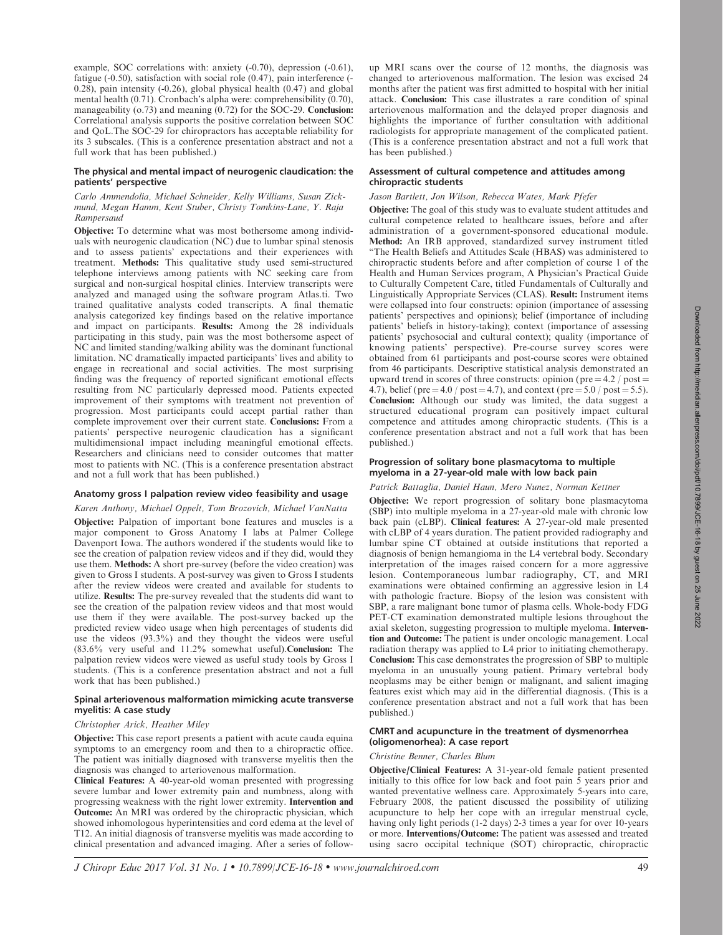example, SOC correlations with: anxiety (-0.70), depression (-0.61), fatigue (-0.50), satisfaction with social role (0.47), pain interference (- 0.28), pain intensity (-0.26), global physical health (0.47) and global mental health (0.71). Cronbach's alpha were: comprehensibility (0.70), manageability (o.73) and meaning (0.72) for the SOC-29. Conclusion: Correlational analysis supports the positive correlation between SOC and QoL.The SOC-29 for chiropractors has acceptable reliability for its 3 subscales. (This is a conference presentation abstract and not a full work that has been published.)

## The physical and mental impact of neurogenic claudication: the patients' perspective

Carlo Ammendolia, Michael Schneider, Kelly Williams, Susan Zickmund, Megan Hamm, Kent Stuber, Christy Tomkins-Lane, Y. Raja Rampersaud

Objective: To determine what was most bothersome among individuals with neurogenic claudication (NC) due to lumbar spinal stenosis and to assess patients' expectations and their experiences with treatment. Methods: This qualitative study used semi-structured telephone interviews among patients with NC seeking care from surgical and non-surgical hospital clinics. Interview transcripts were analyzed and managed using the software program Atlas.ti. Two trained qualitative analysts coded transcripts. A final thematic analysis categorized key findings based on the relative importance and impact on participants. Results: Among the 28 individuals participating in this study, pain was the most bothersome aspect of NC and limited standing/walking ability was the dominant functional limitation. NC dramatically impacted participants' lives and ability to engage in recreational and social activities. The most surprising finding was the frequency of reported significant emotional effects resulting from NC particularly depressed mood. Patients expected improvement of their symptoms with treatment not prevention of progression. Most participants could accept partial rather than complete improvement over their current state. Conclusions: From a patients' perspective neurogenic claudication has a significant multidimensional impact including meaningful emotional effects. Researchers and clinicians need to consider outcomes that matter most to patients with NC. (This is a conference presentation abstract and not a full work that has been published.)

## Anatomy gross I palpation review video feasibility and usage

## Karen Anthony, Michael Oppelt, Tom Brozovich, Michael VanNatta

Objective: Palpation of important bone features and muscles is a major component to Gross Anatomy I labs at Palmer College Davenport Iowa. The authors wondered if the students would like to see the creation of palpation review videos and if they did, would they use them. Methods: A short pre-survey (before the video creation) was given to Gross I students. A post-survey was given to Gross I students after the review videos were created and available for students to utilize. Results: The pre-survey revealed that the students did want to see the creation of the palpation review videos and that most would use them if they were available. The post-survey backed up the predicted review video usage when high percentages of students did use the videos (93.3%) and they thought the videos were useful (83.6% very useful and 11.2% somewhat useful).Conclusion: The palpation review videos were viewed as useful study tools by Gross I students. (This is a conference presentation abstract and not a full work that has been published.)

## Spinal arteriovenous malformation mimicking acute transverse myelitis: A case study

#### Christopher Arick, Heather Miley

Objective: This case report presents a patient with acute cauda equina symptoms to an emergency room and then to a chiropractic office. The patient was initially diagnosed with transverse myelitis then the diagnosis was changed to arteriovenous malformation.

Clinical Features: A 40-year-old woman presented with progressing severe lumbar and lower extremity pain and numbness, along with progressing weakness with the right lower extremity. Intervention and Outcome: An MRI was ordered by the chiropractic physician, which showed inhomologous hyperintensities and cord edema at the level of T12. An initial diagnosis of transverse myelitis was made according to clinical presentation and advanced imaging. After a series of followup MRI scans over the course of 12 months, the diagnosis was changed to arteriovenous malformation. The lesion was excised 24 months after the patient was first admitted to hospital with her initial attack. Conclusion: This case illustrates a rare condition of spinal arteriovenous malformation and the delayed proper diagnosis and highlights the importance of further consultation with additional radiologists for appropriate management of the complicated patient. (This is a conference presentation abstract and not a full work that has been published.)

## Assessment of cultural competence and attitudes among chiropractic students

# Jason Bartlett, Jon Wilson, Rebecca Wates, Mark Pfefer

Objective: The goal of this study was to evaluate student attitudes and cultural competence related to healthcare issues, before and after administration of a government-sponsored educational module. Method: An IRB approved, standardized survey instrument titled ''The Health Beliefs and Attitudes Scale (HBAS) was administered to chiropractic students before and after completion of course 1 of the Health and Human Services program, A Physician's Practical Guide to Culturally Competent Care, titled Fundamentals of Culturally and Linguistically Appropriate Services (CLAS). Result: Instrument items were collapsed into four constructs: opinion (importance of assessing patients' perspectives and opinions); belief (importance of including patients' beliefs in history-taking); context (importance of assessing patients' psychosocial and cultural context); quality (importance of knowing patients' perspective). Pre-course survey scores were obtained from 61 participants and post-course scores were obtained from 46 participants. Descriptive statistical analysis demonstrated an upward trend in scores of three constructs: opinion (pre  $=$  4.2 / post  $=$ 4.7), belief (pre = 4.0 / post = 4.7), and context (pre =  $5.0$  / post =  $5.5$ ). Conclusion: Although our study was limited, the data suggest a structured educational program can positively impact cultural competence and attitudes among chiropractic students. (This is a conference presentation abstract and not a full work that has been published.)

## Progression of solitary bone plasmacytoma to multiple myeloma in a 27-year-old male with low back pain

## Patrick Battaglia, Daniel Haun, Mero Nunez, Norman Kettner

Objective: We report progression of solitary bone plasmacytoma (SBP) into multiple myeloma in a 27-year-old male with chronic low back pain (cLBP). Clinical features: A 27-year-old male presented with cLBP of 4 years duration. The patient provided radiography and lumbar spine CT obtained at outside institutions that reported a diagnosis of benign hemangioma in the L4 vertebral body. Secondary interpretation of the images raised concern for a more aggressive lesion. Contemporaneous lumbar radiography, CT, and MRI examinations were obtained confirming an aggressive lesion in L4 with pathologic fracture. Biopsy of the lesion was consistent with SBP, a rare malignant bone tumor of plasma cells. Whole-body FDG PET-CT examination demonstrated multiple lesions throughout the axial skeleton, suggesting progression to multiple myeloma. Intervention and Outcome: The patient is under oncologic management. Local radiation therapy was applied to L4 prior to initiating chemotherapy. Conclusion: This case demonstrates the progression of SBP to multiple myeloma in an unusually young patient. Primary vertebral body neoplasms may be either benign or malignant, and salient imaging features exist which may aid in the differential diagnosis. (This is a conference presentation abstract and not a full work that has been published.)

# CMRT and acupuncture in the treatment of dysmenorrhea (oligomenorhea): A case report

## Christine Benner, Charles Blum

Objective/Clinical Features: A 31-year-old female patient presented initially to this office for low back and foot pain 5 years prior and wanted preventative wellness care. Approximately 5-years into care, February 2008, the patient discussed the possibility of utilizing acupuncture to help her cope with an irregular menstrual cycle, having only light periods (1-2 days) 2-3 times a year for over 10-years or more. Interventions/Outcome: The patient was assessed and treated using sacro occipital technique (SOT) chiropractic, chiropractic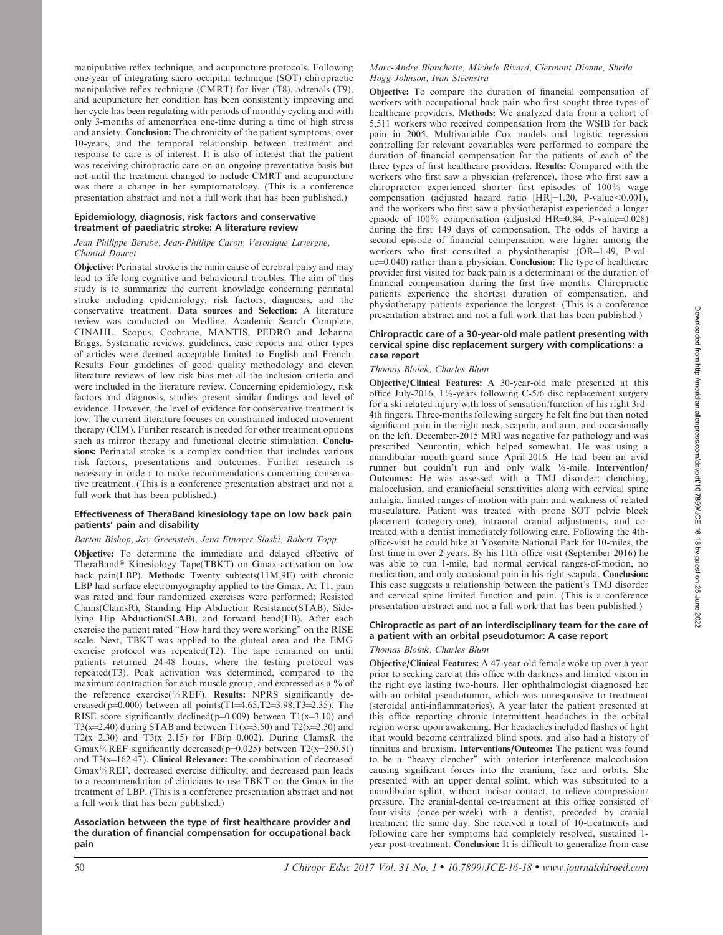manipulative reflex technique, and acupuncture protocols. Following one-year of integrating sacro occipital technique (SOT) chiropractic manipulative reflex technique (CMRT) for liver (T8), adrenals (T9), and acupuncture her condition has been consistently improving and her cycle has been regulating with periods of monthly cycling and with only 3-months of amenorrhea one-time during a time of high stress and anxiety. Conclusion: The chronicity of the patient symptoms, over 10-years, and the temporal relationship between treatment and response to care is of interest. It is also of interest that the patient was receiving chiropractic care on an ongoing preventative basis but not until the treatment changed to include CMRT and acupuncture was there a change in her symptomatology. (This is a conference presentation abstract and not a full work that has been published.)

#### Epidemiology, diagnosis, risk factors and conservative treatment of paediatric stroke: A literature review

## Jean Philippe Berube, Jean-Phillipe Caron, Veronique Lavergne, Chantal Doucet

Objective: Perinatal stroke is the main cause of cerebral palsy and may lead to life long cognitive and behavioural troubles. The aim of this study is to summarize the current knowledge concerning perinatal stroke including epidemiology, risk factors, diagnosis, and the conservative treatment. Data sources and Selection: A literature review was conducted on Medline, Academic Search Complete, CINAHL, Scopus, Cochrane, MANTIS, PEDRO and Johanna Briggs. Systematic reviews, guidelines, case reports and other types of articles were deemed acceptable limited to English and French. Results Four guidelines of good quality methodology and eleven literature reviews of low risk bias met all the inclusion criteria and were included in the literature review. Concerning epidemiology, risk factors and diagnosis, studies present similar findings and level of evidence. However, the level of evidence for conservative treatment is low. The current literature focuses on constrained induced movement therapy (CIM). Further research is needed for other treatment options such as mirror therapy and functional electric stimulation. Conclusions: Perinatal stroke is a complex condition that includes various risk factors, presentations and outcomes. Further research is necessary in orde r to make recommendations concerning conservative treatment. (This is a conference presentation abstract and not a full work that has been published.)

## Effectiveness of TheraBand kinesiology tape on low back pain patients' pain and disability

# Barton Bishop, Jay Greenstein, Jena Etnoyer-Slaski, Robert Topp

Objective: To determine the immediate and delayed effective of TheraBand® Kinesiology Tape(TBKT) on Gmax activation on low back pain(LBP). Methods: Twenty subjects(11M,9F) with chronic LBP had surface electromyography applied to the Gmax. At T1, pain was rated and four randomized exercises were performed; Resisted Clams(ClamsR), Standing Hip Abduction Resistance(STAB), Sidelying Hip Abduction(SLAB), and forward bend(FB). After each exercise the patient rated ''How hard they were working'' on the RISE scale. Next, TBKT was applied to the gluteal area and the EMG exercise protocol was repeated(T2). The tape remained on until patients returned 24-48 hours, where the testing protocol was repeated(T3). Peak activation was determined, compared to the maximum contraction for each muscle group, and expressed as a % of the reference exercise(%REF). Results: NPRS significantly decreased(p=0.000) between all points(T1=4.65,T2=3.98,T3=2.35). The RISE score significantly declined( $p=0.009$ ) between T1( $x=3.10$ ) and T3(x=2.40) during STAB and between T1(x=3.50) and T2(x=2.30) and T2(x=2.30) and T3(x=2.15) for FB(p=0.002). During ClamsR the Gmax%REF significantly decreased( $p=0.025$ ) between T2(x=250.51) and  $T3(x=162.47)$ . Clinical Relevance: The combination of decreased Gmax%REF, decreased exercise difficulty, and decreased pain leads to a recommendation of clinicians to use TBKT on the Gmax in the treatment of LBP. (This is a conference presentation abstract and not a full work that has been published.)

## Association between the type of first healthcare provider and the duration of financial compensation for occupational back pain

#### Marc-Andre Blanchette, Michele Rivard, Clermont Dionne, Sheila Hogg-Johnson, Ivan Steenstra

Objective: To compare the duration of financial compensation of workers with occupational back pain who first sought three types of healthcare providers. Methods: We analyzed data from a cohort of 5,511 workers who received compensation from the WSIB for back pain in 2005. Multivariable Cox models and logistic regression controlling for relevant covariables were performed to compare the duration of financial compensation for the patients of each of the three types of first healthcare providers. Results: Compared with the workers who first saw a physician (reference), those who first saw a chiropractor experienced shorter first episodes of 100% wage compensation (adjusted hazard ratio  $[HR]=1.20$ , P-value $<0.001$ ), and the workers who first saw a physiotherapist experienced a longer episode of  $100\%$  compensation (adjusted HR=0.84, P-value=0.028) during the first 149 days of compensation. The odds of having a second episode of financial compensation were higher among the workers who first consulted a physiotherapist (OR=1.49, P-val $ue=0.040$ ) rather than a physician. **Conclusion:** The type of healthcare provider first visited for back pain is a determinant of the duration of financial compensation during the first five months. Chiropractic patients experience the shortest duration of compensation, and physiotherapy patients experience the longest. (This is a conference presentation abstract and not a full work that has been published.)

## Chiropractic care of a 30-year-old male patient presenting with cervical spine disc replacement surgery with complications: a case report

#### Thomas Bloink, Charles Blum

Objective/Clinical Features: A 30-year-old male presented at this office July-2016, 1½-years following C-5/6 disc replacement surgery for a ski-related injury with loss of sensation/function of his right 3rd-4th fingers. Three-months following surgery he felt fine but then noted significant pain in the right neck, scapula, and arm, and occasionally on the left. December-2015 MRI was negative for pathology and was prescribed Neurontin, which helped somewhat. He was using a mandibular mouth-guard since April-2016. He had been an avid runner but couldn't run and only walk ½-mile. Intervention/ Outcomes: He was assessed with a TMJ disorder: clenching, malocclusion, and craniofacial sensitivities along with cervical spine antalgia, limited ranges-of-motion with pain and weakness of related musculature. Patient was treated with prone SOT pelvic block placement (category-one), intraoral cranial adjustments, and cotreated with a dentist immediately following care. Following the 4thoffice-visit he could hike at Yosemite National Park for 10-miles, the first time in over 2-years. By his 11th-office-visit (September-2016) he was able to run 1-mile, had normal cervical ranges-of-motion, no medication, and only occasional pain in his right scapula. Conclusion: This case suggests a relationship between the patient's TMJ disorder and cervical spine limited function and pain. (This is a conference presentation abstract and not a full work that has been published.)

## Chiropractic as part of an interdisciplinary team for the care of a patient with an orbital pseudotumor: A case report

#### Thomas Bloink, Charles Blum

Objective/Clinical Features: A 47-year-old female woke up over a year prior to seeking care at this office with darkness and limited vision in the right eye lasting two-hours. Her ophthalmologist diagnosed her with an orbital pseudotumor, which was unresponsive to treatment (steroidal anti-inflammatories). A year later the patient presented at this office reporting chronic intermittent headaches in the orbital region worse upon awakening. Her headaches included flashes of light that would become centralized blind spots, and also had a history of tinnitus and bruxism. Interventions/Outcome: The patient was found to be a ''heavy clencher'' with anterior interference malocclusion causing significant forces into the cranium, face and orbits. She presented with an upper dental splint, which was substituted to a mandibular splint, without incisor contact, to relieve compression/ pressure. The cranial-dental co-treatment at this office consisted of four-visits (once-per-week) with a dentist, preceded by cranial treatment the same day. She received a total of 10-treatments and following care her symptoms had completely resolved, sustained 1 year post-treatment. Conclusion: It is difficult to generalize from case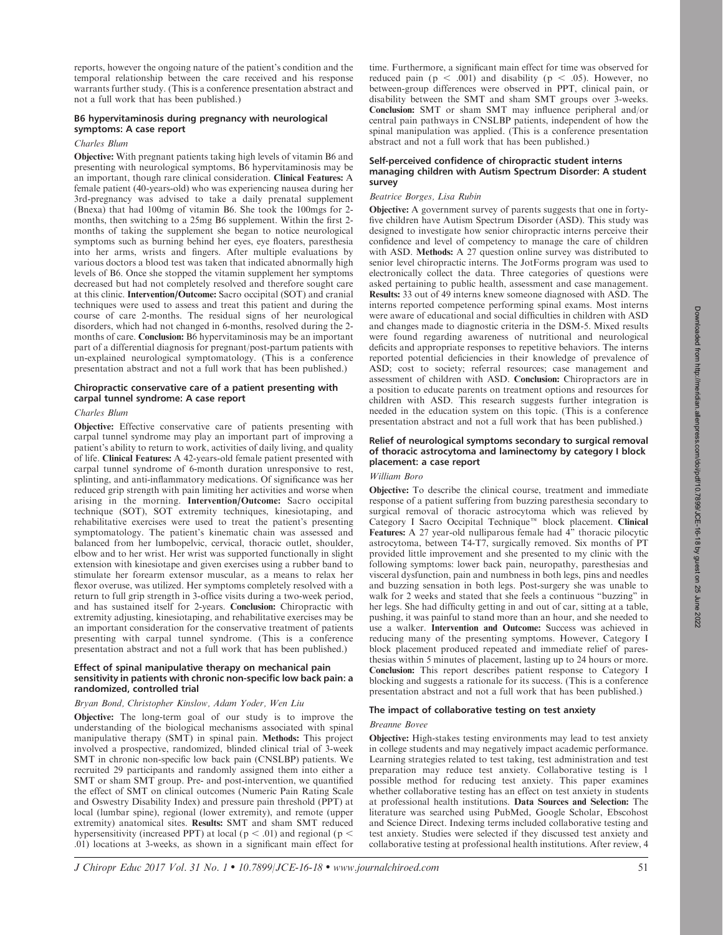reports, however the ongoing nature of the patient's condition and the temporal relationship between the care received and his response warrants further study. (This is a conference presentation abstract and not a full work that has been published.)

## B6 hypervitaminosis during pregnancy with neurological symptoms: A case report

## Charles Blum

Objective: With pregnant patients taking high levels of vitamin B6 and presenting with neurological symptoms, B6 hypervitaminosis may be an important, though rare clinical consideration. Clinical Features: A female patient (40-years-old) who was experiencing nausea during her 3rd-pregnancy was advised to take a daily prenatal supplement (Bnexa) that had 100mg of vitamin B6. She took the 100mgs for 2 months, then switching to a 25mg B6 supplement. Within the first 2 months of taking the supplement she began to notice neurological symptoms such as burning behind her eyes, eye floaters, paresthesia into her arms, wrists and fingers. After multiple evaluations by various doctors a blood test was taken that indicated abnormally high levels of B6. Once she stopped the vitamin supplement her symptoms decreased but had not completely resolved and therefore sought care at this clinic. Intervention/Outcome: Sacro occipital (SOT) and cranial techniques were used to assess and treat this patient and during the course of care 2-months. The residual signs of her neurological disorders, which had not changed in 6-months, resolved during the 2 months of care. Conclusion: B6 hypervitaminosis may be an important part of a differential diagnosis for pregnant/post-partum patients with un-explained neurological symptomatology. (This is a conference presentation abstract and not a full work that has been published.)

# Chiropractic conservative care of a patient presenting with carpal tunnel syndrome: A case report

#### Charles Blum

Objective: Effective conservative care of patients presenting with carpal tunnel syndrome may play an important part of improving a patient's ability to return to work, activities of daily living, and quality of life. Clinical Features: A 42-years-old female patient presented with carpal tunnel syndrome of 6-month duration unresponsive to rest, splinting, and anti-inflammatory medications. Of significance was her reduced grip strength with pain limiting her activities and worse when arising in the morning. Intervention/Outcome: Sacro occipital technique (SOT), SOT extremity techniques, kinesiotaping, and rehabilitative exercises were used to treat the patient's presenting symptomatology. The patient's kinematic chain was assessed and balanced from her lumbopelvic, cervical, thoracic outlet, shoulder, elbow and to her wrist. Her wrist was supported functionally in slight extension with kinesiotape and given exercises using a rubber band to stimulate her forearm extensor muscular, as a means to relax her flexor overuse, was utilized. Her symptoms completely resolved with a return to full grip strength in 3-office visits during a two-week period, and has sustained itself for 2-years. Conclusion: Chiropractic with extremity adjusting, kinesiotaping, and rehabilitative exercises may be an important consideration for the conservative treatment of patients presenting with carpal tunnel syndrome. (This is a conference presentation abstract and not a full work that has been published.)

## Effect of spinal manipulative therapy on mechanical pain sensitivity in patients with chronic non-specific low back pain: a randomized, controlled trial

#### Bryan Bond, Christopher Kinslow, Adam Yoder, Wen Liu

Objective: The long-term goal of our study is to improve the understanding of the biological mechanisms associated with spinal manipulative therapy (SMT) in spinal pain. Methods: This project involved a prospective, randomized, blinded clinical trial of 3-week SMT in chronic non-specific low back pain (CNSLBP) patients. We recruited 29 participants and randomly assigned them into either a SMT or sham SMT group. Pre- and post-intervention, we quantified the effect of SMT on clinical outcomes (Numeric Pain Rating Scale and Oswestry Disability Index) and pressure pain threshold (PPT) at local (lumbar spine), regional (lower extremity), and remote (upper extremity) anatomical sites. Results: SMT and sham SMT reduced hypersensitivity (increased PPT) at local ( $p < .01$ ) and regional ( $p <$ .01) locations at 3-weeks, as shown in a significant main effect for time. Furthermore, a significant main effect for time was observed for reduced pain ( $p < .001$ ) and disability ( $p < .05$ ). However, no between-group differences were observed in PPT, clinical pain, or disability between the SMT and sham SMT groups over 3-weeks. Conclusion: SMT or sham SMT may influence peripheral and/or central pain pathways in CNSLBP patients, independent of how the spinal manipulation was applied. (This is a conference presentation abstract and not a full work that has been published.)

## Self-perceived confidence of chiropractic student interns managing children with Autism Spectrum Disorder: A student survey

## Beatrice Borges, Lisa Rubin

Objective: A government survey of parents suggests that one in fortyfive children have Autism Spectrum Disorder (ASD). This study was designed to investigate how senior chiropractic interns perceive their confidence and level of competency to manage the care of children with ASD. Methods: A 27 question online survey was distributed to senior level chiropractic interns. The JotForms program was used to electronically collect the data. Three categories of questions were asked pertaining to public health, assessment and case management. Results: 33 out of 49 interns knew someone diagnosed with ASD. The interns reported competence performing spinal exams. Most interns were aware of educational and social difficulties in children with ASD and changes made to diagnostic criteria in the DSM-5. Mixed results were found regarding awareness of nutritional and neurological deficits and appropriate responses to repetitive behaviors. The interns reported potential deficiencies in their knowledge of prevalence of ASD; cost to society; referral resources; case management and assessment of children with ASD. Conclusion: Chiropractors are in a position to educate parents on treatment options and resources for children with ASD. This research suggests further integration is needed in the education system on this topic. (This is a conference presentation abstract and not a full work that has been published.)

## Relief of neurological symptoms secondary to surgical removal of thoracic astrocytoma and laminectomy by category I block placement: a case report

#### William Boro

Objective: To describe the clinical course, treatment and immediate response of a patient suffering from buzzing paresthesia secondary to surgical removal of thoracic astrocytoma which was relieved by Category I Sacro Occipital Technique<sup>™</sup> block placement. Clinical Features: A 27 year-old nulliparous female had 4'' thoracic pilocytic astrocytoma, between T4-T7, surgically removed. Six months of PT provided little improvement and she presented to my clinic with the following symptoms: lower back pain, neuropathy, paresthesias and visceral dysfunction, pain and numbness in both legs, pins and needles and buzzing sensation in both legs. Post-surgery she was unable to walk for 2 weeks and stated that she feels a continuous ''buzzing'' in her legs. She had difficulty getting in and out of car, sitting at a table, pushing, it was painful to stand more than an hour, and she needed to use a walker. Intervention and Outcome: Success was achieved in reducing many of the presenting symptoms. However, Category I block placement produced repeated and immediate relief of paresthesias within 5 minutes of placement, lasting up to 24 hours or more. Conclusion: This report describes patient response to Category I blocking and suggests a rationale for its success. (This is a conference presentation abstract and not a full work that has been published.)

## The impact of collaborative testing on test anxiety

## Breanne Bovee

Objective: High-stakes testing environments may lead to test anxiety in college students and may negatively impact academic performance. Learning strategies related to test taking, test administration and test preparation may reduce test anxiety. Collaborative testing is 1 possible method for reducing test anxiety. This paper examines whether collaborative testing has an effect on test anxiety in students at professional health institutions. Data Sources and Selection: The literature was searched using PubMed, Google Scholar, Ebscohost and Science Direct. Indexing terms included collaborative testing and test anxiety. Studies were selected if they discussed test anxiety and collaborative testing at professional health institutions. After review, 4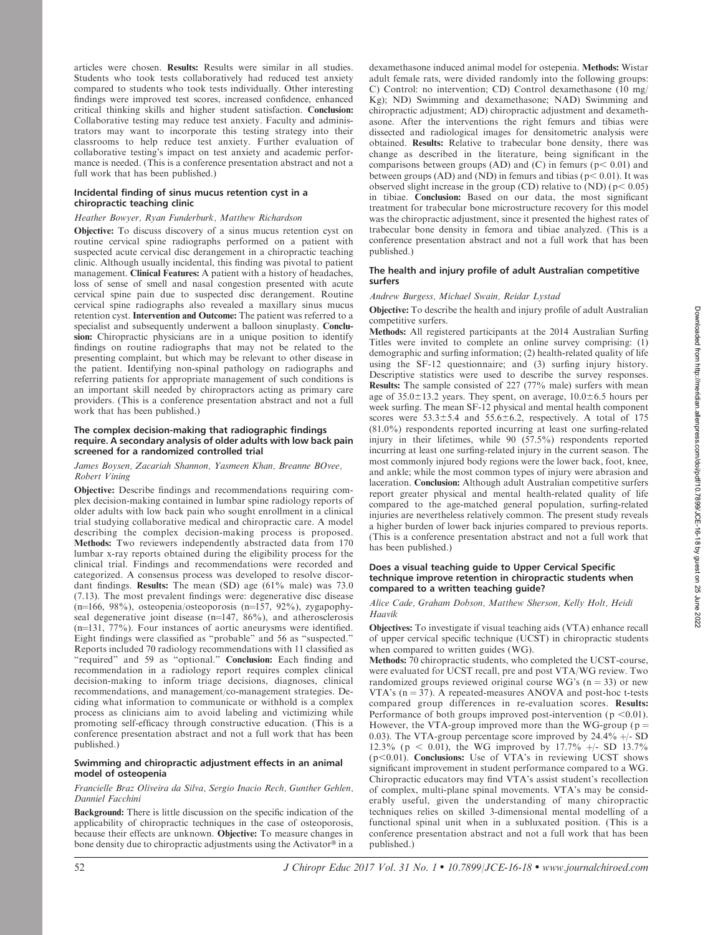articles were chosen. Results: Results were similar in all studies. Students who took tests collaboratively had reduced test anxiety compared to students who took tests individually. Other interesting findings were improved test scores, increased confidence, enhanced critical thinking skills and higher student satisfaction. Conclusion: Collaborative testing may reduce test anxiety. Faculty and administrators may want to incorporate this testing strategy into their classrooms to help reduce test anxiety. Further evaluation of collaborative testing's impact on test anxiety and academic performance is needed. (This is a conference presentation abstract and not a full work that has been published.)

## Incidental finding of sinus mucus retention cyst in a chiropractic teaching clinic

## Heather Bowyer, Ryan Funderburk, Matthew Richardson

Objective: To discuss discovery of a sinus mucus retention cyst on routine cervical spine radiographs performed on a patient with suspected acute cervical disc derangement in a chiropractic teaching clinic. Although usually incidental, this finding was pivotal to patient management. Clinical Features: A patient with a history of headaches, loss of sense of smell and nasal congestion presented with acute cervical spine pain due to suspected disc derangement. Routine cervical spine radiographs also revealed a maxillary sinus mucus retention cyst. Intervention and Outcome: The patient was referred to a specialist and subsequently underwent a balloon sinuplasty. Conclusion: Chiropractic physicians are in a unique position to identify findings on routine radiographs that may not be related to the presenting complaint, but which may be relevant to other disease in the patient. Identifying non-spinal pathology on radiographs and referring patients for appropriate management of such conditions is an important skill needed by chiropractors acting as primary care providers. (This is a conference presentation abstract and not a full work that has been published.)

## The complex decision-making that radiographic findings require. A secondary analysis of older adults with low back pain screened for a randomized controlled trial

#### James Boysen, Zacariah Shannon, Yasmeen Khan, Breanne BOvee, Robert Vining

Objective: Describe findings and recommendations requiring complex decision-making contained in lumbar spine radiology reports of older adults with low back pain who sought enrollment in a clinical trial studying collaborative medical and chiropractic care. A model describing the complex decision-making process is proposed. Methods: Two reviewers independently abstracted data from 170 lumbar x-ray reports obtained during the eligibility process for the clinical trial. Findings and recommendations were recorded and categorized. A consensus process was developed to resolve discordant findings. Results: The mean (SD) age (61% male) was 73.0 (7.13). The most prevalent findings were: degenerative disc disease (n=166, 98%), osteopenia/osteoporosis (n=157, 92%), zygapophyseal degenerative joint disease  $(n=147, 86\%)$ , and atherosclerosis (n=131, 77%). Four instances of aortic aneurysms were identified. Eight findings were classified as ''probable'' and 56 as ''suspected.'' Reports included 70 radiology recommendations with 11 classified as "required" and 59 as "optional." Conclusion: Each finding and recommendation in a radiology report requires complex clinical decision-making to inform triage decisions, diagnoses, clinical recommendations, and management/co-management strategies. Deciding what information to communicate or withhold is a complex process as clinicians aim to avoid labeling and victimizing while promoting self-efficacy through constructive education. (This is a conference presentation abstract and not a full work that has been published.)

## Swimming and chiropractic adjustment effects in an animal model of osteopenia

## Francielle Braz Oliveira da Silva, Sergio Inacio Rech, Gunther Gehlen, Danniel Facchini

Background: There is little discussion on the specific indication of the applicability of chiropractic techniques in the case of osteoporosis, because their effects are unknown. Objective: To measure changes in bone density due to chiropractic adjustments using the Activator® in a dexamethasone induced animal model for ostepenia. Methods: Wistar adult female rats, were divided randomly into the following groups: C) Control: no intervention; CD) Control dexamethasone (10 mg/ Kg); ND) Swimming and dexamethasone; NAD) Swimming and chiropractic adjustment; AD) chiropractic adjustment and dexamethasone. After the interventions the right femurs and tibias were dissected and radiological images for densitometric analysis were obtained. Results: Relative to trabecular bone density, there was change as described in the literature, being significant in the comparisons between groups (AD) and (C) in femurs ( $p < 0.01$ ) and between groups (AD) and (ND) in femurs and tibias ( $p$  < 0.01). It was observed slight increase in the group (CD) relative to  $(ND)$  ( $p < 0.05$ ) in tibiae. Conclusion: Based on our data, the most significant treatment for trabecular bone microstructure recovery for this model was the chiropractic adjustment, since it presented the highest rates of trabecular bone density in femora and tibiae analyzed. (This is a conference presentation abstract and not a full work that has been published.)

# The health and injury profile of adult Australian competitive surfers

# Andrew Burgess, Michael Swain, Reidar Lystad

Objective: To describe the health and injury profile of adult Australian competitive surfers.

Methods: All registered participants at the 2014 Australian Surfing Titles were invited to complete an online survey comprising: (1) demographic and surfing information; (2) health-related quality of life using the SF-12 questionnaire; and (3) surfing injury history. Descriptive statistics were used to describe the survey responses. Results: The sample consisted of 227 (77% male) surfers with mean age of  $35.0\pm13.2$  years. They spent, on average,  $10.0\pm6.5$  hours per week surfing. The mean SF-12 physical and mental health component scores were  $53.3 \pm 5.4$  and  $55.6 \pm 6.2$ , respectively. A total of 175 (81.0%) respondents reported incurring at least one surfing-related injury in their lifetimes, while 90 (57.5%) respondents reported incurring at least one surfing-related injury in the current season. The most commonly injured body regions were the lower back, foot, knee, and ankle; while the most common types of injury were abrasion and laceration. Conclusion: Although adult Australian competitive surfers report greater physical and mental health-related quality of life compared to the age-matched general population, surfing-related injuries are nevertheless relatively common. The present study reveals a higher burden of lower back injuries compared to previous reports. (This is a conference presentation abstract and not a full work that has been published.)

## Does a visual teaching guide to Upper Cervical Specific technique improve retention in chiropractic students when compared to a written teaching guide?

Alice Cade, Graham Dobson, Matthew Sherson, Kelly Holt, Heidi Haavik

Objectives: To investigate if visual teaching aids (VTA) enhance recall of upper cervical specific technique (UCST) in chiropractic students when compared to written guides (WG).

Methods: 70 chiropractic students, who completed the UCST-course, were evaluated for UCST recall, pre and post VTA/WG review. Two randomized groups reviewed original course WG's  $(n = 33)$  or new VTA's  $(n = 37)$ . A repeated-measures ANOVA and post-hoc t-tests compared group differences in re-evaluation scores. Results: Performance of both groups improved post-intervention ( $p < 0.01$ ). However, the VTA-group improved more than the WG-group ( $p =$ 0.03). The VTA-group percentage score improved by  $24.4\% +15$  SD 12.3% (p < 0.01), the WG improved by 17.7% +/- SD 13.7%  $(p<0.01)$ . Conclusions: Use of VTA's in reviewing UCST shows significant improvement in student performance compared to a WG. Chiropractic educators may find VTA's assist student's recollection of complex, multi-plane spinal movements. VTA's may be considerably useful, given the understanding of many chiropractic techniques relies on skilled 3-dimensional mental modelling of a functional spinal unit when in a subluxated position. (This is a conference presentation abstract and not a full work that has been published.)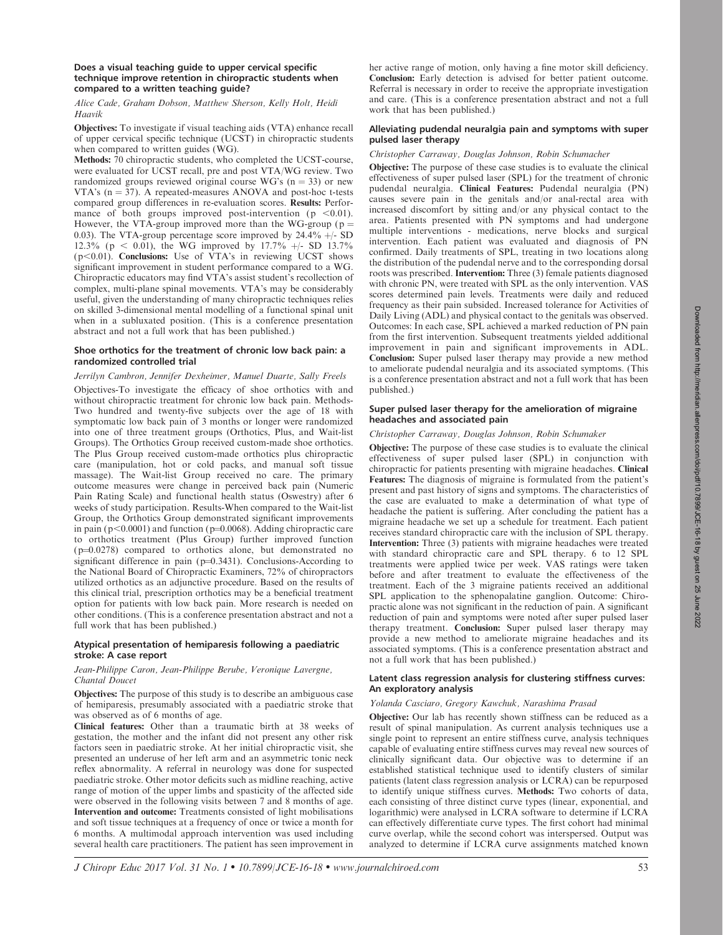## Does a visual teaching guide to upper cervical specific technique improve retention in chiropractic students when compared to a written teaching guide?

Alice Cade, Graham Dobson, Matthew Sherson, Kelly Holt, Heidi Haavik

Objectives: To investigate if visual teaching aids (VTA) enhance recall of upper cervical specific technique (UCST) in chiropractic students when compared to written guides (WG).

Methods: 70 chiropractic students, who completed the UCST-course, were evaluated for UCST recall, pre and post VTA/WG review. Two randomized groups reviewed original course WG's  $(n = 33)$  or new VTA's  $(n = 37)$ . A repeated-measures ANOVA and post-hoc t-tests compared group differences in re-evaluation scores. Results: Performance of both groups improved post-intervention ( $p < 0.01$ ). However, the VTA-group improved more than the WG-group ( $p =$ 0.03). The VTA-group percentage score improved by  $24.4\% +$  SD 12.3% (p < 0.01), the WG improved by 17.7%  $+/-$  SD 13.7%  $(p<0.01)$ . Conclusions: Use of VTA's in reviewing UCST shows significant improvement in student performance compared to a WG. Chiropractic educators may find VTA's assist student's recollection of complex, multi-plane spinal movements. VTA's may be considerably useful, given the understanding of many chiropractic techniques relies on skilled 3-dimensional mental modelling of a functional spinal unit when in a subluxated position. (This is a conference presentation abstract and not a full work that has been published.)

## Shoe orthotics for the treatment of chronic low back pain: a randomized controlled trial

#### Jerrilyn Cambron, Jennifer Dexheimer, Manuel Duarte, Sally Freels

Objectives-To investigate the efficacy of shoe orthotics with and without chiropractic treatment for chronic low back pain. Methods-Two hundred and twenty-five subjects over the age of 18 with symptomatic low back pain of 3 months or longer were randomized into one of three treatment groups (Orthotics, Plus, and Wait-list Groups). The Orthotics Group received custom-made shoe orthotics. The Plus Group received custom-made orthotics plus chiropractic care (manipulation, hot or cold packs, and manual soft tissue massage). The Wait-list Group received no care. The primary outcome measures were change in perceived back pain (Numeric Pain Rating Scale) and functional health status (Oswestry) after 6 weeks of study participation. Results-When compared to the Wait-list Group, the Orthotics Group demonstrated significant improvements in pain ( $p<0.0001$ ) and function ( $p=0.0068$ ). Adding chiropractic care to orthotics treatment (Plus Group) further improved function  $(p=0.0278)$  compared to orthotics alone, but demonstrated no significant difference in pain ( $p=0.3431$ ). Conclusions-According to the National Board of Chiropractic Examiners, 72% of chiropractors utilized orthotics as an adjunctive procedure. Based on the results of this clinical trial, prescription orthotics may be a beneficial treatment option for patients with low back pain. More research is needed on other conditions. (This is a conference presentation abstract and not a full work that has been published.)

## Atypical presentation of hemiparesis following a paediatric stroke: A case report

# Jean-Philippe Caron, Jean-Philippe Berube, Veronique Lavergne, Chantal Doucet

Objectives: The purpose of this study is to describe an ambiguous case of hemiparesis, presumably associated with a paediatric stroke that was observed as of 6 months of age.

Clinical features: Other than a traumatic birth at 38 weeks of gestation, the mother and the infant did not present any other risk factors seen in paediatric stroke. At her initial chiropractic visit, she presented an underuse of her left arm and an asymmetric tonic neck reflex abnormality. A referral in neurology was done for suspected paediatric stroke. Other motor deficits such as midline reaching, active range of motion of the upper limbs and spasticity of the affected side were observed in the following visits between 7 and 8 months of age. Intervention and outcome: Treatments consisted of light mobilisations and soft tissue techniques at a frequency of once or twice a month for 6 months. A multimodal approach intervention was used including several health care practitioners. The patient has seen improvement in

her active range of motion, only having a fine motor skill deficiency. Conclusion: Early detection is advised for better patient outcome. Referral is necessary in order to receive the appropriate investigation and care. (This is a conference presentation abstract and not a full work that has been published.)

## Alleviating pudendal neuralgia pain and symptoms with super pulsed laser therapy

Christopher Carraway, Douglas Johnson, Robin Schumacher

Objective: The purpose of these case studies is to evaluate the clinical effectiveness of super pulsed laser (SPL) for the treatment of chronic pudendal neuralgia. Clinical Features: Pudendal neuralgia (PN) causes severe pain in the genitals and/or anal-rectal area with increased discomfort by sitting and/or any physical contact to the area. Patients presented with PN symptoms and had undergone multiple interventions - medications, nerve blocks and surgical intervention. Each patient was evaluated and diagnosis of PN confirmed. Daily treatments of SPL, treating in two locations along the distribution of the pudendal nerve and to the corresponding dorsal roots was prescribed. Intervention: Three (3) female patients diagnosed with chronic PN, were treated with SPL as the only intervention. VAS scores determined pain levels. Treatments were daily and reduced frequency as their pain subsided. Increased tolerance for Activities of Daily Living (ADL) and physical contact to the genitals was observed. Outcomes: In each case, SPL achieved a marked reduction of PN pain from the first intervention. Subsequent treatments yielded additional improvement in pain and significant improvements in ADL. Conclusion: Super pulsed laser therapy may provide a new method to ameliorate pudendal neuralgia and its associated symptoms. (This is a conference presentation abstract and not a full work that has been published.)

## Super pulsed laser therapy for the amelioration of migraine headaches and associated pain

## Christopher Carraway, Douglas Johnson, Robin Schumaker

Objective: The purpose of these case studies is to evaluate the clinical effectiveness of super pulsed laser (SPL) in conjunction with chiropractic for patients presenting with migraine headaches. Clinical Features: The diagnosis of migraine is formulated from the patient's present and past history of signs and symptoms. The characteristics of the case are evaluated to make a determination of what type of headache the patient is suffering. After concluding the patient has a migraine headache we set up a schedule for treatment. Each patient receives standard chiropractic care with the inclusion of SPL therapy. Intervention: Three (3) patients with migraine headaches were treated with standard chiropractic care and SPL therapy. 6 to 12 SPL treatments were applied twice per week. VAS ratings were taken before and after treatment to evaluate the effectiveness of the treatment. Each of the 3 migraine patients received an additional SPL application to the sphenopalatine ganglion. Outcome: Chiropractic alone was not significant in the reduction of pain. A significant reduction of pain and symptoms were noted after super pulsed laser therapy treatment. Conclusion: Super pulsed laser therapy may provide a new method to ameliorate migraine headaches and its associated symptoms. (This is a conference presentation abstract and not a full work that has been published.)

## Latent class regression analysis for clustering stiffness curves: An exploratory analysis

#### Yolanda Casciaro, Gregory Kawchuk, Narashima Prasad

Objective: Our lab has recently shown stiffness can be reduced as a result of spinal manipulation. As current analysis techniques use a single point to represent an entire stiffness curve, analysis techniques capable of evaluating entire stiffness curves may reveal new sources of clinically significant data. Our objective was to determine if an established statistical technique used to identify clusters of similar patients (latent class regression analysis or LCRA) can be repurposed to identify unique stiffness curves. Methods: Two cohorts of data, each consisting of three distinct curve types (linear, exponential, and logarithmic) were analysed in LCRA software to determine if LCRA can effectively differentiate curve types. The first cohort had minimal curve overlap, while the second cohort was interspersed. Output was analyzed to determine if LCRA curve assignments matched known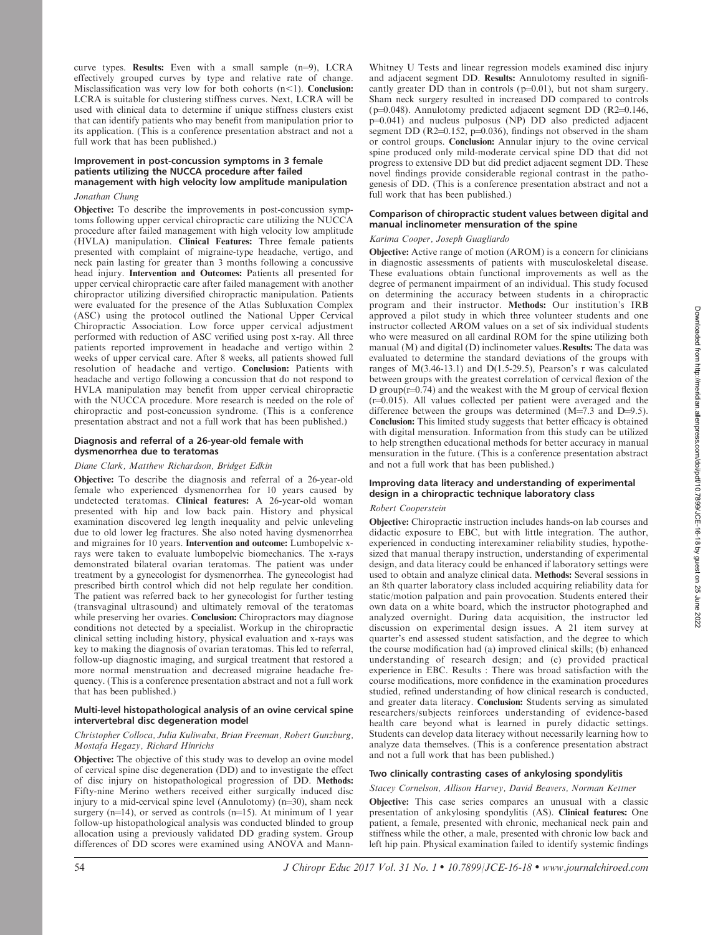curve types. **Results:** Even with a small sample  $(n=9)$ , LCRA effectively grouped curves by type and relative rate of change. Misclassification was very low for both cohorts  $(n<1)$ . Conclusion: LCRA is suitable for clustering stiffness curves. Next, LCRA will be used with clinical data to determine if unique stiffness clusters exist that can identify patients who may benefit from manipulation prior to its application. (This is a conference presentation abstract and not a full work that has been published.)

# Improvement in post-concussion symptoms in 3 female patients utilizing the NUCCA procedure after failed management with high velocity low amplitude manipulation

# Jonathan Chung

Objective: To describe the improvements in post-concussion symptoms following upper cervical chiropractic care utilizing the NUCCA procedure after failed management with high velocity low amplitude (HVLA) manipulation. Clinical Features: Three female patients presented with complaint of migraine-type headache, vertigo, and neck pain lasting for greater than 3 months following a concussive head injury. Intervention and Outcomes: Patients all presented for upper cervical chiropractic care after failed management with another chiropractor utilizing diversified chiropractic manipulation. Patients were evaluated for the presence of the Atlas Subluxation Complex (ASC) using the protocol outlined the National Upper Cervical Chiropractic Association. Low force upper cervical adjustment performed with reduction of ASC verified using post x-ray. All three patients reported improvement in headache and vertigo within 2 weeks of upper cervical care. After 8 weeks, all patients showed full resolution of headache and vertigo. Conclusion: Patients with headache and vertigo following a concussion that do not respond to HVLA manipulation may benefit from upper cervical chiropractic with the NUCCA procedure. More research is needed on the role of chiropractic and post-concussion syndrome. (This is a conference presentation abstract and not a full work that has been published.)

## Diagnosis and referral of a 26-year-old female with dysmenorrhea due to teratomas

# Diane Clark, Matthew Richardson, Bridget Edkin

Objective: To describe the diagnosis and referral of a 26-year-old female who experienced dysmenorrhea for 10 years caused by undetected teratomas. Clinical features: A 26-year-old woman presented with hip and low back pain. History and physical examination discovered leg length inequality and pelvic unleveling due to old lower leg fractures. She also noted having dysmenorrhea and migraines for 10 years. Intervention and outcome: Lumbopelvic xrays were taken to evaluate lumbopelvic biomechanics. The x-rays demonstrated bilateral ovarian teratomas. The patient was under treatment by a gynecologist for dysmenorrhea. The gynecologist had prescribed birth control which did not help regulate her condition. The patient was referred back to her gynecologist for further testing (transvaginal ultrasound) and ultimately removal of the teratomas while preserving her ovaries. Conclusion: Chiropractors may diagnose conditions not detected by a specialist. Workup in the chiropractic clinical setting including history, physical evaluation and x-rays was key to making the diagnosis of ovarian teratomas. This led to referral, follow-up diagnostic imaging, and surgical treatment that restored a more normal menstruation and decreased migraine headache frequency. (This is a conference presentation abstract and not a full work that has been published.)

## Multi-level histopathological analysis of an ovine cervical spine intervertebral disc degeneration model

## Christopher Colloca, Julia Kuliwaba, Brian Freeman, Robert Gunzburg, Mostafa Hegazy, Richard Hinrichs

Objective: The objective of this study was to develop an ovine model of cervical spine disc degeneration (DD) and to investigate the effect of disc injury on histopathological progression of DD. Methods: Fifty-nine Merino wethers received either surgically induced disc injury to a mid-cervical spine level (Annulotomy)  $(n=30)$ , sham neck surgery  $(n=14)$ , or served as controls  $(n=15)$ . At minimum of 1 year follow-up histopathological analysis was conducted blinded to group allocation using a previously validated DD grading system. Group differences of DD scores were examined using ANOVA and MannWhitney U Tests and linear regression models examined disc injury and adjacent segment DD. Results: Annulotomy resulted in significantly greater  $DD$  than in controls ( $p=0.01$ ), but not sham surgery. Sham neck surgery resulted in increased DD compared to controls ( $p=0.048$ ). Annulotomy predicted adjacent segment DD (R2=0.146, p=0.041) and nucleus pulposus (NP) DD also predicted adjacent segment DD (R2 $=$ 0.152, p $=$ 0.036), findings not observed in the sham or control groups. Conclusion: Annular injury to the ovine cervical spine produced only mild-moderate cervical spine DD that did not progress to extensive DD but did predict adjacent segment DD. These novel findings provide considerable regional contrast in the pathogenesis of DD. (This is a conference presentation abstract and not a full work that has been published.)

## Comparison of chiropractic student values between digital and manual inclinometer mensuration of the spine

# Karima Cooper, Joseph Guagliardo

Objective: Active range of motion (AROM) is a concern for clinicians in diagnostic assessments of patients with musculoskeletal disease. These evaluations obtain functional improvements as well as the degree of permanent impairment of an individual. This study focused on determining the accuracy between students in a chiropractic program and their instructor. Methods: Our institution's IRB approved a pilot study in which three volunteer students and one instructor collected AROM values on a set of six individual students who were measured on all cardinal ROM for the spine utilizing both manual (M) and digital (D) inclinometer values.Results: The data was evaluated to determine the standard deviations of the groups with ranges of  $M(3.46-13.1)$  and  $D(1.5-29.5)$ , Pearson's r was calculated between groups with the greatest correlation of cervical flexion of the D group( $r=0.74$ ) and the weakest with the M group of cervical flexion  $(r=0.015)$ . All values collected per patient were averaged and the difference between the groups was determined  $(M=7.3$  and  $D=9.5$ ). Conclusion: This limited study suggests that better efficacy is obtained with digital mensuration. Information from this study can be utilized to help strengthen educational methods for better accuracy in manual mensuration in the future. (This is a conference presentation abstract and not a full work that has been published.)

## Improving data literacy and understanding of experimental design in a chiropractic technique laboratory class

# Robert Cooperstein

Objective: Chiropractic instruction includes hands-on lab courses and didactic exposure to EBC, but with little integration. The author, experienced in conducting interexaminer reliability studies, hypothesized that manual therapy instruction, understanding of experimental design, and data literacy could be enhanced if laboratory settings were used to obtain and analyze clinical data. Methods: Several sessions in an 8th quarter laboratory class included acquiring reliability data for static/motion palpation and pain provocation. Students entered their own data on a white board, which the instructor photographed and analyzed overnight. During data acquisition, the instructor led discussion on experimental design issues. A 21 item survey at quarter's end assessed student satisfaction, and the degree to which the course modification had (a) improved clinical skills; (b) enhanced understanding of research design; and (c) provided practical experience in EBC. Results : There was broad satisfaction with the course modifications, more confidence in the examination procedures studied, refined understanding of how clinical research is conducted, and greater data literacy. Conclusion: Students serving as simulated researchers/subjects reinforces understanding of evidence-based health care beyond what is learned in purely didactic settings. Students can develop data literacy without necessarily learning how to analyze data themselves. (This is a conference presentation abstract and not a full work that has been published.)

# Two clinically contrasting cases of ankylosing spondylitis

Stacey Cornelson, Allison Harvey, David Beavers, Norman Kettner

**Objective:** This case series compares an unusual with a classic presentation of ankylosing spondylitis (AS). Clinical features: One patient, a female, presented with chronic, mechanical neck pain and stiffness while the other, a male, presented with chronic low back and left hip pain. Physical examination failed to identify systemic findings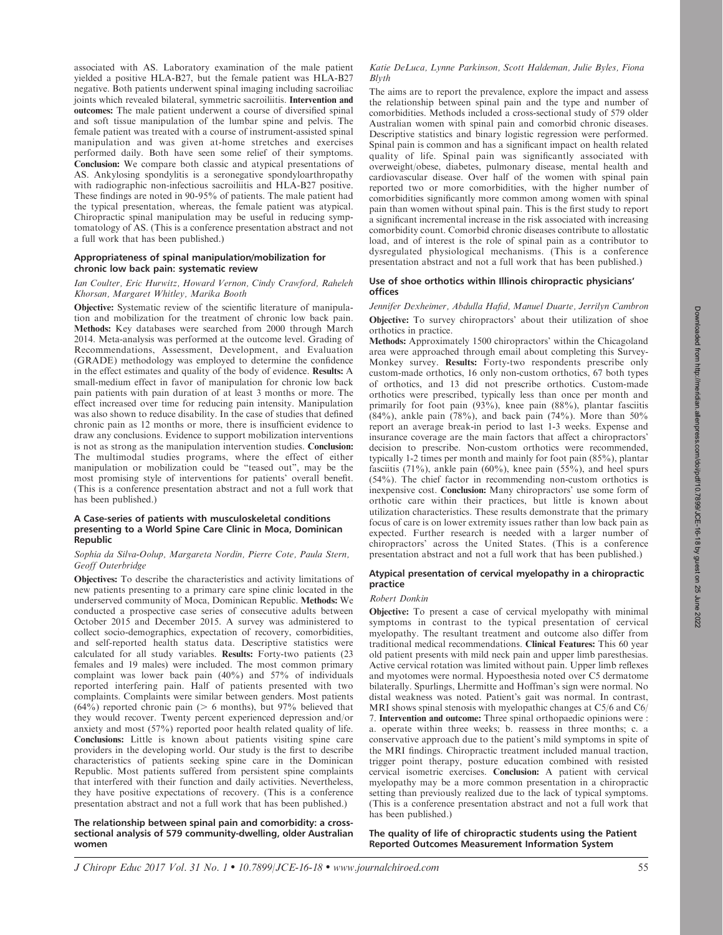associated with AS. Laboratory examination of the male patient yielded a positive HLA-B27, but the female patient was HLA-B27 negative. Both patients underwent spinal imaging including sacroiliac joints which revealed bilateral, symmetric sacroiliitis. Intervention and outcomes: The male patient underwent a course of diversified spinal and soft tissue manipulation of the lumbar spine and pelvis. The female patient was treated with a course of instrument-assisted spinal manipulation and was given at-home stretches and exercises performed daily. Both have seen some relief of their symptoms. Conclusion: We compare both classic and atypical presentations of AS. Ankylosing spondylitis is a seronegative spondyloarthropathy with radiographic non-infectious sacroiliitis and HLA-B27 positive. These findings are noted in 90-95% of patients. The male patient had the typical presentation, whereas, the female patient was atypical. Chiropractic spinal manipulation may be useful in reducing symptomatology of AS. (This is a conference presentation abstract and not a full work that has been published.)

# Appropriateness of spinal manipulation/mobilization for chronic low back pain: systematic review

## Ian Coulter, Eric Hurwitz, Howard Vernon, Cindy Crawford, Raheleh Khorsan, Margaret Whitley, Marika Booth

Objective: Systematic review of the scientific literature of manipulation and mobilization for the treatment of chronic low back pain. Methods: Key databases were searched from 2000 through March 2014. Meta-analysis was performed at the outcome level. Grading of Recommendations, Assessment, Development, and Evaluation (GRADE) methodology was employed to determine the confidence in the effect estimates and quality of the body of evidence. Results: A small-medium effect in favor of manipulation for chronic low back pain patients with pain duration of at least 3 months or more. The effect increased over time for reducing pain intensity. Manipulation was also shown to reduce disability. In the case of studies that defined chronic pain as 12 months or more, there is insufficient evidence to draw any conclusions. Evidence to support mobilization interventions is not as strong as the manipulation intervention studies. Conclusion: The multimodal studies programs, where the effect of either manipulation or mobilization could be ''teased out'', may be the most promising style of interventions for patients' overall benefit. (This is a conference presentation abstract and not a full work that has been published.)

## A Case-series of patients with musculoskeletal conditions presenting to a World Spine Care Clinic in Moca, Dominican Republic

## Sophia da Silva-Oolup, Margareta Nordin, Pierre Cote, Paula Stern, Geoff Outerbridge

Objectives: To describe the characteristics and activity limitations of new patients presenting to a primary care spine clinic located in the underserved community of Moca, Dominican Republic. Methods: We conducted a prospective case series of consecutive adults between October 2015 and December 2015. A survey was administered to collect socio-demographics, expectation of recovery, comorbidities, and self-reported health status data. Descriptive statistics were calculated for all study variables. Results: Forty-two patients (23 females and 19 males) were included. The most common primary complaint was lower back pain (40%) and 57% of individuals reported interfering pain. Half of patients presented with two complaints. Complaints were similar between genders. Most patients  $(64\%)$  reported chronic pain (> 6 months), but 97% believed that they would recover. Twenty percent experienced depression and/or anxiety and most (57%) reported poor health related quality of life. Conclusions: Little is known about patients visiting spine care providers in the developing world. Our study is the first to describe characteristics of patients seeking spine care in the Dominican Republic. Most patients suffered from persistent spine complaints that interfered with their function and daily activities. Nevertheless, they have positive expectations of recovery. (This is a conference presentation abstract and not a full work that has been published.)

## The relationship between spinal pain and comorbidity: a crosssectional analysis of 579 community-dwelling, older Australian women

## Katie DeLuca, Lynne Parkinson, Scott Haldeman, Julie Byles, Fiona Blyth

The aims are to report the prevalence, explore the impact and assess the relationship between spinal pain and the type and number of comorbidities. Methods included a cross-sectional study of 579 older Australian women with spinal pain and comorbid chronic diseases. Descriptive statistics and binary logistic regression were performed. Spinal pain is common and has a significant impact on health related quality of life. Spinal pain was significantly associated with overweight/obese, diabetes, pulmonary disease, mental health and cardiovascular disease. Over half of the women with spinal pain reported two or more comorbidities, with the higher number of comorbidities significantly more common among women with spinal pain than women without spinal pain. This is the first study to report a significant incremental increase in the risk associated with increasing comorbidity count. Comorbid chronic diseases contribute to allostatic load, and of interest is the role of spinal pain as a contributor to dysregulated physiological mechanisms. (This is a conference presentation abstract and not a full work that has been published.)

# Use of shoe orthotics within Illinois chiropractic physicians' offices

Jennifer Dexheimer, Abdulla Hafid, Manuel Duarte, Jerrilyn Cambron Objective: To survey chiropractors' about their utilization of shoe orthotics in practice.

Methods: Approximately 1500 chiropractors' within the Chicagoland area were approached through email about completing this Survey-Monkey survey. Results: Forty-two respondents prescribe only custom-made orthotics, 16 only non-custom orthotics, 67 both types of orthotics, and 13 did not prescribe orthotics. Custom-made orthotics were prescribed, typically less than once per month and primarily for foot pain (93%), knee pain (88%), plantar fasciitis (84%), ankle pain (78%), and back pain (74%). More than 50% report an average break-in period to last 1-3 weeks. Expense and insurance coverage are the main factors that affect a chiropractors' decision to prescribe. Non-custom orthotics were recommended, typically 1-2 times per month and mainly for foot pain (85%), plantar fasciitis  $(71\%)$ , ankle pain  $(60\%)$ , knee pain  $(55\%)$ , and heel spurs (54%). The chief factor in recommending non-custom orthotics is inexpensive cost. Conclusion: Many chiropractors' use some form of orthotic care within their practices, but little is known about utilization characteristics. These results demonstrate that the primary focus of care is on lower extremity issues rather than low back pain as expected. Further research is needed with a larger number of chiropractors' across the United States. (This is a conference presentation abstract and not a full work that has been published.)

## Atypical presentation of cervical myelopathy in a chiropractic practice

## Robert Donkin

Objective: To present a case of cervical myelopathy with minimal symptoms in contrast to the typical presentation of cervical myelopathy. The resultant treatment and outcome also differ from traditional medical recommendations. Clinical Features: This 60 year old patient presents with mild neck pain and upper limb paresthesias. Active cervical rotation was limited without pain. Upper limb reflexes and myotomes were normal. Hypoesthesia noted over C5 dermatome bilaterally. Spurlings, Lhermitte and Hoffman's sign were normal. No distal weakness was noted. Patient's gait was normal. In contrast, MRI shows spinal stenosis with myelopathic changes at C5/6 and C6/ 7. Intervention and outcome: Three spinal orthopaedic opinions were : a. operate within three weeks; b. reassess in three months; c. a conservative approach due to the patient's mild symptoms in spite of the MRI findings. Chiropractic treatment included manual traction, trigger point therapy, posture education combined with resisted cervical isometric exercises. Conclusion: A patient with cervical myelopathy may be a more common presentation in a chiropractic setting than previously realized due to the lack of typical symptoms. (This is a conference presentation abstract and not a full work that has been published.)

The quality of life of chiropractic students using the Patient Reported Outcomes Measurement Information System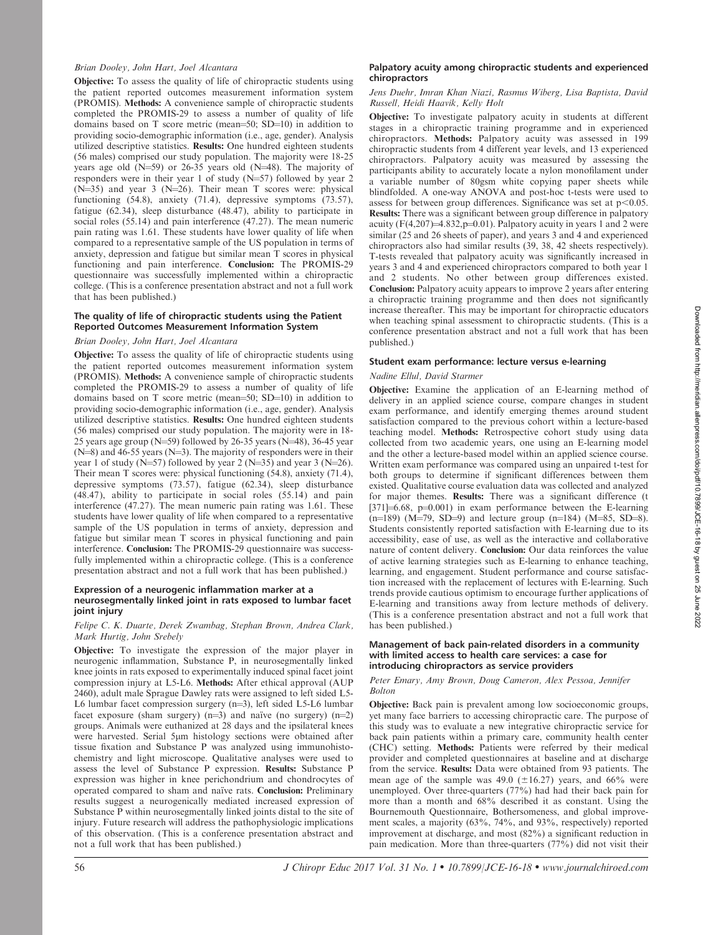## Brian Dooley, John Hart, Joel Alcantara

Objective: To assess the quality of life of chiropractic students using the patient reported outcomes measurement information system (PROMIS). Methods: A convenience sample of chiropractic students completed the PROMIS-29 to assess a number of quality of life domains based on T score metric (mean=50; SD=10) in addition to providing socio-demographic information (i.e., age, gender). Analysis utilized descriptive statistics. Results: One hundred eighteen students (56 males) comprised our study population. The majority were 18-25 years age old  $(N=59)$  or 26-35 years old  $(N=48)$ . The majority of responders were in their year 1 of study  $(N=57)$  followed by year 2  $(N=35)$  and year 3 (N=26). Their mean T scores were: physical functioning (54.8), anxiety (71.4), depressive symptoms (73.57), fatigue (62.34), sleep disturbance (48.47), ability to participate in social roles (55.14) and pain interference (47.27). The mean numeric pain rating was 1.61. These students have lower quality of life when compared to a representative sample of the US population in terms of anxiety, depression and fatigue but similar mean T scores in physical functioning and pain interference. Conclusion: The PROMIS-29 questionnaire was successfully implemented within a chiropractic college. (This is a conference presentation abstract and not a full work that has been published.)

## The quality of life of chiropractic students using the Patient Reported Outcomes Measurement Information System

## Brian Dooley, John Hart, Joel Alcantara

Objective: To assess the quality of life of chiropractic students using the patient reported outcomes measurement information system (PROMIS). Methods: A convenience sample of chiropractic students completed the PROMIS-29 to assess a number of quality of life domains based on T score metric (mean=50;  $SD=10$ ) in addition to providing socio-demographic information (i.e., age, gender). Analysis utilized descriptive statistics. Results: One hundred eighteen students (56 males) comprised our study population. The majority were in 18- 25 years age group (N=59) followed by 26-35 years (N=48), 36-45 year  $(N=8)$  and 46-55 years  $(N=3)$ . The majority of responders were in their year 1 of study  $(N=57)$  followed by year 2  $(N=35)$  and year 3  $(N=26)$ . Their mean T scores were: physical functioning (54.8), anxiety (71.4), depressive symptoms (73.57), fatigue (62.34), sleep disturbance (48.47), ability to participate in social roles (55.14) and pain interference (47.27). The mean numeric pain rating was 1.61. These students have lower quality of life when compared to a representative sample of the US population in terms of anxiety, depression and fatigue but similar mean T scores in physical functioning and pain interference. Conclusion: The PROMIS-29 questionnaire was successfully implemented within a chiropractic college. (This is a conference presentation abstract and not a full work that has been published.)

## Expression of a neurogenic inflammation marker at a neurosegmentally linked joint in rats exposed to lumbar facet joint injury

## Felipe C. K. Duarte, Derek Zwambag, Stephan Brown, Andrea Clark, Mark Hurtig, John Srebely

Objective: To investigate the expression of the major player in neurogenic inflammation, Substance P, in neurosegmentally linked knee joints in rats exposed to experimentally induced spinal facet joint compression injury at L5-L6. Methods: After ethical approval (AUP 2460), adult male Sprague Dawley rats were assigned to left sided L5- L6 lumbar facet compression surgery  $(n=3)$ , left sided L5-L6 lumbar facet exposure (sham surgery)  $(n=3)$  and naïve (no surgery)  $(n=2)$ groups. Animals were euthanized at 28 days and the ipsilateral knees were harvested. Serial 5lm histology sections were obtained after tissue fixation and Substance P was analyzed using immunohistochemistry and light microscope. Qualitative analyses were used to assess the level of Substance P expression. Results: Substance P expression was higher in knee perichondrium and chondrocytes of operated compared to sham and naïve rats. Conclusion: Preliminary results suggest a neurogenically mediated increased expression of Substance P within neurosegmentally linked joints distal to the site of injury. Future research will address the pathophysiologic implications of this observation. (This is a conference presentation abstract and not a full work that has been published.)

## Palpatory acuity among chiropractic students and experienced chiropractors

## Jens Duehr, Imran Khan Niazi, Rasmus Wiberg, Lisa Baptista, David Russell, Heidi Haavik, Kelly Holt

Objective: To investigate palpatory acuity in students at different stages in a chiropractic training programme and in experienced chiropractors. Methods: Palpatory acuity was assessed in 199 chiropractic students from 4 different year levels, and 13 experienced chiropractors. Palpatory acuity was measured by assessing the participants ability to accurately locate a nylon monofilament under a variable number of 80gsm white copying paper sheets while blindfolded. A one-way ANOVA and post-hoc t-tests were used to assess for between group differences. Significance was set at  $p<0.05$ . Results: There was a significant between group difference in palpatory acuity ( $F(4,207) = 4.832$ ,  $p=0.01$ ). Palpatory acuity in years 1 and 2 were similar (25 and 26 sheets of paper), and years 3 and 4 and experienced chiropractors also had similar results (39, 38, 42 sheets respectively). T-tests revealed that palpatory acuity was significantly increased in years 3 and 4 and experienced chiropractors compared to both year 1 and 2 students. No other between group differences existed. Conclusion: Palpatory acuity appears to improve 2 years after entering a chiropractic training programme and then does not significantly increase thereafter. This may be important for chiropractic educators when teaching spinal assessment to chiropractic students. (This is a conference presentation abstract and not a full work that has been published.)

## Student exam performance: lecture versus e-learning

# Nadine Ellul, David Starmer

Objective: Examine the application of an E-learning method of delivery in an applied science course, compare changes in student exam performance, and identify emerging themes around student satisfaction compared to the previous cohort within a lecture-based teaching model. Methods: Retrospective cohort study using data collected from two academic years, one using an E-learning model and the other a lecture-based model within an applied science course. Written exam performance was compared using an unpaired t-test for both groups to determine if significant differences between them existed. Qualitative course evaluation data was collected and analyzed for major themes. Results: There was a significant difference (t  $[371]$  $\neq$ 6.68, p $\neq$ 0.001) in exam performance between the E-learning  $(n=189)$   $(M=79, SD=9)$  and lecture group  $(n=184)$   $(M=85, SD=8)$ . Students consistently reported satisfaction with E-learning due to its accessibility, ease of use, as well as the interactive and collaborative nature of content delivery. Conclusion: Our data reinforces the value of active learning strategies such as E-learning to enhance teaching, learning, and engagement. Student performance and course satisfaction increased with the replacement of lectures with E-learning. Such trends provide cautious optimism to encourage further applications of E-learning and transitions away from lecture methods of delivery. (This is a conference presentation abstract and not a full work that has been published.)

## Management of back pain-related disorders in a community with limited access to health care services: a case for introducing chiropractors as service providers

## Peter Emary, Amy Brown, Doug Cameron, Alex Pessoa, Jennifer Bolton

Objective: Back pain is prevalent among low socioeconomic groups, yet many face barriers to accessing chiropractic care. The purpose of this study was to evaluate a new integrative chiropractic service for back pain patients within a primary care, community health center (CHC) setting. Methods: Patients were referred by their medical provider and completed questionnaires at baseline and at discharge from the service. Results: Data were obtained from 93 patients. The mean age of the sample was 49.0 ( $\pm 16.27$ ) years, and 66% were unemployed. Over three-quarters (77%) had had their back pain for more than a month and 68% described it as constant. Using the Bournemouth Questionnaire, Bothersomeness, and global improvement scales, a majority (63%, 74%, and 93%, respectively) reported improvement at discharge, and most (82%) a significant reduction in pain medication. More than three-quarters (77%) did not visit their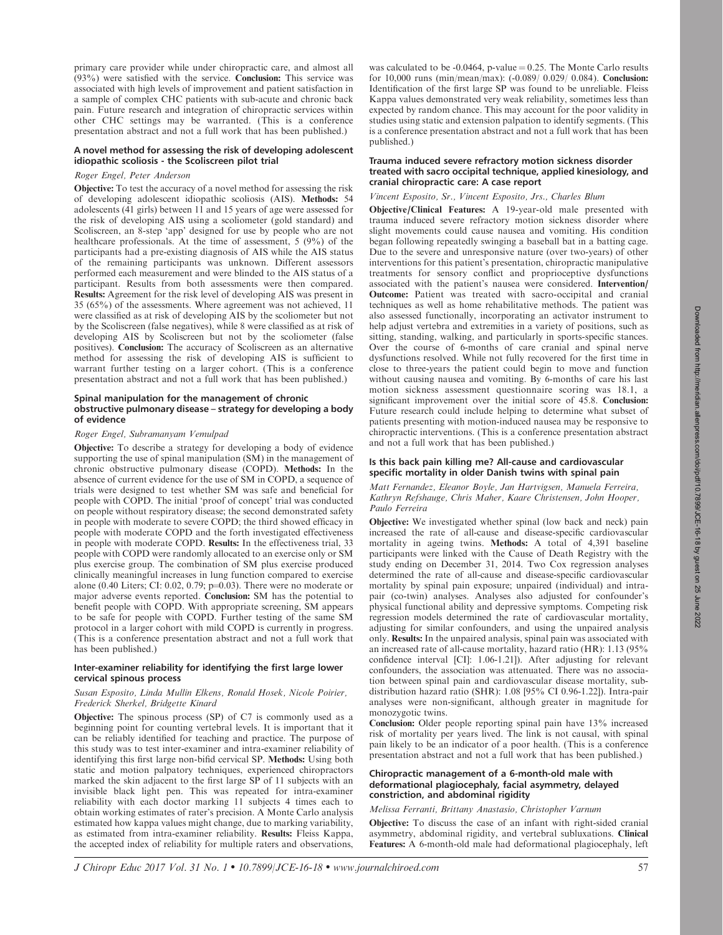(93%) were satisfied with the service. Conclusion: This service was associated with high levels of improvement and patient satisfaction in a sample of complex CHC patients with sub-acute and chronic back pain. Future research and integration of chiropractic services within other CHC settings may be warranted. (This is a conference presentation abstract and not a full work that has been published.) A novel method for assessing the risk of developing adolescent idiopathic scoliosis - the Scoliscreen pilot trial published.)

# Roger Engel, Peter Anderson

Objective: To test the accuracy of a novel method for assessing the risk of developing adolescent idiopathic scoliosis (AIS). Methods: 54 adolescents (41 girls) between 11 and 15 years of age were assessed for the risk of developing AIS using a scoliometer (gold standard) and Scoliscreen, an 8-step 'app' designed for use by people who are not healthcare professionals. At the time of assessment, 5 (9%) of the participants had a pre-existing diagnosis of AIS while the AIS status of the remaining participants was unknown. Different assessors performed each measurement and were blinded to the AIS status of a participant. Results from both assessments were then compared. Results: Agreement for the risk level of developing AIS was present in 35 (65%) of the assessments. Where agreement was not achieved, 11 were classified as at risk of developing AIS by the scoliometer but not by the Scoliscreen (false negatives), while 8 were classified as at risk of developing AIS by Scoliscreen but not by the scoliometer (false positives). Conclusion: The accuracy of Scoliscreen as an alternative method for assessing the risk of developing AIS is sufficient to warrant further testing on a larger cohort. (This is a conference presentation abstract and not a full work that has been published.)

primary care provider while under chiropractic care, and almost all

## Spinal manipulation for the management of chronic obstructive pulmonary disease – strategy for developing a body of evidence

# Roger Engel, Subramanyam Vemulpad

Objective: To describe a strategy for developing a body of evidence supporting the use of spinal manipulation (SM) in the management of chronic obstructive pulmonary disease (COPD). Methods: In the absence of current evidence for the use of SM in COPD, a sequence of trials were designed to test whether SM was safe and beneficial for people with COPD. The initial 'proof of concept' trial was conducted on people without respiratory disease; the second demonstrated safety in people with moderate to severe COPD; the third showed efficacy in people with moderate COPD and the forth investigated effectiveness in people with moderate COPD. Results: In the effectiveness trial, 33 people with COPD were randomly allocated to an exercise only or SM plus exercise group. The combination of SM plus exercise produced clinically meaningful increases in lung function compared to exercise alone (0.40 Liters; CI: 0.02, 0.79;  $p=0.03$ ). There were no moderate or major adverse events reported. Conclusion: SM has the potential to benefit people with COPD. With appropriate screening, SM appears to be safe for people with COPD. Further testing of the same SM protocol in a larger cohort with mild COPD is currently in progress. (This is a conference presentation abstract and not a full work that has been published.)

# Inter-examiner reliability for identifying the first large lower cervical spinous process

# Susan Esposito, Linda Mullin Elkens, Ronald Hosek, Nicole Poirier, Frederick Sherkel, Bridgette Kinard

Objective: The spinous process (SP) of C7 is commonly used as a beginning point for counting vertebral levels. It is important that it can be reliably identified for teaching and practice. The purpose of this study was to test inter-examiner and intra-examiner reliability of identifying this first large non-bifid cervical SP. Methods: Using both static and motion palpatory techniques, experienced chiropractors marked the skin adjacent to the first large SP of 11 subjects with an invisible black light pen. This was repeated for intra-examiner reliability with each doctor marking 11 subjects 4 times each to obtain working estimates of rater's precision. A Monte Carlo analysis estimated how kappa values might change, due to marking variability, as estimated from intra-examiner reliability. Results: Fleiss Kappa, the accepted index of reliability for multiple raters and observations, was calculated to be  $-0.0464$ , p-value  $= 0.25$ . The Monte Carlo results for 10,000 runs (min/mean/max): (-0.089/ 0.029/ 0.084). Conclusion: Identification of the first large SP was found to be unreliable. Fleiss Kappa values demonstrated very weak reliability, sometimes less than expected by random chance. This may account for the poor validity in studies using static and extension palpation to identify segments. (This is a conference presentation abstract and not a full work that has been

## Trauma induced severe refractory motion sickness disorder treated with sacro occipital technique, applied kinesiology, and cranial chiropractic care: A case report

## Vincent Esposito, Sr., Vincent Esposito, Jrs., Charles Blum

Objective/Clinical Features: A 19-year-old male presented with trauma induced severe refractory motion sickness disorder where slight movements could cause nausea and vomiting. His condition began following repeatedly swinging a baseball bat in a batting cage. Due to the severe and unresponsive nature (over two-years) of other interventions for this patient's presentation, chiropractic manipulative treatments for sensory conflict and proprioceptive dysfunctions associated with the patient's nausea were considered. Intervention/ Outcome: Patient was treated with sacro-occipital and cranial techniques as well as home rehabilitative methods. The patient was also assessed functionally, incorporating an activator instrument to help adjust vertebra and extremities in a variety of positions, such as sitting, standing, walking, and particularly in sports-specific stances. Over the course of 6-months of care cranial and spinal nerve dysfunctions resolved. While not fully recovered for the first time in close to three-years the patient could begin to move and function without causing nausea and vomiting. By 6-months of care his last motion sickness assessment questionnaire scoring was 18.1, a significant improvement over the initial score of 45.8. Conclusion: Future research could include helping to determine what subset of patients presenting with motion-induced nausea may be responsive to chiropractic interventions. (This is a conference presentation abstract and not a full work that has been published.)

## Is this back pain killing me? All-cause and cardiovascular specific mortality in older Danish twins with spinal pain

# Matt Fernandez, Eleanor Boyle, Jan Hartvigsen, Manuela Ferreira, Kathryn Refshauge, Chris Maher, Kaare Christensen, John Hooper, Paulo Ferreira

Objective: We investigated whether spinal (low back and neck) pain increased the rate of all-cause and disease-specific cardiovascular mortality in ageing twins. Methods: A total of 4,391 baseline participants were linked with the Cause of Death Registry with the study ending on December 31, 2014. Two Cox regression analyses determined the rate of all-cause and disease-specific cardiovascular mortality by spinal pain exposure; unpaired (individual) and intrapair (co-twin) analyses. Analyses also adjusted for confounder's physical functional ability and depressive symptoms. Competing risk regression models determined the rate of cardiovascular mortality, adjusting for similar confounders, and using the unpaired analysis only. Results: In the unpaired analysis, spinal pain was associated with an increased rate of all-cause mortality, hazard ratio (HR): 1.13 (95% confidence interval [CI]: 1.06-1.21]). After adjusting for relevant confounders, the association was attenuated. There was no association between spinal pain and cardiovascular disease mortality, subdistribution hazard ratio (SHR): 1.08 [95% CI 0.96-1.22]). Intra-pair analyses were non-significant, although greater in magnitude for monozygotic twins.

Conclusion: Older people reporting spinal pain have 13% increased risk of mortality per years lived. The link is not causal, with spinal pain likely to be an indicator of a poor health. (This is a conference presentation abstract and not a full work that has been published.)

#### Chiropractic management of a 6-month-old male with deformational plagiocephaly, facial asymmetry, delayed constriction, and abdominal rigidity

# Melissa Ferranti, Brittany Anastasio, Christopher Varnum

Objective: To discuss the case of an infant with right-sided cranial asymmetry, abdominal rigidity, and vertebral subluxations. Clinical Features: A 6-month-old male had deformational plagiocephaly, left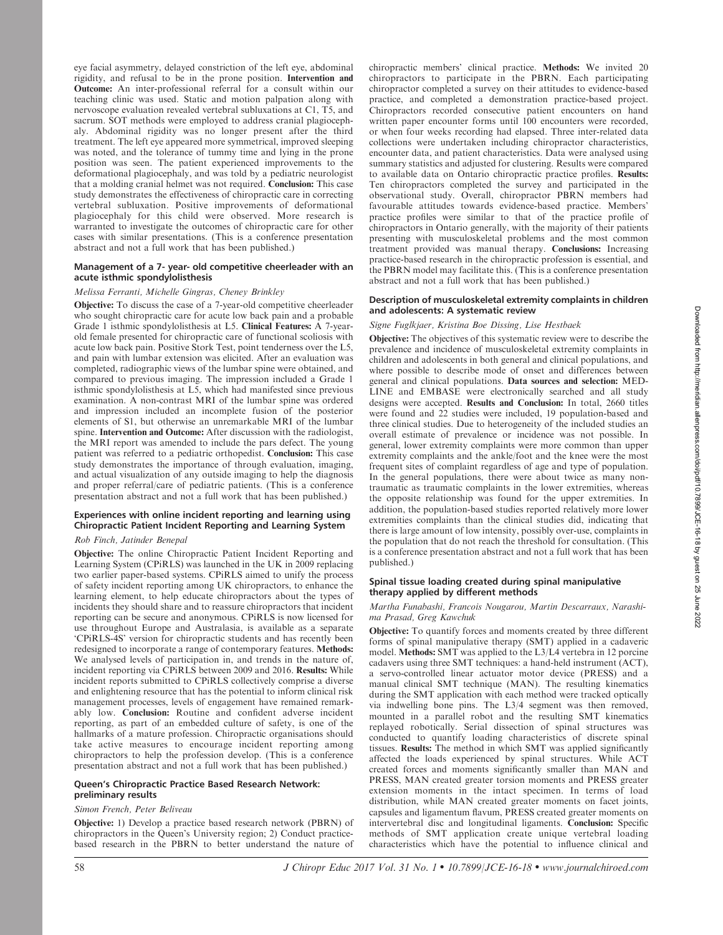eye facial asymmetry, delayed constriction of the left eye, abdominal rigidity, and refusal to be in the prone position. Intervention and Outcome: An inter-professional referral for a consult within our teaching clinic was used. Static and motion palpation along with nervoscope evaluation revealed vertebral subluxations at C1, T5, and sacrum. SOT methods were employed to address cranial plagiocephaly. Abdominal rigidity was no longer present after the third treatment. The left eye appeared more symmetrical, improved sleeping was noted, and the tolerance of tummy time and lying in the prone position was seen. The patient experienced improvements to the deformational plagiocephaly, and was told by a pediatric neurologist that a molding cranial helmet was not required. Conclusion: This case study demonstrates the effectiveness of chiropractic care in correcting vertebral subluxation. Positive improvements of deformational plagiocephaly for this child were observed. More research is warranted to investigate the outcomes of chiropractic care for other cases with similar presentations. (This is a conference presentation abstract and not a full work that has been published.)

## Management of a 7- year- old competitive cheerleader with an acute isthmic spondylolisthesis

# Melissa Ferranti, Michelle Gingras, Cheney Brinkley

Objective: To discuss the case of a 7-year-old competitive cheerleader who sought chiropractic care for acute low back pain and a probable Grade 1 isthmic spondylolisthesis at L5. Clinical Features: A 7-yearold female presented for chiropractic care of functional scoliosis with acute low back pain. Positive Stork Test, point tenderness over the L5, and pain with lumbar extension was elicited. After an evaluation was completed, radiographic views of the lumbar spine were obtained, and compared to previous imaging. The impression included a Grade 1 isthmic spondylolisthesis at L5, which had manifested since previous examination. A non-contrast MRI of the lumbar spine was ordered and impression included an incomplete fusion of the posterior elements of S1, but otherwise an unremarkable MRI of the lumbar spine. Intervention and Outcome: After discussion with the radiologist, the MRI report was amended to include the pars defect. The young patient was referred to a pediatric orthopedist. Conclusion: This case study demonstrates the importance of through evaluation, imaging, and actual visualization of any outside imaging to help the diagnosis and proper referral/care of pediatric patients. (This is a conference presentation abstract and not a full work that has been published.)

# Experiences with online incident reporting and learning using Chiropractic Patient Incident Reporting and Learning System

# Rob Finch, Jatinder Benepal

Objective: The online Chiropractic Patient Incident Reporting and Learning System (CPiRLS) was launched in the UK in 2009 replacing two earlier paper-based systems. CPiRLS aimed to unify the process of safety incident reporting among UK chiropractors, to enhance the learning element, to help educate chiropractors about the types of incidents they should share and to reassure chiropractors that incident reporting can be secure and anonymous. CPiRLS is now licensed for use throughout Europe and Australasia, is available as a separate 'CPiRLS-4S' version for chiropractic students and has recently been redesigned to incorporate a range of contemporary features. Methods: We analysed levels of participation in, and trends in the nature of, incident reporting via CPiRLS between 2009 and 2016. Results: While incident reports submitted to CPiRLS collectively comprise a diverse and enlightening resource that has the potential to inform clinical risk management processes, levels of engagement have remained remarkably low. Conclusion: Routine and confident adverse incident reporting, as part of an embedded culture of safety, is one of the hallmarks of a mature profession. Chiropractic organisations should take active measures to encourage incident reporting among chiropractors to help the profession develop. (This is a conference presentation abstract and not a full work that has been published.)

## Queen's Chiropractic Practice Based Research Network: preliminary results

# Simon French, Peter Beliveau

Objective: 1) Develop a practice based research network (PBRN) of chiropractors in the Queen's University region; 2) Conduct practicebased research in the PBRN to better understand the nature of chiropractic members' clinical practice. Methods: We invited 20 chiropractors to participate in the PBRN. Each participating chiropractor completed a survey on their attitudes to evidence-based practice, and completed a demonstration practice-based project. Chiropractors recorded consecutive patient encounters on hand written paper encounter forms until 100 encounters were recorded, or when four weeks recording had elapsed. Three inter-related data collections were undertaken including chiropractor characteristics, encounter data, and patient characteristics. Data were analysed using summary statistics and adjusted for clustering. Results were compared to available data on Ontario chiropractic practice profiles. Results: Ten chiropractors completed the survey and participated in the observational study. Overall, chiropractor PBRN members had favourable attitudes towards evidence-based practice. Members' practice profiles were similar to that of the practice profile of chiropractors in Ontario generally, with the majority of their patients presenting with musculoskeletal problems and the most common treatment provided was manual therapy. Conclusions: Increasing practice-based research in the chiropractic profession is essential, and the PBRN model may facilitate this. (This is a conference presentation abstract and not a full work that has been published.)

## Description of musculoskeletal extremity complaints in children and adolescents: A systematic review

# Signe Fuglkjaer, Kristina Boe Dissing, Lise Hestbaek

Objective: The objectives of this systematic review were to describe the prevalence and incidence of musculoskeletal extremity complaints in children and adolescents in both general and clinical populations, and where possible to describe mode of onset and differences between general and clinical populations. Data sources and selection: MED-LINE and EMBASE were electronically searched and all study designs were accepted. Results and Conclusion: In total, 2660 titles were found and 22 studies were included, 19 population-based and three clinical studies. Due to heterogeneity of the included studies an overall estimate of prevalence or incidence was not possible. In general, lower extremity complaints were more common than upper extremity complaints and the ankle/foot and the knee were the most frequent sites of complaint regardless of age and type of population. In the general populations, there were about twice as many nontraumatic as traumatic complaints in the lower extremities, whereas the opposite relationship was found for the upper extremities. In addition, the population-based studies reported relatively more lower extremities complaints than the clinical studies did, indicating that there is large amount of low intensity, possibly over-use, complaints in the population that do not reach the threshold for consultation. (This is a conference presentation abstract and not a full work that has been published.)

## Spinal tissue loading created during spinal manipulative therapy applied by different methods

Martha Funabashi, Francois Nougarou, Martin Descarraux, Narashima Prasad, Greg Kawchuk

Objective: To quantify forces and moments created by three different forms of spinal manipulative therapy (SMT) applied in a cadaveric model. Methods: SMT was applied to the L3/L4 vertebra in 12 porcine cadavers using three SMT techniques: a hand-held instrument (ACT), a servo-controlled linear actuator motor device (PRESS) and a manual clinical SMT technique (MAN). The resulting kinematics during the SMT application with each method were tracked optically via indwelling bone pins. The L3/4 segment was then removed, mounted in a parallel robot and the resulting SMT kinematics replayed robotically. Serial dissection of spinal structures was conducted to quantify loading characteristics of discrete spinal tissues. Results: The method in which SMT was applied significantly affected the loads experienced by spinal structures. While ACT created forces and moments significantly smaller than MAN and PRESS, MAN created greater torsion moments and PRESS greater extension moments in the intact specimen. In terms of load distribution, while MAN created greater moments on facet joints, capsules and ligamentum flavum, PRESS created greater moments on intervertebral disc and longitudinal ligaments. Conclusion: Specific methods of SMT application create unique vertebral loading characteristics which have the potential to influence clinical and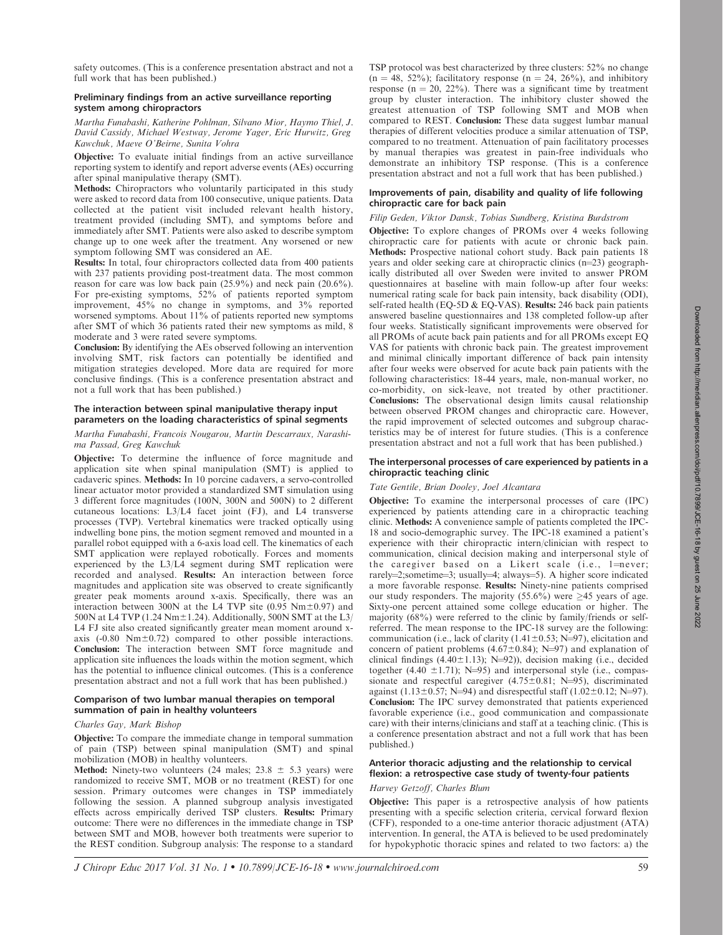safety outcomes. (This is a conference presentation abstract and not a full work that has been published.)

# Preliminary findings from an active surveillance reporting system among chiropractors

Martha Funabashi, Katherine Pohlman, Silvano Mior, Haymo Thiel, J. David Cassidy, Michael Westway, Jerome Yager, Eric Hurwitz, Greg Kawchuk, Maeve O'Beirne, Sunita Vohra

Objective: To evaluate initial findings from an active surveillance reporting system to identify and report adverse events (AEs) occurring after spinal manipulative therapy (SMT).

Methods: Chiropractors who voluntarily participated in this study were asked to record data from 100 consecutive, unique patients. Data collected at the patient visit included relevant health history, treatment provided (including SMT), and symptoms before and immediately after SMT. Patients were also asked to describe symptom change up to one week after the treatment. Any worsened or new symptom following SMT was considered an AE.

Results: In total, four chiropractors collected data from 400 patients with 237 patients providing post-treatment data. The most common reason for care was low back pain (25.9%) and neck pain (20.6%). For pre-existing symptoms, 52% of patients reported symptom improvement, 45% no change in symptoms, and 3% reported worsened symptoms. About 11% of patients reported new symptoms after SMT of which 36 patients rated their new symptoms as mild, 8 moderate and 3 were rated severe symptoms.

Conclusion: By identifying the AEs observed following an intervention involving SMT, risk factors can potentially be identified and mitigation strategies developed. More data are required for more conclusive findings. (This is a conference presentation abstract and not a full work that has been published.)

# The interaction between spinal manipulative therapy input parameters on the loading characteristics of spinal segments

# Martha Funabashi, Francois Nougarou, Martin Descarraux, Narashima Passad, Greg Kawchuk

Objective: To determine the influence of force magnitude and application site when spinal manipulation (SMT) is applied to cadaveric spines. Methods: In 10 porcine cadavers, a servo-controlled linear actuator motor provided a standardized SMT simulation using 3 different force magnitudes (100N, 300N and 500N) to 2 different cutaneous locations: L3/L4 facet joint (FJ), and L4 transverse processes (TVP). Vertebral kinematics were tracked optically using indwelling bone pins, the motion segment removed and mounted in a parallel robot equipped with a 6-axis load cell. The kinematics of each SMT application were replayed robotically. Forces and moments experienced by the L3/L4 segment during SMT replication were recorded and analysed. Results: An interaction between force magnitudes and application site was observed to create significantly greater peak moments around x-axis. Specifically, there was an interaction between 300N at the L4 TVP site (0.95  $Nm±0.97$ ) and 500N at L4 TVP (1.24 Nm $\pm$ 1.24). Additionally, 500N SMT at the L3/ L4 FJ site also created significantly greater mean moment around xaxis  $(-0.80 \text{ Nm} \pm 0.72)$  compared to other possible interactions. Conclusion: The interaction between SMT force magnitude and application site influences the loads within the motion segment, which has the potential to influence clinical outcomes. (This is a conference presentation abstract and not a full work that has been published.)

# Comparison of two lumbar manual therapies on temporal summation of pain in healthy volunteers

# Charles Gay, Mark Bishop

Objective: To compare the immediate change in temporal summation of pain (TSP) between spinal manipulation (SMT) and spinal mobilization (MOB) in healthy volunteers.

**Method:** Ninety-two volunteers (24 males;  $23.8 \pm 5.3$  years) were randomized to receive SMT, MOB or no treatment (REST) for one session. Primary outcomes were changes in TSP immediately following the session. A planned subgroup analysis investigated effects across empirically derived TSP clusters. Results: Primary outcome: There were no differences in the immediate change in TSP between SMT and MOB, however both treatments were superior to the REST condition. Subgroup analysis: The response to a standard TSP protocol was best characterized by three clusters: 52% no change  $(n = 48, 52\%)$ ; facilitatory response  $(n = 24, 26\%)$ , and inhibitory response ( $n = 20$ , 22%). There was a significant time by treatment group by cluster interaction. The inhibitory cluster showed the greatest attenuation of TSP following SMT and MOB when compared to REST. Conclusion: These data suggest lumbar manual therapies of different velocities produce a similar attenuation of TSP, compared to no treatment. Attenuation of pain facilitatory processes by manual therapies was greatest in pain-free individuals who demonstrate an inhibitory TSP response. (This is a conference presentation abstract and not a full work that has been published.)

# Improvements of pain, disability and quality of life following chiropractic care for back pain

# Filip Geden, Viktor Dansk, Tobias Sundberg, Kristina Burdstrom

Objective: To explore changes of PROMs over 4 weeks following chiropractic care for patients with acute or chronic back pain. Methods: Prospective national cohort study. Back pain patients 18 years and older seeking care at chiropractic clinics  $(n=23)$  geographically distributed all over Sweden were invited to answer PROM questionnaires at baseline with main follow-up after four weeks: numerical rating scale for back pain intensity, back disability (ODI), self-rated health (EQ-5D & EQ-VAS). Results: 246 back pain patients answered baseline questionnaires and 138 completed follow-up after four weeks. Statistically significant improvements were observed for all PROMs of acute back pain patients and for all PROMs except EQ VAS for patients with chronic back pain. The greatest improvement and minimal clinically important difference of back pain intensity after four weeks were observed for acute back pain patients with the following characteristics: 18-44 years, male, non-manual worker, no co-morbidity, on sick-leave, not treated by other practitioner. Conclusions: The observational design limits causal relationship between observed PROM changes and chiropractic care. However, the rapid improvement of selected outcomes and subgroup characteristics may be of interest for future studies. (This is a conference presentation abstract and not a full work that has been published.)

# The interpersonal processes of care experienced by patients in a chiropractic teaching clinic

# Tate Gentile, Brian Dooley, Joel Alcantara

Objective: To examine the interpersonal processes of care (IPC) experienced by patients attending care in a chiropractic teaching clinic. Methods: A convenience sample of patients completed the IPC-18 and socio-demographic survey. The IPC-18 examined a patient's experience with their chiropractic intern/clinician with respect to communication, clinical decision making and interpersonal style of the caregiver based on a Likert scale  $(i.e., 1 = never;$ rarely=2;sometime=3; usually=4; always=5). A higher score indicated a more favorable response. Results: Ninety-nine patients comprised our study responders. The majority (55.6%) were  $\geq$ 45 years of age. Sixty-one percent attained some college education or higher. The majority (68%) were referred to the clinic by family/friends or selfreferred. The mean response to the IPC-18 survey are the following: communication (i.e., lack of clarity (1.41 $\pm$ 0.53; N=97), elicitation and concern of patient problems (4.67 $\pm$ 0.84); N=97) and explanation of clinical findings (4.40 $\pm$ 1.13); N=92)), decision making (i.e., decided together (4.40  $\pm$ 1.71); N=95) and interpersonal style (i.e., compassionate and respectful caregiver  $(4.75 \pm 0.81; N=95)$ , discriminated against (1.13±0.57; N=94) and disrespectful staff (1.02±0.12; N=97). Conclusion: The IPC survey demonstrated that patients experienced favorable experience (i.e., good communication and compassionate care) with their interns/clinicians and staff at a teaching clinic. (This is a conference presentation abstract and not a full work that has been published.)

# Anterior thoracic adjusting and the relationship to cervical flexion: a retrospective case study of twenty-four patients

# Harvey Getzoff, Charles Blum

Objective: This paper is a retrospective analysis of how patients presenting with a specific selection criteria, cervical forward flexion (CFF), responded to a one-time anterior thoracic adjustment (ATA) intervention. In general, the ATA is believed to be used predominately for hypokyphotic thoracic spines and related to two factors: a) the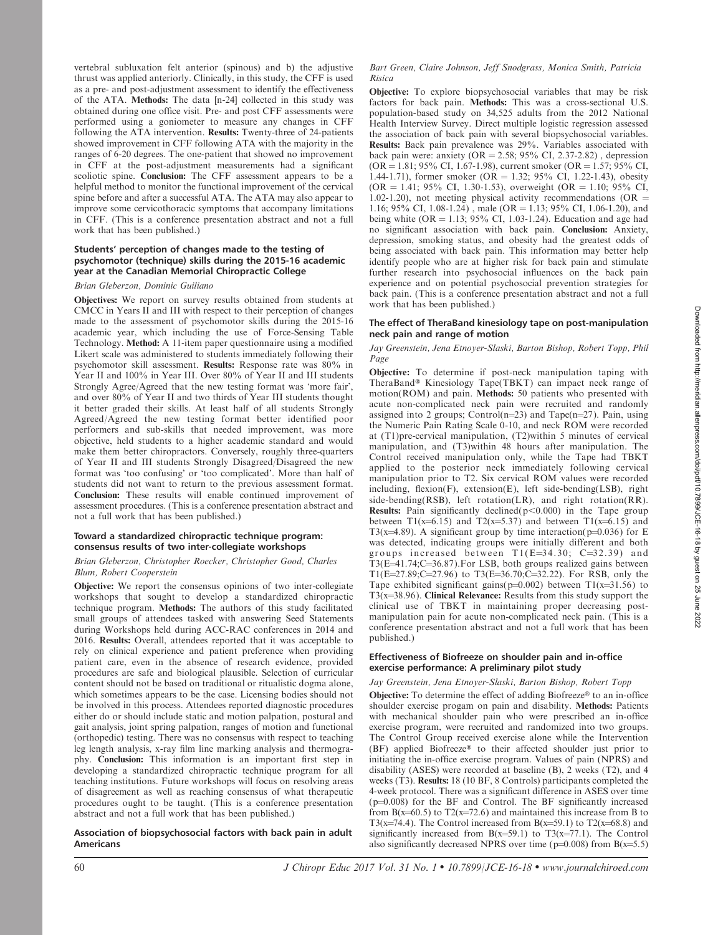vertebral subluxation felt anterior (spinous) and b) the adjustive thrust was applied anteriorly. Clinically, in this study, the CFF is used as a pre- and post-adjustment assessment to identify the effectiveness of the ATA. Methods: The data [n-24] collected in this study was obtained during one office visit. Pre- and post CFF assessments were performed using a goniometer to measure any changes in CFF following the ATA intervention. Results: Twenty-three of 24-patients showed improvement in CFF following ATA with the majority in the ranges of 6-20 degrees. The one-patient that showed no improvement in CFF at the post-adjustment measurements had a significant scoliotic spine. Conclusion: The CFF assessment appears to be a helpful method to monitor the functional improvement of the cervical spine before and after a successful ATA. The ATA may also appear to improve some cervicothoracic symptoms that accompany limitations in CFF. (This is a conference presentation abstract and not a full work that has been published.)

#### Students' perception of changes made to the testing of psychomotor (technique) skills during the 2015-16 academic year at the Canadian Memorial Chiropractic College

#### Brian Gleberzon, Dominic Guiliano

Objectives: We report on survey results obtained from students at CMCC in Years II and III with respect to their perception of changes made to the assessment of psychomotor skills during the 2015-16 academic year, which including the use of Force-Sensing Table Technology. Method: A 11-item paper questionnaire using a modified Likert scale was administered to students immediately following their psychomotor skill assessment. Results: Response rate was 80% in Year II and 100% in Year III. Over 80% of Year II and III students Strongly Agree/Agreed that the new testing format was 'more fair', and over 80% of Year II and two thirds of Year III students thought it better graded their skills. At least half of all students Strongly Agreed/Agreed the new testing format better identified poor performers and sub-skills that needed improvement, was more objective, held students to a higher academic standard and would make them better chiropractors. Conversely, roughly three-quarters of Year II and III students Strongly Disagreed/Disagreed the new format was 'too confusing' or 'too complicated'. More than half of students did not want to return to the previous assessment format. Conclusion: These results will enable continued improvement of assessment procedures. (This is a conference presentation abstract and not a full work that has been published.)

## Toward a standardized chiropractic technique program: consensus results of two inter-collegiate workshops

## Brian Gleberzon, Christopher Roecker, Christopher Good, Charles Blum, Robert Cooperstein

Objective: We report the consensus opinions of two inter-collegiate workshops that sought to develop a standardized chiropractic technique program. Methods: The authors of this study facilitated small groups of attendees tasked with answering Seed Statements during Workshops held during ACC-RAC conferences in 2014 and 2016. Results: Overall, attendees reported that it was acceptable to rely on clinical experience and patient preference when providing patient care, even in the absence of research evidence, provided procedures are safe and biological plausible. Selection of curricular content should not be based on traditional or ritualistic dogma alone, which sometimes appears to be the case. Licensing bodies should not be involved in this process. Attendees reported diagnostic procedures either do or should include static and motion palpation, postural and gait analysis, joint spring palpation, ranges of motion and functional (orthopedic) testing. There was no consensus with respect to teaching leg length analysis, x-ray film line marking analysis and thermography. Conclusion: This information is an important first step in developing a standardized chiropractic technique program for all teaching institutions. Future workshops will focus on resolving areas of disagreement as well as reaching consensus of what therapeutic procedures ought to be taught. (This is a conference presentation abstract and not a full work that has been published.)

#### Association of biopsychosocial factors with back pain in adult Americans

#### Bart Green, Claire Johnson, Jeff Snodgrass, Monica Smith, Patricia Risica

Objective: To explore biopsychosocial variables that may be risk factors for back pain. Methods: This was a cross-sectional U.S. population-based study on 34,525 adults from the 2012 National Health Interview Survey. Direct multiple logistic regression assessed the association of back pain with several biopsychosocial variables. Results: Back pain prevalence was 29%. Variables associated with back pain were: anxiety  $(OR = 2.58; 95\% \text{ CI}, 2.37-2.82)$ , depression  $(OR = 1.81; 95\% \text{ CI}, 1.67-1.98)$ , current smoker  $(OR = 1.57; 95\% \text{ CI}, 1.67-1.98)$ 1.44-1.71), former smoker (OR = 1.32; 95% CI, 1.22-1.43), obesity  $(OR = 1.41; 95\% \text{ CI}, 1.30-1.53)$ , overweight  $(OR = 1.10; 95\% \text{ CI},$ 1.02-1.20), not meeting physical activity recommendations ( $OR =$ 1.16; 95% CI, 1.08-1.24), male (OR = 1.13; 95% CI, 1.06-1.20), and being white  $OR = 1.13$ ; 95% CI, 1.03-1.24). Education and age had no significant association with back pain. Conclusion: Anxiety, depression, smoking status, and obesity had the greatest odds of being associated with back pain. This information may better help identify people who are at higher risk for back pain and stimulate further research into psychosocial influences on the back pain experience and on potential psychosocial prevention strategies for back pain. (This is a conference presentation abstract and not a full work that has been published.)

## The effect of TheraBand kinesiology tape on post-manipulation neck pain and range of motion

## Jay Greenstein, Jena Etnoyer-Slaski, Barton Bishop, Robert Topp, Phil Page

Objective: To determine if post-neck manipulation taping with TheraBand® Kinesiology Tape(TBKT) can impact neck range of motion(ROM) and pain. Methods: 50 patients who presented with acute non-complicated neck pain were recruited and randomly assigned into 2 groups; Control(n=23) and Tape(n=27). Pain, using the Numeric Pain Rating Scale 0-10, and neck ROM were recorded at (T1)pre-cervical manipulation, (T2)within 5 minutes of cervical manipulation, and (T3)within 48 hours after manipulation. The Control received manipulation only, while the Tape had TBKT applied to the posterior neck immediately following cervical manipulation prior to T2. Six cervical ROM values were recorded including, flexion(F), extension(E), left side-bending(LSB), right side-bending(RSB), left rotation(LR), and right rotation(RR). Results: Pain significantly declined( $p<0.000$ ) in the Tape group between T1(x=6.15) and T2(x=5.37) and between T1(x=6.15) and T3(x=4.89). A significant group by time interaction( $p=0.036$ ) for E was detected, indicating groups were initially different and both groups increased between  $T1(E=34.30; C=32.39)$  and T3(E=41.74;C=36.87). For LSB, both groups realized gains between  $T1(E=27.89;C=27.96)$  to  $T3(E=36.70;C=32.22)$ . For RSB, only the Tape exhibited significant gains( $p=0.002$ ) between T1(x=31.56) to  $T3(x=38.96)$ . Clinical Relevance: Results from this study support the clinical use of TBKT in maintaining proper decreasing postmanipulation pain for acute non-complicated neck pain. (This is a conference presentation abstract and not a full work that has been published.)

## Effectiveness of Biofreeze on shoulder pain and in-office exercise performance: A preliminary pilot study

# Jay Greenstein, Jena Etnoyer-Slaski, Barton Bishop, Robert Topp

Objective: To determine the effect of adding Biofreeze<sup>®</sup> to an in-office shoulder exercise progam on pain and disability. Methods: Patients with mechanical shoulder pain who were prescribed an in-office exercise program, were recruited and randomized into two groups. The Control Group received exercise alone while the Intervention (BF) applied Biofreeze<sup>®</sup> to their affected shoulder just prior to initiating the in-office exercise program. Values of pain (NPRS) and disability (ASES) were recorded at baseline (B), 2 weeks (T2), and 4 weeks (T3). Results: 18 (10 BF, 8 Controls) participants completed the 4-week protocol. There was a significant difference in ASES over time  $(p=0.008)$  for the BF and Control. The BF significantly increased from  $B(x=60.5)$  to  $T2(x=72.6)$  and maintained this increase from B to T3(x=74.4). The Control increased from B(x=59.1) to T2(x=68.8) and significantly increased from  $B(x=59.1)$  to T3(x=77.1). The Control also significantly decreased NPRS over time ( $p=0.008$ ) from B(x=5.5)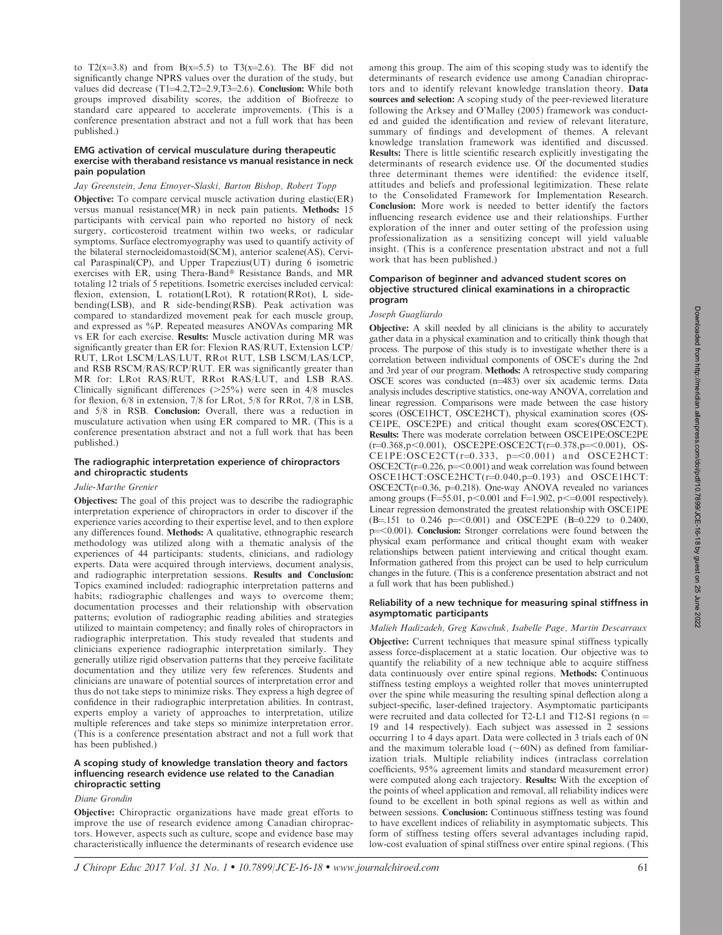to  $T2(x=3.8)$  and from  $B(x=5.5)$  to  $T3(x=2.6)$ . The BF did not significantly change NPRS values over the duration of the study, but values did decrease (T1=4.2,T2=2.9,T3=2.6). Conclusion: While both groups improved disability scores, the addition of Biofreeze to standard care appeared to accelerate improvements. (This is a conference presentation abstract and not a full work that has been published.)

## EMG activation of cervical musculature during therapeutic exercise with theraband resistance vs manual resistance in neck pain population

#### Jay Greenstein, Jena Etnoyer-Slaski, Barton Bishop, Robert Topp

Objective: To compare cervical muscle activation during elastic(ER) versus manual resistance(MR) in neck pain patients. Methods: 15 participants with cervical pain who reported no history of neck surgery, corticosteroid treatment within two weeks, or radicular symptoms. Surface electromyography was used to quantify activity of the bilateral sternocleidomastoid(SCM), anterior scalene(AS), Cervical Paraspinal(CP), and Upper Trapezius(UT) during 6 isometric exercises with ER, using Thera-Band® Resistance Bands, and MR totaling 12 trials of 5 repetitions. Isometric exercises included cervical: flexion, extension, L rotation(LRot), R rotation(RRot), L sidebending(LSB), and R side-bending(RSB). Peak activation was compared to standardized movement peak for each muscle group, and expressed as %P. Repeated measures ANOVAs comparing MR vs ER for each exercise. Results: Muscle activation during MR was significantly greater than ER for: Flexion RAS/RUT, Extension LCP/ RUT, LRot LSCM/LAS/LUT, RRot RUT, LSB LSCM/LAS/LCP, and RSB RSCM/RAS/RCP/RUT. ER was significantly greater than MR for: LRot RAS/RUT, RRot RAS/LUT, and LSB RAS. Clinically significant differences ( $>25\%$ ) were seen in 4/8 muscles for flexion, 6/8 in extension, 7/8 for LRot, 5/8 for RRot, 7/8 in LSB, and 5/8 in RSB. Conclusion: Overall, there was a reduction in musculature activation when using ER compared to MR. (This is a conference presentation abstract and not a full work that has been published.)

## The radiographic interpretation experience of chiropractors and chiropractic students

## Julie-Marthe Grenier

Objectives: The goal of this project was to describe the radiographic interpretation experience of chiropractors in order to discover if the experience varies according to their expertise level, and to then explore any differences found. Methods: A qualitative, ethnographic research methodology was utilized along with a thematic analysis of the experiences of 44 participants: students, clinicians, and radiology experts. Data were acquired through interviews, document analysis, and radiographic interpretation sessions. Results and Conclusion: Topics examined included: radiographic interpretation patterns and habits; radiographic challenges and ways to overcome them; documentation processes and their relationship with observation patterns; evolution of radiographic reading abilities and strategies utilized to maintain competency; and finally roles of chiropractors in radiographic interpretation. This study revealed that students and clinicians experience radiographic interpretation similarly. They generally utilize rigid observation patterns that they perceive facilitate documentation and they utilize very few references. Students and clinicians are unaware of potential sources of interpretation error and thus do not take steps to minimize risks. They express a high degree of confidence in their radiographic interpretation abilities. In contrast, experts employ a variety of approaches to interpretation, utilize multiple references and take steps so minimize interpretation error. (This is a conference presentation abstract and not a full work that has been published.)

## A scoping study of knowledge translation theory and factors influencing research evidence use related to the Canadian chiropractic setting

## Diane Grondin

Objective: Chiropractic organizations have made great efforts to improve the use of research evidence among Canadian chiropractors. However, aspects such as culture, scope and evidence base may characteristically influence the determinants of research evidence use among this group. The aim of this scoping study was to identify the determinants of research evidence use among Canadian chiropractors and to identify relevant knowledge translation theory. Data sources and selection: A scoping study of the peer-reviewed literature following the Arksey and O'Malley (2005) framework was conducted and guided the identification and review of relevant literature, summary of findings and development of themes. A relevant knowledge translation framework was identified and discussed. Results: There is little scientific research explicitly investigating the determinants of research evidence use. Of the documented studies three determinant themes were identified: the evidence itself, attitudes and beliefs and professional legitimization. These relate to the Consolidated Framework for Implementation Research. Conclusion: More work is needed to better identify the factors influencing research evidence use and their relationships. Further exploration of the inner and outer setting of the profession using professionalization as a sensitizing concept will yield valuable insight. (This is a conference presentation abstract and not a full work that has been published.)

# Comparison of beginner and advanced student scores on objective structured clinical examinations in a chiropractic program

## Joseph Guagliardo

**Objective:** A skill needed by all clinicians is the ability to accurately gather data in a physical examination and to critically think though that process. The purpose of this study is to investigate whether there is a correlation between individual components of OSCE's during the 2nd and 3rd year of our program. Methods: A retrospective study comparing OSCE scores was conducted (n=483) over six academic terms. Data analysis includes descriptive statistics, one-way ANOVA, correlation and linear regression. Comparisons were made between the case history scores (OSCE1HCT, OSCE2HCT), physical examination scores (OS-CE1PE, OSCE2PE) and critical thought exam scores(OSCE2CT). Results: There was moderate correlation between OSCE1PE:OSCE2PE  $(r=0.368, p<0.001)$ , OSCE2PE:OSCE2CT( $r=0.378, p<0.001$ ), OS- $CE1PE:OSCE2CT(r=0.333, p=<0.001)$  and  $OSCE2HCT$ :  $OSCE2CT(r=0.226, p=<0.001)$  and weak correlation was found between  $OSCE1HCT:OSCE2HCT(r=0.040,p=0.193)$  and  $OSCE1HCT:$ OSCE2CT(r=0.36, p=0.218). One-way ANOVA revealed no variances among groups ( $F=55.01$ ,  $p<0.001$  and  $F=1.902$ ,  $p<0.001$  respectively). Linear regression demonstrated the greatest relationship with OSCE1PE (B=.151 to 0.246 p=<0.001) and OSCE2PE (B=0.229 to 0.2400,  $p=<0.001$ ). Conclusion: Stronger correlations were found between the physical exam performance and critical thought exam with weaker relationships between patient interviewing and critical thought exam. Information gathered from this project can be used to help curriculum changes in the future. (This is a conference presentation abstract and not a full work that has been published.)

#### Reliability of a new technique for measuring spinal stiffness in asymptomatic participants

Malieh Hadizadeh, Greg Kawchuk, Isabelle Page, Martin Descarraux Objective: Current techniques that measure spinal stiffness typically assess force-displacement at a static location. Our objective was to quantify the reliability of a new technique able to acquire stiffness data continuously over entire spinal regions. Methods: Continuous stiffness testing employs a weighted roller that moves uninterrupted over the spine while measuring the resulting spinal deflection along a subject-specific, laser-defined trajectory. Asymptomatic participants were recruited and data collected for T2-L1 and T12-S1 regions ( $n =$ 19 and 14 respectively). Each subject was assessed in 2 sessions occurring 1 to 4 days apart. Data were collected in 3 trials each of 0N and the maximum tolerable load  $({\sim}60N)$  as defined from familiarization trials. Multiple reliability indices (intraclass correlation coefficients, 95% agreement limits and standard measurement error) were computed along each trajectory. Results: With the exception of the points of wheel application and removal, all reliability indices were found to be excellent in both spinal regions as well as within and between sessions. Conclusion: Continuous stiffness testing was found to have excellent indices of reliability in asymptomatic subjects. This form of stiffness testing offers several advantages including rapid, low-cost evaluation of spinal stiffness over entire spinal regions. (This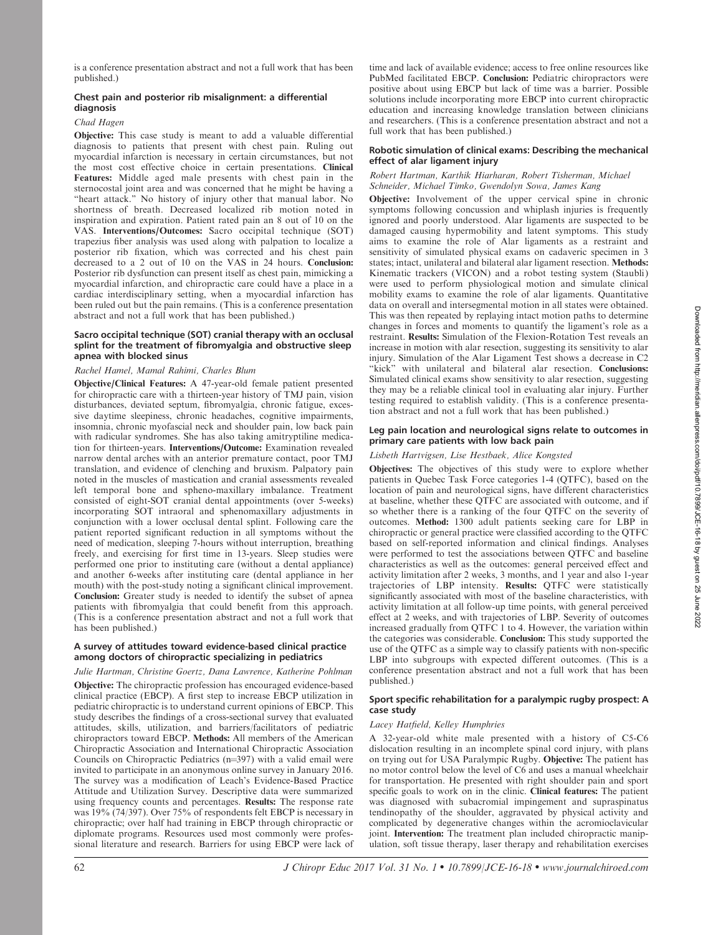is a conference presentation abstract and not a full work that has been published.)

# Chest pain and posterior rib misalignment: a differential diagnosis

# Chad Hagen

Objective: This case study is meant to add a valuable differential diagnosis to patients that present with chest pain. Ruling out myocardial infarction is necessary in certain circumstances, but not the most cost effective choice in certain presentations. Clinical Features: Middle aged male presents with chest pain in the sternocostal joint area and was concerned that he might be having a "heart attack." No history of injury other that manual labor. No shortness of breath. Decreased localized rib motion noted in inspiration and expiration. Patient rated pain an 8 out of 10 on the VAS. Interventions/Outcomes: Sacro occipital technique (SOT) trapezius fiber analysis was used along with palpation to localize a posterior rib fixation, which was corrected and his chest pain decreased to a 2 out of 10 on the VAS in 24 hours. Conclusion: Posterior rib dysfunction can present itself as chest pain, mimicking a myocardial infarction, and chiropractic care could have a place in a cardiac interdisciplinary setting, when a myocardial infarction has been ruled out but the pain remains. (This is a conference presentation abstract and not a full work that has been published.)

## Sacro occipital technique (SOT) cranial therapy with an occlusal splint for the treatment of fibromyalgia and obstructive sleep apnea with blocked sinus

## Rachel Hamel, Mamal Rahimi, Charles Blum

Objective/Clinical Features: A 47-year-old female patient presented for chiropractic care with a thirteen-year history of TMJ pain, vision disturbances, deviated septum, fibromyalgia, chronic fatigue, excessive daytime sleepiness, chronic headaches, cognitive impairments, insomnia, chronic myofascial neck and shoulder pain, low back pain with radicular syndromes. She has also taking amitryptiline medication for thirteen-years. Interventions/Outcome: Examination revealed narrow dental arches with an anterior premature contact, poor TMJ translation, and evidence of clenching and bruxism. Palpatory pain noted in the muscles of mastication and cranial assessments revealed left temporal bone and spheno-maxillary imbalance. Treatment consisted of eight-SOT cranial dental appointments (over 5-weeks) incorporating SOT intraoral and sphenomaxillary adjustments in conjunction with a lower occlusal dental splint. Following care the patient reported significant reduction in all symptoms without the need of medication, sleeping 7-hours without interruption, breathing freely, and exercising for first time in 13-years. Sleep studies were performed one prior to instituting care (without a dental appliance) and another 6-weeks after instituting care (dental appliance in her mouth) with the post-study noting a significant clinical improvement. Conclusion: Greater study is needed to identify the subset of apnea patients with fibromyalgia that could benefit from this approach. (This is a conference presentation abstract and not a full work that has been published.)

# A survey of attitudes toward evidence-based clinical practice among doctors of chiropractic specializing in pediatrics

Julie Hartman, Christine Goertz, Dana Lawrence, Katherine Pohlman Objective: The chiropractic profession has encouraged evidence-based clinical practice (EBCP). A first step to increase EBCP utilization in pediatric chiropractic is to understand current opinions of EBCP. This study describes the findings of a cross-sectional survey that evaluated attitudes, skills, utilization, and barriers/facilitators of pediatric chiropractors toward EBCP. Methods: All members of the American Chiropractic Association and International Chiropractic Association Councils on Chiropractic Pediatrics  $(n=397)$  with a valid email were invited to participate in an anonymous online survey in January 2016. The survey was a modification of Leach's Evidence-Based Practice Attitude and Utilization Survey. Descriptive data were summarized using frequency counts and percentages. Results: The response rate was 19% (74/397). Over 75% of respondents felt EBCP is necessary in chiropractic; over half had training in EBCP through chiropractic or diplomate programs. Resources used most commonly were professional literature and research. Barriers for using EBCP were lack of

time and lack of available evidence; access to free online resources like PubMed facilitated EBCP. Conclusion: Pediatric chiropractors were positive about using EBCP but lack of time was a barrier. Possible solutions include incorporating more EBCP into current chiropractic education and increasing knowledge translation between clinicians and researchers. (This is a conference presentation abstract and not a full work that has been published.)

## Robotic simulation of clinical exams: Describing the mechanical effect of alar ligament injury

## Robert Hartman, Karthik Hiarharan, Robert Tisherman, Michael Schneider, Michael Timko, Gwendolyn Sowa, James Kang

Objective: Involvement of the upper cervical spine in chronic symptoms following concussion and whiplash injuries is frequently ignored and poorly understood. Alar ligaments are suspected to be damaged causing hypermobility and latent symptoms. This study aims to examine the role of Alar ligaments as a restraint and sensitivity of simulated physical exams on cadaveric specimen in 3 states; intact, unilateral and bilateral alar ligament resection. Methods: Kinematic trackers (VICON) and a robot testing system (Staubli) were used to perform physiological motion and simulate clinical mobility exams to examine the role of alar ligaments. Quantitative data on overall and intersegmental motion in all states were obtained. This was then repeated by replaying intact motion paths to determine changes in forces and moments to quantify the ligament's role as a restraint. Results: Simulation of the Flexion-Rotation Test reveals an increase in motion with alar resection, suggesting its sensitivity to alar injury. Simulation of the Alar Ligament Test shows a decrease in C2 "kick" with unilateral and bilateral alar resection. Conclusions: Simulated clinical exams show sensitivity to alar resection, suggesting they may be a reliable clinical tool in evaluating alar injury. Further testing required to establish validity. (This is a conference presentation abstract and not a full work that has been published.)

## Leg pain location and neurological signs relate to outcomes in primary care patients with low back pain

# Lisbeth Hartvigsen, Lise Hestbaek, Alice Kongsted

Objectives: The objectives of this study were to explore whether patients in Quebec Task Force categories 1-4 (QTFC), based on the location of pain and neurological signs, have different characteristics at baseline, whether these QTFC are associated with outcome, and if so whether there is a ranking of the four QTFC on the severity of outcomes. Method: 1300 adult patients seeking care for LBP in chiropractic or general practice were classified according to the QTFC based on self-reported information and clinical findings. Analyses were performed to test the associations between QTFC and baseline characteristics as well as the outcomes: general perceived effect and activity limitation after 2 weeks, 3 months, and 1 year and also 1-year trajectories of LBP intensity. Results: QTFC were statistically significantly associated with most of the baseline characteristics, with activity limitation at all follow-up time points, with general perceived effect at 2 weeks, and with trajectories of LBP. Severity of outcomes increased gradually from QTFC 1 to 4. However, the variation within the categories was considerable. Conclusion: This study supported the use of the QTFC as a simple way to classify patients with non-specific LBP into subgroups with expected different outcomes. (This is a conference presentation abstract and not a full work that has been published.)

## Sport specific rehabilitation for a paralympic rugby prospect: A case study

#### Lacey Hatfield, Kelley Humphries

A 32-year-old white male presented with a history of C5-C6 dislocation resulting in an incomplete spinal cord injury, with plans on trying out for USA Paralympic Rugby. Objective: The patient has no motor control below the level of C6 and uses a manual wheelchair for transportation. He presented with right shoulder pain and sport specific goals to work on in the clinic. Clinical features: The patient was diagnosed with subacromial impingement and supraspinatus tendinopathy of the shoulder, aggravated by physical activity and complicated by degenerative changes within the acromioclavicular joint. Intervention: The treatment plan included chiropractic manipulation, soft tissue therapy, laser therapy and rehabilitation exercises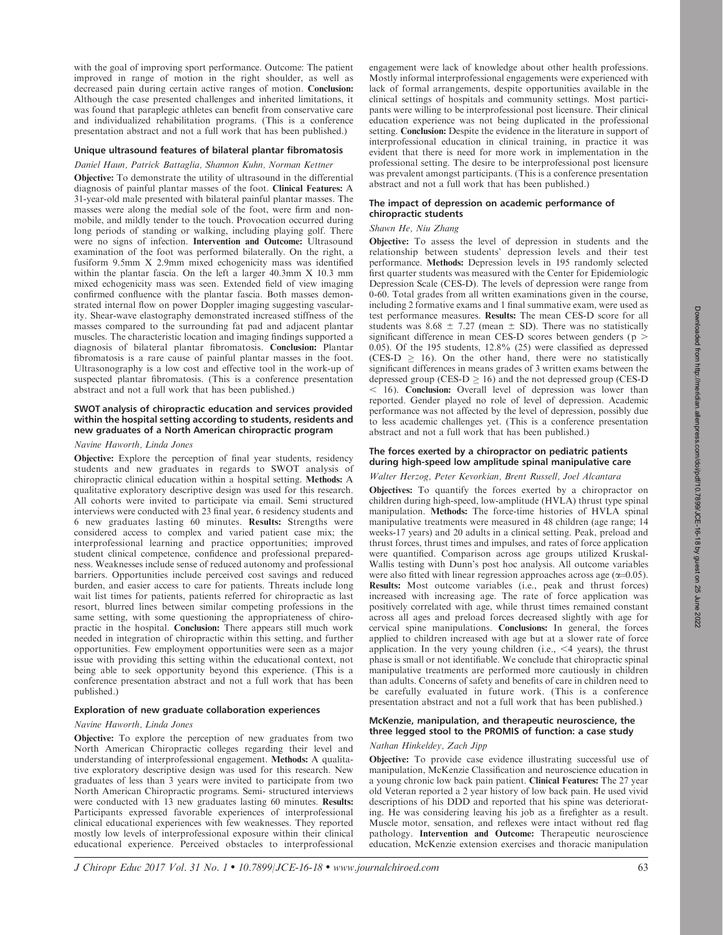with the goal of improving sport performance. Outcome: The patient improved in range of motion in the right shoulder, as well as decreased pain during certain active ranges of motion. Conclusion: Although the case presented challenges and inherited limitations, it was found that paraplegic athletes can benefit from conservative care and individualized rehabilitation programs. (This is a conference presentation abstract and not a full work that has been published.)

## Unique ultrasound features of bilateral plantar fibromatosis

#### Daniel Haun, Patrick Battaglia, Shannon Kuhn, Norman Kettner

Objective: To demonstrate the utility of ultrasound in the differential diagnosis of painful plantar masses of the foot. Clinical Features: A 31-year-old male presented with bilateral painful plantar masses. The masses were along the medial sole of the foot, were firm and nonmobile, and mildly tender to the touch. Provocation occurred during long periods of standing or walking, including playing golf. There were no signs of infection. Intervention and Outcome: Ultrasound examination of the foot was performed bilaterally. On the right, a fusiform 9.5mm X 2.9mm mixed echogenicity mass was identified within the plantar fascia. On the left a larger 40.3mm X 10.3 mm mixed echogenicity mass was seen. Extended field of view imaging confirmed confluence with the plantar fascia. Both masses demonstrated internal flow on power Doppler imaging suggesting vascularity. Shear-wave elastography demonstrated increased stiffness of the masses compared to the surrounding fat pad and adjacent plantar muscles. The characteristic location and imaging findings supported a diagnosis of bilateral plantar fibromatosis. Conclusion: Plantar fibromatosis is a rare cause of painful plantar masses in the foot. Ultrasonography is a low cost and effective tool in the work-up of suspected plantar fibromatosis. (This is a conference presentation abstract and not a full work that has been published.)

## SWOT analysis of chiropractic education and services provided within the hospital setting according to students, residents and new graduates of a North American chiropractic program

#### Navine Haworth, Linda Jones

Objective: Explore the perception of final year students, residency students and new graduates in regards to SWOT analysis of chiropractic clinical education within a hospital setting. Methods: A qualitative exploratory descriptive design was used for this research. All cohorts were invited to participate via email. Semi structured interviews were conducted with 23 final year, 6 residency students and 6 new graduates lasting 60 minutes. Results: Strengths were considered access to complex and varied patient case mix; the interprofessional learning and practice opportunities; improved student clinical competence, confidence and professional preparedness. Weaknesses include sense of reduced autonomy and professional barriers. Opportunities include perceived cost savings and reduced burden, and easier access to care for patients. Threats include long wait list times for patients, patients referred for chiropractic as last resort, blurred lines between similar competing professions in the same setting, with some questioning the appropriateness of chiropractic in the hospital. Conclusion: There appears still much work needed in integration of chiropractic within this setting, and further opportunities. Few employment opportunities were seen as a major issue with providing this setting within the educational context, not being able to seek opportunity beyond this experience. (This is a conference presentation abstract and not a full work that has been published.)

## Exploration of new graduate collaboration experiences

#### Navine Haworth, Linda Jones

Objective: To explore the perception of new graduates from two North American Chiropractic colleges regarding their level and understanding of interprofessional engagement. Methods: A qualitative exploratory descriptive design was used for this research. New graduates of less than 3 years were invited to participate from two North American Chiropractic programs. Semi- structured interviews were conducted with 13 new graduates lasting 60 minutes. Results: Participants expressed favorable experiences of interprofessional clinical educational experiences with few weaknesses. They reported mostly low levels of interprofessional exposure within their clinical educational experience. Perceived obstacles to interprofessional engagement were lack of knowledge about other health professions. Mostly informal interprofessional engagements were experienced with lack of formal arrangements, despite opportunities available in the clinical settings of hospitals and community settings. Most participants were willing to be interprofessional post licensure. Their clinical education experience was not being duplicated in the professional setting. Conclusion: Despite the evidence in the literature in support of interprofessional education in clinical training, in practice it was evident that there is need for more work in implementation in the professional setting. The desire to be interprofessional post licensure was prevalent amongst participants. (This is a conference presentation abstract and not a full work that has been published.)

## The impact of depression on academic performance of chiropractic students

# Shawn He, Niu Zhang

Objective: To assess the level of depression in students and the relationship between students' depression levels and their test performance. Methods: Depression levels in 195 randomly selected first quarter students was measured with the Center for Epidemiologic Depression Scale (CES-D). The levels of depression were range from 0-60. Total grades from all written examinations given in the course, including 2 formative exams and 1 final summative exam, were used as test performance measures. Results: The mean CES-D score for all students was 8.68  $\pm$  7.27 (mean  $\pm$  SD). There was no statistically significant difference in mean CES-D scores between genders ( $p >$ 0.05). Of the 195 students, 12.8% (25) were classified as depressed (CES-D  $\geq$  16). On the other hand, there were no statistically significant differences in means grades of 3 written exams between the depressed group (CES-D  $> 16$ ) and the not depressed group (CES-D  $<$  16). Conclusion: Overall level of depression was lower than reported. Gender played no role of level of depression. Academic performance was not affected by the level of depression, possibly due to less academic challenges yet. (This is a conference presentation abstract and not a full work that has been published.)

# The forces exerted by a chiropractor on pediatric patients during high-speed low amplitude spinal manipulative care

## Walter Herzog, Peter Kevorkian, Brent Russell, Joel Alcantara

**Objectives:** To quantify the forces exerted by a chiropractor on children during high-speed, low-amplitude (HVLA) thrust type spinal manipulation. Methods: The force-time histories of HVLA spinal manipulative treatments were measured in 48 children (age range; 14 weeks-17 years) and 20 adults in a clinical setting. Peak, preload and thrust forces, thrust times and impulses, and rates of force application were quantified. Comparison across age groups utilized Kruskal-Wallis testing with Dunn's post hoc analysis. All outcome variables were also fitted with linear regression approaches across age  $(\alpha=0.05)$ . Results: Most outcome variables (i.e., peak and thrust forces) increased with increasing age. The rate of force application was positively correlated with age, while thrust times remained constant across all ages and preload forces decreased slightly with age for cervical spine manipulations. Conclusions: In general, the forces applied to children increased with age but at a slower rate of force application. In the very young children (i.e.,  $\leq 4$  years), the thrust phase is small or not identifiable. We conclude that chiropractic spinal manipulative treatments are performed more cautiously in children than adults. Concerns of safety and benefits of care in children need to be carefully evaluated in future work. (This is a conference presentation abstract and not a full work that has been published.)

# McKenzie, manipulation, and therapeutic neuroscience, the three legged stool to the PROMIS of function: a case study

# Nathan Hinkeldey, Zach Jipp

Objective: To provide case evidence illustrating successful use of manipulation, McKenzie Classification and neuroscience education in a young chronic low back pain patient. Clinical Features: The 27 year old Veteran reported a 2 year history of low back pain. He used vivid descriptions of his DDD and reported that his spine was deteriorating. He was considering leaving his job as a firefighter as a result. Muscle motor, sensation, and reflexes were intact without red flag pathology. Intervention and Outcome: Therapeutic neuroscience education, McKenzie extension exercises and thoracic manipulation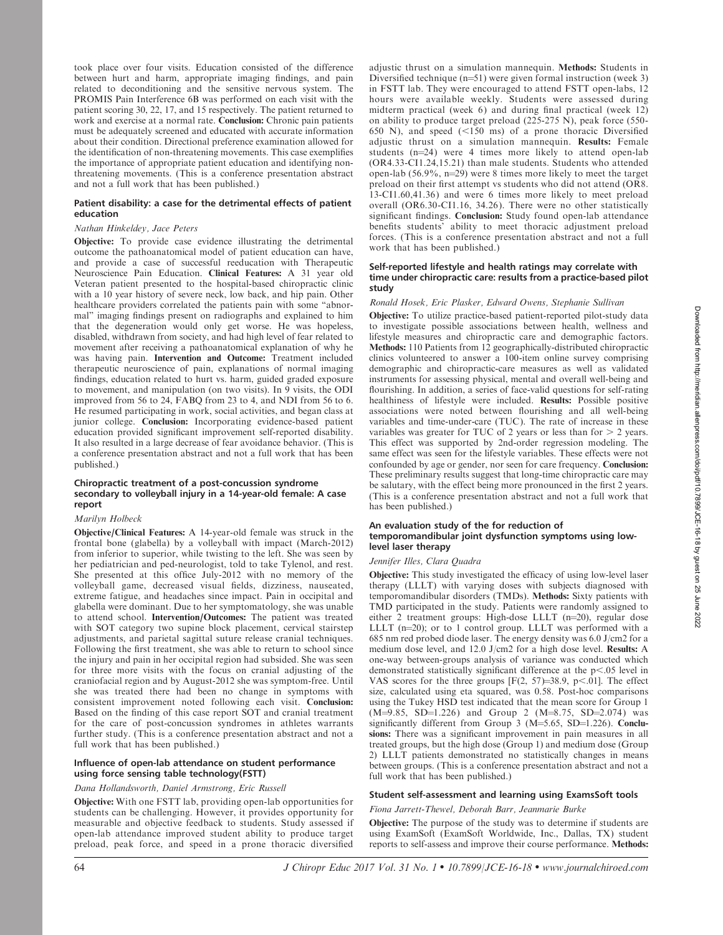took place over four visits. Education consisted of the difference between hurt and harm, appropriate imaging findings, and pain related to deconditioning and the sensitive nervous system. The PROMIS Pain Interference 6B was performed on each visit with the patient scoring 30, 22, 17, and 15 respectively. The patient returned to work and exercise at a normal rate. Conclusion: Chronic pain patients must be adequately screened and educated with accurate information about their condition. Directional preference examination allowed for the identification of non-threatening movements. This case exemplifies the importance of appropriate patient education and identifying nonthreatening movements. (This is a conference presentation abstract and not a full work that has been published.)

# Patient disability: a case for the detrimental effects of patient education

# Nathan Hinkeldey, Jace Peters

Objective: To provide case evidence illustrating the detrimental outcome the pathoanatomical model of patient education can have, and provide a case of successful reeducation with Therapeutic Neuroscience Pain Education. Clinical Features: A 31 year old Veteran patient presented to the hospital-based chiropractic clinic with a 10 year history of severe neck, low back, and hip pain. Other healthcare providers correlated the patients pain with some ''abnormal'' imaging findings present on radiographs and explained to him that the degeneration would only get worse. He was hopeless, disabled, withdrawn from society, and had high level of fear related to movement after receiving a pathoanatomical explanation of why he was having pain. Intervention and Outcome: Treatment included therapeutic neuroscience of pain, explanations of normal imaging findings, education related to hurt vs. harm, guided graded exposure to movement, and manipulation (on two visits). In 9 visits, the ODI improved from 56 to 24, FABQ from 23 to 4, and NDI from 56 to 6. He resumed participating in work, social activities, and began class at junior college. Conclusion: Incorporating evidence-based patient education provided significant improvement self-reported disability. It also resulted in a large decrease of fear avoidance behavior. (This is a conference presentation abstract and not a full work that has been published.)

#### Chiropractic treatment of a post-concussion syndrome secondary to volleyball injury in a 14-year-old female: A case report

#### Marilyn Holbeck

Objective/Clinical Features: A 14-year-old female was struck in the frontal bone (glabella) by a volleyball with impact (March-2012) from inferior to superior, while twisting to the left. She was seen by her pediatrician and ped-neurologist, told to take Tylenol, and rest. She presented at this office July-2012 with no memory of the volleyball game, decreased visual fields, dizziness, nauseated, extreme fatigue, and headaches since impact. Pain in occipital and glabella were dominant. Due to her symptomatology, she was unable to attend school. Intervention/Outcomes: The patient was treated with SOT category two supine block placement, cervical stairstep adjustments, and parietal sagittal suture release cranial techniques. Following the first treatment, she was able to return to school since the injury and pain in her occipital region had subsided. She was seen for three more visits with the focus on cranial adjusting of the craniofacial region and by August-2012 she was symptom-free. Until she was treated there had been no change in symptoms with consistent improvement noted following each visit. Conclusion: Based on the finding of this case report SOT and cranial treatment for the care of post-concussion syndromes in athletes warrants further study. (This is a conference presentation abstract and not a full work that has been published.)

## Influence of open-lab attendance on student performance using force sensing table technology(FSTT)

#### Dana Hollandsworth, Daniel Armstrong, Eric Russell

Objective: With one FSTT lab, providing open-lab opportunities for students can be challenging. However, it provides opportunity for measurable and objective feedback to students. Study assessed if open-lab attendance improved student ability to produce target preload, peak force, and speed in a prone thoracic diversified adjustic thrust on a simulation mannequin. Methods: Students in Diversified technique  $(n=51)$  were given formal instruction (week 3) in FSTT lab. They were encouraged to attend FSTT open-labs, 12 hours were available weekly. Students were assessed during midterm practical (week 6) and during final practical (week 12) on ability to produce target preload (225-275 N), peak force (550- 650 N), and speed  $(<150$  ms) of a prone thoracic Diversified adjustic thrust on a simulation mannequin. Results: Female students  $(n=24)$  were 4 times more likely to attend open-lab (OR4.33-CI1.24,15.21) than male students. Students who attended open-lab  $(56.9\%, n=29)$  were 8 times more likely to meet the target preload on their first attempt vs students who did not attend (OR8. 13-CI1.60,41.36) and were 6 times more likely to meet preload overall (OR6.30-CI1.16, 34.26). There were no other statistically significant findings. Conclusion: Study found open-lab attendance benefits students' ability to meet thoracic adjustment preload forces. (This is a conference presentation abstract and not a full work that has been published.)

## Self-reported lifestyle and health ratings may correlate with time under chiropractic care: results from a practice-based pilot study

#### Ronald Hosek, Eric Plasker, Edward Owens, Stephanie Sullivan

Objective: To utilize practice-based patient-reported pilot-study data to investigate possible associations between health, wellness and lifestyle measures and chiropractic care and demographic factors. Methods: 110 Patients from 12 geographically-distributed chiropractic clinics volunteered to answer a 100-item online survey comprising demographic and chiropractic-care measures as well as validated instruments for assessing physical, mental and overall well-being and flourishing. In addition, a series of face-valid questions for self-rating healthiness of lifestyle were included. Results: Possible positive associations were noted between flourishing and all well-being variables and time-under-care (TUC). The rate of increase in these variables was greater for TUC of 2 years or less than for  $>$  2 years. This effect was supported by 2nd-order regression modeling. The same effect was seen for the lifestyle variables. These effects were not confounded by age or gender, nor seen for care frequency. Conclusion: These preliminary results suggest that long-time chiropractic care may be salutary, with the effect being more pronounced in the first 2 years. (This is a conference presentation abstract and not a full work that has been published.)

## An evaluation study of the for reduction of temporomandibular joint dysfunction symptoms using lowlevel laser therapy

#### Jennifer Illes, Clara Quadra

Objective: This study investigated the efficacy of using low-level laser therapy (LLLT) with varying doses with subjects diagnosed with temporomandibular disorders (TMDs). Methods: Sixty patients with TMD participated in the study. Patients were randomly assigned to either 2 treatment groups: High-dose LLLT  $(n=20)$ , regular dose LLLT ( $n=20$ ); or to 1 control group. LLLT was performed with a 685 nm red probed diode laser. The energy density was 6.0 J/cm2 for a medium dose level, and 12.0 J/cm2 for a high dose level. Results: A one-way between-groups analysis of variance was conducted which demonstrated statistically significant difference at the  $p<.05$  level in VAS scores for the three groups  $[F(2, 57)=38.9, p<.01]$ . The effect size, calculated using eta squared, was 0.58. Post-hoc comparisons using the Tukey HSD test indicated that the mean score for Group 1  $(M=9.85, SD=1.226)$  and Group 2  $(M=8.75, SD=2.074)$  was significantly different from Group  $3$  (M=5.65, SD=1.226). Conclusions: There was a significant improvement in pain measures in all treated groups, but the high dose (Group 1) and medium dose (Group 2) LLLT patients demonstrated no statistically changes in means between groups. (This is a conference presentation abstract and not a full work that has been published.)

# Student self-assessment and learning using ExamsSoft tools

Fiona Jarrett-Thewel, Deborah Barr, Jeanmarie Burke

Objective: The purpose of the study was to determine if students are using ExamSoft (ExamSoft Worldwide, Inc., Dallas, TX) student reports to self-assess and improve their course performance. Methods: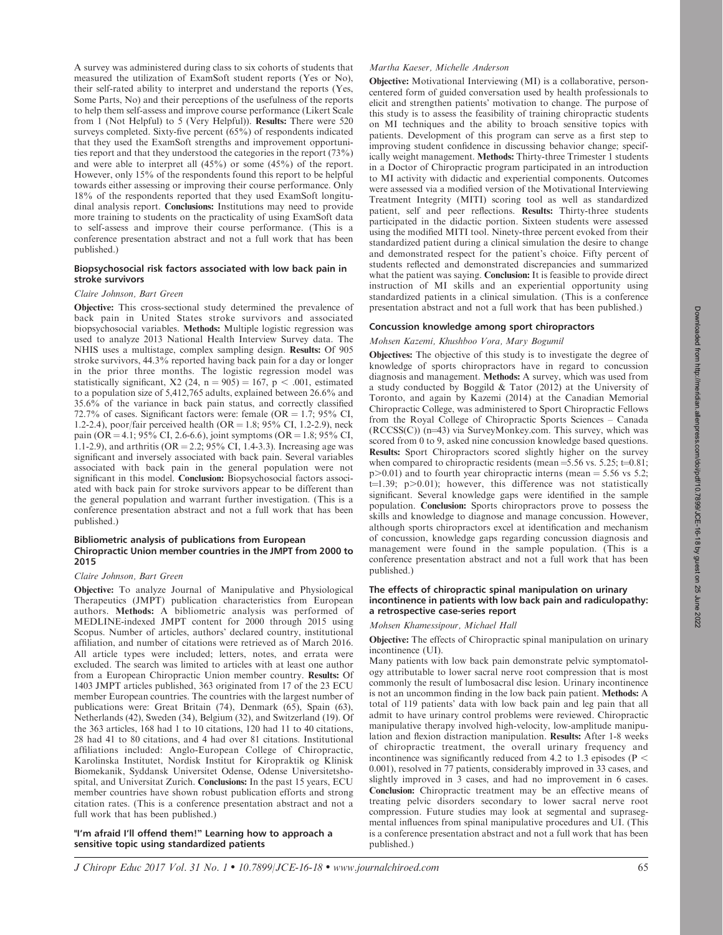A survey was administered during class to six cohorts of students that measured the utilization of ExamSoft student reports (Yes or No), their self-rated ability to interpret and understand the reports (Yes, Some Parts, No) and their perceptions of the usefulness of the reports to help them self-assess and improve course performance (Likert Scale from 1 (Not Helpful) to 5 (Very Helpful)). Results: There were 520 surveys completed. Sixty-five percent  $(65%)$  of respondents indicated that they used the ExamSoft strengths and improvement opportunities report and that they understood the categories in the report (73%) and were able to interpret all (45%) or some (45%) of the report. However, only 15% of the respondents found this report to be helpful towards either assessing or improving their course performance. Only 18% of the respondents reported that they used ExamSoft longitudinal analysis report. Conclusions: Institutions may need to provide more training to students on the practicality of using ExamSoft data to self-assess and improve their course performance. (This is a conference presentation abstract and not a full work that has been published.)

## Biopsychosocial risk factors associated with low back pain in stroke survivors

#### Claire Johnson, Bart Green

Objective: This cross-sectional study determined the prevalence of back pain in United States stroke survivors and associated biopsychosocial variables. Methods: Multiple logistic regression was used to analyze 2013 National Health Interview Survey data. The NHIS uses a multistage, complex sampling design. Results: Of 905 stroke survivors, 44.3% reported having back pain for a day or longer in the prior three months. The logistic regression model was statistically significant, X2 (24, n = 905) = 167, p < .001, estimated to a population size of 5,412,765 adults, explained between 26.6% and 35.6% of the variance in back pain status, and correctly classified 72.7% of cases. Significant factors were: female  $(OR = 1.7; 95\% \text{ CI},$ 1.2-2.4), poor/fair perceived health  $(OR = 1.8; 95\% \text{ CI}, 1.2-2.9)$ , neck pain (OR = 4.1; 95% CI, 2.6-6.6), joint symptoms (OR = 1.8; 95% CI, 1.1-2.9), and arthritis ( $OR = 2.2$ ;  $95\%$  CI, 1.4-3.3). Increasing age was significant and inversely associated with back pain. Several variables associated with back pain in the general population were not significant in this model. Conclusion: Biopsychosocial factors associated with back pain for stroke survivors appear to be different than the general population and warrant further investigation. (This is a conference presentation abstract and not a full work that has been published.)

#### Bibliometric analysis of publications from European Chiropractic Union member countries in the JMPT from 2000 to 2015

## Claire Johnson, Bart Green

Objective: To analyze Journal of Manipulative and Physiological Therapeutics (JMPT) publication characteristics from European authors. Methods: A bibliometric analysis was performed of MEDLINE-indexed JMPT content for 2000 through 2015 using Scopus. Number of articles, authors' declared country, institutional affiliation, and number of citations were retrieved as of March 2016. All article types were included; letters, notes, and errata were excluded. The search was limited to articles with at least one author from a European Chiropractic Union member country. Results: Of 1403 JMPT articles published, 363 originated from 17 of the 23 ECU member European countries. The countries with the largest number of publications were: Great Britain (74), Denmark (65), Spain (63), Netherlands (42), Sweden (34), Belgium (32), and Switzerland (19). Of the 363 articles, 168 had 1 to 10 citations, 120 had 11 to 40 citations, 28 had 41 to 80 citations, and 4 had over 81 citations. Institutional affiliations included: Anglo-European College of Chiropractic, Karolinska Institutet, Nordisk Institut for Kiropraktik og Klinisk Biomekanik, Syddansk Universitet Odense, Odense Universitetshospital, and Universitat Zurich. Conclusions: In the past 15 years, ECU member countries have shown robust publication efforts and strong citation rates. (This is a conference presentation abstract and not a full work that has been published.)

"I'm afraid I'll offend them!'' Learning how to approach a sensitive topic using standardized patients

## Martha Kaeser, Michelle Anderson

Objective: Motivational Interviewing (MI) is a collaborative, personcentered form of guided conversation used by health professionals to elicit and strengthen patients' motivation to change. The purpose of this study is to assess the feasibility of training chiropractic students on MI techniques and the ability to broach sensitive topics with patients. Development of this program can serve as a first step to improving student confidence in discussing behavior change; specifically weight management. Methods: Thirty-three Trimester 1 students in a Doctor of Chiropractic program participated in an introduction to MI activity with didactic and experiential components. Outcomes were assessed via a modified version of the Motivational Interviewing Treatment Integrity (MITI) scoring tool as well as standardized patient, self and peer reflections. Results: Thirty-three students participated in the didactic portion. Sixteen students were assessed using the modified MITI tool. Ninety-three percent evoked from their standardized patient during a clinical simulation the desire to change and demonstrated respect for the patient's choice. Fifty percent of students reflected and demonstrated discrepancies and summarized what the patient was saying. **Conclusion:** It is feasible to provide direct instruction of MI skills and an experiential opportunity using standardized patients in a clinical simulation. (This is a conference presentation abstract and not a full work that has been published.)

## Concussion knowledge among sport chiropractors

#### Mohsen Kazemi, Khushboo Vora, Mary Bogumil

Objectives: The objective of this study is to investigate the degree of knowledge of sports chiropractors have in regard to concussion diagnosis and management. Methods: A survey, which was used from a study conducted by Boggild & Tator (2012) at the University of Toronto, and again by Kazemi (2014) at the Canadian Memorial Chiropractic College, was administered to Sport Chiropractic Fellows from the Royal College of Chiropractic Sports Sciences – Canada  $(RCCSS(C))$  (n=43) via SurveyMonkey.com. This survey, which was scored from 0 to 9, asked nine concussion knowledge based questions. Results: Sport Chiropractors scored slightly higher on the survey when compared to chiropractic residents (mean =  $5.56$  vs.  $5.25$ ; t= $0.81$ ;  $p > 0.01$ ) and to fourth year chiropractic interns (mean = 5.56 vs 5.2;  $t=1.39$ ;  $p>0.01$ ); however, this difference was not statistically significant. Several knowledge gaps were identified in the sample population. Conclusion: Sports chiropractors prove to possess the skills and knowledge to diagnose and manage concussion. However, although sports chiropractors excel at identification and mechanism of concussion, knowledge gaps regarding concussion diagnosis and management were found in the sample population. (This is a conference presentation abstract and not a full work that has been published.)

# The effects of chiropractic spinal manipulation on urinary incontinence in patients with low back pain and radiculopathy: a retrospective case-series report

#### Mohsen Khamessipour, Michael Hall

Objective: The effects of Chiropractic spinal manipulation on urinary incontinence (UI).

Many patients with low back pain demonstrate pelvic symptomatology attributable to lower sacral nerve root compression that is most commonly the result of lumbosacral disc lesion. Urinary incontinence is not an uncommon finding in the low back pain patient. Methods: A total of 119 patients' data with low back pain and leg pain that all admit to have urinary control problems were reviewed. Chiropractic manipulative therapy involved high-velocity, low-amplitude manipulation and flexion distraction manipulation. Results: After 1-8 weeks of chiropractic treatment, the overall urinary frequency and incontinence was significantly reduced from 4.2 to 1.3 episodes ( $P <$ 0.001), resolved in 77 patients, considerably improved in 33 cases, and slightly improved in 3 cases, and had no improvement in 6 cases. Conclusion: Chiropractic treatment may be an effective means of treating pelvic disorders secondary to lower sacral nerve root compression. Future studies may look at segmental and suprasegmental influences from spinal manipulative procedures and UI. (This is a conference presentation abstract and not a full work that has been published.)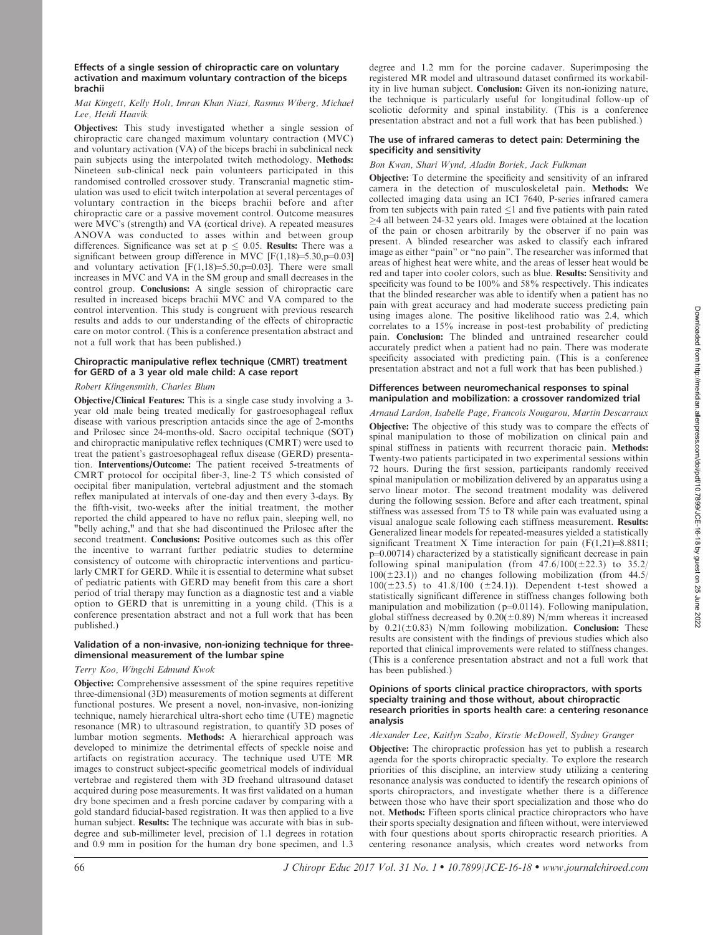## Effects of a single session of chiropractic care on voluntary activation and maximum voluntary contraction of the biceps brachii

## Mat Kingett, Kelly Holt, Imran Khan Niazi, Rasmus Wiberg, Michael Lee, Heidi Haavik

Objectives: This study investigated whether a single session of chiropractic care changed maximum voluntary contraction (MVC) and voluntary activation (VA) of the biceps brachi in subclinical neck pain subjects using the interpolated twitch methodology. Methods: Nineteen sub-clinical neck pain volunteers participated in this randomised controlled crossover study. Transcranial magnetic stimulation was used to elicit twitch interpolation at several percentages of voluntary contraction in the biceps brachii before and after chiropractic care or a passive movement control. Outcome measures were MVC's (strength) and VA (cortical drive). A repeated measures ANOVA was conducted to asses within and between group differences. Significance was set at  $p \leq 0.05$ . Results: There was a significant between group difference in MVC  $[F(1,18)=5.30,p=0.03]$ and voluntary activation  $[F(1,18)=5.50,p=0.03]$ . There were small increases in MVC and VA in the SM group and small decreases in the control group. Conclusions: A single session of chiropractic care resulted in increased biceps brachii MVC and VA compared to the control intervention. This study is congruent with previous research results and adds to our understanding of the effects of chiropractic care on motor control. (This is a conference presentation abstract and not a full work that has been published.)

# Chiropractic manipulative reflex technique (CMRT) treatment for GERD of a 3 year old male child: A case report

# Robert Klingensmith, Charles Blum

Objective/Clinical Features: This is a single case study involving a 3 year old male being treated medically for gastroesophageal reflux disease with various prescription antacids since the age of 2-months and Prilosec since 24-months-old. Sacro occipital technique (SOT) and chiropractic manipulative reflex techniques (CMRT) were used to treat the patient's gastroesophageal reflux disease (GERD) presentation. Interventions/Outcome: The patient received 5-treatments of CMRT protocol for occipital fiber-3, line-2 T5 which consisted of occipital fiber manipulation, vertebral adjustment and the stomach reflex manipulated at intervals of one-day and then every 3-days. By the fifth-visit, two-weeks after the initial treatment, the mother reported the child appeared to have no reflux pain, sleeping well, no "belly aching," and that she had discontinued the Prilosec after the second treatment. Conclusions: Positive outcomes such as this offer the incentive to warrant further pediatric studies to determine consistency of outcome with chiropractic interventions and particularly CMRT for GERD. While it is essential to determine what subset of pediatric patients with GERD may benefit from this care a short period of trial therapy may function as a diagnostic test and a viable option to GERD that is unremitting in a young child. (This is a conference presentation abstract and not a full work that has been published.)

# Validation of a non-invasive, non-ionizing technique for threedimensional measurement of the lumbar spine

## Terry Koo, Wingchi Edmund Kwok

Objective: Comprehensive assessment of the spine requires repetitive three-dimensional (3D) measurements of motion segments at different functional postures. We present a novel, non-invasive, non-ionizing technique, namely hierarchical ultra-short echo time (UTE) magnetic resonance (MR) to ultrasound registration, to quantify 3D poses of lumbar motion segments. Methods: A hierarchical approach was developed to minimize the detrimental effects of speckle noise and artifacts on registration accuracy. The technique used UTE MR images to construct subject-specific geometrical models of individual vertebrae and registered them with 3D freehand ultrasound dataset acquired during pose measurements. It was first validated on a human dry bone specimen and a fresh porcine cadaver by comparing with a gold standard fiducial-based registration. It was then applied to a live human subject. Results: The technique was accurate with bias in subdegree and sub-millimeter level, precision of 1.1 degrees in rotation and 0.9 mm in position for the human dry bone specimen, and 1.3 degree and 1.2 mm for the porcine cadaver. Superimposing the registered MR model and ultrasound dataset confirmed its workability in live human subject. Conclusion: Given its non-ionizing nature, the technique is particularly useful for longitudinal follow-up of scoliotic deformity and spinal instability. (This is a conference presentation abstract and not a full work that has been published.)

#### The use of infrared cameras to detect pain: Determining the specificity and sensitivity

# Bon Kwan, Shari Wynd, Aladin Boriek, Jack Fulkman

Objective: To determine the specificity and sensitivity of an infrared camera in the detection of musculoskeletal pain. Methods: We collected imaging data using an ICI 7640, P-series infrared camera from ten subjects with pain rated  $\leq 1$  and five patients with pain rated  $\geq$ 4 all between 24-32 years old. Images were obtained at the location of the pain or chosen arbitrarily by the observer if no pain was present. A blinded researcher was asked to classify each infrared image as either ''pain'' or ''no pain''. The researcher was informed that areas of highest heat were white, and the areas of lesser heat would be red and taper into cooler colors, such as blue. Results: Sensitivity and specificity was found to be 100% and 58% respectively. This indicates that the blinded researcher was able to identify when a patient has no pain with great accuracy and had moderate success predicting pain using images alone. The positive likelihood ratio was 2.4, which correlates to a 15% increase in post-test probability of predicting pain. Conclusion: The blinded and untrained researcher could accurately predict when a patient had no pain. There was moderate specificity associated with predicting pain. (This is a conference presentation abstract and not a full work that has been published.)

## Differences between neuromechanical responses to spinal manipulation and mobilization: a crossover randomized trial

Arnaud Lardon, Isabelle Page, Francois Nougarou, Martin Descarraux Objective: The objective of this study was to compare the effects of spinal manipulation to those of mobilization on clinical pain and spinal stiffness in patients with recurrent thoracic pain. Methods: Twenty-two patients participated in two experimental sessions within 72 hours. During the first session, participants randomly received spinal manipulation or mobilization delivered by an apparatus using a servo linear motor. The second treatment modality was delivered during the following session. Before and after each treatment, spinal stiffness was assessed from T5 to T8 while pain was evaluated using a visual analogue scale following each stiffness measurement. Results: Generalized linear models for repeated-measures yielded a statistically significant Treatment X Time interaction for pain  $(F(1,21)=8.8811;$ p=0.00714) characterized by a statistically significant decrease in pain following spinal manipulation (from  $47.6/100(\pm 22.3)$  to  $35.2/$  $100(\pm 23.1)$ ) and no changes following mobilization (from 44.5/  $100(\pm 23.5)$  to  $41.8/100$  ( $\pm 24.1$ )). Dependent t-test showed a statistically significant difference in stiffness changes following both manipulation and mobilization ( $p=0.0114$ ). Following manipulation, global stiffness decreased by  $0.20(\pm 0.89)$  N/mm whereas it increased by  $0.21(\pm 0.83)$  N/mm following mobilization. Conclusion: These results are consistent with the findings of previous studies which also reported that clinical improvements were related to stiffness changes. (This is a conference presentation abstract and not a full work that has been published.)

#### Opinions of sports clinical practice chiropractors, with sports specialty training and those without, about chiropractic research priorities in sports health care: a centering resonance analysis

# Alexander Lee, Kaitlyn Szabo, Kirstie McDowell, Sydney Granger

Objective: The chiropractic profession has yet to publish a research agenda for the sports chiropractic specialty. To explore the research priorities of this discipline, an interview study utilizing a centering resonance analysis was conducted to identify the research opinions of sports chiropractors, and investigate whether there is a difference between those who have their sport specialization and those who do not. Methods: Fifteen sports clinical practice chiropractors who have their sports specialty designation and fifteen without, were interviewed with four questions about sports chiropractic research priorities. A centering resonance analysis, which creates word networks from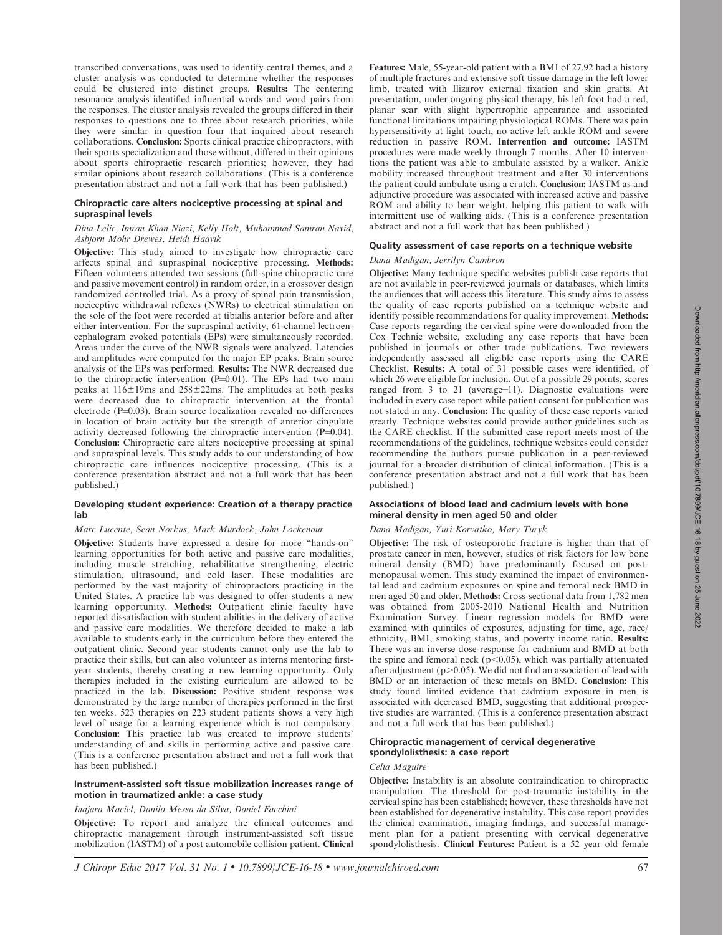transcribed conversations, was used to identify central themes, and a cluster analysis was conducted to determine whether the responses could be clustered into distinct groups. Results: The centering resonance analysis identified influential words and word pairs from the responses. The cluster analysis revealed the groups differed in their responses to questions one to three about research priorities, while they were similar in question four that inquired about research collaborations. Conclusion: Sports clinical practice chiropractors, with their sports specialization and those without, differed in their opinions about sports chiropractic research priorities; however, they had similar opinions about research collaborations. (This is a conference presentation abstract and not a full work that has been published.)

## Chiropractic care alters nociceptive processing at spinal and supraspinal levels

## Dina Lelic, Imran Khan Niazi, Kelly Holt, Muhammad Samran Navid, Asbjorn Mohr Drewes, Heidi Haavik

Objective: This study aimed to investigate how chiropractic care affects spinal and supraspinal nociceptive processing. Methods: Fifteen volunteers attended two sessions (full-spine chiropractic care and passive movement control) in random order, in a crossover design randomized controlled trial. As a proxy of spinal pain transmission, nociceptive withdrawal reflexes (NWRs) to electrical stimulation on the sole of the foot were recorded at tibialis anterior before and after either intervention. For the supraspinal activity, 61-channel lectroencephalogram evoked potentials (EPs) were simultaneously recorded. Areas under the curve of the NWR signals were analyzed. Latencies and amplitudes were computed for the major EP peaks. Brain source analysis of the EPs was performed. Results: The NWR decreased due to the chiropractic intervention  $(P=0.01)$ . The EPs had two main peaks at  $116 \pm 19$ ms and  $258 \pm 22$ ms. The amplitudes at both peaks were decreased due to chiropractic intervention at the frontal electrode ( $P=0.03$ ). Brain source localization revealed no differences in location of brain activity but the strength of anterior cingulate activity decreased following the chiropractic intervention  $(P=0.04)$ . Conclusion: Chiropractic care alters nociceptive processing at spinal and supraspinal levels. This study adds to our understanding of how chiropractic care influences nociceptive processing. (This is a conference presentation abstract and not a full work that has been published.)

# Developing student experience: Creation of a therapy practice lab

## Marc Lucente, Sean Norkus, Mark Murdock, John Lockenour

Objective: Students have expressed a desire for more ''hands-on'' learning opportunities for both active and passive care modalities, including muscle stretching, rehabilitative strengthening, electric stimulation, ultrasound, and cold laser. These modalities are performed by the vast majority of chiropractors practicing in the United States. A practice lab was designed to offer students a new learning opportunity. Methods: Outpatient clinic faculty have reported dissatisfaction with student abilities in the delivery of active and passive care modalities. We therefore decided to make a lab available to students early in the curriculum before they entered the outpatient clinic. Second year students cannot only use the lab to practice their skills, but can also volunteer as interns mentoring firstyear students, thereby creating a new learning opportunity. Only therapies included in the existing curriculum are allowed to be practiced in the lab. Discussion: Positive student response was demonstrated by the large number of therapies performed in the first ten weeks. 523 therapies on 223 student patients shows a very high level of usage for a learning experience which is not compulsory. Conclusion: This practice lab was created to improve students' understanding of and skills in performing active and passive care. (This is a conference presentation abstract and not a full work that has been published.)

## Instrument-assisted soft tissue mobilization increases range of motion in traumatized ankle: a case study

# Inajara Maciel, Danilo Messa da Silva, Daniel Facchini

Objective: To report and analyze the clinical outcomes and chiropractic management through instrument-assisted soft tissue mobilization (IASTM) of a post automobile collision patient. Clinical Features: Male, 55-year-old patient with a BMI of 27.92 had a history of multiple fractures and extensive soft tissue damage in the left lower limb, treated with Ilizarov external fixation and skin grafts. At presentation, under ongoing physical therapy, his left foot had a red, planar scar with slight hypertrophic appearance and associated functional limitations impairing physiological ROMs. There was pain hypersensitivity at light touch, no active left ankle ROM and severe reduction in passive ROM. Intervention and outcome: IASTM procedures were made weekly through 7 months. After 10 interventions the patient was able to ambulate assisted by a walker. Ankle mobility increased throughout treatment and after 30 interventions the patient could ambulate using a crutch. Conclusion: IASTM as and adjunctive procedure was associated with increased active and passive ROM and ability to bear weight, helping this patient to walk with intermittent use of walking aids. (This is a conference presentation abstract and not a full work that has been published.)

# Quality assessment of case reports on a technique website

## Dana Madigan, Jerrilyn Cambron

Objective: Many technique specific websites publish case reports that are not available in peer-reviewed journals or databases, which limits the audiences that will access this literature. This study aims to assess the quality of case reports published on a technique website and identify possible recommendations for quality improvement. Methods: Case reports regarding the cervical spine were downloaded from the Cox Technic website, excluding any case reports that have been published in journals or other trade publications. Two reviewers independently assessed all eligible case reports using the CARE Checklist. Results: A total of 31 possible cases were identified, of which 26 were eligible for inclusion. Out of a possible 29 points, scores ranged from  $3$  to  $21$  (average=11). Diagnostic evaluations were included in every case report while patient consent for publication was not stated in any. Conclusion: The quality of these case reports varied greatly. Technique websites could provide author guidelines such as the CARE checklist. If the submitted case report meets most of the recommendations of the guidelines, technique websites could consider recommending the authors pursue publication in a peer-reviewed journal for a broader distribution of clinical information. (This is a conference presentation abstract and not a full work that has been published.)

# Associations of blood lead and cadmium levels with bone mineral density in men aged 50 and older

# Dana Madigan, Yuri Korvatko, Mary Turyk

Objective: The risk of osteoporotic fracture is higher than that of prostate cancer in men, however, studies of risk factors for low bone mineral density (BMD) have predominantly focused on postmenopausal women. This study examined the impact of environmental lead and cadmium exposures on spine and femoral neck BMD in men aged 50 and older. Methods: Cross-sectional data from 1,782 men was obtained from 2005-2010 National Health and Nutrition Examination Survey. Linear regression models for BMD were examined with quintiles of exposures, adjusting for time, age, race/ ethnicity, BMI, smoking status, and poverty income ratio. Results: There was an inverse dose-response for cadmium and BMD at both the spine and femoral neck ( $p$ <0.05), which was partially attenuated after adjustment ( $p > 0.05$ ). We did not find an association of lead with BMD or an interaction of these metals on BMD. Conclusion: This study found limited evidence that cadmium exposure in men is associated with decreased BMD, suggesting that additional prospective studies are warranted. (This is a conference presentation abstract and not a full work that has been published.)

## Chiropractic management of cervical degenerative spondylolisthesis: a case report

## Celia Maguire

Objective: Instability is an absolute contraindication to chiropractic manipulation. The threshold for post-traumatic instability in the cervical spine has been established; however, these thresholds have not been established for degenerative instability. This case report provides the clinical examination, imaging findings, and successful management plan for a patient presenting with cervical degenerative spondylolisthesis. Clinical Features: Patient is a 52 year old female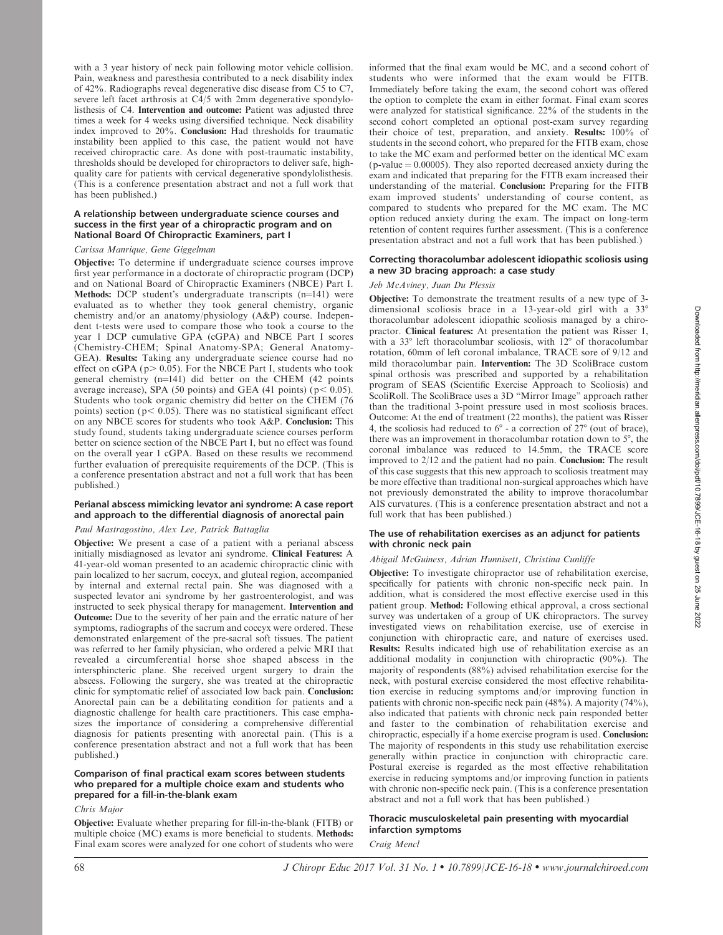with a 3 year history of neck pain following motor vehicle collision. Pain, weakness and paresthesia contributed to a neck disability index of 42%. Radiographs reveal degenerative disc disease from C5 to C7, severe left facet arthrosis at C4/5 with 2mm degenerative spondylolisthesis of C4. Intervention and outcome: Patient was adjusted three times a week for 4 weeks using diversified technique. Neck disability index improved to 20%. Conclusion: Had thresholds for traumatic instability been applied to this case, the patient would not have received chiropractic care. As done with post-traumatic instability, thresholds should be developed for chiropractors to deliver safe, highquality care for patients with cervical degenerative spondylolisthesis. (This is a conference presentation abstract and not a full work that has been published.)

## A relationship between undergraduate science courses and success in the first year of a chiropractic program and on National Board Of Chiropractic Examiners, part I

## Carissa Manrique, Gene Giggelman

Objective: To determine if undergraduate science courses improve first year performance in a doctorate of chiropractic program (DCP) and on National Board of Chiropractic Examiners (NBCE) Part I. Methods: DCP student's undergraduate transcripts  $(n=141)$  were evaluated as to whether they took general chemistry, organic chemistry and/or an anatomy/physiology (A&P) course. Independent t-tests were used to compare those who took a course to the year 1 DCP cumulative GPA (cGPA) and NBCE Part I scores (Chemistry-CHEM; Spinal Anatomy-SPA; General Anatomy-GEA). Results: Taking any undergraduate science course had no effect on cGPA ( $p$  > 0.05). For the NBCE Part I, students who took general chemistry  $(n=141)$  did better on the CHEM (42 points average increase), SPA (50 points) and GEA (41 points) ( $p < 0.05$ ). Students who took organic chemistry did better on the CHEM (76 points) section ( $p < 0.05$ ). There was no statistical significant effect on any NBCE scores for students who took A&P. Conclusion: This study found, students taking undergraduate science courses perform better on science section of the NBCE Part I, but no effect was found on the overall year 1 cGPA. Based on these results we recommend further evaluation of prerequisite requirements of the DCP. (This is a conference presentation abstract and not a full work that has been published.)

# Perianal abscess mimicking levator ani syndrome: A case report and approach to the differential diagnosis of anorectal pain

# Paul Mastragostino, Alex Lee, Patrick Battaglia

Objective: We present a case of a patient with a perianal abscess initially misdiagnosed as levator ani syndrome. Clinical Features: A 41-year-old woman presented to an academic chiropractic clinic with pain localized to her sacrum, coccyx, and gluteal region, accompanied by internal and external rectal pain. She was diagnosed with a suspected levator ani syndrome by her gastroenterologist, and was instructed to seek physical therapy for management. Intervention and Outcome: Due to the severity of her pain and the erratic nature of her symptoms, radiographs of the sacrum and coccyx were ordered. These demonstrated enlargement of the pre-sacral soft tissues. The patient was referred to her family physician, who ordered a pelvic MRI that revealed a circumferential horse shoe shaped abscess in the intersphincteric plane. She received urgent surgery to drain the abscess. Following the surgery, she was treated at the chiropractic clinic for symptomatic relief of associated low back pain. Conclusion: Anorectal pain can be a debilitating condition for patients and a diagnostic challenge for health care practitioners. This case emphasizes the importance of considering a comprehensive differential diagnosis for patients presenting with anorectal pain. (This is a conference presentation abstract and not a full work that has been published.)

## Comparison of final practical exam scores between students who prepared for a multiple choice exam and students who prepared for a fill-in-the-blank exam

## Chris Major

Objective: Evaluate whether preparing for fill-in-the-blank (FITB) or multiple choice (MC) exams is more beneficial to students. Methods: Final exam scores were analyzed for one cohort of students who were informed that the final exam would be MC, and a second cohort of students who were informed that the exam would be FITB. Immediately before taking the exam, the second cohort was offered the option to complete the exam in either format. Final exam scores were analyzed for statistical significance. 22% of the students in the second cohort completed an optional post-exam survey regarding their choice of test, preparation, and anxiety. Results: 100% of students in the second cohort, who prepared for the FITB exam, chose to take the MC exam and performed better on the identical MC exam ( $p$ -value  $= 0.00005$ ). They also reported decreased anxiety during the exam and indicated that preparing for the FITB exam increased their understanding of the material. Conclusion: Preparing for the FITB exam improved students' understanding of course content, as compared to students who prepared for the MC exam. The MC option reduced anxiety during the exam. The impact on long-term retention of content requires further assessment. (This is a conference presentation abstract and not a full work that has been published.)

## Correcting thoracolumbar adolescent idiopathic scoliosis using a new 3D bracing approach: a case study

## Jeb McAviney, Juan Du Plessis

Objective: To demonstrate the treatment results of a new type of 3 dimensional scoliosis brace in a 13-year-old girl with a  $33^\circ$ thoracolumbar adolescent idiopathic scoliosis managed by a chiropractor. Clinical features: At presentation the patient was Risser 1, with a  $33^{\circ}$  left thoracolumbar scoliosis, with  $12^{\circ}$  of thoracolumbar rotation, 60mm of left coronal imbalance, TRACE sore of 9/12 and mild thoracolumbar pain. Intervention: The 3D ScoliBrace custom spinal orthosis was prescribed and supported by a rehabilitation program of SEAS (Scientific Exercise Approach to Scoliosis) and ScoliRoll. The ScoliBrace uses a 3D "Mirror Image" approach rather than the traditional 3-point pressure used in most scoliosis braces. Outcome: At the end of treatment (22 months), the patient was Risser 4, the scoliosis had reduced to  $6^\circ$  - a correction of  $27^\circ$  (out of brace), there was an improvement in thoracolumbar rotation down to  $5^\circ$ , the coronal imbalance was reduced to 14.5mm, the TRACE score improved to 2/12 and the patient had no pain. Conclusion: The result of this case suggests that this new approach to scoliosis treatment may be more effective than traditional non-surgical approaches which have not previously demonstrated the ability to improve thoracolumbar AIS curvatures. (This is a conference presentation abstract and not a full work that has been published.)

## The use of rehabilitation exercises as an adjunct for patients with chronic neck pain

#### Abigail McGuiness, Adrian Hunnisett, Christina Cunliffe

Objective: To investigate chiropractor use of rehabilitation exercise, specifically for patients with chronic non-specific neck pain. In addition, what is considered the most effective exercise used in this patient group. Method: Following ethical approval, a cross sectional survey was undertaken of a group of UK chiropractors. The survey investigated views on rehabilitation exercise, use of exercise in conjunction with chiropractic care, and nature of exercises used. Results: Results indicated high use of rehabilitation exercise as an additional modality in conjunction with chiropractic (90%). The majority of respondents (88%) advised rehabilitation exercise for the neck, with postural exercise considered the most effective rehabilitation exercise in reducing symptoms and/or improving function in patients with chronic non-specific neck pain (48%). A majority (74%), also indicated that patients with chronic neck pain responded better and faster to the combination of rehabilitation exercise and chiropractic, especially if a home exercise program is used. Conclusion: The majority of respondents in this study use rehabilitation exercise generally within practice in conjunction with chiropractic care. Postural exercise is regarded as the most effective rehabilitation exercise in reducing symptoms and/or improving function in patients with chronic non-specific neck pain. (This is a conference presentation abstract and not a full work that has been published.)

# Thoracic musculoskeletal pain presenting with myocardial infarction symptoms

# Craig Mencl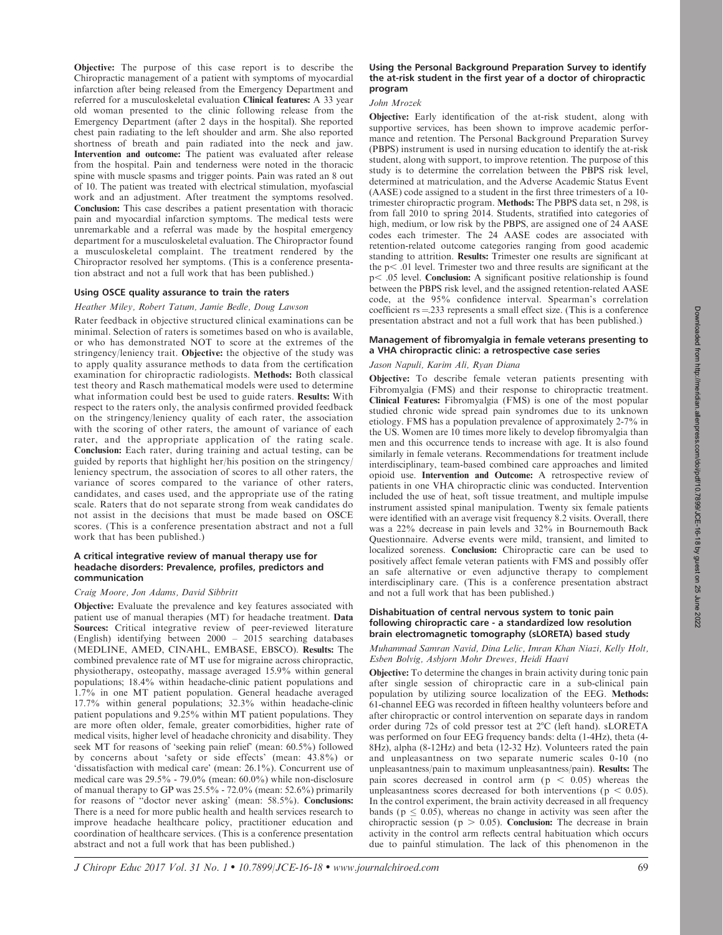Objective: The purpose of this case report is to describe the Chiropractic management of a patient with symptoms of myocardial infarction after being released from the Emergency Department and referred for a musculoskeletal evaluation Clinical features: A 33 year old woman presented to the clinic following release from the Emergency Department (after 2 days in the hospital). She reported chest pain radiating to the left shoulder and arm. She also reported shortness of breath and pain radiated into the neck and jaw. Intervention and outcome: The patient was evaluated after release from the hospital. Pain and tenderness were noted in the thoracic spine with muscle spasms and trigger points. Pain was rated an 8 out of 10. The patient was treated with electrical stimulation, myofascial work and an adjustment. After treatment the symptoms resolved. Conclusion: This case describes a patient presentation with thoracic pain and myocardial infarction symptoms. The medical tests were unremarkable and a referral was made by the hospital emergency department for a musculoskeletal evaluation. The Chiropractor found a musculoskeletal complaint. The treatment rendered by the Chiropractor resolved her symptoms. (This is a conference presentation abstract and not a full work that has been published.)

## Using OSCE quality assurance to train the raters

# Heather Miley, Robert Tatum, Jamie Bedle, Doug Lawson

Rater feedback in objective structured clinical examinations can be minimal. Selection of raters is sometimes based on who is available, or who has demonstrated NOT to score at the extremes of the stringency/leniency trait. Objective: the objective of the study was to apply quality assurance methods to data from the certification examination for chiropractic radiologists. Methods: Both classical test theory and Rasch mathematical models were used to determine what information could best be used to guide raters. Results: With respect to the raters only, the analysis confirmed provided feedback on the stringency/leniency quality of each rater, the association with the scoring of other raters, the amount of variance of each rater, and the appropriate application of the rating scale. Conclusion: Each rater, during training and actual testing, can be guided by reports that highlight her/his position on the stringency/ leniency spectrum, the association of scores to all other raters, the variance of scores compared to the variance of other raters, candidates, and cases used, and the appropriate use of the rating scale. Raters that do not separate strong from weak candidates do not assist in the decisions that must be made based on OSCE scores. (This is a conference presentation abstract and not a full work that has been published.)

## A critical integrative review of manual therapy use for headache disorders: Prevalence, profiles, predictors and communication

## Craig Moore, Jon Adams, David Sibbritt

Objective: Evaluate the prevalence and key features associated with patient use of manual therapies (MT) for headache treatment. Data Sources: Critical integrative review of peer-reviewed literature (English) identifying between 2000 – 2015 searching databases (MEDLINE, AMED, CINAHL, EMBASE, EBSCO). Results: The combined prevalence rate of MT use for migraine across chiropractic, physiotherapy, osteopathy, massage averaged 15.9% within general populations; 18.4% within headache-clinic patient populations and 1.7% in one MT patient population. General headache averaged 17.7% within general populations; 32.3% within headache-clinic patient populations and 9.25% within MT patient populations. They are more often older, female, greater comorbidities, higher rate of medical visits, higher level of headache chronicity and disability. They seek MT for reasons of 'seeking pain relief' (mean: 60.5%) followed by concerns about 'safety or side effects' (mean: 43.8%) or 'dissatisfaction with medical care' (mean: 26.1%). Concurrent use of medical care was 29.5% - 79.0% (mean: 60.0%) while non-disclosure of manual therapy to GP was 25.5% - 72.0% (mean: 52.6%) primarily for reasons of ''doctor never asking' (mean: 58.5%). Conclusions: There is a need for more public health and health services research to improve headache healthcare policy, practitioner education and coordination of healthcare services. (This is a conference presentation abstract and not a full work that has been published.)

## Using the Personal Background Preparation Survey to identify the at-risk student in the first year of a doctor of chiropractic program

## John Mrozek

Objective: Early identification of the at-risk student, along with supportive services, has been shown to improve academic performance and retention. The Personal Background Preparation Survey (PBPS) instrument is used in nursing education to identify the at-risk student, along with support, to improve retention. The purpose of this study is to determine the correlation between the PBPS risk level, determined at matriculation, and the Adverse Academic Status Event (AASE) code assigned to a student in the first three trimesters of a 10 trimester chiropractic program. Methods: The PBPS data set, n 298, is from fall 2010 to spring 2014. Students, stratified into categories of high, medium, or low risk by the PBPS, are assigned one of 24 AASE codes each trimester. The 24 AASE codes are associated with retention-related outcome categories ranging from good academic standing to attrition. Results: Trimester one results are significant at the  $p<$  .01 level. Trimester two and three results are significant at the  $p<$ .05 level. Conclusion: A significant positive relationship is found between the PBPS risk level, and the assigned retention-related AASE code, at the 95% confidence interval. Spearman's correlation coefficient  $rs = 233$  represents a small effect size. (This is a conference presentation abstract and not a full work that has been published.)

# Management of fibromyalgia in female veterans presenting to a VHA chiropractic clinic: a retrospective case series

# Jason Napuli, Karim Ali, Ryan Diana

Objective: To describe female veteran patients presenting with Fibromyalgia (FMS) and their response to chiropractic treatment. Clinical Features: Fibromyalgia (FMS) is one of the most popular studied chronic wide spread pain syndromes due to its unknown etiology. FMS has a population prevalence of approximately 2-7% in the US. Women are 10 times more likely to develop fibromyalgia than men and this occurrence tends to increase with age. It is also found similarly in female veterans. Recommendations for treatment include interdisciplinary, team-based combined care approaches and limited opioid use. Intervention and Outcome: A retrospective review of patients in one VHA chiropractic clinic was conducted. Intervention included the use of heat, soft tissue treatment, and multiple impulse instrument assisted spinal manipulation. Twenty six female patients were identified with an average visit frequency 8.2 visits. Overall, there was a 22% decrease in pain levels and 32% in Bournemouth Back Questionnaire. Adverse events were mild, transient, and limited to localized soreness. Conclusion: Chiropractic care can be used to positively affect female veteran patients with FMS and possibly offer an safe alternative or even adjunctive therapy to complement interdisciplinary care. (This is a conference presentation abstract and not a full work that has been published.)

## Dishabituation of central nervous system to tonic pain following chiropractic care - a standardized low resolution brain electromagnetic tomography (sLORETA) based study

Muhammad Samran Navid, Dina Lelic, Imran Khan Niazi, Kelly Holt, Esben Bolvig, Asbjorn Mohr Drewes, Heidi Haavi

Objective: To determine the changes in brain activity during tonic pain after single session of chiropractic care in a sub-clinical pain population by utilizing source localization of the EEG. Methods: 61-channel EEG was recorded in fifteen healthy volunteers before and after chiropractic or control intervention on separate days in random order during 72s of cold pressor test at  $2^{\circ}$ C (left hand). sLORETA was performed on four EEG frequency bands: delta (1-4Hz), theta (4- 8Hz), alpha (8-12Hz) and beta (12-32 Hz). Volunteers rated the pain and unpleasantness on two separate numeric scales 0-10 (no unpleasantness/pain to maximum unpleasantness/pain). Results: The pain scores decreased in control arm  $(p < 0.05)$  whereas the unpleasantness scores decreased for both interventions ( $p < 0.05$ ). In the control experiment, the brain activity decreased in all frequency bands ( $p \leq 0.05$ ), whereas no change in activity was seen after the chiropractic session ( $p > 0.05$ ). Conclusion: The decrease in brain activity in the control arm reflects central habituation which occurs due to painful stimulation. The lack of this phenomenon in the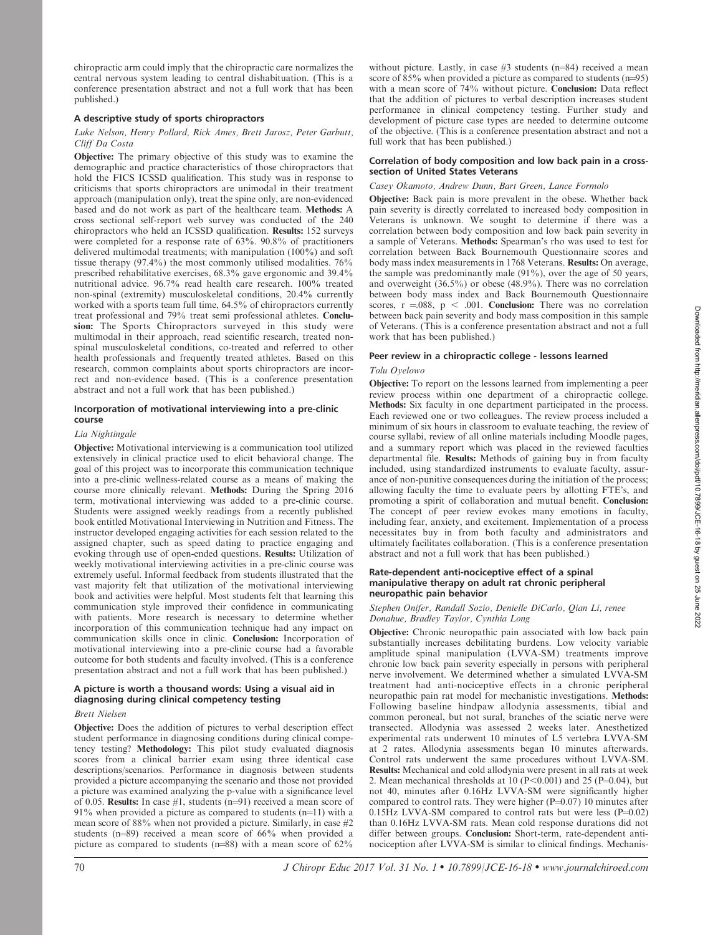chiropractic arm could imply that the chiropractic care normalizes the central nervous system leading to central dishabituation. (This is a conference presentation abstract and not a full work that has been published.)

# A descriptive study of sports chiropractors

## Luke Nelson, Henry Pollard, Rick Ames, Brett Jarosz, Peter Garbutt, Cliff Da Costa

Objective: The primary objective of this study was to examine the demographic and practice characteristics of those chiropractors that hold the FICS ICSSD qualification. This study was in response to criticisms that sports chiropractors are unimodal in their treatment approach (manipulation only), treat the spine only, are non-evidenced based and do not work as part of the healthcare team. Methods: A cross sectional self-report web survey was conducted of the 240 chiropractors who held an ICSSD qualification. Results: 152 surveys were completed for a response rate of 63%. 90.8% of practitioners delivered multimodal treatments; with manipulation (100%) and soft tissue therapy (97.4%) the most commonly utilised modalities. 76% prescribed rehabilitative exercises, 68.3% gave ergonomic and 39.4% nutritional advice. 96.7% read health care research. 100% treated non-spinal (extremity) musculoskeletal conditions, 20.4% currently worked with a sports team full time, 64.5% of chiropractors currently treat professional and 79% treat semi professional athletes. Conclusion: The Sports Chiropractors surveyed in this study were multimodal in their approach, read scientific research, treated nonspinal musculoskeletal conditions, co-treated and referred to other health professionals and frequently treated athletes. Based on this research, common complaints about sports chiropractors are incorrect and non-evidence based. (This is a conference presentation abstract and not a full work that has been published.)

# Incorporation of motivational interviewing into a pre-clinic course

# Lia Nightingale

Objective: Motivational interviewing is a communication tool utilized extensively in clinical practice used to elicit behavioral change. The goal of this project was to incorporate this communication technique into a pre-clinic wellness-related course as a means of making the course more clinically relevant. Methods: During the Spring 2016 term, motivational interviewing was added to a pre-clinic course. Students were assigned weekly readings from a recently published book entitled Motivational Interviewing in Nutrition and Fitness. The instructor developed engaging activities for each session related to the assigned chapter, such as speed dating to practice engaging and evoking through use of open-ended questions. Results: Utilization of weekly motivational interviewing activities in a pre-clinic course was extremely useful. Informal feedback from students illustrated that the vast majority felt that utilization of the motivational interviewing book and activities were helpful. Most students felt that learning this communication style improved their confidence in communicating with patients. More research is necessary to determine whether incorporation of this communication technique had any impact on communication skills once in clinic. Conclusion: Incorporation of motivational interviewing into a pre-clinic course had a favorable outcome for both students and faculty involved. (This is a conference presentation abstract and not a full work that has been published.)

# A picture is worth a thousand words: Using a visual aid in diagnosing during clinical competency testing

## Brett Nielsen

Objective: Does the addition of pictures to verbal description effect student performance in diagnosing conditions during clinical competency testing? Methodology: This pilot study evaluated diagnosis scores from a clinical barrier exam using three identical case descriptions/scenarios. Performance in diagnosis between students provided a picture accompanying the scenario and those not provided a picture was examined analyzing the p-value with a significance level of 0.05. Results: In case  $#1$ , students (n=91) received a mean score of 91% when provided a picture as compared to students  $(n=11)$  with a mean score of 88% when not provided a picture. Similarly, in case #2 students ( $n=89$ ) received a mean score of 66% when provided a picture as compared to students ( $n=88$ ) with a mean score of 62%

without picture. Lastly, in case  $#3$  students (n=84) received a mean score of  $85\%$  when provided a picture as compared to students (n=95) with a mean score of 74% without picture. Conclusion: Data reflect that the addition of pictures to verbal description increases student performance in clinical competency testing. Further study and development of picture case types are needed to determine outcome of the objective. (This is a conference presentation abstract and not a full work that has been published.)

## Correlation of body composition and low back pain in a crosssection of United States Veterans

# Casey Okamoto, Andrew Dunn, Bart Green, Lance Formolo

Objective: Back pain is more prevalent in the obese. Whether back pain severity is directly correlated to increased body composition in Veterans is unknown. We sought to determine if there was a correlation between body composition and low back pain severity in a sample of Veterans. Methods: Spearman's rho was used to test for correlation between Back Bournemouth Questionnaire scores and body mass index measurements in 1768 Veterans. Results: On average, the sample was predominantly male (91%), over the age of 50 years, and overweight (36.5%) or obese (48.9%). There was no correlation between body mass index and Back Bournemouth Questionnaire scores,  $r = 0.088$ ,  $p < .001$ . Conclusion: There was no correlation between back pain severity and body mass composition in this sample of Veterans. (This is a conference presentation abstract and not a full work that has been published.)

# Peer review in a chiropractic college - lessons learned

# Tolu Oyelowo

Objective: To report on the lessons learned from implementing a peer review process within one department of a chiropractic college. Methods: Six faculty in one department participated in the process. Each reviewed one or two colleagues. The review process included a minimum of six hours in classroom to evaluate teaching, the review of course syllabi, review of all online materials including Moodle pages, and a summary report which was placed in the reviewed faculties departmental file. Results: Methods of gaining buy in from faculty included, using standardized instruments to evaluate faculty, assurance of non-punitive consequences during the initiation of the process; allowing faculty the time to evaluate peers by allotting FTE's, and promoting a spirit of collaboration and mutual benefit. Conclusion: The concept of peer review evokes many emotions in faculty, including fear, anxiety, and excitement. Implementation of a process necessitates buy in from both faculty and administrators and ultimately facilitates collaboration. (This is a conference presentation abstract and not a full work that has been published.)

## Rate-dependent anti-nociceptive effect of a spinal manipulative therapy on adult rat chronic peripheral neuropathic pain behavior

## Stephen Onifer, Randall Sozio, Denielle DiCarlo, Qian Li, renee Donahue, Bradley Taylor, Cynthia Long

Objective: Chronic neuropathic pain associated with low back pain substantially increases debilitating burdens. Low velocity variable amplitude spinal manipulation (LVVA-SM) treatments improve chronic low back pain severity especially in persons with peripheral nerve involvement. We determined whether a simulated LVVA-SM treatment had anti-nociceptive effects in a chronic peripheral neuropathic pain rat model for mechanistic investigations. Methods: Following baseline hindpaw allodynia assessments, tibial and common peroneal, but not sural, branches of the sciatic nerve were transected. Allodynia was assessed 2 weeks later. Anesthetized experimental rats underwent 10 minutes of L5 vertebra LVVA-SM at 2 rates. Allodynia assessments began 10 minutes afterwards. Control rats underwent the same procedures without LVVA-SM. Results: Mechanical and cold allodynia were present in all rats at week 2. Mean mechanical thresholds at  $10$  (P<0.001) and 25 (P=0.04), but not 40, minutes after 0.16Hz LVVA-SM were significantly higher compared to control rats. They were higher  $(P=0.07)$  10 minutes after  $0.15$ Hz LVVA-SM compared to control rats but were less (P=0.02) than 0.16Hz LVVA-SM rats. Mean cold response durations did not differ between groups. Conclusion: Short-term, rate-dependent antinociception after LVVA-SM is similar to clinical findings. Mechanis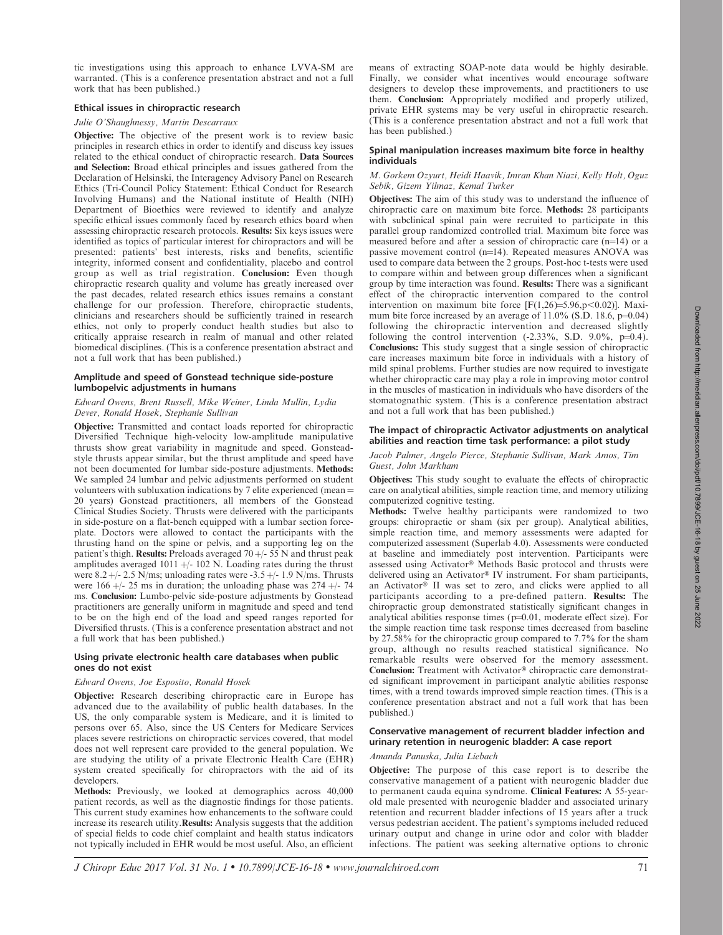tic investigations using this approach to enhance LVVA-SM are warranted. (This is a conference presentation abstract and not a full work that has been published.)

# Ethical issues in chiropractic research

# Julie O'Shaughnessy, Martin Descarraux

Objective: The objective of the present work is to review basic principles in research ethics in order to identify and discuss key issues related to the ethical conduct of chiropractic research. Data Sources and Selection: Broad ethical principles and issues gathered from the Declaration of Helsinski, the Interagency Advisory Panel on Research Ethics (Tri-Council Policy Statement: Ethical Conduct for Research Involving Humans) and the National institute of Health (NIH) Department of Bioethics were reviewed to identify and analyze specific ethical issues commonly faced by research ethics board when assessing chiropractic research protocols. Results: Six keys issues were identified as topics of particular interest for chiropractors and will be presented: patients' best interests, risks and benefits, scientific integrity, informed consent and confidentiality, placebo and control group as well as trial registration. Conclusion: Even though chiropractic research quality and volume has greatly increased over the past decades, related research ethics issues remains a constant challenge for our profession. Therefore, chiropractic students, clinicians and researchers should be sufficiently trained in research ethics, not only to properly conduct health studies but also to critically appraise research in realm of manual and other related biomedical disciplines. (This is a conference presentation abstract and not a full work that has been published.)

# Amplitude and speed of Gonstead technique side-posture lumbopelvic adjustments in humans

# Edward Owens, Brent Russell, Mike Weiner, Linda Mullin, Lydia Dever, Ronald Hosek, Stephanie Sullivan

Objective: Transmitted and contact loads reported for chiropractic Diversified Technique high-velocity low-amplitude manipulative thrusts show great variability in magnitude and speed. Gonsteadstyle thrusts appear similar, but the thrust amplitude and speed have not been documented for lumbar side-posture adjustments. Methods: We sampled 24 lumbar and pelvic adjustments performed on student volunteers with subluxation indications by 7 elite experienced (mean  $=$ 20 years) Gonstead practitioners, all members of the Gonstead Clinical Studies Society. Thrusts were delivered with the participants in side-posture on a flat-bench equipped with a lumbar section forceplate. Doctors were allowed to contact the participants with the thrusting hand on the spine or pelvis, and a supporting leg on the patient's thigh. Results: Preloads averaged  $70 +/- 55$  N and thrust peak amplitudes averaged  $1011 + - 102$  N. Loading rates during the thrust were  $8.2 +/- 2.5$  N/ms; unloading rates were  $-3.5 +/- 1.9$  N/ms. Thrusts were  $166 +$ /- 25 ms in duration; the unloading phase was  $274 +$ /- 74 ms. Conclusion: Lumbo-pelvic side-posture adjustments by Gonstead practitioners are generally uniform in magnitude and speed and tend to be on the high end of the load and speed ranges reported for Diversified thrusts. (This is a conference presentation abstract and not a full work that has been published.)

# Using private electronic health care databases when public ones do not exist

# Edward Owens, Joe Esposito, Ronald Hosek

Objective: Research describing chiropractic care in Europe has advanced due to the availability of public health databases. In the US, the only comparable system is Medicare, and it is limited to persons over 65. Also, since the US Centers for Medicare Services places severe restrictions on chiropractic services covered, that model does not well represent care provided to the general population. We are studying the utility of a private Electronic Health Care (EHR) system created specifically for chiropractors with the aid of its developers.

Methods: Previously, we looked at demographics across 40,000 patient records, as well as the diagnostic findings for those patients. This current study examines how enhancements to the software could increase its research utility.Results: Analysis suggests that the addition of special fields to code chief complaint and health status indicators not typically included in EHR would be most useful. Also, an efficient means of extracting SOAP-note data would be highly desirable. Finally, we consider what incentives would encourage software designers to develop these improvements, and practitioners to use them. Conclusion: Appropriately modified and properly utilized, private EHR systems may be very useful in chiropractic research. (This is a conference presentation abstract and not a full work that has been published.)

# Spinal manipulation increases maximum bite force in healthy individuals

# M. Gorkem Ozyurt, Heidi Haavik, Imran Khan Niazi, Kelly Holt, Oguz Sebik, Gizem Yilmaz, Kemal Turker

Objectives: The aim of this study was to understand the influence of chiropractic care on maximum bite force. Methods: 28 participants with subclinical spinal pain were recruited to participate in this parallel group randomized controlled trial. Maximum bite force was measured before and after a session of chiropractic care  $(n=14)$  or a passive movement control  $(n=14)$ . Repeated measures ANOVA was used to compare data between the 2 groups. Post-hoc t-tests were used to compare within and between group differences when a significant group by time interaction was found. Results: There was a significant effect of the chiropractic intervention compared to the control intervention on maximum bite force  $[F(1,26)=5.96, p<0.02)]$ . Maximum bite force increased by an average of  $11.0\%$  (S.D. 18.6, p=0.04) following the chiropractic intervention and decreased slightly following the control intervention  $(-2.33\%, S.D. 9.0\%, p=0.4)$ . Conclusions: This study suggest that a single session of chiropractic care increases maximum bite force in individuals with a history of mild spinal problems. Further studies are now required to investigate whether chiropractic care may play a role in improving motor control in the muscles of mastication in individuals who have disorders of the stomatognathic system. (This is a conference presentation abstract and not a full work that has been published.)

# The impact of chiropractic Activator adjustments on analytical abilities and reaction time task performance: a pilot study

# Jacob Palmer, Angelo Pierce, Stephanie Sullivan, Mark Amos, Tim Guest, John Markham

Objectives: This study sought to evaluate the effects of chiropractic care on analytical abilities, simple reaction time, and memory utilizing computerized cognitive testing.

Methods: Twelve healthy participants were randomized to two groups: chiropractic or sham (six per group). Analytical abilities, simple reaction time, and memory assessments were adapted for computerized assessment (Superlab 4.0). Assessments were conducted at baseline and immediately post intervention. Participants were assessed using Activator® Methods Basic protocol and thrusts were delivered using an Activator® IV instrument. For sham participants, an Activator<sup>®</sup> II was set to zero, and clicks were applied to all participants according to a pre-defined pattern. Results: The chiropractic group demonstrated statistically significant changes in analytical abilities response times  $(p=0.01,$  moderate effect size). For the simple reaction time task response times decreased from baseline by 27.58% for the chiropractic group compared to 7.7% for the sham group, although no results reached statistical significance. No remarkable results were observed for the memory assessment. Conclusion: Treatment with Activator® chiropractic care demonstrated significant improvement in participant analytic abilities response times, with a trend towards improved simple reaction times. (This is a conference presentation abstract and not a full work that has been published.)

# Conservative management of recurrent bladder infection and urinary retention in neurogenic bladder: A case report

# Amanda Panuska, Julia Liebach

Objective: The purpose of this case report is to describe the conservative management of a patient with neurogenic bladder due to permanent cauda equina syndrome. Clinical Features: A 55-yearold male presented with neurogenic bladder and associated urinary retention and recurrent bladder infections of 15 years after a truck versus pedestrian accident. The patient's symptoms included reduced urinary output and change in urine odor and color with bladder infections. The patient was seeking alternative options to chronic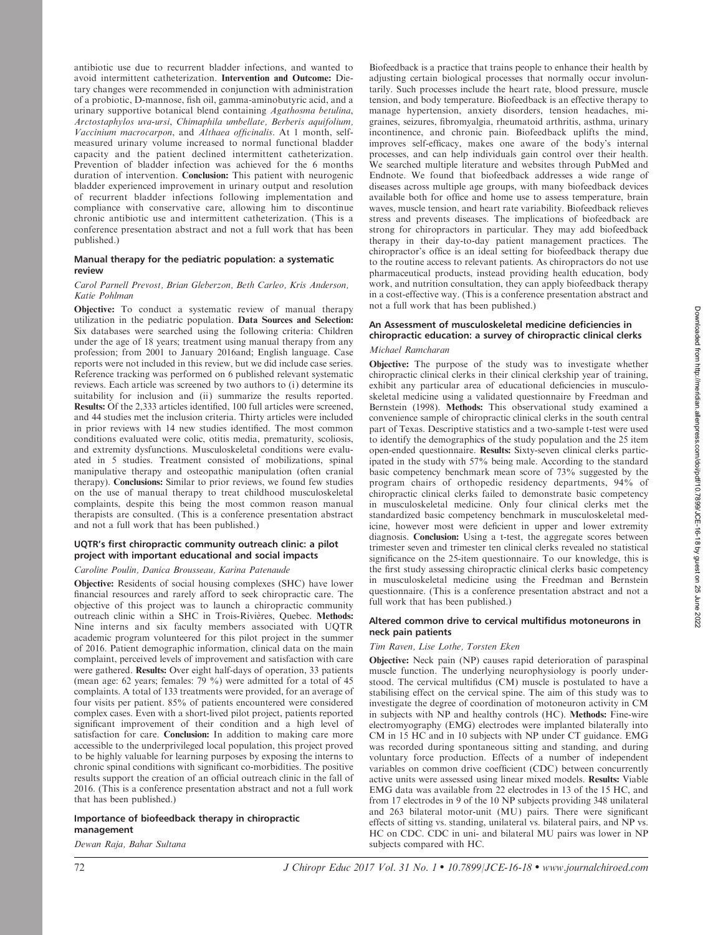antibiotic use due to recurrent bladder infections, and wanted to avoid intermittent catheterization. Intervention and Outcome: Dietary changes were recommended in conjunction with administration of a probiotic, D-mannose, fish oil, gamma-aminobutyric acid, and a urinary supportive botanical blend containing Agathosma betulina, Arctostaphylos uva-ursi, Chimaphila umbellate, Berberis aquifolium, Vaccinium macrocarpon, and Althaea officinalis. At 1 month, selfmeasured urinary volume increased to normal functional bladder capacity and the patient declined intermittent catheterization. Prevention of bladder infection was achieved for the 6 months duration of intervention. Conclusion: This patient with neurogenic bladder experienced improvement in urinary output and resolution of recurrent bladder infections following implementation and compliance with conservative care, allowing him to discontinue chronic antibiotic use and intermittent catheterization. (This is a conference presentation abstract and not a full work that has been published.)

# Manual therapy for the pediatric population: a systematic review

# Carol Parnell Prevost, Brian Gleberzon, Beth Carleo, Kris Anderson, Katie Pohlman

Objective: To conduct a systematic review of manual therapy utilization in the pediatric population. Data Sources and Selection: Six databases were searched using the following criteria: Children under the age of 18 years; treatment using manual therapy from any profession; from 2001 to January 2016and; English language. Case reports were not included in this review, but we did include case series. Reference tracking was performed on 6 published relevant systematic reviews. Each article was screened by two authors to (i) determine its suitability for inclusion and (ii) summarize the results reported. Results: Of the 2,333 articles identified, 100 full articles were screened, and 44 studies met the inclusion criteria. Thirty articles were included in prior reviews with 14 new studies identified. The most common conditions evaluated were colic, otitis media, prematurity, scoliosis, and extremity dysfunctions. Musculoskeletal conditions were evaluated in 5 studies. Treatment consisted of mobilizations, spinal manipulative therapy and osteopathic manipulation (often cranial therapy). Conclusions: Similar to prior reviews, we found few studies on the use of manual therapy to treat childhood musculoskeletal complaints, despite this being the most common reason manual therapists are consulted. (This is a conference presentation abstract and not a full work that has been published.)

# UQTR's first chiropractic community outreach clinic: a pilot project with important educational and social impacts

## Caroline Poulin, Danica Brousseau, Karina Patenaude

Objective: Residents of social housing complexes (SHC) have lower financial resources and rarely afford to seek chiropractic care. The objective of this project was to launch a chiropractic community outreach clinic within a SHC in Trois-Rivières, Quebec. Methods: Nine interns and six faculty members associated with UQTR academic program volunteered for this pilot project in the summer of 2016. Patient demographic information, clinical data on the main complaint, perceived levels of improvement and satisfaction with care were gathered. Results: Over eight half-days of operation, 33 patients (mean age: 62 years; females: 79 %) were admitted for a total of 45 complaints. A total of 133 treatments were provided, for an average of four visits per patient. 85% of patients encountered were considered complex cases. Even with a short-lived pilot project, patients reported significant improvement of their condition and a high level of satisfaction for care. Conclusion: In addition to making care more accessible to the underprivileged local population, this project proved to be highly valuable for learning purposes by exposing the interns to chronic spinal conditions with significant co-morbidities. The positive results support the creation of an official outreach clinic in the fall of 2016. (This is a conference presentation abstract and not a full work that has been published.)

# Importance of biofeedback therapy in chiropractic management

Dewan Raja, Bahar Sultana

Biofeedback is a practice that trains people to enhance their health by adjusting certain biological processes that normally occur involuntarily. Such processes include the heart rate, blood pressure, muscle tension, and body temperature. Biofeedback is an effective therapy to manage hypertension, anxiety disorders, tension headaches, migraines, seizures, fibromyalgia, rheumatoid arthritis, asthma, urinary incontinence, and chronic pain. Biofeedback uplifts the mind, improves self-efficacy, makes one aware of the body's internal processes, and can help individuals gain control over their health. We searched multiple literature and websites through PubMed and Endnote. We found that biofeedback addresses a wide range of diseases across multiple age groups, with many biofeedback devices available both for office and home use to assess temperature, brain waves, muscle tension, and heart rate variability. Biofeedback relieves stress and prevents diseases. The implications of biofeedback are strong for chiropractors in particular. They may add biofeedback therapy in their day-to-day patient management practices. The chiropractor's office is an ideal setting for biofeedback therapy due to the routine access to relevant patients. As chiropractors do not use pharmaceutical products, instead providing health education, body work, and nutrition consultation, they can apply biofeedback therapy in a cost-effective way. (This is a conference presentation abstract and not a full work that has been published.)

# An Assessment of musculoskeletal medicine deficiencies in chiropractic education: a survey of chiropractic clinical clerks Michael Ramcharan

Objective: The purpose of the study was to investigate whether chiropractic clinical clerks in their clinical clerkship year of training, exhibit any particular area of educational deficiencies in musculoskeletal medicine using a validated questionnaire by Freedman and Bernstein (1998). Methods: This observational study examined a convenience sample of chiropractic clinical clerks in the south central part of Texas. Descriptive statistics and a two-sample t-test were used to identify the demographics of the study population and the 25 item open-ended questionnaire. Results: Sixty-seven clinical clerks participated in the study with 57% being male. According to the standard basic competency benchmark mean score of 73% suggested by the program chairs of orthopedic residency departments, 94% of chiropractic clinical clerks failed to demonstrate basic competency in musculoskeletal medicine. Only four clinical clerks met the standardized basic competency benchmark in musculoskeletal medicine, however most were deficient in upper and lower extremity diagnosis. Conclusion: Using a t-test, the aggregate scores between trimester seven and trimester ten clinical clerks revealed no statistical significance on the 25-item questionnaire. To our knowledge, this is the first study assessing chiropractic clinical clerks basic competency in musculoskeletal medicine using the Freedman and Bernstein questionnaire. (This is a conference presentation abstract and not a full work that has been published.)

## Altered common drive to cervical multifidus motoneurons in neck pain patients

## Tim Raven, Lise Lothe, Torsten Eken

Objective: Neck pain (NP) causes rapid deterioration of paraspinal muscle function. The underlying neurophysiology is poorly understood. The cervical multifidus (CM) muscle is postulated to have a stabilising effect on the cervical spine. The aim of this study was to investigate the degree of coordination of motoneuron activity in CM in subjects with NP and healthy controls (HC). Methods: Fine-wire electromyography (EMG) electrodes were implanted bilaterally into CM in 15 HC and in 10 subjects with NP under CT guidance. EMG was recorded during spontaneous sitting and standing, and during voluntary force production. Effects of a number of independent variables on common drive coefficient (CDC) between concurrently active units were assessed using linear mixed models. Results: Viable EMG data was available from 22 electrodes in 13 of the 15 HC, and from 17 electrodes in 9 of the 10 NP subjects providing 348 unilateral and 263 bilateral motor-unit (MU) pairs. There were significant effects of sitting vs. standing, unilateral vs. bilateral pairs, and NP vs. HC on CDC. CDC in uni- and bilateral MU pairs was lower in NP subjects compared with HC.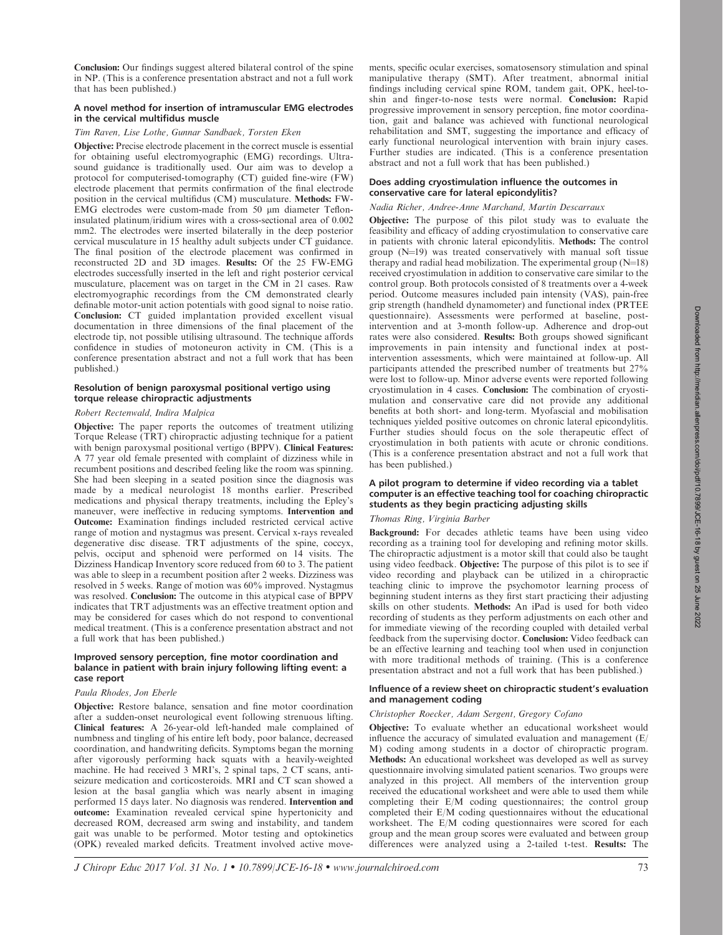2022

Conclusion: Our findings suggest altered bilateral control of the spine in NP. (This is a conference presentation abstract and not a full work that has been published.)

## A novel method for insertion of intramuscular EMG electrodes in the cervical multifidus muscle

#### Tim Raven, Lise Lothe, Gunnar Sandbaek, Torsten Eken

Objective: Precise electrode placement in the correct muscle is essential for obtaining useful electromyographic (EMG) recordings. Ultrasound guidance is traditionally used. Our aim was to develop a protocol for computerised-tomography (CT) guided fine-wire (FW) electrode placement that permits confirmation of the final electrode position in the cervical multifidus (CM) musculature. Methods: FW-EMG electrodes were custom-made from 50 µm diameter Tefloninsulated platinum/iridium wires with a cross-sectional area of 0.002 mm2. The electrodes were inserted bilaterally in the deep posterior cervical musculature in 15 healthy adult subjects under CT guidance. The final position of the electrode placement was confirmed in reconstructed 2D and 3D images. Results: Of the 25 FW-EMG electrodes successfully inserted in the left and right posterior cervical musculature, placement was on target in the CM in 21 cases. Raw electromyographic recordings from the CM demonstrated clearly definable motor-unit action potentials with good signal to noise ratio. Conclusion: CT guided implantation provided excellent visual documentation in three dimensions of the final placement of the electrode tip, not possible utilising ultrasound. The technique affords confidence in studies of motoneuron activity in CM. (This is a conference presentation abstract and not a full work that has been published.)

## Resolution of benign paroxysmal positional vertigo using torque release chiropractic adjustments

# Robert Rectenwald, Indira Malpica

Objective: The paper reports the outcomes of treatment utilizing Torque Release (TRT) chiropractic adjusting technique for a patient with benign paroxysmal positional vertigo (BPPV). Clinical Features: A 77 year old female presented with complaint of dizziness while in recumbent positions and described feeling like the room was spinning. She had been sleeping in a seated position since the diagnosis was made by a medical neurologist 18 months earlier. Prescribed medications and physical therapy treatments, including the Epley's maneuver, were ineffective in reducing symptoms. Intervention and Outcome: Examination findings included restricted cervical active range of motion and nystagmus was present. Cervical x-rays revealed degenerative disc disease. TRT adjustments of the spine, coccyx, pelvis, occiput and sphenoid were performed on 14 visits. The Dizziness Handicap Inventory score reduced from 60 to 3. The patient was able to sleep in a recumbent position after 2 weeks. Dizziness was resolved in 5 weeks. Range of motion was 60% improved. Nystagmus was resolved. Conclusion: The outcome in this atypical case of BPPV indicates that TRT adjustments was an effective treatment option and may be considered for cases which do not respond to conventional medical treatment. (This is a conference presentation abstract and not a full work that has been published.)

## Improved sensory perception, fine motor coordination and balance in patient with brain injury following lifting event: a case report

# Paula Rhodes, Jon Eberle

Objective: Restore balance, sensation and fine motor coordination after a sudden-onset neurological event following strenuous lifting. Clinical features: A 26-year-old left-handed male complained of numbness and tingling of his entire left body, poor balance, decreased coordination, and handwriting deficits. Symptoms began the morning after vigorously performing hack squats with a heavily-weighted machine. He had received 3 MRI's, 2 spinal taps, 2 CT scans, antiseizure medication and corticosteroids. MRI and CT scan showed a lesion at the basal ganglia which was nearly absent in imaging performed 15 days later. No diagnosis was rendered. Intervention and outcome: Examination revealed cervical spine hypertonicity and decreased ROM, decreased arm swing and instability, and tandem gait was unable to be performed. Motor testing and optokinetics (OPK) revealed marked deficits. Treatment involved active movements, specific ocular exercises, somatosensory stimulation and spinal manipulative therapy (SMT). After treatment, abnormal initial findings including cervical spine ROM, tandem gait, OPK, heel-toshin and finger-to-nose tests were normal. Conclusion: Rapid progressive improvement in sensory perception, fine motor coordination, gait and balance was achieved with functional neurological rehabilitation and SMT, suggesting the importance and efficacy of early functional neurological intervention with brain injury cases. Further studies are indicated. (This is a conference presentation abstract and not a full work that has been published.)

# Does adding cryostimulation influence the outcomes in conservative care for lateral epicondylitis?

# Nadia Richer, Andree-Anne Marchand, Martin Descarraux

Objective: The purpose of this pilot study was to evaluate the feasibility and efficacy of adding cryostimulation to conservative care in patients with chronic lateral epicondylitis. Methods: The control group  $(N=19)$  was treated conservatively with manual soft tissue therapy and radial head mobilization. The experimental group  $(N=18)$ received cryostimulation in addition to conservative care similar to the control group. Both protocols consisted of 8 treatments over a 4-week period. Outcome measures included pain intensity (VAS), pain-free grip strength (handheld dynamometer) and functional index (PRTEE questionnaire). Assessments were performed at baseline, postintervention and at 3-month follow-up. Adherence and drop-out rates were also considered. Results: Both groups showed significant improvements in pain intensity and functional index at postintervention assessments, which were maintained at follow-up. All participants attended the prescribed number of treatments but 27% were lost to follow-up. Minor adverse events were reported following cryostimulation in 4 cases. Conclusion: The combination of cryostimulation and conservative care did not provide any additional benefits at both short- and long-term. Myofascial and mobilisation techniques yielded positive outcomes on chronic lateral epicondylitis. Further studies should focus on the sole therapeutic effect of cryostimulation in both patients with acute or chronic conditions. (This is a conference presentation abstract and not a full work that has been published.)

## A pilot program to determine if video recording via a tablet computer is an effective teaching tool for coaching chiropractic students as they begin practicing adjusting skills

# Thomas Ring, Virginia Barber

Background: For decades athletic teams have been using video recording as a training tool for developing and refining motor skills. The chiropractic adjustment is a motor skill that could also be taught using video feedback. Objective: The purpose of this pilot is to see if video recording and playback can be utilized in a chiropractic teaching clinic to improve the psychomotor learning process of beginning student interns as they first start practicing their adjusting skills on other students. Methods: An iPad is used for both video recording of students as they perform adjustments on each other and for immediate viewing of the recording coupled with detailed verbal feedback from the supervising doctor. Conclusion: Video feedback can be an effective learning and teaching tool when used in conjunction with more traditional methods of training. (This is a conference presentation abstract and not a full work that has been published.)

## Influence of a review sheet on chiropractic student's evaluation and management coding

## Christopher Roecker, Adam Sergent, Gregory Cofano

Objective: To evaluate whether an educational worksheet would influence the accuracy of simulated evaluation and management (E/ M) coding among students in a doctor of chiropractic program. Methods: An educational worksheet was developed as well as survey questionnaire involving simulated patient scenarios. Two groups were analyzed in this project. All members of the intervention group received the educational worksheet and were able to used them while completing their E/M coding questionnaires; the control group completed their E/M coding questionnaires without the educational worksheet. The E/M coding questionnaires were scored for each group and the mean group scores were evaluated and between group differences were analyzed using a 2-tailed t-test. Results: The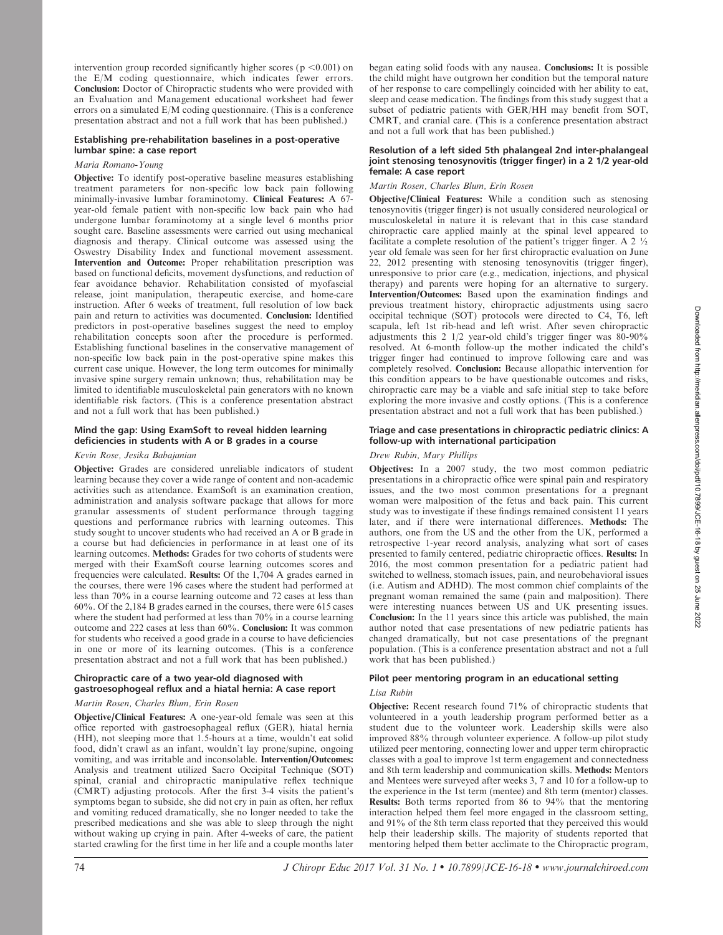intervention group recorded significantly higher scores ( $p < 0.001$ ) on the E/M coding questionnaire, which indicates fewer errors. Conclusion: Doctor of Chiropractic students who were provided with an Evaluation and Management educational worksheet had fewer errors on a simulated E/M coding questionnaire. (This is a conference presentation abstract and not a full work that has been published.)

## Establishing pre-rehabilitation baselines in a post-operative lumbar spine: a case report

## Maria Romano-Young

Objective: To identify post-operative baseline measures establishing treatment parameters for non-specific low back pain following minimally-invasive lumbar foraminotomy. Clinical Features: A 67 year-old female patient with non-specific low back pain who had undergone lumbar foraminotomy at a single level 6 months prior sought care. Baseline assessments were carried out using mechanical diagnosis and therapy. Clinical outcome was assessed using the Oswestry Disability Index and functional movement assessment. Intervention and Outcome: Proper rehabilitation prescription was based on functional deficits, movement dysfunctions, and reduction of fear avoidance behavior. Rehabilitation consisted of myofascial release, joint manipulation, therapeutic exercise, and home-care instruction. After 6 weeks of treatment, full resolution of low back pain and return to activities was documented. Conclusion: Identified predictors in post-operative baselines suggest the need to employ rehabilitation concepts soon after the procedure is performed. Establishing functional baselines in the conservative management of non-specific low back pain in the post-operative spine makes this current case unique. However, the long term outcomes for minimally invasive spine surgery remain unknown; thus, rehabilitation may be limited to identifiable musculoskeletal pain generators with no known identifiable risk factors. (This is a conference presentation abstract and not a full work that has been published.)

# Mind the gap: Using ExamSoft to reveal hidden learning deficiencies in students with A or B grades in a course

# Kevin Rose, Jesika Babajanian

Objective: Grades are considered unreliable indicators of student learning because they cover a wide range of content and non-academic activities such as attendance. ExamSoft is an examination creation, administration and analysis software package that allows for more granular assessments of student performance through tagging questions and performance rubrics with learning outcomes. This study sought to uncover students who had received an A or B grade in a course but had deficiencies in performance in at least one of its learning outcomes. Methods: Grades for two cohorts of students were merged with their ExamSoft course learning outcomes scores and frequencies were calculated. Results: Of the 1,704 A grades earned in the courses, there were 196 cases where the student had performed at less than 70% in a course learning outcome and 72 cases at less than 60%. Of the 2,184 B grades earned in the courses, there were 615 cases where the student had performed at less than 70% in a course learning outcome and 222 cases at less than 60%. Conclusion: It was common for students who received a good grade in a course to have deficiencies in one or more of its learning outcomes. (This is a conference presentation abstract and not a full work that has been published.)

# Chiropractic care of a two year-old diagnosed with gastroesophogeal reflux and a hiatal hernia: A case report

# Martin Rosen, Charles Blum, Erin Rosen

Objective/Clinical Features: A one-year-old female was seen at this office reported with gastroesophageal reflux (GER), hiatal hernia (HH), not sleeping more that 1.5-hours at a time, wouldn't eat solid food, didn't crawl as an infant, wouldn't lay prone/supine, ongoing vomiting, and was irritable and inconsolable. Intervention/Outcomes: Analysis and treatment utilized Sacro Occipital Technique (SOT) spinal, cranial and chiropractic manipulative reflex technique (CMRT) adjusting protocols. After the first 3-4 visits the patient's symptoms began to subside, she did not cry in pain as often, her reflux and vomiting reduced dramatically, she no longer needed to take the prescribed medications and she was able to sleep through the night without waking up crying in pain. After 4-weeks of care, the patient started crawling for the first time in her life and a couple months later began eating solid foods with any nausea. Conclusions: It is possible the child might have outgrown her condition but the temporal nature of her response to care compellingly coincided with her ability to eat, sleep and cease medication. The findings from this study suggest that a subset of pediatric patients with GER/HH may benefit from SOT, CMRT, and cranial care. (This is a conference presentation abstract and not a full work that has been published.)

#### Resolution of a left sided 5th phalangeal 2nd inter-phalangeal joint stenosing tenosynovitis (trigger finger) in a 2 1/2 year-old female: A case report

# Martin Rosen, Charles Blum, Erin Rosen

Objective/Clinical Features: While a condition such as stenosing tenosynovitis (trigger finger) is not usually considered neurological or musculoskeletal in nature it is relevant that in this case standard chiropractic care applied mainly at the spinal level appeared to facilitate a complete resolution of the patient's trigger finger. A 2  $\frac{1}{2}$ year old female was seen for her first chiropractic evaluation on June 22, 2012 presenting with stenosing tenosynovitis (trigger finger), unresponsive to prior care (e.g., medication, injections, and physical therapy) and parents were hoping for an alternative to surgery. Intervention/Outcomes: Based upon the examination findings and previous treatment history, chiropractic adjustments using sacro occipital technique (SOT) protocols were directed to C4, T6, left scapula, left 1st rib-head and left wrist. After seven chiropractic adjustments this 2  $1/2$  year-old child's trigger finger was  $80-90\%$ resolved. At 6-month follow-up the mother indicated the child's trigger finger had continued to improve following care and was completely resolved. Conclusion: Because allopathic intervention for this condition appears to be have questionable outcomes and risks, chiropractic care may be a viable and safe initial step to take before exploring the more invasive and costly options. (This is a conference presentation abstract and not a full work that has been published.)

## Triage and case presentations in chiropractic pediatric clinics: A follow-up with international participation

## Drew Rubin, Mary Phillips

Objectives: In a 2007 study, the two most common pediatric presentations in a chiropractic office were spinal pain and respiratory issues, and the two most common presentations for a pregnant woman were malposition of the fetus and back pain. This current study was to investigate if these findings remained consistent 11 years later, and if there were international differences. Methods: The authors, one from the US and the other from the UK, performed a retrospective 1-year record analysis, analyzing what sort of cases presented to family centered, pediatric chiropractic offices. Results: In 2016, the most common presentation for a pediatric patient had switched to wellness, stomach issues, pain, and neurobehavioral issues (i.e. Autism and ADHD). The most common chief complaints of the pregnant woman remained the same (pain and malposition). There were interesting nuances between US and UK presenting issues. Conclusion: In the 11 years since this article was published, the main author noted that case presentations of new pediatric patients has changed dramatically, but not case presentations of the pregnant population. (This is a conference presentation abstract and not a full work that has been published.)

# Pilot peer mentoring program in an educational setting

## Lisa Rubin

Objective: Recent research found 71% of chiropractic students that volunteered in a youth leadership program performed better as a student due to the volunteer work. Leadership skills were also improved 88% through volunteer experience. A follow-up pilot study utilized peer mentoring, connecting lower and upper term chiropractic classes with a goal to improve 1st term engagement and connectedness and 8th term leadership and communication skills. Methods: Mentors and Mentees were surveyed after weeks 3, 7 and 10 for a follow-up to the experience in the 1st term (mentee) and 8th term (mentor) classes. Results: Both terms reported from 86 to 94% that the mentoring interaction helped them feel more engaged in the classroom setting, and 91% of the 8th term class reported that they perceived this would help their leadership skills. The majority of students reported that mentoring helped them better acclimate to the Chiropractic program,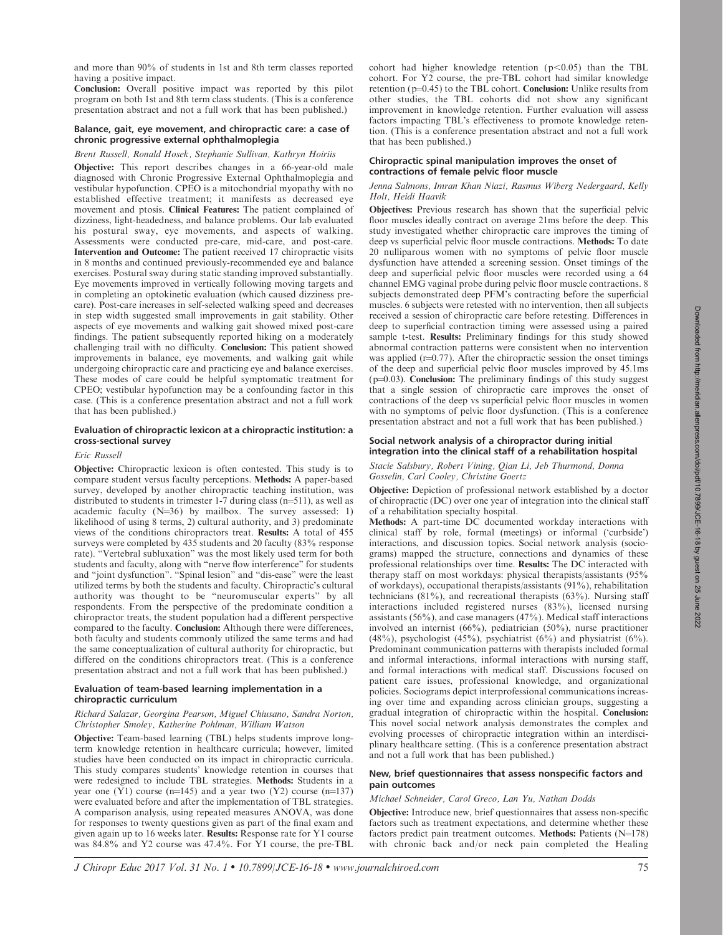and more than 90% of students in 1st and 8th term classes reported having a positive impact.

Conclusion: Overall positive impact was reported by this pilot program on both 1st and 8th term class students. (This is a conference presentation abstract and not a full work that has been published.)

## Balance, gait, eye movement, and chiropractic care: a case of chronic progressive external ophthalmoplegia

# Brent Russell, Ronald Hosek, Stephanie Sullivan, Kathryn Hoiriis

Objective: This report describes changes in a 66-year-old male diagnosed with Chronic Progressive External Ophthalmoplegia and vestibular hypofunction. CPEO is a mitochondrial myopathy with no established effective treatment; it manifests as decreased eye movement and ptosis. Clinical Features: The patient complained of dizziness, light-headedness, and balance problems. Our lab evaluated his postural sway, eye movements, and aspects of walking. Assessments were conducted pre-care, mid-care, and post-care. Intervention and Outcome: The patient received 17 chiropractic visits in 8 months and continued previously-recommended eye and balance exercises. Postural sway during static standing improved substantially. Eye movements improved in vertically following moving targets and in completing an optokinetic evaluation (which caused dizziness precare). Post-care increases in self-selected walking speed and decreases in step width suggested small improvements in gait stability. Other aspects of eye movements and walking gait showed mixed post-care findings. The patient subsequently reported hiking on a moderately challenging trail with no difficulty. Conclusion: This patient showed improvements in balance, eye movements, and walking gait while undergoing chiropractic care and practicing eye and balance exercises. These modes of care could be helpful symptomatic treatment for CPEO; vestibular hypofunction may be a confounding factor in this case. (This is a conference presentation abstract and not a full work that has been published.)

# Evaluation of chiropractic lexicon at a chiropractic institution: a cross-sectional survey

#### Eric Russell

Objective: Chiropractic lexicon is often contested. This study is to compare student versus faculty perceptions. Methods: A paper-based survey, developed by another chiropractic teaching institution, was distributed to students in trimester  $1-7$  during class (n=511), as well as academic faculty  $(N=36)$  by mailbox. The survey assessed: 1) likelihood of using 8 terms, 2) cultural authority, and 3) predominate views of the conditions chiropractors treat. Results: A total of 455 surveys were completed by 435 students and 20 faculty (83% response rate). ''Vertebral subluxation'' was the most likely used term for both students and faculty, along with ''nerve flow interference'' for students and ''joint dysfunction''. ''Spinal lesion'' and ''dis-ease'' were the least utilized terms by both the students and faculty. Chiropractic's cultural authority was thought to be ''neuromuscular experts'' by all respondents. From the perspective of the predominate condition a chiropractor treats, the student population had a different perspective compared to the faculty. Conclusion: Although there were differences, both faculty and students commonly utilized the same terms and had the same conceptualization of cultural authority for chiropractic, but differed on the conditions chiropractors treat. (This is a conference presentation abstract and not a full work that has been published.)

## Evaluation of team-based learning implementation in a chiropractic curriculum

## Richard Salazar, Georgina Pearson, Miguel Chiusano, Sandra Norton, Christopher Smoley, Katherine Pohlman, William Watson

Objective: Team-based learning (TBL) helps students improve longterm knowledge retention in healthcare curricula; however, limited studies have been conducted on its impact in chiropractic curricula. This study compares students' knowledge retention in courses that were redesigned to include TBL strategies. Methods: Students in a year one  $(Y1)$  course (n=145) and a year two  $(Y2)$  course (n=137) were evaluated before and after the implementation of TBL strategies. A comparison analysis, using repeated measures ANOVA, was done for responses to twenty questions given as part of the final exam and given again up to 16 weeks later. Results: Response rate for Y1 course was 84.8% and Y2 course was 47.4%. For Y1 course, the pre-TBL

cohort had higher knowledge retention  $(p<0.05)$  than the TBL cohort. For Y2 course, the pre-TBL cohort had similar knowledge retention ( $p=0.45$ ) to the TBL cohort. Conclusion: Unlike results from other studies, the TBL cohorts did not show any significant improvement in knowledge retention. Further evaluation will assess factors impacting TBL's effectiveness to promote knowledge retention. (This is a conference presentation abstract and not a full work that has been published.)

## Chiropractic spinal manipulation improves the onset of contractions of female pelvic floor muscle

## Jenna Salmons, Imran Khan Niazi, Rasmus Wiberg Nedergaard, Kelly Holt, Heidi Haavik

Objectives: Previous research has shown that the superficial pelvic floor muscles ideally contract on average 21ms before the deep. This study investigated whether chiropractic care improves the timing of deep vs superficial pelvic floor muscle contractions. Methods: To date 20 nulliparous women with no symptoms of pelvic floor muscle dysfunction have attended a screening session. Onset timings of the deep and superficial pelvic floor muscles were recorded using a 64 channel EMG vaginal probe during pelvic floor muscle contractions. 8 subjects demonstrated deep PFM's contracting before the superficial muscles. 6 subjects were retested with no intervention, then all subjects received a session of chiropractic care before retesting. Differences in deep to superficial contraction timing were assessed using a paired sample t-test. Results: Preliminary findings for this study showed abnormal contraction patterns were consistent when no intervention was applied ( $r=0.77$ ). After the chiropractic session the onset timings of the deep and superficial pelvic floor muscles improved by 45.1ms  $(p=0.03)$ . Conclusion: The preliminary findings of this study suggest that a single session of chiropractic care improves the onset of contractions of the deep vs superficial pelvic floor muscles in women with no symptoms of pelvic floor dysfunction. (This is a conference presentation abstract and not a full work that has been published.)

## Social network analysis of a chiropractor during initial integration into the clinical staff of a rehabilitation hospital

Stacie Salsbury, Robert Vining, Qian Li, Jeb Thurmond, Donna Gosselin, Carl Cooley, Christine Goertz

Objective: Depiction of professional network established by a doctor of chiropractic (DC) over one year of integration into the clinical staff of a rehabilitation specialty hospital.

Methods: A part-time DC documented workday interactions with clinical staff by role, formal (meetings) or informal ('curbside') interactions, and discussion topics. Social network analysis (sociograms) mapped the structure, connections and dynamics of these professional relationships over time. Results: The DC interacted with therapy staff on most workdays: physical therapists/assistants (95% of workdays), occupational therapists/assistants (91%), rehabilitation technicians (81%), and recreational therapists (63%). Nursing staff interactions included registered nurses (83%), licensed nursing assistants (56%), and case managers (47%). Medical staff interactions involved an internist (66%), pediatrician (50%), nurse practitioner (48%), psychologist (45%), psychiatrist (6%) and physiatrist (6%). Predominant communication patterns with therapists included formal and informal interactions, informal interactions with nursing staff, and formal interactions with medical staff. Discussions focused on patient care issues, professional knowledge, and organizational policies. Sociograms depict interprofessional communications increasing over time and expanding across clinician groups, suggesting a gradual integration of chiropractic within the hospital. Conclusion: This novel social network analysis demonstrates the complex and evolving processes of chiropractic integration within an interdisciplinary healthcare setting. (This is a conference presentation abstract and not a full work that has been published.)

## New, brief questionnaires that assess nonspecific factors and pain outcomes

#### Michael Schneider, Carol Greco, Lan Yu, Nathan Dodds

Objective: Introduce new, brief questionnaires that assess non-specific factors such as treatment expectations, and determine whether these factors predict pain treatment outcomes. Methods: Patients  $(N=178)$ with chronic back and/or neck pain completed the Healing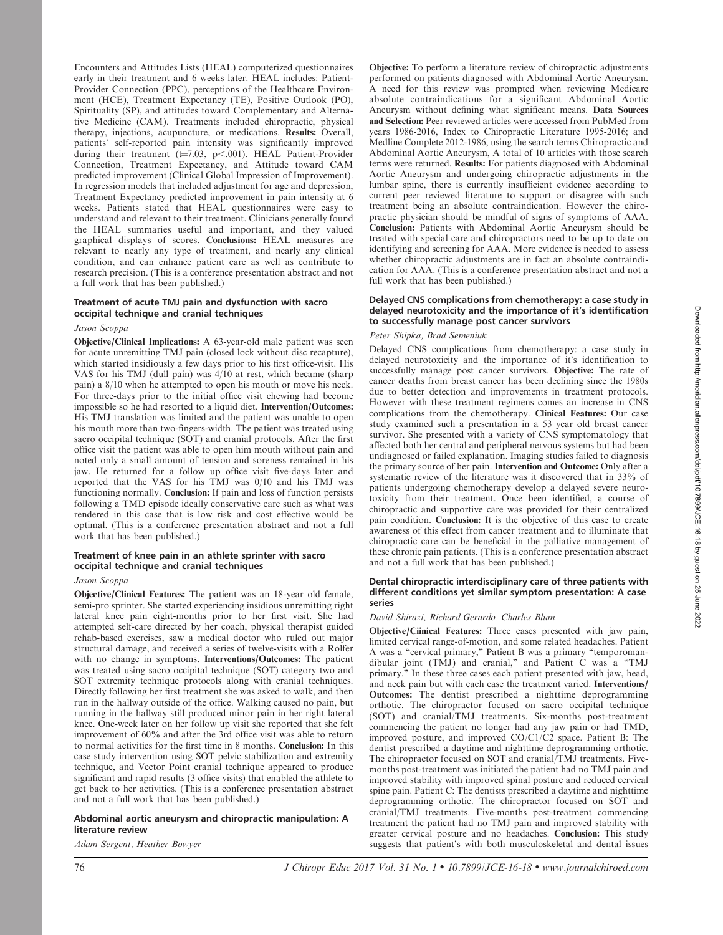Encounters and Attitudes Lists (HEAL) computerized questionnaires early in their treatment and 6 weeks later. HEAL includes: Patient-Provider Connection (PPC), perceptions of the Healthcare Environment (HCE), Treatment Expectancy (TE), Positive Outlook (PO), Spirituality (SP), and attitudes toward Complementary and Alternative Medicine (CAM). Treatments included chiropractic, physical therapy, injections, acupuncture, or medications. Results: Overall, patients' self-reported pain intensity was significantly improved during their treatment  $(t=7.03, p<.001)$ . HEAL Patient-Provider Connection, Treatment Expectancy, and Attitude toward CAM predicted improvement (Clinical Global Impression of Improvement). In regression models that included adjustment for age and depression, Treatment Expectancy predicted improvement in pain intensity at 6 weeks. Patients stated that HEAL questionnaires were easy to understand and relevant to their treatment. Clinicians generally found the HEAL summaries useful and important, and they valued graphical displays of scores. Conclusions: HEAL measures are relevant to nearly any type of treatment, and nearly any clinical condition, and can enhance patient care as well as contribute to research precision. (This is a conference presentation abstract and not a full work that has been published.)

## Treatment of acute TMJ pain and dysfunction with sacro occipital technique and cranial techniques

#### Jason Scoppa

Objective/Clinical Implications: A 63-year-old male patient was seen for acute unremitting TMJ pain (closed lock without disc recapture), which started insidiously a few days prior to his first office-visit. His VAS for his TMJ (dull pain) was 4/10 at rest, which became (sharp pain) a 8/10 when he attempted to open his mouth or move his neck. For three-days prior to the initial office visit chewing had become impossible so he had resorted to a liquid diet. Intervention/Outcomes: His TMJ translation was limited and the patient was unable to open his mouth more than two-fingers-width. The patient was treated using sacro occipital technique (SOT) and cranial protocols. After the first office visit the patient was able to open him mouth without pain and noted only a small amount of tension and soreness remained in his jaw. He returned for a follow up office visit five-days later and reported that the VAS for his TMJ was 0/10 and his TMJ was functioning normally. **Conclusion:** If pain and loss of function persists following a TMD episode ideally conservative care such as what was rendered in this case that is low risk and cost effective would be optimal. (This is a conference presentation abstract and not a full work that has been published.)

## Treatment of knee pain in an athlete sprinter with sacro occipital technique and cranial techniques

# Jason Scoppa

Objective/Clinical Features: The patient was an 18-year old female, semi-pro sprinter. She started experiencing insidious unremitting right lateral knee pain eight-months prior to her first visit. She had attempted self-care directed by her coach, physical therapist guided rehab-based exercises, saw a medical doctor who ruled out major structural damage, and received a series of twelve-visits with a Rolfer with no change in symptoms. Interventions/Outcomes: The patient was treated using sacro occipital technique (SOT) category two and SOT extremity technique protocols along with cranial techniques. Directly following her first treatment she was asked to walk, and then run in the hallway outside of the office. Walking caused no pain, but running in the hallway still produced minor pain in her right lateral knee. One-week later on her follow up visit she reported that she felt improvement of 60% and after the 3rd office visit was able to return to normal activities for the first time in 8 months. Conclusion: In this case study intervention using SOT pelvic stabilization and extremity technique, and Vector Point cranial technique appeared to produce significant and rapid results (3 office visits) that enabled the athlete to get back to her activities. (This is a conference presentation abstract and not a full work that has been published.)

## Abdominal aortic aneurysm and chiropractic manipulation: A literature review

Adam Sergent, Heather Bowyer

Objective: To perform a literature review of chiropractic adjustments performed on patients diagnosed with Abdominal Aortic Aneurysm. A need for this review was prompted when reviewing Medicare absolute contraindications for a significant Abdominal Aortic Aneurysm without defining what significant means. Data Sources and Selection: Peer reviewed articles were accessed from PubMed from years 1986-2016, Index to Chiropractic Literature 1995-2016; and Medline Complete 2012-1986, using the search terms Chiropractic and Abdominal Aortic Aneurysm, A total of 10 articles with those search terms were returned. Results: For patients diagnosed with Abdominal Aortic Aneurysm and undergoing chiropractic adjustments in the lumbar spine, there is currently insufficient evidence according to current peer reviewed literature to support or disagree with such treatment being an absolute contraindication. However the chiropractic physician should be mindful of signs of symptoms of AAA. Conclusion: Patients with Abdominal Aortic Aneurysm should be treated with special care and chiropractors need to be up to date on identifying and screening for AAA. More evidence is needed to assess whether chiropractic adjustments are in fact an absolute contraindication for AAA. (This is a conference presentation abstract and not a full work that has been published.)

## Delayed CNS complications from chemotherapy: a case study in delayed neurotoxicity and the importance of it's identification to successfully manage post cancer survivors

## Peter Shipka, Brad Semeniuk

Delayed CNS complications from chemotherapy: a case study in delayed neurotoxicity and the importance of it's identification to successfully manage post cancer survivors. Objective: The rate of cancer deaths from breast cancer has been declining since the 1980s due to better detection and improvements in treatment protocols. However with these treatment regimens comes an increase in CNS complications from the chemotherapy. Clinical Features: Our case study examined such a presentation in a 53 year old breast cancer survivor. She presented with a variety of CNS symptomatology that affected both her central and peripheral nervous systems but had been undiagnosed or failed explanation. Imaging studies failed to diagnosis the primary source of her pain. Intervention and Outcome: Only after a systematic review of the literature was it discovered that in 33% of patients undergoing chemotherapy develop a delayed severe neurotoxicity from their treatment. Once been identified, a course of chiropractic and supportive care was provided for their centralized pain condition. Conclusion: It is the objective of this case to create awareness of this effect from cancer treatment and to illuminate that chiropractic care can be beneficial in the palliative management of these chronic pain patients. (This is a conference presentation abstract and not a full work that has been published.)

## Dental chiropractic interdisciplinary care of three patients with different conditions yet similar symptom presentation: A case series

#### David Shirazi, Richard Gerardo, Charles Blum

Objective/Ciinical Features: Three cases presented with jaw pain, limited cervical range-of-motion, and some related headaches. Patient A was a ''cervical primary,'' Patient B was a primary ''temporomandibular joint (TMJ) and cranial,'' and Patient C was a ''TMJ primary.'' In these three cases each patient presented with jaw, head, and neck pain but with each case the treatment varied. Interventions/ Outcomes: The dentist prescribed a nighttime deprogramming orthotic. The chiropractor focused on sacro occipital technique (SOT) and cranial/TMJ treatments. Six-months post-treatment commencing the patient no longer had any jaw pain or had TMD, improved posture, and improved CO/C1/C2 space. Patient B: The dentist prescribed a daytime and nighttime deprogramming orthotic. The chiropractor focused on SOT and cranial/TMJ treatments. Fivemonths post-treatment was initiated the patient had no TMJ pain and improved stability with improved spinal posture and reduced cervical spine pain. Patient C: The dentists prescribed a daytime and nighttime deprogramming orthotic. The chiropractor focused on SOT and cranial/TMJ treatments. Five-months post-treatment commencing treatment the patient had no TMJ pain and improved stability with greater cervical posture and no headaches. Conclusion: This study suggests that patient's with both musculoskeletal and dental issues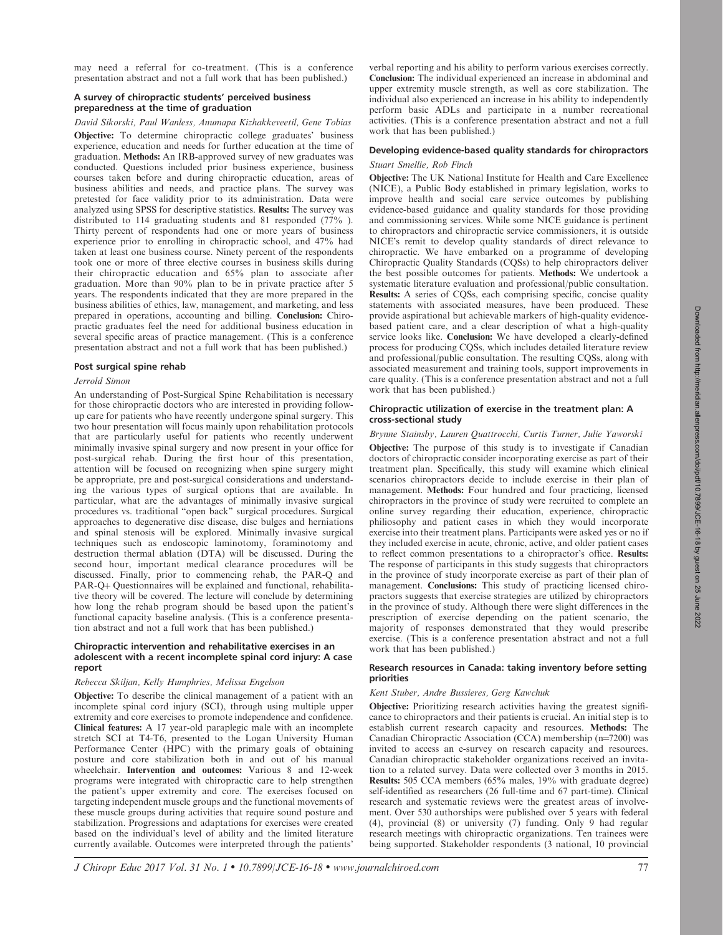Downloaded from http://meridian.allenpress.com/doi/pdf/10.7899/JCE-16-18 by guest on 25 June 2022

2022

may need a referral for co-treatment. (This is a conference presentation abstract and not a full work that has been published.)

# A survey of chiropractic students' perceived business preparedness at the time of graduation

# David Sikorski, Paul Wanless, Anumapa Kizhakkeveetil, Gene Tobias

Objective: To determine chiropractic college graduates' business experience, education and needs for further education at the time of graduation. Methods: An IRB-approved survey of new graduates was conducted. Questions included prior business experience, business courses taken before and during chiropractic education, areas of business abilities and needs, and practice plans. The survey was pretested for face validity prior to its administration. Data were analyzed using SPSS for descriptive statistics. Results: The survey was distributed to 114 graduating students and 81 responded (77% ). Thirty percent of respondents had one or more years of business experience prior to enrolling in chiropractic school, and 47% had taken at least one business course. Ninety percent of the respondents took one or more of three elective courses in business skills during their chiropractic education and 65% plan to associate after graduation. More than 90% plan to be in private practice after 5 years. The respondents indicated that they are more prepared in the business abilities of ethics, law, management, and marketing, and less prepared in operations, accounting and billing. Conclusion: Chiropractic graduates feel the need for additional business education in several specific areas of practice management. (This is a conference presentation abstract and not a full work that has been published.)

#### Post surgical spine rehab

## Jerrold Simon

An understanding of Post-Surgical Spine Rehabilitation is necessary for those chiropractic doctors who are interested in providing followup care for patients who have recently undergone spinal surgery. This two hour presentation will focus mainly upon rehabilitation protocols that are particularly useful for patients who recently underwent minimally invasive spinal surgery and now present in your office for post-surgical rehab. During the first hour of this presentation, attention will be focused on recognizing when spine surgery might be appropriate, pre and post-surgical considerations and understanding the various types of surgical options that are available. In particular, what are the advantages of minimally invasive surgical procedures vs. traditional ''open back'' surgical procedures. Surgical approaches to degenerative disc disease, disc bulges and herniations and spinal stenosis will be explored. Minimally invasive surgical techniques such as endoscopic laminotomy, foraminotomy and destruction thermal ablation (DTA) will be discussed. During the second hour, important medical clearance procedures will be discussed. Finally, prior to commencing rehab, the PAR-Q and PAR-Q+ Questionnaires will be explained and functional, rehabilitative theory will be covered. The lecture will conclude by determining how long the rehab program should be based upon the patient's functional capacity baseline analysis. (This is a conference presentation abstract and not a full work that has been published.)

#### Chiropractic intervention and rehabilitative exercises in an adolescent with a recent incomplete spinal cord injury: A case report

## Rebecca Skiljan, Kelly Humphries, Melissa Engelson

Objective: To describe the clinical management of a patient with an incomplete spinal cord injury (SCI), through using multiple upper extremity and core exercises to promote independence and confidence. Clinical features: A 17 year-old paraplegic male with an incomplete stretch SCI at T4-T6, presented to the Logan University Human Performance Center (HPC) with the primary goals of obtaining posture and core stabilization both in and out of his manual wheelchair. Intervention and outcomes: Various 8 and 12-week programs were integrated with chiropractic care to help strengthen the patient's upper extremity and core. The exercises focused on targeting independent muscle groups and the functional movements of these muscle groups during activities that require sound posture and stabilization. Progressions and adaptations for exercises were created based on the individual's level of ability and the limited literature currently available. Outcomes were interpreted through the patients'

verbal reporting and his ability to perform various exercises correctly. Conclusion: The individual experienced an increase in abdominal and upper extremity muscle strength, as well as core stabilization. The individual also experienced an increase in his ability to independently perform basic ADLs and participate in a number recreational activities. (This is a conference presentation abstract and not a full work that has been published.)

# Developing evidence-based quality standards for chiropractors Stuart Smellie, Rob Finch

Objective: The UK National Institute for Health and Care Excellence (NICE), a Public Body established in primary legislation, works to improve health and social care service outcomes by publishing evidence-based guidance and quality standards for those providing and commissioning services. While some NICE guidance is pertinent to chiropractors and chiropractic service commissioners, it is outside NICE's remit to develop quality standards of direct relevance to chiropractic. We have embarked on a programme of developing Chiropractic Quality Standards (CQSs) to help chiropractors deliver the best possible outcomes for patients. Methods: We undertook a systematic literature evaluation and professional/public consultation. Results: A series of CQSs, each comprising specific, concise quality statements with associated measures, have been produced. These provide aspirational but achievable markers of high-quality evidencebased patient care, and a clear description of what a high-quality service looks like. Conclusion: We have developed a clearly-defined process for producing CQSs, which includes detailed literature review and professional/public consultation. The resulting CQSs, along with associated measurement and training tools, support improvements in care quality. (This is a conference presentation abstract and not a full work that has been published.)

## Chiropractic utilization of exercise in the treatment plan: A cross-sectional study

Brynne Stainsby, Lauren Quattrocchi, Curtis Turner, Julie Yaworski Objective: The purpose of this study is to investigate if Canadian doctors of chiropractic consider incorporating exercise as part of their treatment plan. Specifically, this study will examine which clinical scenarios chiropractors decide to include exercise in their plan of management. Methods: Four hundred and four practicing, licensed chiropractors in the province of study were recruited to complete an online survey regarding their education, experience, chiropractic philiosophy and patient cases in which they would incorporate exercise into their treatment plans. Participants were asked yes or no if they included exercise in acute, chronic, active, and older patient cases to reflect common presentations to a chiropractor's office. Results: The response of participants in this study suggests that chiropractors in the province of study incorporate exercise as part of their plan of management. Conclusions: This study of practicing licensed chiropractors suggests that exercise strategies are utilized by chiropractors in the province of study. Although there were slight differences in the prescription of exercise depending on the patient scenario, the majority of responses demonstrated that they would prescribe exercise. (This is a conference presentation abstract and not a full work that has been published.)

## Research resources in Canada: taking inventory before setting priorities

## Kent Stuber, Andre Bussieres, Gerg Kawchuk

Objective: Prioritizing research activities having the greatest significance to chiropractors and their patients is crucial. An initial step is to establish current research capacity and resources. Methods: The Canadian Chiropractic Association (CCA) membership  $(n=7200)$  was invited to access an e-survey on research capacity and resources. Canadian chiropractic stakeholder organizations received an invitation to a related survey. Data were collected over 3 months in 2015. Results: 505 CCA members (65% males, 19% with graduate degree) self-identified as researchers (26 full-time and 67 part-time). Clinical research and systematic reviews were the greatest areas of involvement. Over 530 authorships were published over 5 years with federal (4), provincial (8) or university (7) funding. Only 9 had regular research meetings with chiropractic organizations. Ten trainees were being supported. Stakeholder respondents (3 national, 10 provincial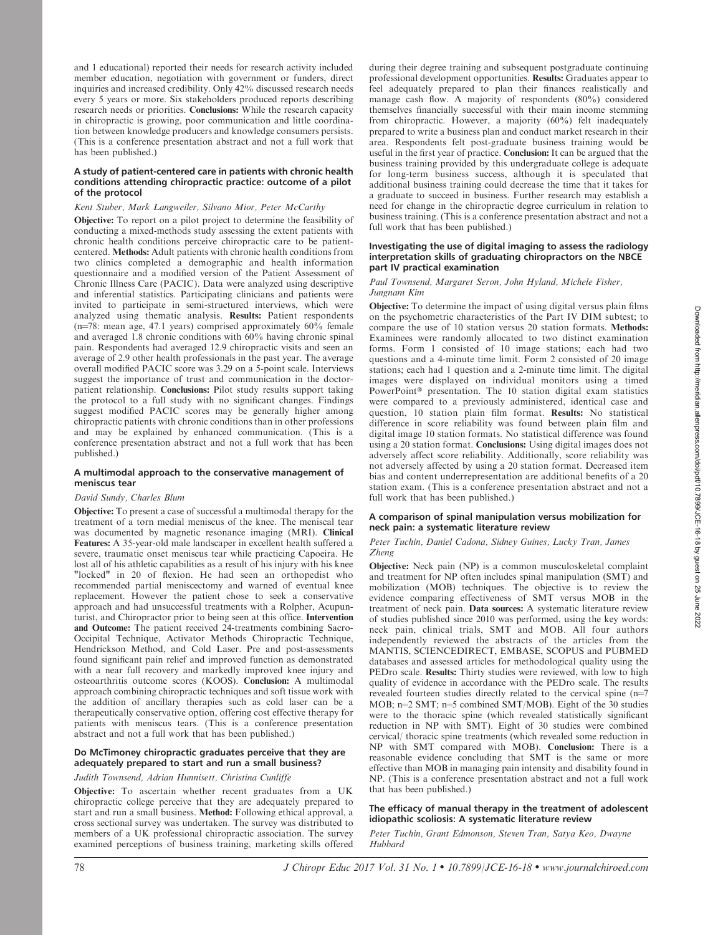and 1 educational) reported their needs for research activity included member education, negotiation with government or funders, direct inquiries and increased credibility. Only 42% discussed research needs every 5 years or more. Six stakeholders produced reports describing research needs or priorities. Conclusions: While the research capacity in chiropractic is growing, poor communication and little coordination between knowledge producers and knowledge consumers persists. (This is a conference presentation abstract and not a full work that has been published.)

## A study of patient-centered care in patients with chronic health conditions attending chiropractic practice: outcome of a pilot of the protocol

## Kent Stuber, Mark Langweiler, Silvano Mior, Peter McCarthy

Objective: To report on a pilot project to determine the feasibility of conducting a mixed-methods study assessing the extent patients with chronic health conditions perceive chiropractic care to be patientcentered. Methods: Adult patients with chronic health conditions from two clinics completed a demographic and health information questionnaire and a modified version of the Patient Assessment of Chronic Illness Care (PACIC). Data were analyzed using descriptive and inferential statistics. Participating clinicians and patients were invited to participate in semi-structured interviews, which were analyzed using thematic analysis. Results: Patient respondents ( $n=78$ : mean age, 47.1 years) comprised approximately 60% female and averaged 1.8 chronic conditions with  $60\%$  having chronic spinal pain. Respondents had averaged 12.9 chiropractic visits and seen an average of 2.9 other health professionals in the past year. The average overall modified PACIC score was 3.29 on a 5-point scale. Interviews suggest the importance of trust and communication in the doctorpatient relationship. Conclusions: Pilot study results support taking the protocol to a full study with no significant changes. Findings suggest modified PACIC scores may be generally higher among chiropractic patients with chronic conditions than in other professions and may be explained by enhanced communication. (This is a conference presentation abstract and not a full work that has been published.)

## A multimodal approach to the conservative management of meniscus tear

## David Sundy, Charles Blum

Objective: To present a case of successful a multimodal therapy for the treatment of a torn medial meniscus of the knee. The meniscal tear was documented by magnetic resonance imaging (MRI). Clinical Features: A 35-year-old male landscaper in excellent health suffered a severe, traumatic onset meniscus tear while practicing Capoeira. He lost all of his athletic capabilities as a result of his injury with his knee "locked" in 20 of flexion. He had seen an orthopedist who recommended partial meniscectomy and warned of eventual knee replacement. However the patient chose to seek a conservative approach and had unsuccessful treatments with a Rolpher, Acupunturist, and Chiropractor prior to being seen at this office. Intervention and Outcome: The patient received 24-treatments combining Sacro-Occipital Technique, Activator Methods Chiropractic Technique, Hendrickson Method, and Cold Laser. Pre and post-assessments found significant pain relief and improved function as demonstrated with a near full recovery and markedly improved knee injury and osteoarthritis outcome scores (KOOS). Conclusion: A multimodal approach combining chiropractic techniques and soft tissue work with the addition of ancillary therapies such as cold laser can be a therapeutically conservative option, offering cost effective therapy for patients with meniscus tears. (This is a conference presentation abstract and not a full work that has been published.)

# Do McTimoney chiropractic graduates perceive that they are adequately prepared to start and run a small business?

# Judith Townsend, Adrian Hunnisett, Christina Cunliffe

Objective: To ascertain whether recent graduates from a UK chiropractic college perceive that they are adequately prepared to start and run a small business. Method: Following ethical approval, a cross sectional survey was undertaken. The survey was distributed to members of a UK professional chiropractic association. The survey examined perceptions of business training, marketing skills offered during their degree training and subsequent postgraduate continuing professional development opportunities. Results: Graduates appear to feel adequately prepared to plan their finances realistically and manage cash flow. A majority of respondents (80%) considered themselves financially successful with their main income stemming from chiropractic. However, a majority (60%) felt inadequately prepared to write a business plan and conduct market research in their area. Respondents felt post-graduate business training would be useful in the first year of practice. Conclusion: It can be argued that the business training provided by this undergraduate college is adequate for long-term business success, although it is speculated that additional business training could decrease the time that it takes for a graduate to succeed in business. Further research may establish a need for change in the chiropractic degree curriculum in relation to business training. (This is a conference presentation abstract and not a full work that has been published.)

## Investigating the use of digital imaging to assess the radiology interpretation skills of graduating chiropractors on the NBCE part IV practical examination

## Paul Townsend, Margaret Seron, John Hyland, Michele Fisher, Jungnam Kim

Objective: To determine the impact of using digital versus plain films on the psychometric characteristics of the Part IV DIM subtest; to compare the use of 10 station versus 20 station formats. Methods: Examinees were randomly allocated to two distinct examination forms. Form 1 consisted of 10 image stations; each had two questions and a 4-minute time limit. Form 2 consisted of 20 image stations; each had 1 question and a 2-minute time limit. The digital images were displayed on individual monitors using a timed PowerPoint<sup>®</sup> presentation. The 10 station digital exam statistics were compared to a previously administered, identical case and question, 10 station plain film format. Results: No statistical difference in score reliability was found between plain film and digital image 10 station formats. No statistical difference was found using a 20 station format. Conclusions: Using digital images does not adversely affect score reliability. Additionally, score reliability was not adversely affected by using a 20 station format. Decreased item bias and content underrepresentation are additional benefits of a 20 station exam. (This is a conference presentation abstract and not a full work that has been published.)

## A comparison of spinal manipulation versus mobilization for neck pain: a systematic literature review

## Peter Tuchin, Daniel Cadona, Sidney Guines, Lucky Tran, James Zheng

Objective: Neck pain (NP) is a common musculoskeletal complaint and treatment for NP often includes spinal manipulation (SMT) and mobilization (MOB) techniques. The objective is to review the evidence comparing effectiveness of SMT versus MOB in the treatment of neck pain. Data sources: A systematic literature review of studies published since 2010 was performed, using the key words: neck pain, clinical trials, SMT and MOB. All four authors independently reviewed the abstracts of the articles from the MANTIS, SCIENCEDIRECT, EMBASE, SCOPUS and PUBMED databases and assessed articles for methodological quality using the PEDro scale. Results: Thirty studies were reviewed, with low to high quality of evidence in accordance with the PEDro scale. The results revealed fourteen studies directly related to the cervical spine  $(n=7)$ MOB;  $n=2$  SMT;  $n=5$  combined SMT/MOB). Eight of the 30 studies were to the thoracic spine (which revealed statistically significant reduction in NP with SMT). Eight of 30 studies were combined cervical/ thoracic spine treatments (which revealed some reduction in NP with SMT compared with MOB). Conclusion: There is a reasonable evidence concluding that SMT is the same or more effective than MOB in managing pain intensity and disability found in NP. (This is a conference presentation abstract and not a full work that has been published.)

## The efficacy of manual therapy in the treatment of adolescent idiopathic scoliosis: A systematic literature review

Peter Tuchin, Grant Edmonson, Steven Tran, Satya Keo, Dwayne Hubbard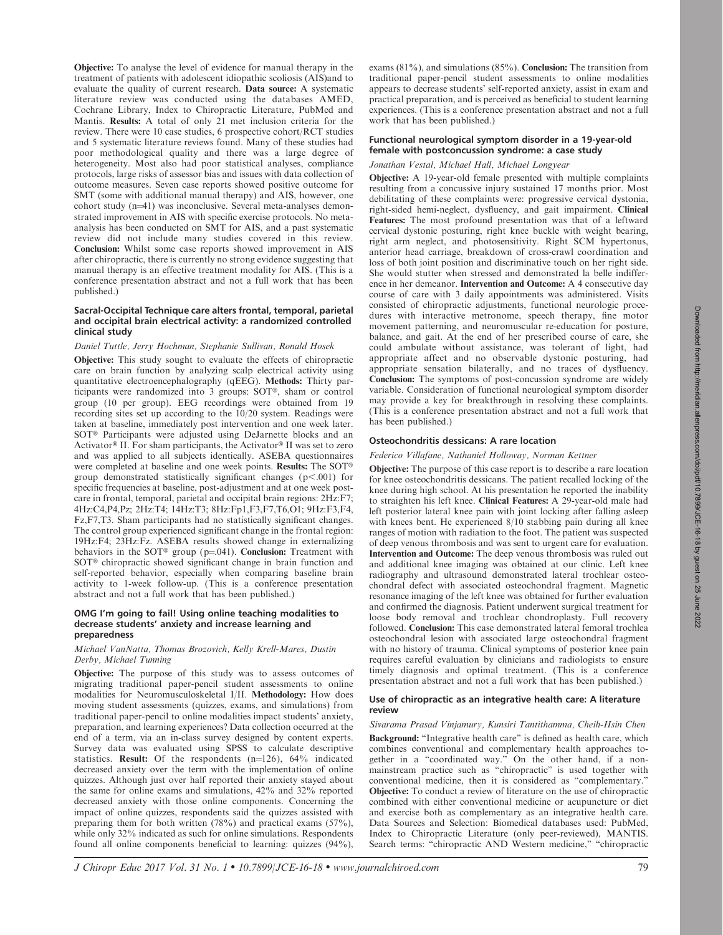Objective: To analyse the level of evidence for manual therapy in the treatment of patients with adolescent idiopathic scoliosis (AIS)and to evaluate the quality of current research. Data source: A systematic literature review was conducted using the databases AMED, Cochrane Library, Index to Chiropractic Literature, PubMed and Mantis. Results: A total of only 21 met inclusion criteria for the review. There were 10 case studies, 6 prospective cohort/RCT studies and 5 systematic literature reviews found. Many of these studies had poor methodological quality and there was a large degree of heterogeneity. Most also had poor statistical analyses, compliance protocols, large risks of assessor bias and issues with data collection of outcome measures. Seven case reports showed positive outcome for SMT (some with additional manual therapy) and AIS, however, one cohort study  $(n=41)$  was inconclusive. Several meta-analyses demonstrated improvement in AIS with specific exercise protocols. No metaanalysis has been conducted on SMT for AIS, and a past systematic review did not include many studies covered in this review. Conclusion: Whilst some case reports showed improvement in AIS after chiropractic, there is currently no strong evidence suggesting that manual therapy is an effective treatment modality for AIS. (This is a conference presentation abstract and not a full work that has been published.)

# Sacral-Occipital Technique care alters frontal, temporal, parietal and occipital brain electrical activity: a randomized controlled clinical study

# Daniel Tuttle, Jerry Hochman, Stephanie Sullivan, Ronald Hosek

Objective: This study sought to evaluate the effects of chiropractic care on brain function by analyzing scalp electrical activity using quantitative electroencephalography (qEEG). Methods: Thirty participants were randomized into 3 groups:  $SOT^{\circledast}$ , sham or control group (10 per group). EEG recordings were obtained from 19 recording sites set up according to the 10/20 system. Readings were taken at baseline, immediately post intervention and one week later. SOT<sup>®</sup> Participants were adjusted using DeJarnette blocks and an Activator<sup>®</sup> II. For sham participants, the Activator<sup>®</sup> II was set to zero and was applied to all subjects identically. ASEBA questionnaires were completed at baseline and one week points. Results: The SOT® group demonstrated statistically significant changes ( $p$ <.001) for specific frequencies at baseline, post-adjustment and at one week postcare in frontal, temporal, parietal and occipital brain regions: 2Hz:F7; 4Hz:C4,P4,Pz; 2Hz:T4; 14Hz:T3; 8Hz:Fp1,F3,F7,T6,O1; 9Hz:F3,F4, Fz,F7,T3. Sham participants had no statistically significant changes. The control group experienced significant change in the frontal region: 19Hz:F4; 23Hz:Fz. ASEBA results showed change in externalizing behaviors in the SOT<sup>®</sup> group (p=.041). Conclusion: Treatment with SOT<sup>®</sup> chiropractic showed significant change in brain function and self-reported behavior, especially when comparing baseline brain activity to 1-week follow-up. (This is a conference presentation abstract and not a full work that has been published.)

## OMG I'm going to fail! Using online teaching modalities to decrease students' anxiety and increase learning and preparedness

# Michael VanNatta, Thomas Brozovich, Kelly Krell-Mares, Dustin Derby, Michael Tunning

Objective: The purpose of this study was to assess outcomes of migrating traditional paper-pencil student assessments to online modalities for Neuromusculoskeletal I/II. Methodology: How does moving student assessments (quizzes, exams, and simulations) from traditional paper-pencil to online modalities impact students' anxiety, preparation, and learning experiences? Data collection occurred at the end of a term, via an in-class survey designed by content experts. Survey data was evaluated using SPSS to calculate descriptive statistics. Result: Of the respondents  $(n=126)$ , 64% indicated decreased anxiety over the term with the implementation of online quizzes. Although just over half reported their anxiety stayed about the same for online exams and simulations, 42% and 32% reported decreased anxiety with those online components. Concerning the impact of online quizzes, respondents said the quizzes assisted with preparing them for both written (78%) and practical exams (57%), while only 32% indicated as such for online simulations. Respondents found all online components beneficial to learning: quizzes (94%),

exams (81%), and simulations (85%). Conclusion: The transition from traditional paper-pencil student assessments to online modalities appears to decrease students' self-reported anxiety, assist in exam and practical preparation, and is perceived as beneficial to student learning experiences. (This is a conference presentation abstract and not a full work that has been published.)

# Functional neurological symptom disorder in a 19-year-old female with postconcussion syndrome: a case study

# Jonathan Vestal, Michael Hall, Michael Longyear

Objective: A 19-year-old female presented with multiple complaints resulting from a concussive injury sustained 17 months prior. Most debilitating of these complaints were: progressive cervical dystonia, right-sided hemi-neglect, dysfluency, and gait impairment. Clinical Features: The most profound presentation was that of a leftward cervical dystonic posturing, right knee buckle with weight bearing, right arm neglect, and photosensitivity. Right SCM hypertonus, anterior head carriage, breakdown of cross-crawl coordination and loss of both joint position and discriminative touch on her right side. She would stutter when stressed and demonstrated la belle indifference in her demeanor. Intervention and Outcome: A 4 consecutive day course of care with 3 daily appointments was administered. Visits consisted of chiropractic adjustments, functional neurologic procedures with interactive metronome, speech therapy, fine motor movement patterning, and neuromuscular re-education for posture, balance, and gait. At the end of her prescribed course of care, she could ambulate without assistance, was tolerant of light, had appropriate affect and no observable dystonic posturing, had appropriate sensation bilaterally, and no traces of dysfluency. Conclusion: The symptoms of post-concussion syndrome are widely variable. Consideration of functional neurological symptom disorder may provide a key for breakthrough in resolving these complaints. (This is a conference presentation abstract and not a full work that has been published.)

# Osteochondritis dessicans: A rare location

# Federico Villafane, Nathaniel Holloway, Norman Kettner

Objective: The purpose of this case report is to describe a rare location for knee osteochondritis dessicans. The patient recalled locking of the knee during high school. At his presentation he reported the inability to straighten his left knee. Clinical Features: A 29-year-old male had left posterior lateral knee pain with joint locking after falling asleep with knees bent. He experienced 8/10 stabbing pain during all knee ranges of motion with radiation to the foot. The patient was suspected of deep venous thrombosis and was sent to urgent care for evaluation. Intervention and Outcome: The deep venous thrombosis was ruled out and additional knee imaging was obtained at our clinic. Left knee radiography and ultrasound demonstrated lateral trochlear osteochondral defect with associated osteochondral fragment. Magnetic resonance imaging of the left knee was obtained for further evaluation and confirmed the diagnosis. Patient underwent surgical treatment for loose body removal and trochlear chondroplasty. Full recovery followed. Conclusion: This case demonstrated lateral femoral trochlea osteochondral lesion with associated large osteochondral fragment with no history of trauma. Clinical symptoms of posterior knee pain requires careful evaluation by clinicians and radiologists to ensure timely diagnosis and optimal treatment. (This is a conference presentation abstract and not a full work that has been published.)

## Use of chiropractic as an integrative health care: A literature review

Sivarama Prasad Vinjamury, Kunsiri Tantithamma, Cheih-Hsin Chen Background: ''Integrative health care'' is defined as health care, which combines conventional and complementary health approaches together in a "coordinated way." On the other hand, if a nonmainstream practice such as ''chiropractic'' is used together with conventional medicine, then it is considered as ''complementary.'' Objective: To conduct a review of literature on the use of chiropractic combined with either conventional medicine or acupuncture or diet and exercise both as complementary as an integrative health care. Data Sources and Selection: Biomedical databases used: PubMed, Index to Chiropractic Literature (only peer-reviewed), MANTIS. Search terms: "chiropractic AND Western medicine," "chiropractic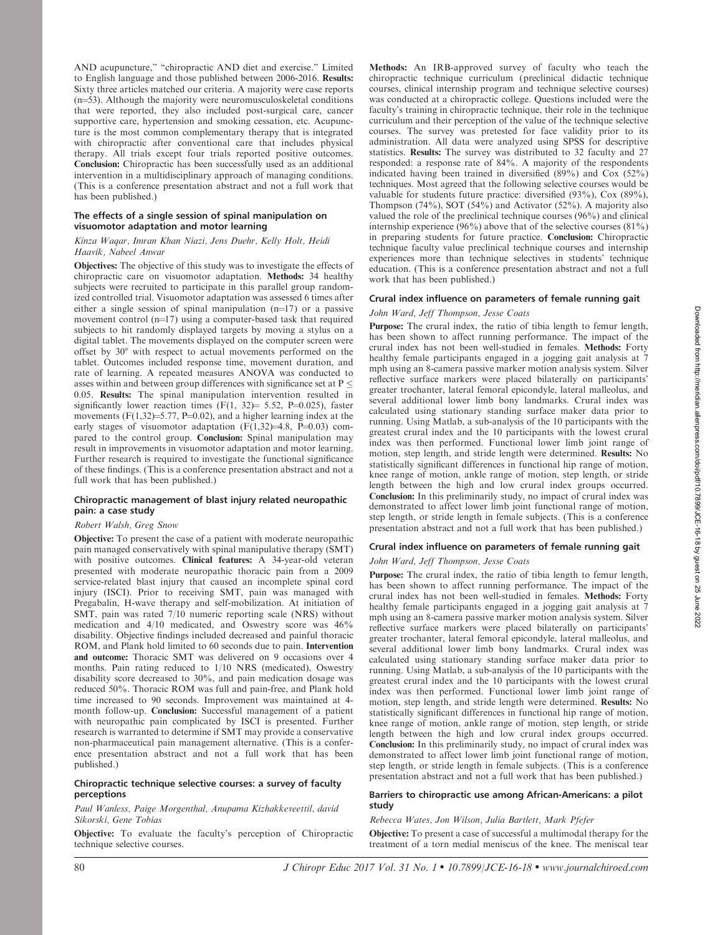AND acupuncture,'' ''chiropractic AND diet and exercise.'' Limited to English language and those published between 2006-2016. Results: Sixty three articles matched our criteria. A majority were case reports  $(n=53)$ . Although the majority were neuromusculoskeletal conditions that were reported, they also included post-surgical care, cancer supportive care, hypertension and smoking cessation, etc. Acupuncture is the most common complementary therapy that is integrated with chiropractic after conventional care that includes physical therapy. All trials except four trials reported positive outcomes. Conclusion: Chiropractic has been successfully used as an additional intervention in a multidisciplinary approach of managing conditions. (This is a conference presentation abstract and not a full work that has been published.)

## The effects of a single session of spinal manipulation on visuomotor adaptation and motor learning

## Kinza Waqar, Imran Khan Niazi, Jens Duehr, Kelly Holt, Heidi Haavik, Nabeel Anwar

Objectives: The objective of this study was to investigate the effects of chiropractic care on visuomotor adaptation. Methods: 34 healthy subjects were recruited to participate in this parallel group randomized controlled trial. Visuomotor adaptation was assessed 6 times after either a single session of spinal manipulation  $(n=17)$  or a passive movement control  $(n=17)$  using a computer-based task that required subjects to hit randomly displayed targets by moving a stylus on a digital tablet. The movements displayed on the computer screen were offset by 30° with respect to actual movements performed on the tablet. Outcomes included response time, movement duration, and rate of learning. A repeated measures ANOVA was conducted to asses within and between group differences with significance set at P  $\leq$ 0.05. Results: The spinal manipulation intervention resulted in significantly lower reaction times  $(F(1, 32) = 5.52, P=0.025)$ , faster movements (F(1,32)=5.77, P=0.02), and a higher learning index at the early stages of visuomotor adaptation  $(F(1,32)=4.8, P=0.03)$  compared to the control group. Conclusion: Spinal manipulation may result in improvements in visuomotor adaptation and motor learning. Further research is required to investigate the functional significance of these findings. (This is a conference presentation abstract and not a full work that has been published.)

# Chiropractic management of blast injury related neuropathic pain: a case study

# Robert Walsh, Greg Snow

Objective: To present the case of a patient with moderate neuropathic pain managed conservatively with spinal manipulative therapy (SMT) with positive outcomes. Clinical features: A 34-year-old veteran presented with moderate neuropathic thoracic pain from a 2009 service-related blast injury that caused an incomplete spinal cord injury (ISCI). Prior to receiving SMT, pain was managed with Pregabalin, H-wave therapy and self-mobilization. At initiation of SMT, pain was rated 7/10 numeric reporting scale (NRS) without medication and 4/10 medicated, and Oswestry score was 46% disability. Objective findings included decreased and painful thoracic ROM, and Plank hold limited to 60 seconds due to pain. Intervention and outcome: Thoracic SMT was delivered on 9 occasions over 4 months. Pain rating reduced to 1/10 NRS (medicated), Oswestry disability score decreased to 30%, and pain medication dosage was reduced 50%. Thoracic ROM was full and pain-free, and Plank hold time increased to 90 seconds. Improvement was maintained at 4 month follow-up. Conclusion: Successful management of a patient with neuropathic pain complicated by ISCI is presented. Further research is warranted to determine if SMT may provide a conservative non-pharmaceutical pain management alternative. (This is a conference presentation abstract and not a full work that has been published.)

## Chiropractic technique selective courses: a survey of faculty perceptions

#### Paul Wanless, Paige Morgenthal, Anupama Kizhakkeveettil, david Sikorski, Gene Tobias

Objective: To evaluate the faculty's perception of Chiropractic technique selective courses.

Methods: An IRB-approved survey of faculty who teach the chiropractic technique curriculum (preclinical didactic technique courses, clinical internship program and technique selective courses) was conducted at a chiropractic college. Questions included were the faculty's training in chiropractic technique, their role in the technique curriculum and their perception of the value of the technique selective courses. The survey was pretested for face validity prior to its administration. All data were analyzed using SPSS for descriptive statistics. Results: The survey was distributed to 32 faculty and 27 responded: a response rate of 84%. A majority of the respondents indicated having been trained in diversified (89%) and Cox (52%) techniques. Most agreed that the following selective courses would be valuable for students future practice: diversified (93%), Cox (89%), Thompson (74%), SOT (54%) and Activator (52%). A majority also valued the role of the preclinical technique courses (96%) and clinical internship experience (96%) above that of the selective courses (81%) in preparing students for future practice. Conclusion: Chiropractic technique faculty value preclinical technique courses and internship experiences more than technique selectives in students' technique education. (This is a conference presentation abstract and not a full work that has been published.)

# Crural index influence on parameters of female running gait

## John Ward, Jeff Thompson, Jesse Coats

Purpose: The crural index, the ratio of tibia length to femur length, has been shown to affect running performance. The impact of the crural index has not been well-studied in females. Methods: Forty healthy female participants engaged in a jogging gait analysis at 7 mph using an 8-camera passive marker motion analysis system. Silver reflective surface markers were placed bilaterally on participants' greater trochanter, lateral femoral epicondyle, lateral malleolus, and several additional lower limb bony landmarks. Crural index was calculated using stationary standing surface maker data prior to running. Using Matlab, a sub-analysis of the 10 participants with the greatest crural index and the 10 participants with the lowest crural index was then performed. Functional lower limb joint range of motion, step length, and stride length were determined. Results: No statistically significant differences in functional hip range of motion, knee range of motion, ankle range of motion, step length, or stride length between the high and low crural index groups occurred. Conclusion: In this preliminarily study, no impact of crural index was demonstrated to affect lower limb joint functional range of motion, step length, or stride length in female subjects. (This is a conference presentation abstract and not a full work that has been published.)

## Crural index influence on parameters of female running gait

## John Ward, Jeff Thompson, Jesse Coats

Purpose: The crural index, the ratio of tibia length to femur length, has been shown to affect running performance. The impact of the crural index has not been well-studied in females. Methods: Forty healthy female participants engaged in a jogging gait analysis at 7 mph using an 8-camera passive marker motion analysis system. Silver reflective surface markers were placed bilaterally on participants' greater trochanter, lateral femoral epicondyle, lateral malleolus, and several additional lower limb bony landmarks. Crural index was calculated using stationary standing surface maker data prior to running. Using Matlab, a sub-analysis of the 10 participants with the greatest crural index and the 10 participants with the lowest crural index was then performed. Functional lower limb joint range of motion, step length, and stride length were determined. Results: No statistically significant differences in functional hip range of motion, knee range of motion, ankle range of motion, step length, or stride length between the high and low crural index groups occurred. Conclusion: In this preliminarily study, no impact of crural index was demonstrated to affect lower limb joint functional range of motion, step length, or stride length in female subjects. (This is a conference presentation abstract and not a full work that has been published.)

## Barriers to chiropractic use among African-Americans: a pilot study

# Rebecca Wates, Jon Wilson, Julia Bartlett, Mark Pfefer

Objective: To present a case of successful a multimodal therapy for the treatment of a torn medial meniscus of the knee. The meniscal tear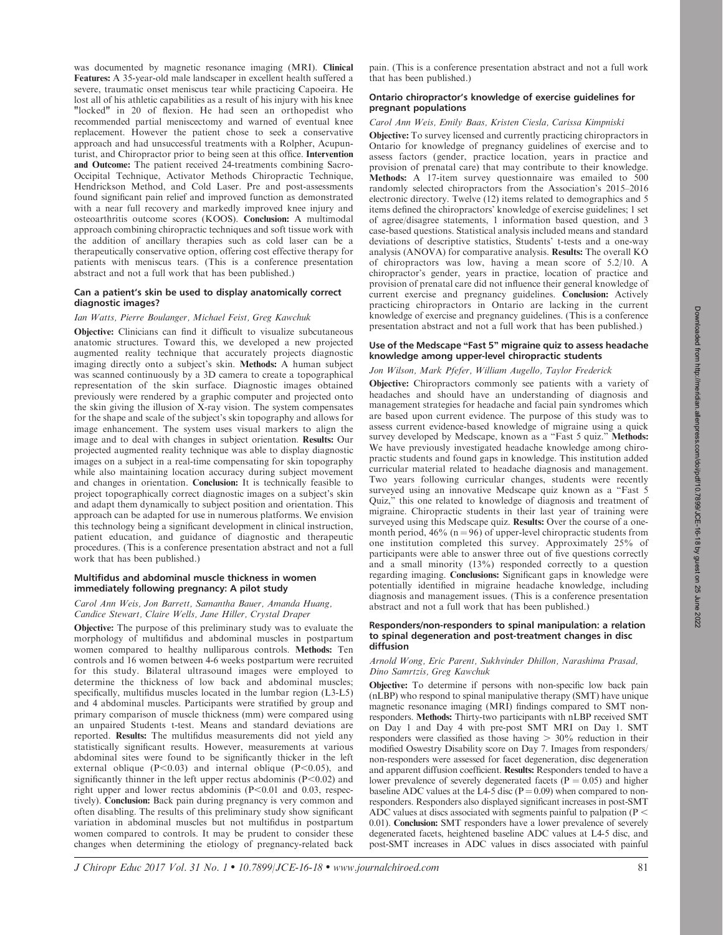was documented by magnetic resonance imaging (MRI). Clinical Features: A 35-year-old male landscaper in excellent health suffered a severe, traumatic onset meniscus tear while practicing Capoeira. He lost all of his athletic capabilities as a result of his injury with his knee "locked" in 20 of flexion. He had seen an orthopedist who recommended partial meniscectomy and warned of eventual knee replacement. However the patient chose to seek a conservative approach and had unsuccessful treatments with a Rolpher, Acupunturist, and Chiropractor prior to being seen at this office. Intervention and Outcome: The patient received 24-treatments combining Sacro-Occipital Technique, Activator Methods Chiropractic Technique, Hendrickson Method, and Cold Laser. Pre and post-assessments found significant pain relief and improved function as demonstrated with a near full recovery and markedly improved knee injury and osteoarthritis outcome scores (KOOS). Conclusion: A multimodal approach combining chiropractic techniques and soft tissue work with the addition of ancillary therapies such as cold laser can be a therapeutically conservative option, offering cost effective therapy for patients with meniscus tears. (This is a conference presentation abstract and not a full work that has been published.)

## Can a patient's skin be used to display anatomically correct diagnostic images?

# Ian Watts, Pierre Boulanger, Michael Feist, Greg Kawchuk

Objective: Clinicians can find it difficult to visualize subcutaneous anatomic structures. Toward this, we developed a new projected augmented reality technique that accurately projects diagnostic imaging directly onto a subject's skin. Methods: A human subject was scanned continuously by a 3D camera to create a topographical representation of the skin surface. Diagnostic images obtained previously were rendered by a graphic computer and projected onto the skin giving the illusion of X-ray vision. The system compensates for the shape and scale of the subject's skin topography and allows for image enhancement. The system uses visual markers to align the image and to deal with changes in subject orientation. Results: Our projected augmented reality technique was able to display diagnostic images on a subject in a real-time compensating for skin topography while also maintaining location accuracy during subject movement and changes in orientation. Conclusion: It is technically feasible to project topographically correct diagnostic images on a subject's skin and adapt them dynamically to subject position and orientation. This approach can be adapted for use in numerous platforms. We envision this technology being a significant development in clinical instruction, patient education, and guidance of diagnostic and therapeutic procedures. (This is a conference presentation abstract and not a full work that has been published.)

## Multifidus and abdominal muscle thickness in women immediately following pregnancy: A pilot study

## Carol Ann Weis, Jon Barrett, Samantha Bauer, Amanda Huang, Candice Stewart, Claire Wells, Jane Hiller, Crystal Draper

Objective: The purpose of this preliminary study was to evaluate the morphology of multifidus and abdominal muscles in postpartum women compared to healthy nulliparous controls. Methods: Ten controls and 16 women between 4-6 weeks postpartum were recruited for this study. Bilateral ultrasound images were employed to determine the thickness of low back and abdominal muscles; specifically, multifidus muscles located in the lumbar region (L3-L5) and 4 abdominal muscles. Participants were stratified by group and primary comparison of muscle thickness (mm) were compared using an unpaired Students t-test. Means and standard deviations are reported. Results: The multifidus measurements did not yield any statistically significant results. However, measurements at various abdominal sites were found to be significantly thicker in the left external oblique ( $P<0.03$ ) and internal oblique ( $P<0.05$ ), and significantly thinner in the left upper rectus abdominis  $(P<0.02)$  and right upper and lower rectus abdominis ( $P<0.01$  and 0.03, respectively). Conclusion: Back pain during pregnancy is very common and often disabling. The results of this preliminary study show significant variation in abdominal muscles but not multifidus in postpartum women compared to controls. It may be prudent to consider these changes when determining the etiology of pregnancy-related back pain. (This is a conference presentation abstract and not a full work that has been published.)

## Ontario chiropractor's knowledge of exercise guidelines for pregnant populations

## Carol Ann Weis, Emily Baas, Kristen Ciesla, Carissa Kimpniski

Objective: To survey licensed and currently practicing chiropractors in Ontario for knowledge of pregnancy guidelines of exercise and to assess factors (gender, practice location, years in practice and provision of prenatal care) that may contribute to their knowledge. Methods: A 17-item survey questionnaire was emailed to 500 randomly selected chiropractors from the Association's 2015–2016 electronic directory. Twelve (12) items related to demographics and 5 items defined the chiropractors' knowledge of exercise guidelines; 1 set of agree/disagree statements, 1 information based question, and 3 case-based questions. Statistical analysis included means and standard deviations of descriptive statistics, Students' t-tests and a one-way analysis (ANOVA) for comparative analysis. Results: The overall KO of chiropractors was low, having a mean score of 5.2/10. A chiropractor's gender, years in practice, location of practice and provision of prenatal care did not influence their general knowledge of current exercise and pregnancy guidelines. Conclusion: Actively practicing chiropractors in Ontario are lacking in the current knowledge of exercise and pregnancy guidelines. (This is a conference presentation abstract and not a full work that has been published.)

## Use of the Medscape "Fast 5" migraine quiz to assess headache knowledge among upper-level chiropractic students

# Jon Wilson, Mark Pfefer, William Augello, Taylor Frederick

Objective: Chiropractors commonly see patients with a variety of headaches and should have an understanding of diagnosis and management strategies for headache and facial pain syndromes which are based upon current evidence. The purpose of this study was to assess current evidence-based knowledge of migraine using a quick survey developed by Medscape, known as a "Fast 5 quiz." Methods: We have previously investigated headache knowledge among chiropractic students and found gaps in knowledge. This institution added curricular material related to headache diagnosis and management. Two years following curricular changes, students were recently surveyed using an innovative Medscape quiz known as a "Fast 5" Quiz,'' this one related to knowledge of diagnosis and treatment of migraine. Chiropractic students in their last year of training were surveyed using this Medscape quiz. Results: Over the course of a onemonth period,  $46\%$  (n = 96) of upper-level chiropractic students from one institution completed this survey. Approximately 25% of participants were able to answer three out of five questions correctly and a small minority (13%) responded correctly to a question regarding imaging. Conclusions: Significant gaps in knowledge were potentially identified in migraine headache knowledge, including diagnosis and management issues. (This is a conference presentation abstract and not a full work that has been published.)

#### Responders/non-responders to spinal manipulation: a relation to spinal degeneration and post-treatment changes in disc diffusion

## Arnold Wong, Eric Parent, Sukhvinder Dhillon, Narashima Prasad, Dino Samrtzis, Greg Kawchuk

Objective: To determine if persons with non-specific low back pain (nLBP) who respond to spinal manipulative therapy (SMT) have unique magnetic resonance imaging (MRI) findings compared to SMT nonresponders. Methods: Thirty-two participants with nLBP received SMT on Day 1 and Day 4 with pre-post SMT MRI on Day 1. SMT responders were classified as those having  $> 30\%$  reduction in their modified Oswestry Disability score on Day 7. Images from responders/ non-responders were assessed for facet degeneration, disc degeneration and apparent diffusion coefficient. Results: Responders tended to have a lower prevalence of severely degenerated facets ( $P = 0.05$ ) and higher baseline ADC values at the L4-5 disc ( $P = 0.09$ ) when compared to nonresponders. Responders also displayed significant increases in post-SMT ADC values at discs associated with segments painful to palpation ( $P <$ 0.01). Conclusion: SMT responders have a lower prevalence of severely degenerated facets, heightened baseline ADC values at L4-5 disc, and post-SMT increases in ADC values in discs associated with painful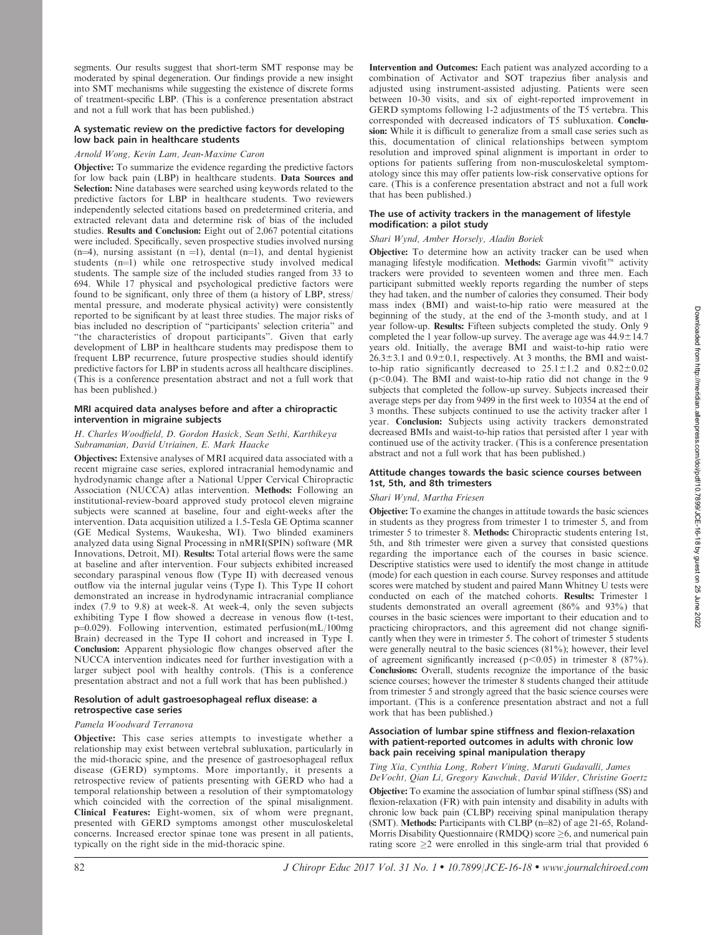segments. Our results suggest that short-term SMT response may be moderated by spinal degeneration. Our findings provide a new insight into SMT mechanisms while suggesting the existence of discrete forms of treatment-specific LBP. (This is a conference presentation abstract and not a full work that has been published.)

# A systematic review on the predictive factors for developing low back pain in healthcare students

# Arnold Wong, Kevin Lam, Jean-Maxime Caron

Objective: To summarize the evidence regarding the predictive factors for low back pain (LBP) in healthcare students. Data Sources and Selection: Nine databases were searched using keywords related to the predictive factors for LBP in healthcare students. Two reviewers independently selected citations based on predetermined criteria, and extracted relevant data and determine risk of bias of the included studies. Results and Conclusion: Eight out of 2,067 potential citations were included. Specifically, seven prospective studies involved nursing  $(n=4)$ , nursing assistant  $(n = 1)$ , dental  $(n=1)$ , and dental hygienist students  $(n=1)$  while one retrospective study involved medical students. The sample size of the included studies ranged from 33 to 694. While 17 physical and psychological predictive factors were found to be significant, only three of them (a history of LBP, stress/ mental pressure, and moderate physical activity) were consistently reported to be significant by at least three studies. The major risks of bias included no description of ''participants' selection criteria'' and "the characteristics of dropout participants". Given that early development of LBP in healthcare students may predispose them to frequent LBP recurrence, future prospective studies should identify predictive factors for LBP in students across all healthcare disciplines. (This is a conference presentation abstract and not a full work that has been published.)

## MRI acquired data analyses before and after a chiropractic intervention in migraine subjects

# H. Charles Woodfield, D. Gordon Hasick, Sean Sethi, Karthikeya Subramanian, David Utriainen, E. Mark Haacke

Objectives: Extensive analyses of MRI acquired data associated with a recent migraine case series, explored intracranial hemodynamic and hydrodynamic change after a National Upper Cervical Chiropractic Association (NUCCA) atlas intervention. Methods: Following an institutional-review-board approved study protocol eleven migraine subjects were scanned at baseline, four and eight-weeks after the intervention. Data acquisition utilized a 1.5-Tesla GE Optima scanner (GE Medical Systems, Waukesha, WI). Two blinded examiners analyzed data using Signal Processing in nMRI(SPIN) software (MR Innovations, Detroit, MI). Results: Total arterial flows were the same at baseline and after intervention. Four subjects exhibited increased secondary paraspinal venous flow (Type II) with decreased venous outflow via the internal jugular veins (Type I). This Type II cohort demonstrated an increase in hydrodynamic intracranial compliance index (7.9 to 9.8) at week-8. At week-4, only the seven subjects exhibiting Type I flow showed a decrease in venous flow (t-test, p=0.029). Following intervention, estimated perfusion(mL/100mg Brain) decreased in the Type II cohort and increased in Type I. Conclusion: Apparent physiologic flow changes observed after the NUCCA intervention indicates need for further investigation with a larger subject pool with healthy controls. (This is a conference presentation abstract and not a full work that has been published.)

## Resolution of adult gastroesophageal reflux disease: a retrospective case series

## Pamela Woodward Terranova

Objective: This case series attempts to investigate whether a relationship may exist between vertebral subluxation, particularly in the mid-thoracic spine, and the presence of gastroesophageal reflux disease (GERD) symptoms. More importantly, it presents a retrospective review of patients presenting with GERD who had a temporal relationship between a resolution of their symptomatology which coincided with the correction of the spinal misalignment. Clinical Features: Eight-women, six of whom were pregnant, presented with GERD symptoms amongst other musculoskeletal concerns. Increased erector spinae tone was present in all patients, typically on the right side in the mid-thoracic spine.

Intervention and Outcomes: Each patient was analyzed according to a combination of Activator and SOT trapezius fiber analysis and adjusted using instrument-assisted adjusting. Patients were seen between 10-30 visits, and six of eight-reported improvement in GERD symptoms following 1-2 adjustments of the T5 vertebra. This corresponded with decreased indicators of T5 subluxation. Conclusion: While it is difficult to generalize from a small case series such as this, documentation of clinical relationships between symptom resolution and improved spinal alignment is important in order to options for patients suffering from non-musculoskeletal symptomatology since this may offer patients low-risk conservative options for care. (This is a conference presentation abstract and not a full work that has been published.)

# The use of activity trackers in the management of lifestyle modification: a pilot study

# Shari Wynd, Amber Horsely, Aladin Boriek

Objective: To determine how an activity tracker can be used when managing lifestyle modification. Methods: Garmin vivofit<sup> $m$ </sup> activity trackers were provided to seventeen women and three men. Each participant submitted weekly reports regarding the number of steps they had taken, and the number of calories they consumed. Their body mass index (BMI) and waist-to-hip ratio were measured at the beginning of the study, at the end of the 3-month study, and at 1 year follow-up. Results: Fifteen subjects completed the study. Only 9 completed the 1 year follow-up survey. The average age was  $44.9 \pm 14.7$ years old. Initially, the average BMI and waist-to-hip ratio were  $26.3\pm3.1$  and  $0.9\pm0.1$ , respectively. At 3 months, the BMI and waistto-hip ratio significantly decreased to  $25.1 \pm 1.2$  and  $0.82 \pm 0.02$  $(p<0.04)$ . The BMI and waist-to-hip ratio did not change in the 9 subjects that completed the follow-up survey. Subjects increased their average steps per day from 9499 in the first week to 10354 at the end of 3 months. These subjects continued to use the activity tracker after 1 year. Conclusion: Subjects using activity trackers demonstrated decreased BMIs and waist-to-hip ratios that persisted after 1 year with continued use of the activity tracker. (This is a conference presentation abstract and not a full work that has been published.)

## Attitude changes towards the basic science courses between 1st, 5th, and 8th trimesters

# Shari Wynd, Martha Friesen

Objective: To examine the changes in attitude towards the basic sciences in students as they progress from trimester 1 to trimester 5, and from trimester 5 to trimester 8. Methods: Chiropractic students entering 1st, 5th, and 8th trimester were given a survey that consisted questions regarding the importance each of the courses in basic science. Descriptive statistics were used to identify the most change in attitude (mode) for each question in each course. Survey responses and attitude scores were matched by student and paired Mann Whitney U tests were conducted on each of the matched cohorts. Results: Trimester 1 students demonstrated an overall agreement (86% and 93%) that courses in the basic sciences were important to their education and to practicing chiropractors, and this agreement did not change significantly when they were in trimester 5. The cohort of trimester 5 students were generally neutral to the basic sciences (81%); however, their level of agreement significantly increased ( $p<0.05$ ) in trimester 8 (87%). Conclusions: Overall, students recognize the importance of the basic science courses; however the trimester 8 students changed their attitude from trimester 5 and strongly agreed that the basic science courses were important. (This is a conference presentation abstract and not a full work that has been published.)

## Association of lumbar spine stiffness and flexion-relaxation with patient-reported outcomes in adults with chronic low back pain receiving spinal manipulation therapy

Ting Xia, Cynthia Long, Robert Vining, Maruti Gudavalli, James DeVocht, Qian Li, Gregory Kawchuk, David Wilder, Christine Goertz Objective: To examine the association of lumbar spinal stiffness (SS) and flexion-relaxation (FR) with pain intensity and disability in adults with chronic low back pain (CLBP) receiving spinal manipulation therapy (SMT). Methods: Participants with CLBP  $(n=82)$  of age 21-65, Roland-Morris Disability Questionnaire (RMDQ) score  $\geq 6$ , and numerical pain rating score  $\geq$ 2 were enrolled in this single-arm trial that provided 6